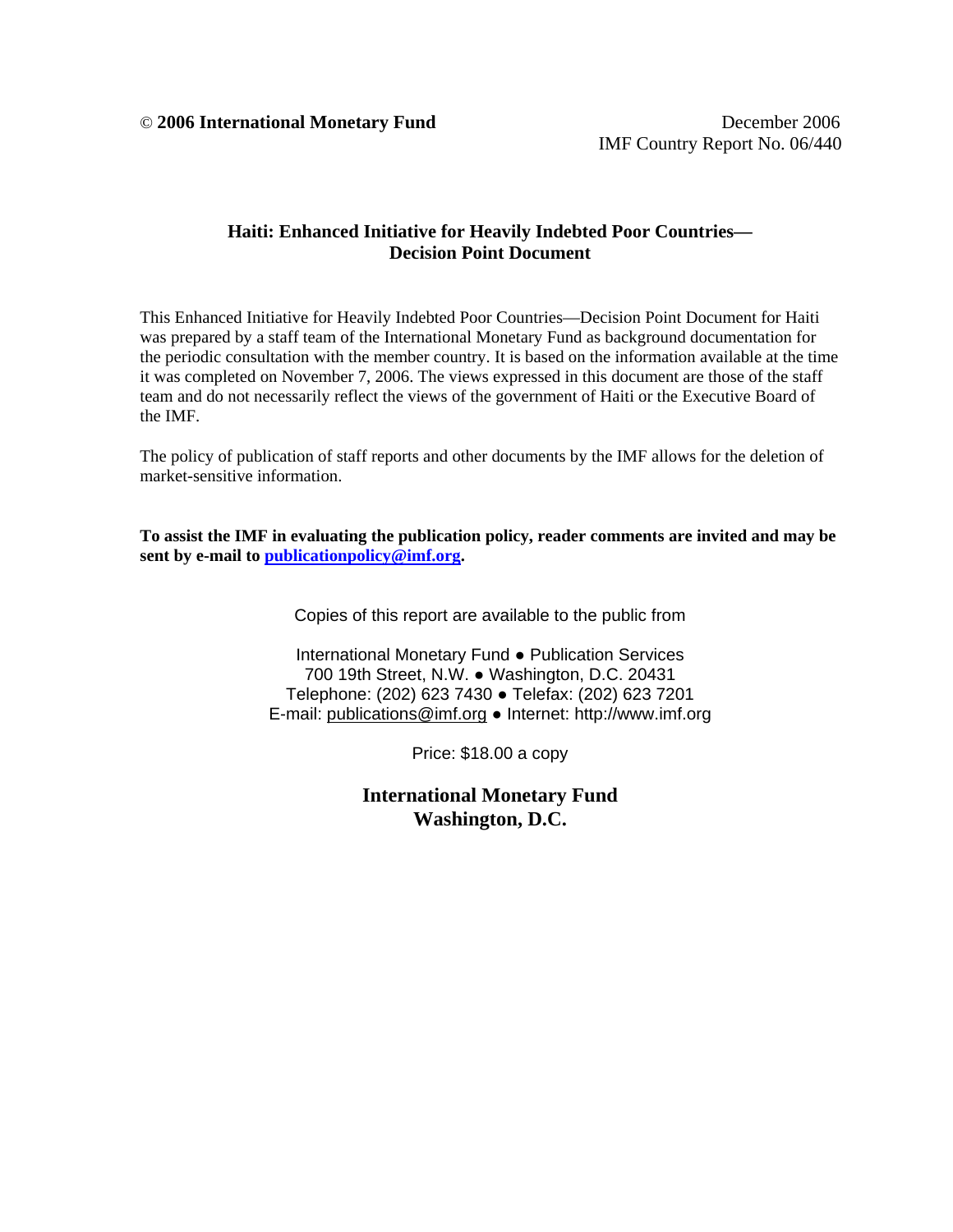© **2006 International Monetary Fund** December 2006

### **Haiti: Enhanced Initiative for Heavily Indebted Poor Countries— Decision Point Document**

This Enhanced Initiative for Heavily Indebted Poor Countries—Decision Point Document for Haiti was prepared by a staff team of the International Monetary Fund as background documentation for the periodic consultation with the member country. It is based on the information available at the time it was completed on November 7, 2006. The views expressed in this document are those of the staff team and do not necessarily reflect the views of the government of Haiti or the Executive Board of the IMF.

The policy of publication of staff reports and other documents by the IMF allows for the deletion of market-sensitive information.

**To assist the IMF in evaluating the publication policy, reader comments are invited and may be sent by e-mail to publicationpolicy@imf.org.** 

Copies of this report are available to the public from

International Monetary Fund ● Publication Services 700 19th Street, N.W. ● Washington, D.C. 20431 Telephone: (202) 623 7430 ● Telefax: (202) 623 7201 E-mail: publications@imf.org ● Internet: http://www.imf.org

Price: \$18.00 a copy

**International Monetary Fund Washington, D.C.**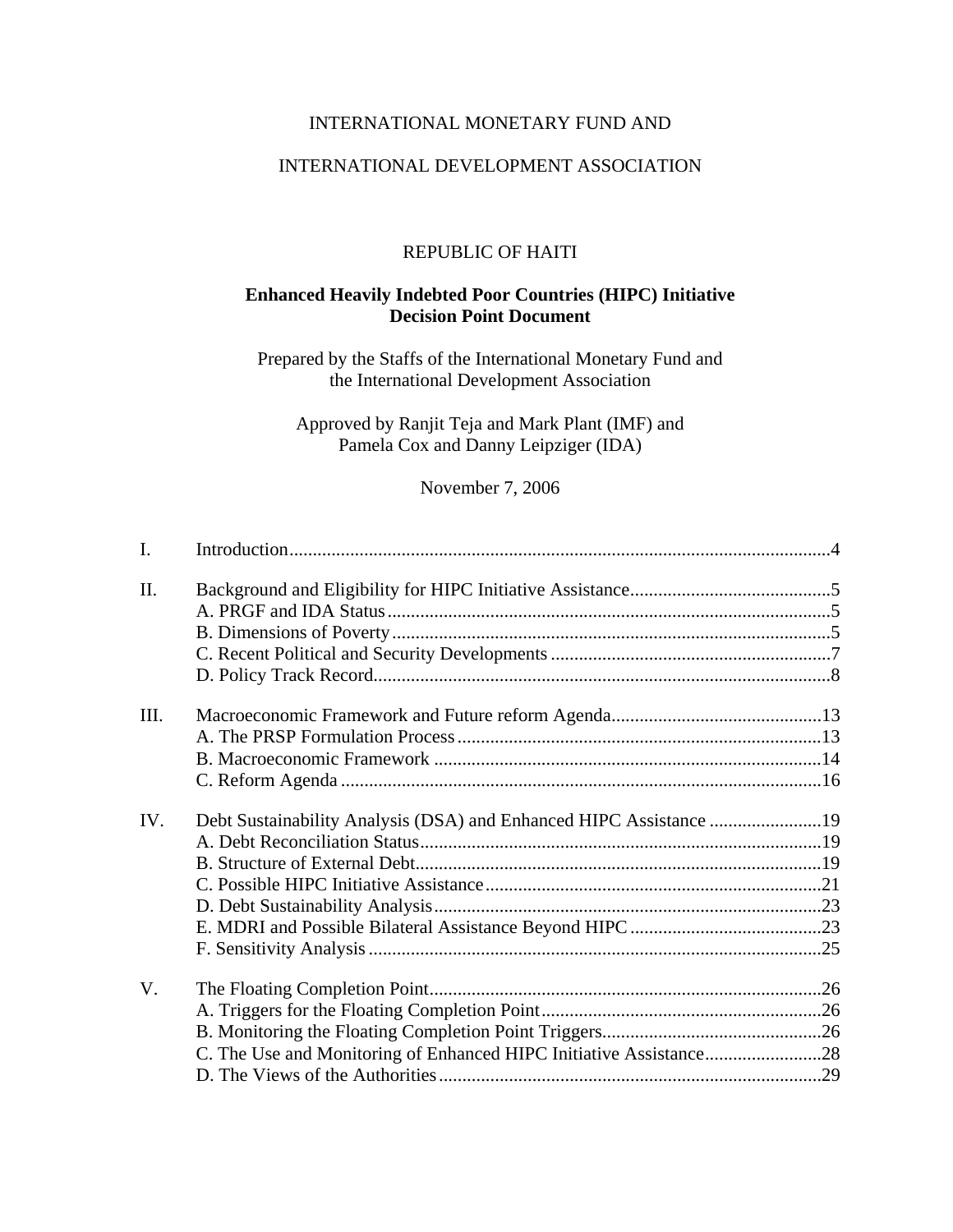## INTERNATIONAL MONETARY FUND AND

#### INTERNATIONAL DEVELOPMENT ASSOCIATION

#### REPUBLIC OF HAITI

## **Enhanced Heavily Indebted Poor Countries (HIPC) Initiative Decision Point Document**

Prepared by the Staffs of the International Monetary Fund and the International Development Association

Approved by Ranjit Teja and Mark Plant (IMF) and Pamela Cox and Danny Leipziger (IDA)

November 7, 2006

| I.   |                                                                    |  |
|------|--------------------------------------------------------------------|--|
| Π.   |                                                                    |  |
|      |                                                                    |  |
|      |                                                                    |  |
|      |                                                                    |  |
|      |                                                                    |  |
| III. |                                                                    |  |
|      |                                                                    |  |
|      |                                                                    |  |
|      |                                                                    |  |
| IV.  | Debt Sustainability Analysis (DSA) and Enhanced HIPC Assistance 19 |  |
|      |                                                                    |  |
|      |                                                                    |  |
|      |                                                                    |  |
|      |                                                                    |  |
|      |                                                                    |  |
|      |                                                                    |  |
| V.   |                                                                    |  |
|      |                                                                    |  |
|      |                                                                    |  |
|      |                                                                    |  |
|      |                                                                    |  |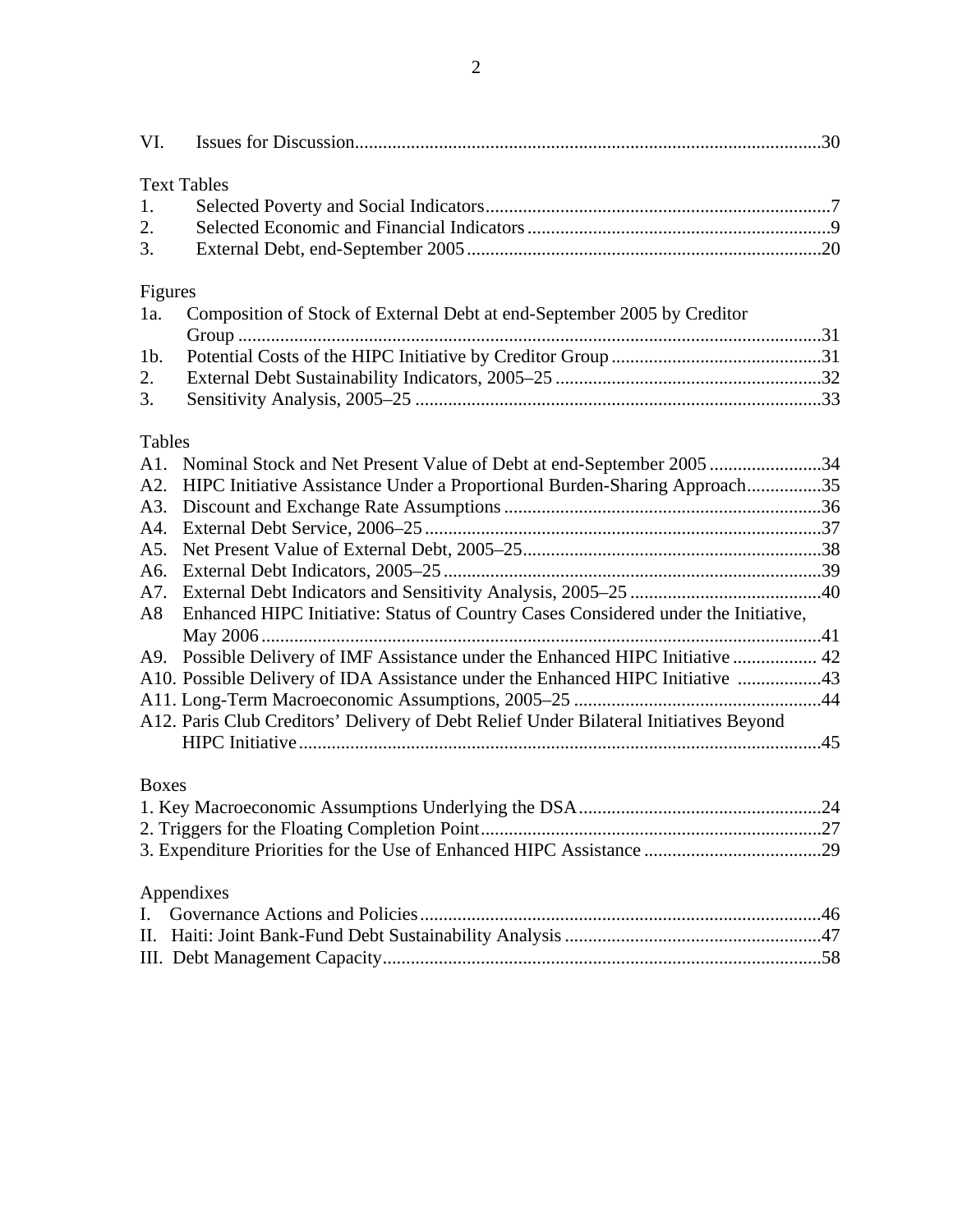| VI.                                                                  |                                                                                                                                                                                                                                                                                                                                                                                                                                                                                                  |  |
|----------------------------------------------------------------------|--------------------------------------------------------------------------------------------------------------------------------------------------------------------------------------------------------------------------------------------------------------------------------------------------------------------------------------------------------------------------------------------------------------------------------------------------------------------------------------------------|--|
| 1.<br>2.<br>3.                                                       | <b>Text Tables</b>                                                                                                                                                                                                                                                                                                                                                                                                                                                                               |  |
| Figures<br>1a.                                                       | Composition of Stock of External Debt at end-September 2005 by Creditor                                                                                                                                                                                                                                                                                                                                                                                                                          |  |
| $1b$ .<br>2.<br>3.                                                   |                                                                                                                                                                                                                                                                                                                                                                                                                                                                                                  |  |
| Tables<br>A1.<br>A2.<br>A3.<br>A4.<br>A5.<br>A6.<br>A7.<br>A8<br>A9. | Nominal Stock and Net Present Value of Debt at end-September 2005 34<br>HIPC Initiative Assistance Under a Proportional Burden-Sharing Approach35<br>Enhanced HIPC Initiative: Status of Country Cases Considered under the Initiative,<br>Possible Delivery of IMF Assistance under the Enhanced HIPC Initiative  42<br>A10. Possible Delivery of IDA Assistance under the Enhanced HIPC Initiative 43<br>A12. Paris Club Creditors' Delivery of Debt Relief Under Bilateral Initiatives Beyond |  |
| <b>Boxes</b>                                                         |                                                                                                                                                                                                                                                                                                                                                                                                                                                                                                  |  |
| I.<br>П.                                                             | Appendixes                                                                                                                                                                                                                                                                                                                                                                                                                                                                                       |  |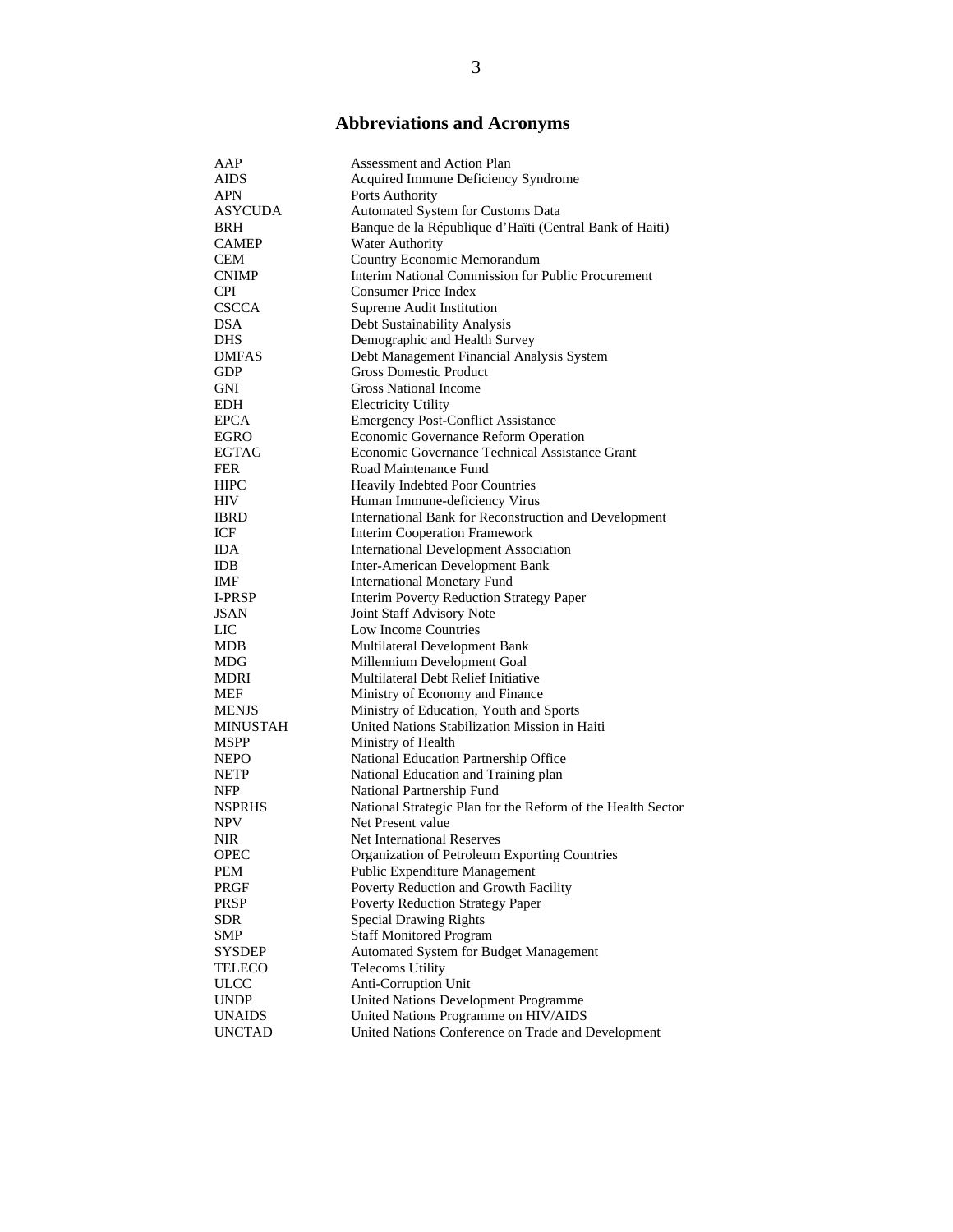# **Abbreviations and Acronyms**

| AAP           | Assessment and Action Plan                                  |
|---------------|-------------------------------------------------------------|
| AIDS          | Acquired Immune Deficiency Syndrome                         |
| <b>APN</b>    | Ports Authority                                             |
| ASYCUDA       | Automated System for Customs Data                           |
|               |                                                             |
| BRH           | Banque de la République d'Haïti (Central Bank of Haiti)     |
| <b>CAMEP</b>  | <b>Water Authority</b>                                      |
| <b>CEM</b>    | Country Economic Memorandum                                 |
| <b>CNIMP</b>  | Interim National Commission for Public Procurement          |
| <b>CPI</b>    | Consumer Price Index                                        |
| <b>CSCCA</b>  | Supreme Audit Institution                                   |
| <b>DSA</b>    | Debt Sustainability Analysis                                |
| DHS           | Demographic and Health Survey                               |
| <b>DMFAS</b>  | Debt Management Financial Analysis System                   |
| <b>GDP</b>    | <b>Gross Domestic Product</b>                               |
| GNI           | <b>Gross National Income</b>                                |
| <b>EDH</b>    | <b>Electricity Utility</b>                                  |
| <b>EPCA</b>   | <b>Emergency Post-Conflict Assistance</b>                   |
| <b>EGRO</b>   | Economic Governance Reform Operation                        |
| <b>EGTAG</b>  | Economic Governance Technical Assistance Grant              |
| FER           | Road Maintenance Fund                                       |
| <b>HIPC</b>   | Heavily Indebted Poor Countries                             |
| HIV           | Human Immune-deficiency Virus                               |
| <b>IBRD</b>   | International Bank for Reconstruction and Development       |
| ICF           | <b>Interim Cooperation Framework</b>                        |
| <b>IDA</b>    | <b>International Development Association</b>                |
| IDB           | <b>Inter-American Development Bank</b>                      |
| IMF           | <b>International Monetary Fund</b>                          |
| <b>I-PRSP</b> | <b>Interim Poverty Reduction Strategy Paper</b>             |
| JSAN          | Joint Staff Advisory Note                                   |
| LIC           | Low Income Countries                                        |
| MDB           | Multilateral Development Bank                               |
| MDG           | Millennium Development Goal                                 |
| MDRI          | Multilateral Debt Relief Initiative                         |
| MEF           | Ministry of Economy and Finance                             |
| <b>MENJS</b>  | Ministry of Education, Youth and Sports                     |
| MINUSTAH      | United Nations Stabilization Mission in Haiti               |
| MSPP          | Ministry of Health                                          |
| <b>NEPO</b>   | National Education Partnership Office                       |
| NETP          | National Education and Training plan                        |
|               |                                                             |
| <b>NFP</b>    | National Partnership Fund                                   |
| <b>NSPRHS</b> | National Strategic Plan for the Reform of the Health Sector |
| NPV           | Net Present value                                           |
| NIR           | <b>Net International Reserves</b>                           |
| OPEC          | Organization of Petroleum Exporting Countries               |
| PEM           | Public Expenditure Management                               |
| PRGF          | Poverty Reduction and Growth Facility                       |
| PRSP          | Poverty Reduction Strategy Paper                            |
| SDR           | <b>Special Drawing Rights</b>                               |
| SMP           | <b>Staff Monitored Program</b>                              |
| <b>SYSDEP</b> | Automated System for Budget Management                      |
| TELECO        | <b>Telecoms Utility</b>                                     |
| <b>ULCC</b>   | Anti-Corruption Unit                                        |
| <b>UNDP</b>   | United Nations Development Programme                        |
| <b>UNAIDS</b> | United Nations Programme on HIV/AIDS                        |
| <b>UNCTAD</b> | United Nations Conference on Trade and Development          |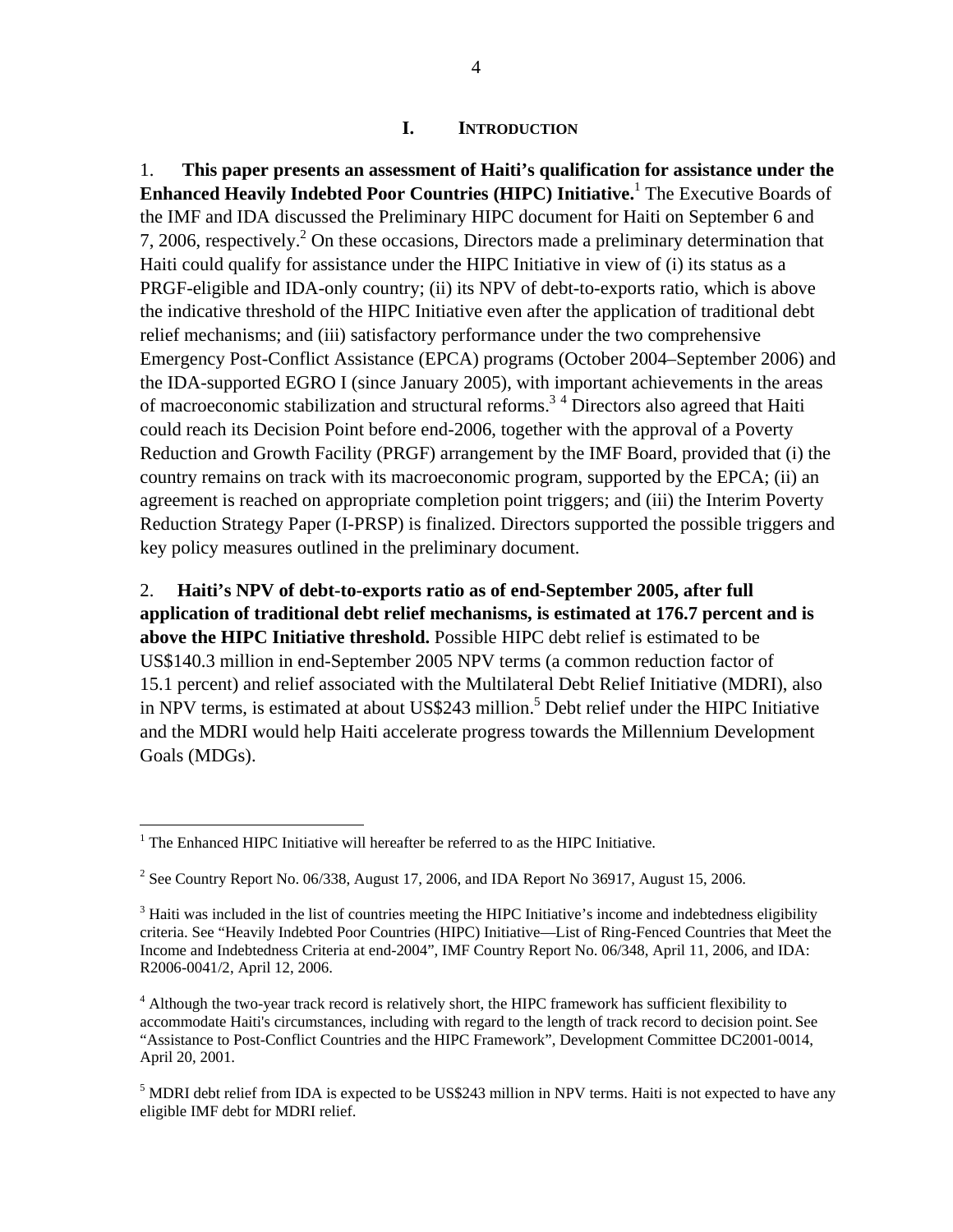#### **I. INTRODUCTION**

1. **This paper presents an assessment of Haiti's qualification for assistance under the Enhanced Heavily Indebted Poor Countries (HIPC) Initiative.**<sup>1</sup> The Executive Boards of the IMF and IDA discussed the Preliminary HIPC document for Haiti on September 6 and 7, 2006, respectively.<sup>2</sup> On these occasions, Directors made a preliminary determination that Haiti could qualify for assistance under the HIPC Initiative in view of (i) its status as a PRGF-eligible and IDA-only country; (ii) its NPV of debt-to-exports ratio, which is above the indicative threshold of the HIPC Initiative even after the application of traditional debt relief mechanisms; and (iii) satisfactory performance under the two comprehensive Emergency Post-Conflict Assistance (EPCA) programs (October 2004–September 2006) and the IDA-supported EGRO I (since January 2005), with important achievements in the areas of macroeconomic stabilization and structural reforms.<sup>34</sup> Directors also agreed that Haiti could reach its Decision Point before end-2006, together with the approval of a Poverty Reduction and Growth Facility (PRGF) arrangement by the IMF Board, provided that (i) the country remains on track with its macroeconomic program, supported by the EPCA; (ii) an agreement is reached on appropriate completion point triggers; and (iii) the Interim Poverty Reduction Strategy Paper (I-PRSP) is finalized. Directors supported the possible triggers and key policy measures outlined in the preliminary document.

2. **Haiti's NPV of debt-to-exports ratio as of end-September 2005, after full application of traditional debt relief mechanisms, is estimated at 176.7 percent and is above the HIPC Initiative threshold.** Possible HIPC debt relief is estimated to be US\$140.3 million in end-September 2005 NPV terms (a common reduction factor of 15.1 percent) and relief associated with the Multilateral Debt Relief Initiative (MDRI), also in NPV terms, is estimated at about US\$243 million.<sup>5</sup> Debt relief under the HIPC Initiative and the MDRI would help Haiti accelerate progress towards the Millennium Development Goals (MDGs).

 $\overline{a}$  $1$ <sup>1</sup> The Enhanced HIPC Initiative will hereafter be referred to as the HIPC Initiative.

<sup>&</sup>lt;sup>2</sup> See Country Report No. 06/338, August 17, 2006, and IDA Report No 36917, August 15, 2006.

 $3$  Haiti was included in the list of countries meeting the HIPC Initiative's income and indebtedness eligibility criteria. See "Heavily Indebted Poor Countries (HIPC) Initiative—List of Ring-Fenced Countries that Meet the Income and Indebtedness Criteria at end-2004", IMF Country Report No. 06/348, April 11, 2006, and IDA: R2006-0041/2, April 12, 2006.

<sup>&</sup>lt;sup>4</sup> Although the two-year track record is relatively short, the HIPC framework has sufficient flexibility to accommodate Haiti's circumstances, including with regard to the length of track record to decision point. See "Assistance to Post-Conflict Countries and the HIPC Framework", Development Committee DC2001-0014, April 20, 2001.

<sup>&</sup>lt;sup>5</sup> MDRI debt relief from IDA is expected to be US\$243 million in NPV terms. Haiti is not expected to have any eligible IMF debt for MDRI relief.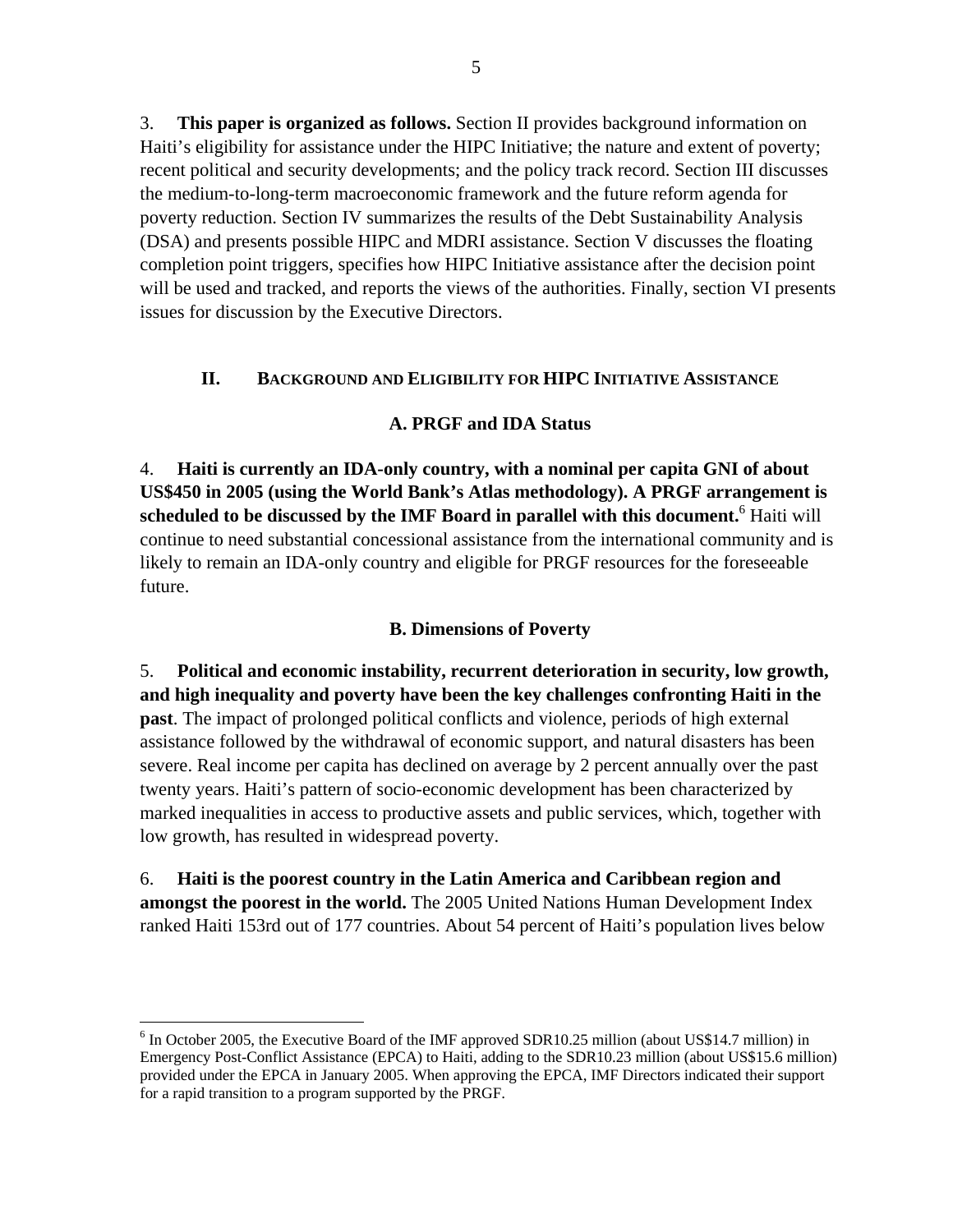3. **This paper is organized as follows.** Section II provides background information on Haiti's eligibility for assistance under the HIPC Initiative; the nature and extent of poverty; recent political and security developments; and the policy track record. Section III discusses the medium-to-long-term macroeconomic framework and the future reform agenda for poverty reduction. Section IV summarizes the results of the Debt Sustainability Analysis (DSA) and presents possible HIPC and MDRI assistance. Section V discusses the floating completion point triggers, specifies how HIPC Initiative assistance after the decision point will be used and tracked, and reports the views of the authorities. Finally, section VI presents issues for discussion by the Executive Directors.

# **II. BACKGROUND AND ELIGIBILITY FOR HIPC INITIATIVE ASSISTANCE**

# **A. PRGF and IDA Status**

4. **Haiti is currently an IDA-only country, with a nominal per capita GNI of about US\$450 in 2005 (using the World Bank's Atlas methodology). A PRGF arrangement is**  scheduled to be discussed by the IMF Board in parallel with this document.<sup>6</sup> Haiti will continue to need substantial concessional assistance from the international community and is likely to remain an IDA-only country and eligible for PRGF resources for the foreseeable future.

# **B. Dimensions of Poverty**

5. **Political and economic instability, recurrent deterioration in security, low growth, and high inequality and poverty have been the key challenges confronting Haiti in the past**. The impact of prolonged political conflicts and violence, periods of high external assistance followed by the withdrawal of economic support, and natural disasters has been severe. Real income per capita has declined on average by 2 percent annually over the past twenty years. Haiti's pattern of socio-economic development has been characterized by marked inequalities in access to productive assets and public services, which, together with low growth, has resulted in widespread poverty.

6. **Haiti is the poorest country in the Latin America and Caribbean region and amongst the poorest in the world.** The 2005 United Nations Human Development Index ranked Haiti 153rd out of 177 countries. About 54 percent of Haiti's population lives below

1

<sup>&</sup>lt;sup>6</sup> In October 2005, the Executive Board of the IMF approved SDR10.25 million (about US\$14.7 million) in Emergency Post-Conflict Assistance (EPCA) to Haiti, adding to the SDR10.23 million (about US\$15.6 million) provided under the EPCA in January 2005. When approving the EPCA, IMF Directors indicated their support for a rapid transition to a program supported by the PRGF.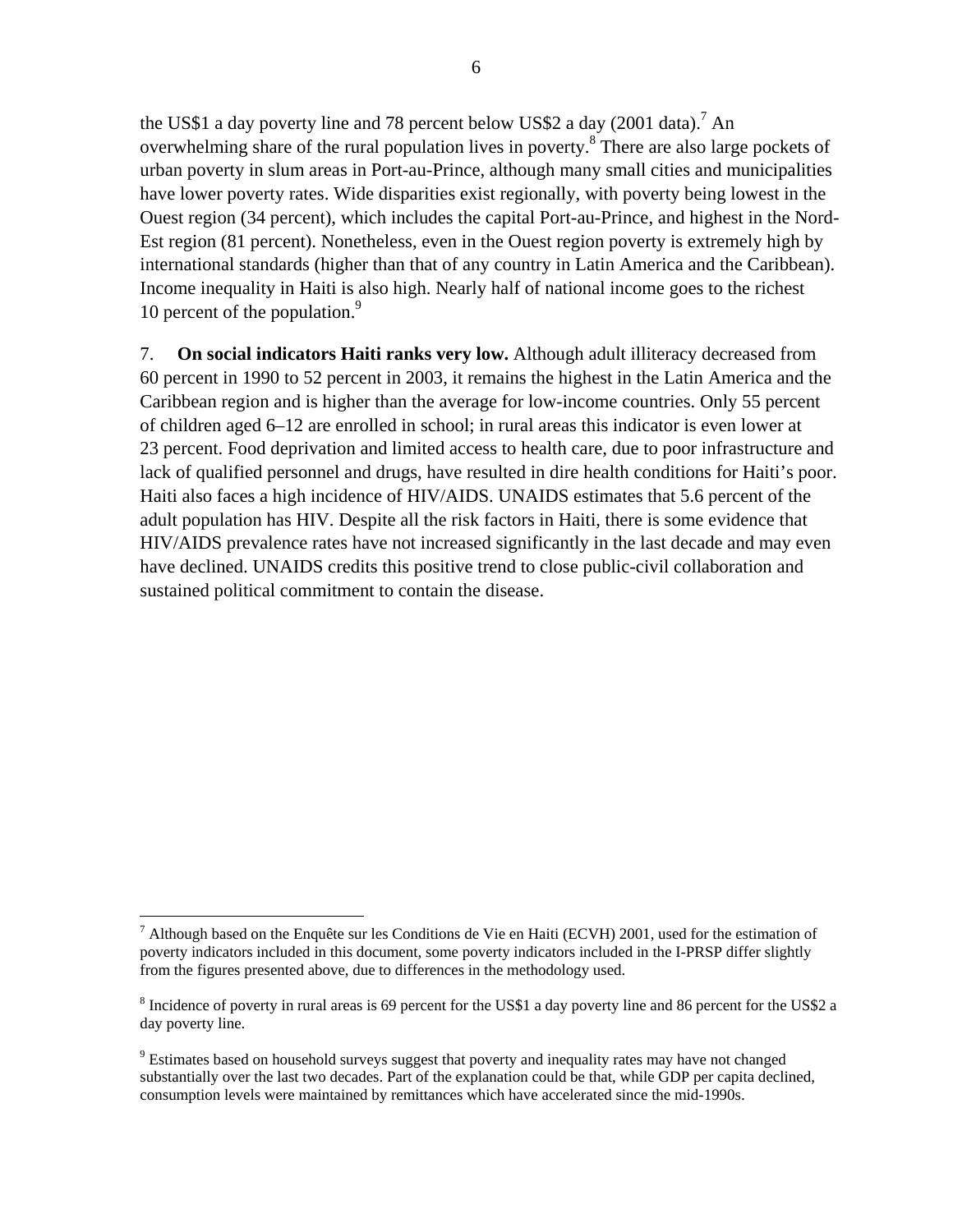the US\$1 a day poverty line and 78 percent below US\$2 a day  $(2001 \text{ data})^7$  An overwhelming share of the rural population lives in poverty.<sup>8</sup> There are also large pockets of urban poverty in slum areas in Port-au-Prince, although many small cities and municipalities have lower poverty rates. Wide disparities exist regionally, with poverty being lowest in the Ouest region (34 percent), which includes the capital Port-au-Prince, and highest in the Nord-Est region (81 percent). Nonetheless, even in the Ouest region poverty is extremely high by international standards (higher than that of any country in Latin America and the Caribbean). Income inequality in Haiti is also high. Nearly half of national income goes to the richest 10 percent of the population.<sup>9</sup>

7. **On social indicators Haiti ranks very low.** Although adult illiteracy decreased from 60 percent in 1990 to 52 percent in 2003, it remains the highest in the Latin America and the Caribbean region and is higher than the average for low-income countries. Only 55 percent of children aged 6–12 are enrolled in school; in rural areas this indicator is even lower at 23 percent. Food deprivation and limited access to health care, due to poor infrastructure and lack of qualified personnel and drugs, have resulted in dire health conditions for Haiti's poor. Haiti also faces a high incidence of HIV/AIDS. UNAIDS estimates that 5.6 percent of the adult population has HIV. Despite all the risk factors in Haiti, there is some evidence that HIV/AIDS prevalence rates have not increased significantly in the last decade and may even have declined. UNAIDS credits this positive trend to close public-civil collaboration and sustained political commitment to contain the disease.

 $\overline{a}$ <sup>7</sup> Although based on the Enquête sur les Conditions de Vie en Haiti (ECVH) 2001, used for the estimation of poverty indicators included in this document, some poverty indicators included in the I-PRSP differ slightly from the figures presented above, due to differences in the methodology used.

<sup>&</sup>lt;sup>8</sup> Incidence of poverty in rural areas is 69 percent for the US\$1 a day poverty line and 86 percent for the US\$2 a day poverty line.

<sup>&</sup>lt;sup>9</sup> Estimates based on household surveys suggest that poverty and inequality rates may have not changed substantially over the last two decades. Part of the explanation could be that, while GDP per capita declined, consumption levels were maintained by remittances which have accelerated since the mid-1990s.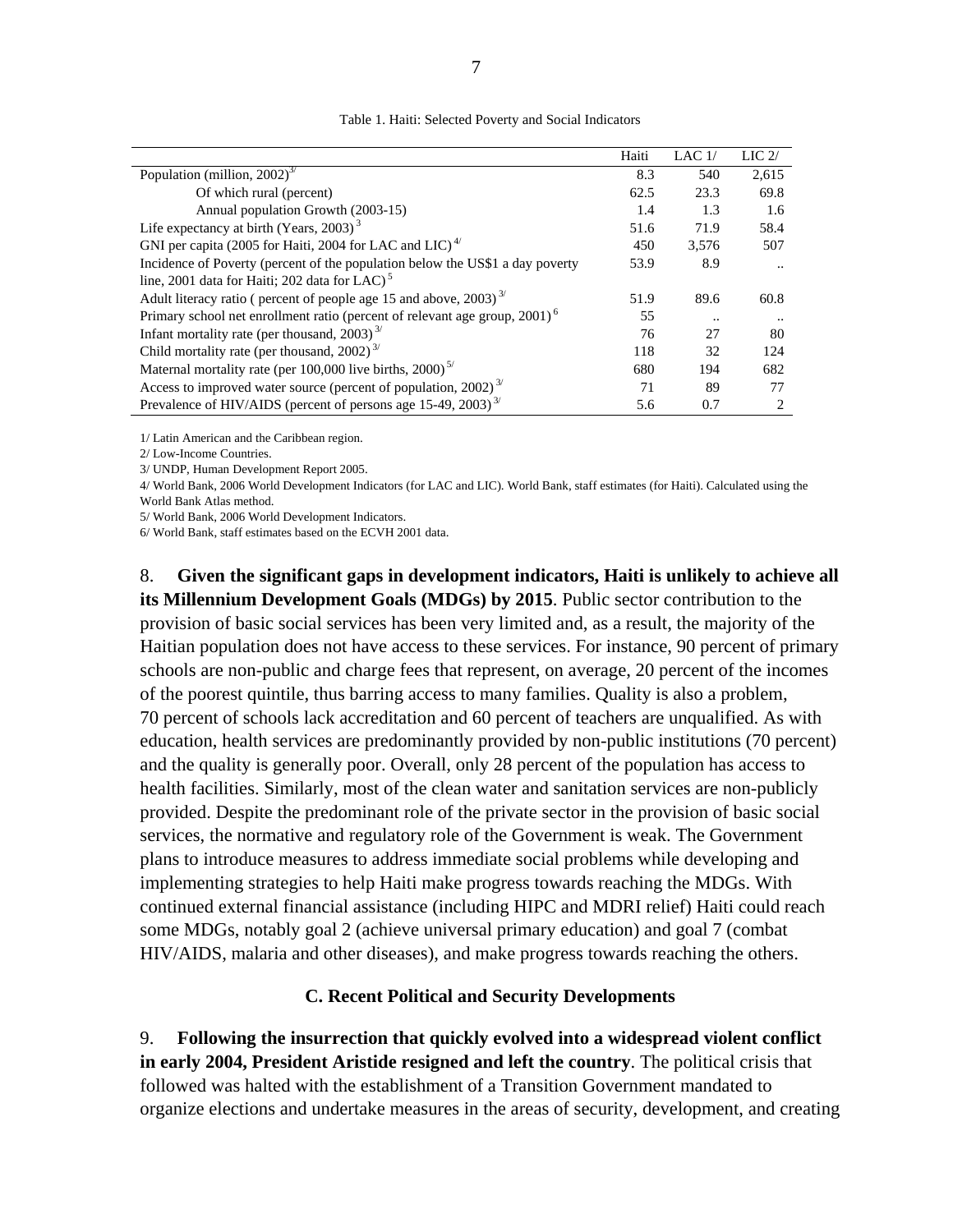|                                                                                        | Haiti | LAC $1/$  | $LIC$ 2/             |
|----------------------------------------------------------------------------------------|-------|-----------|----------------------|
| Population (million, $2002$ ) <sup>3/</sup>                                            | 8.3   | 540       | 2.615                |
| Of which rural (percent)                                                               | 62.5  | 23.3      | 69.8                 |
| Annual population Growth (2003-15)                                                     | 1.4   | 1.3       | 1.6                  |
| Life expectancy at birth (Years, 2003) $^3$                                            | 51.6  | 71.9      | 58.4                 |
| GNI per capita (2005 for Haiti, 2004 for LAC and LIC) <sup>4/</sup>                    | 450   | 3,576     | 507                  |
| Incidence of Poverty (percent of the population below the US\$1 a day poverty          | 53.9  | 8.9       | $\ddot{\phantom{a}}$ |
| line, 2001 data for Haiti; 202 data for LAC) <sup>5</sup>                              |       |           |                      |
| Adult literacy ratio ( percent of people age 15 and above, $2003$ ) <sup>3/</sup>      | 51.9  | 89.6      | 60.8                 |
| Primary school net enrollment ratio (percent of relevant age group, 2001) <sup>6</sup> | 55    | $\cdot$ . | $\ddotsc$            |
| Infant mortality rate (per thousand, 2003) <sup>3/</sup>                               | 76    | 27        | 80                   |
| Child mortality rate (per thousand, 2002) <sup><math>3/</math></sup>                   | 118   | 32        | 124                  |
| Maternal mortality rate (per 100,000 live births, 2000) <sup>5/</sup>                  | 680   | 194       | 682                  |
| Access to improved water source (percent of population, 2002) <sup>3/</sup>            | 71    | 89        | 77                   |
| Prevalence of HIV/AIDS (percent of persons age 15-49, 2003) <sup>3/</sup>              | 5.6   | 0.7       |                      |

Table 1. Haiti: Selected Poverty and Social Indicators

1/ Latin American and the Caribbean region.

2/ Low-Income Countries.

3/ UNDP, Human Development Report 2005.

4/ World Bank, 2006 World Development Indicators (for LAC and LIC). World Bank, staff estimates (for Haiti). Calculated using the World Bank Atlas method.

5/ World Bank, 2006 World Development Indicators.

6/ World Bank, staff estimates based on the ECVH 2001 data.

8. **Given the significant gaps in development indicators, Haiti is unlikely to achieve all its Millennium Development Goals (MDGs) by 2015**. Public sector contribution to the provision of basic social services has been very limited and, as a result, the majority of the Haitian population does not have access to these services. For instance, 90 percent of primary schools are non-public and charge fees that represent, on average, 20 percent of the incomes of the poorest quintile, thus barring access to many families. Quality is also a problem, 70 percent of schools lack accreditation and 60 percent of teachers are unqualified. As with education, health services are predominantly provided by non-public institutions (70 percent) and the quality is generally poor. Overall, only 28 percent of the population has access to health facilities. Similarly, most of the clean water and sanitation services are non-publicly provided. Despite the predominant role of the private sector in the provision of basic social services, the normative and regulatory role of the Government is weak. The Government plans to introduce measures to address immediate social problems while developing and implementing strategies to help Haiti make progress towards reaching the MDGs. With continued external financial assistance (including HIPC and MDRI relief) Haiti could reach some MDGs, notably goal 2 (achieve universal primary education) and goal 7 (combat HIV/AIDS, malaria and other diseases), and make progress towards reaching the others.

#### **C. Recent Political and Security Developments**

9. **Following the insurrection that quickly evolved into a widespread violent conflict in early 2004, President Aristide resigned and left the country**. The political crisis that followed was halted with the establishment of a Transition Government mandated to organize elections and undertake measures in the areas of security, development, and creating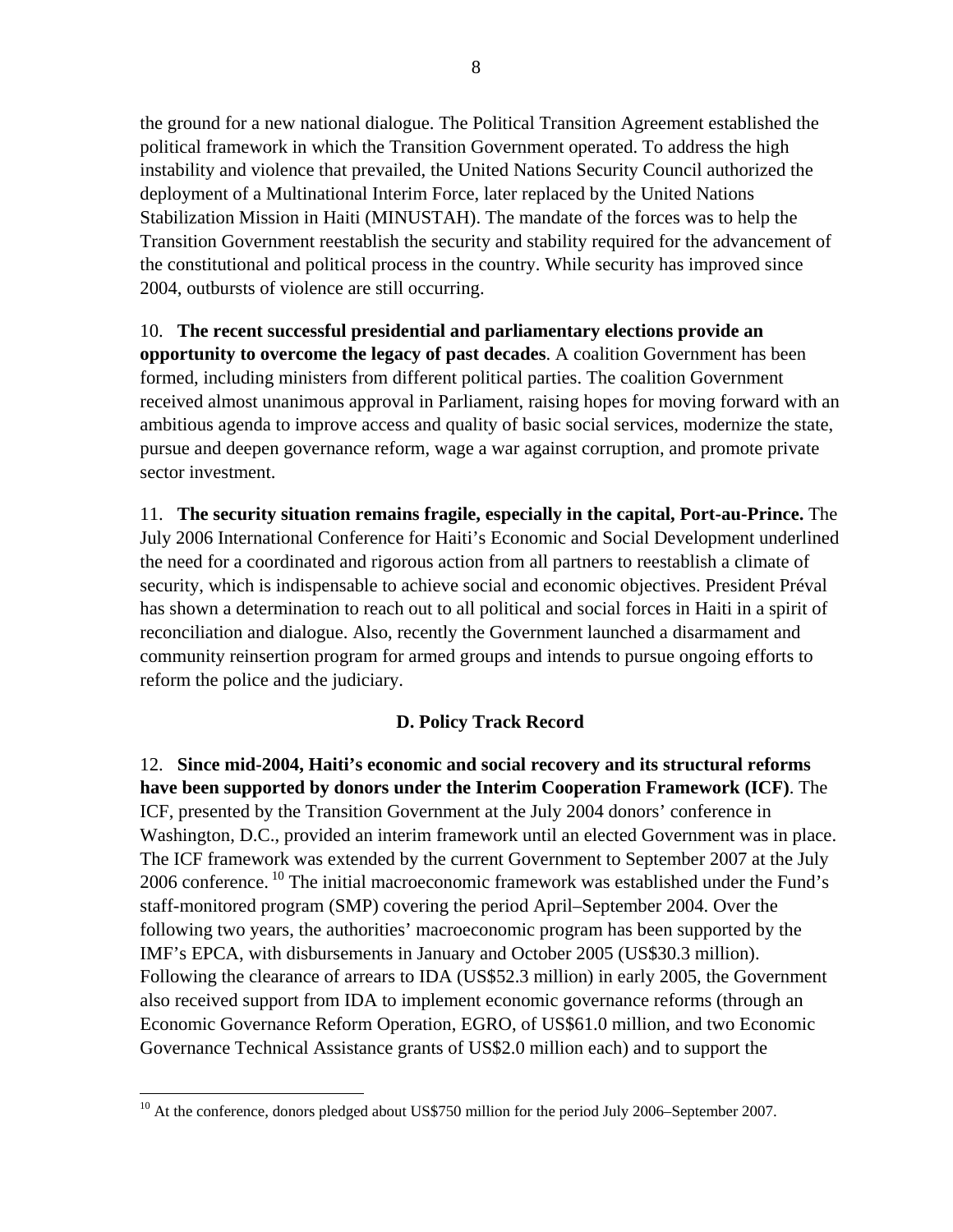the ground for a new national dialogue. The Political Transition Agreement established the political framework in which the Transition Government operated. To address the high instability and violence that prevailed, the United Nations Security Council authorized the deployment of a Multinational Interim Force, later replaced by the United Nations Stabilization Mission in Haiti (MINUSTAH). The mandate of the forces was to help the Transition Government reestablish the security and stability required for the advancement of the constitutional and political process in the country. While security has improved since 2004, outbursts of violence are still occurring.

10. **The recent successful presidential and parliamentary elections provide an opportunity to overcome the legacy of past decades**. A coalition Government has been formed, including ministers from different political parties. The coalition Government received almost unanimous approval in Parliament, raising hopes for moving forward with an ambitious agenda to improve access and quality of basic social services, modernize the state, pursue and deepen governance reform, wage a war against corruption, and promote private sector investment.

11. **The security situation remains fragile, especially in the capital, Port-au-Prince.** The July 2006 International Conference for Haiti's Economic and Social Development underlined the need for a coordinated and rigorous action from all partners to reestablish a climate of security, which is indispensable to achieve social and economic objectives. President Préval has shown a determination to reach out to all political and social forces in Haiti in a spirit of reconciliation and dialogue. Also, recently the Government launched a disarmament and community reinsertion program for armed groups and intends to pursue ongoing efforts to reform the police and the judiciary.

# **D. Policy Track Record**

12. **Since mid-2004, Haiti's economic and social recovery and its structural reforms have been supported by donors under the Interim Cooperation Framework (ICF)**. The ICF, presented by the Transition Government at the July 2004 donors' conference in Washington, D.C., provided an interim framework until an elected Government was in place. The ICF framework was extended by the current Government to September 2007 at the July 2006 conference. <sup>10</sup> The initial macroeconomic framework was established under the Fund's staff-monitored program (SMP) covering the period April–September 2004. Over the following two years, the authorities' macroeconomic program has been supported by the IMF's EPCA, with disbursements in January and October 2005 (US\$30.3 million). Following the clearance of arrears to IDA (US\$52.3 million) in early 2005, the Government also received support from IDA to implement economic governance reforms (through an Economic Governance Reform Operation, EGRO, of US\$61.0 million, and two Economic Governance Technical Assistance grants of US\$2.0 million each) and to support the

 $10<sup>10</sup>$  At the conference, donors pledged about US\$750 million for the period July 2006–September 2007.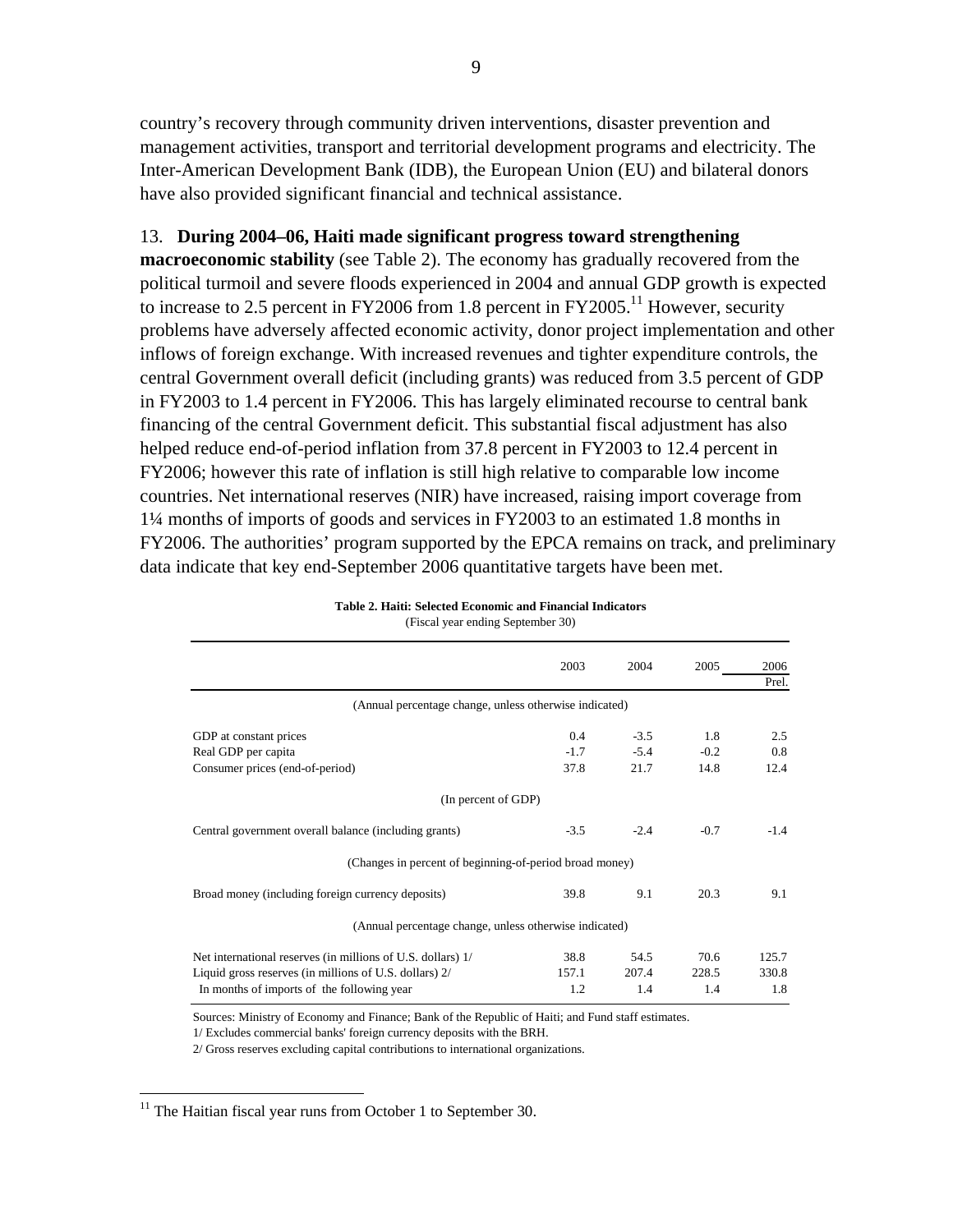country's recovery through community driven interventions, disaster prevention and management activities, transport and territorial development programs and electricity. The Inter-American Development Bank (IDB), the European Union (EU) and bilateral donors have also provided significant financial and technical assistance.

#### 13. **During 2004–06, Haiti made significant progress toward strengthening**

**macroeconomic stability** (see Table 2). The economy has gradually recovered from the political turmoil and severe floods experienced in 2004 and annual GDP growth is expected to increase to 2.5 percent in FY2006 from 1.8 percent in FY2005.<sup>11</sup> However, security problems have adversely affected economic activity, donor project implementation and other inflows of foreign exchange. With increased revenues and tighter expenditure controls, the central Government overall deficit (including grants) was reduced from 3.5 percent of GDP in FY2003 to 1.4 percent in FY2006. This has largely eliminated recourse to central bank financing of the central Government deficit. This substantial fiscal adjustment has also helped reduce end-of-period inflation from 37.8 percent in FY2003 to 12.4 percent in FY2006; however this rate of inflation is still high relative to comparable low income countries. Net international reserves (NIR) have increased, raising import coverage from 1¼ months of imports of goods and services in FY2003 to an estimated 1.8 months in FY2006. The authorities' program supported by the EPCA remains on track, and preliminary data indicate that key end-September 2006 quantitative targets have been met.

| 2003   | 2004                | 2005                                                                                                                                                                        | 2006<br>Prel. |
|--------|---------------------|-----------------------------------------------------------------------------------------------------------------------------------------------------------------------------|---------------|
|        |                     |                                                                                                                                                                             |               |
| 0.4    | $-3.5$              | 1.8                                                                                                                                                                         | 2.5           |
| $-1.7$ | $-5.4$              | $-0.2$                                                                                                                                                                      | 0.8           |
| 37.8   | 21.7                | 14.8                                                                                                                                                                        | 12.4          |
|        |                     |                                                                                                                                                                             |               |
| $-3.5$ | $-2.4$              | $-0.7$                                                                                                                                                                      | $-1.4$        |
|        |                     |                                                                                                                                                                             |               |
| 39.8   | 9.1                 | 20.3                                                                                                                                                                        | 9.1           |
|        |                     |                                                                                                                                                                             |               |
| 38.8   | 54.5                | 70.6                                                                                                                                                                        | 125.7         |
| 157.1  | 207.4               | 228.5                                                                                                                                                                       | 330.8         |
| 1.2    | 1.4                 | 1.4                                                                                                                                                                         | 1.8           |
|        | (In percent of GDP) | (Annual percentage change, unless otherwise indicated)<br>(Changes in percent of beginning-of-period broad money)<br>(Annual percentage change, unless otherwise indicated) |               |

**Table 2. Haiti: Selected Economic and Financial Indicators** (Fiscal year ending September 30)

Sources: Ministry of Economy and Finance; Bank of the Republic of Haiti; and Fund staff estimates.

1/ Excludes commercial banks' foreign currency deposits with the BRH.

2/ Gross reserves excluding capital contributions to international organizations.

<u>.</u>

 $11$  The Haitian fiscal year runs from October 1 to September 30.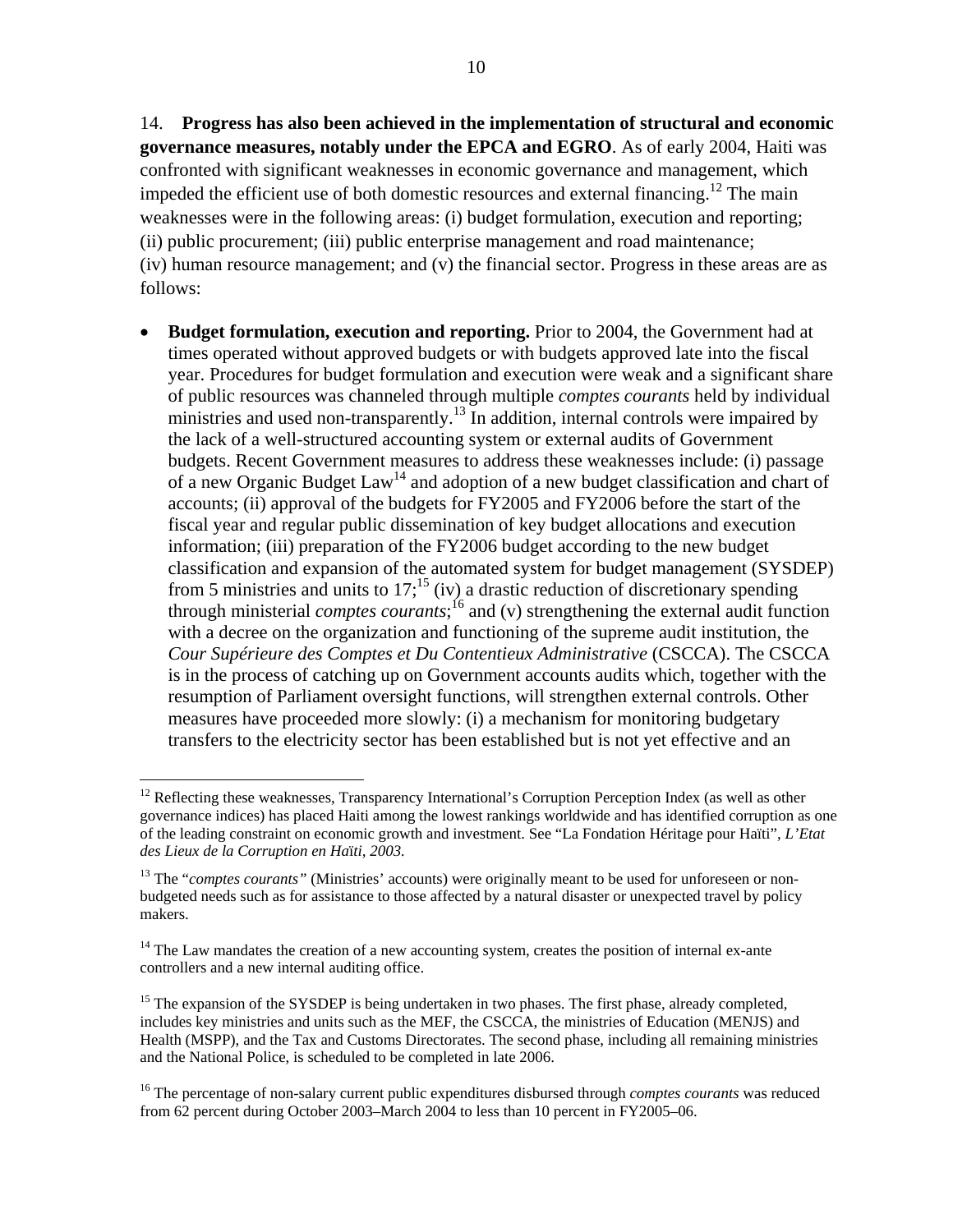10

14. **Progress has also been achieved in the implementation of structural and economic governance measures, notably under the EPCA and EGRO**. As of early 2004, Haiti was confronted with significant weaknesses in economic governance and management, which impeded the efficient use of both domestic resources and external financing.<sup>12</sup> The main weaknesses were in the following areas: (i) budget formulation, execution and reporting; (ii) public procurement; (iii) public enterprise management and road maintenance; (iv) human resource management; and (v) the financial sector. Progress in these areas are as follows:

• **Budget formulation, execution and reporting.** Prior to 2004, the Government had at times operated without approved budgets or with budgets approved late into the fiscal year. Procedures for budget formulation and execution were weak and a significant share of public resources was channeled through multiple *comptes courants* held by individual ministries and used non-transparently.<sup>13</sup> In addition, internal controls were impaired by the lack of a well-structured accounting system or external audits of Government budgets. Recent Government measures to address these weaknesses include: (i) passage of a new Organic Budget Law14 and adoption of a new budget classification and chart of accounts; (ii) approval of the budgets for FY2005 and FY2006 before the start of the fiscal year and regular public dissemination of key budget allocations and execution information; (iii) preparation of the FY2006 budget according to the new budget classification and expansion of the automated system for budget management (SYSDEP) from 5 ministries and units to  $17$ ;<sup>15</sup> (iv) a drastic reduction of discretionary spending through ministerial *comptes courants*; 16 and (v) strengthening the external audit function with a decree on the organization and functioning of the supreme audit institution, the *Cour Supérieure des Comptes et Du Contentieux Administrative* (CSCCA). The CSCCA is in the process of catching up on Government accounts audits which, together with the resumption of Parliament oversight functions, will strengthen external controls. Other measures have proceeded more slowly: (i) a mechanism for monitoring budgetary transfers to the electricity sector has been established but is not yet effective and an

1

 $12$  Reflecting these weaknesses, Transparency International's Corruption Perception Index (as well as other governance indices) has placed Haiti among the lowest rankings worldwide and has identified corruption as one of the leading constraint on economic growth and investment. See "La Fondation Héritage pour Haïti", *L'Etat des Lieux de la Corruption en Ha*ï*ti, 2003.*

<sup>&</sup>lt;sup>13</sup> The "*comptes courants*" (Ministries' accounts) were originally meant to be used for unforeseen or nonbudgeted needs such as for assistance to those affected by a natural disaster or unexpected travel by policy makers.

 $14$  The Law mandates the creation of a new accounting system, creates the position of internal ex-ante controllers and a new internal auditing office.

<sup>&</sup>lt;sup>15</sup> The expansion of the SYSDEP is being undertaken in two phases. The first phase, already completed, includes key ministries and units such as the MEF, the CSCCA, the ministries of Education (MENJS) and Health (MSPP), and the Tax and Customs Directorates. The second phase, including all remaining ministries and the National Police, is scheduled to be completed in late 2006.

<sup>&</sup>lt;sup>16</sup> The percentage of non-salary current public expenditures disbursed through *comptes courants* was reduced from 62 percent during October 2003–March 2004 to less than 10 percent in FY2005–06.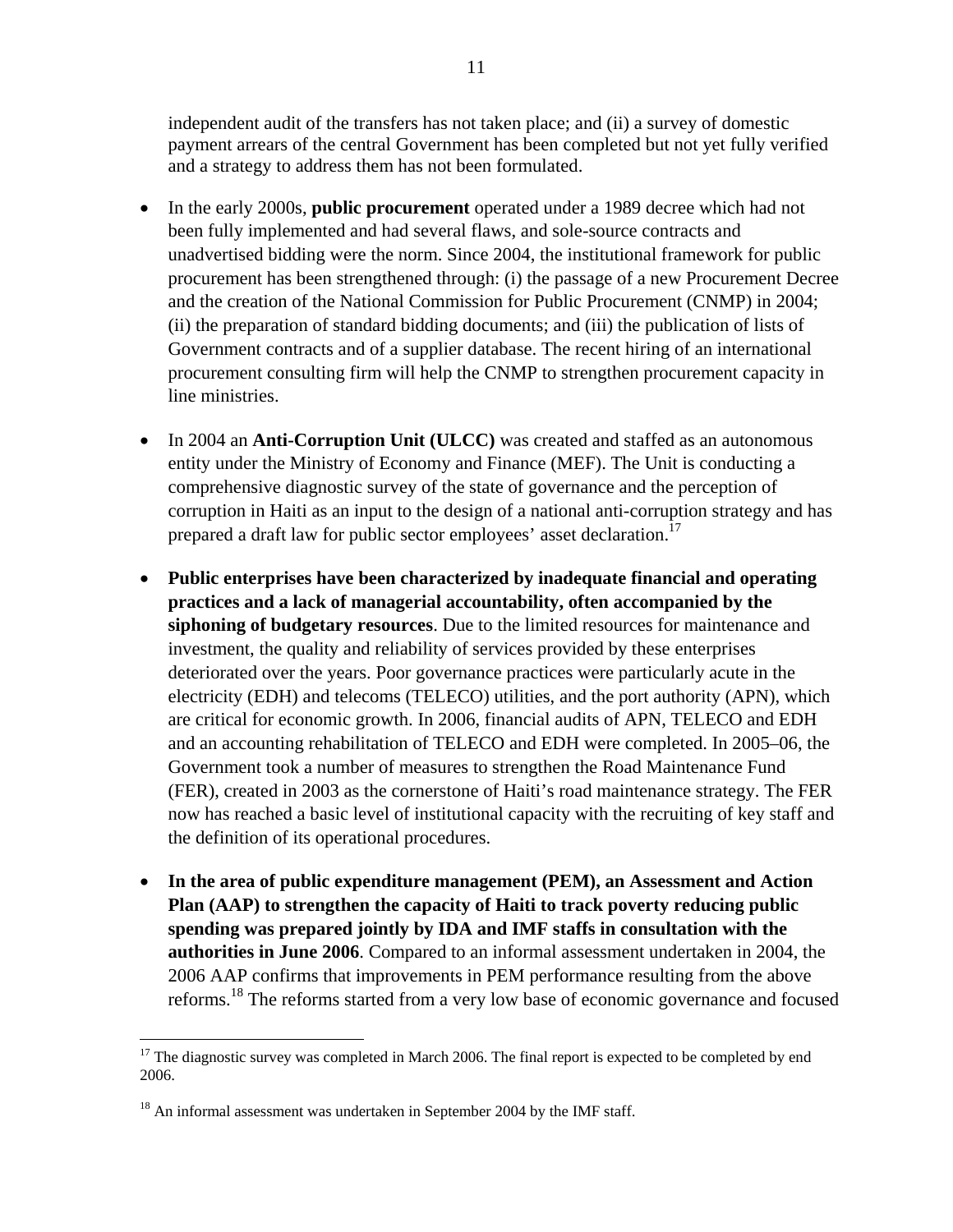independent audit of the transfers has not taken place; and (ii) a survey of domestic payment arrears of the central Government has been completed but not yet fully verified and a strategy to address them has not been formulated.

- In the early 2000s, **public procurement** operated under a 1989 decree which had not been fully implemented and had several flaws, and sole-source contracts and unadvertised bidding were the norm. Since 2004, the institutional framework for public procurement has been strengthened through: (i) the passage of a new Procurement Decree and the creation of the National Commission for Public Procurement (CNMP) in 2004; (ii) the preparation of standard bidding documents; and (iii) the publication of lists of Government contracts and of a supplier database. The recent hiring of an international procurement consulting firm will help the CNMP to strengthen procurement capacity in line ministries.
- In 2004 an **Anti-Corruption Unit (ULCC)** was created and staffed as an autonomous entity under the Ministry of Economy and Finance (MEF). The Unit is conducting a comprehensive diagnostic survey of the state of governance and the perception of corruption in Haiti as an input to the design of a national anti-corruption strategy and has prepared a draft law for public sector employees' asset declaration.<sup>17</sup>
- **Public enterprises have been characterized by inadequate financial and operating practices and a lack of managerial accountability, often accompanied by the siphoning of budgetary resources**. Due to the limited resources for maintenance and investment, the quality and reliability of services provided by these enterprises deteriorated over the years. Poor governance practices were particularly acute in the electricity (EDH) and telecoms (TELECO) utilities, and the port authority (APN), which are critical for economic growth. In 2006, financial audits of APN, TELECO and EDH and an accounting rehabilitation of TELECO and EDH were completed. In 2005–06, the Government took a number of measures to strengthen the Road Maintenance Fund (FER), created in 2003 as the cornerstone of Haiti's road maintenance strategy. The FER now has reached a basic level of institutional capacity with the recruiting of key staff and the definition of its operational procedures.
- **In the area of public expenditure management (PEM), an Assessment and Action Plan (AAP) to strengthen the capacity of Haiti to track poverty reducing public spending was prepared jointly by IDA and IMF staffs in consultation with the authorities in June 2006**. Compared to an informal assessment undertaken in 2004, the 2006 AAP confirms that improvements in PEM performance resulting from the above reforms.18 The reforms started from a very low base of economic governance and focused

 $17$  The diagnostic survey was completed in March 2006. The final report is expected to be completed by end 2006.

<sup>&</sup>lt;sup>18</sup> An informal assessment was undertaken in September 2004 by the IMF staff.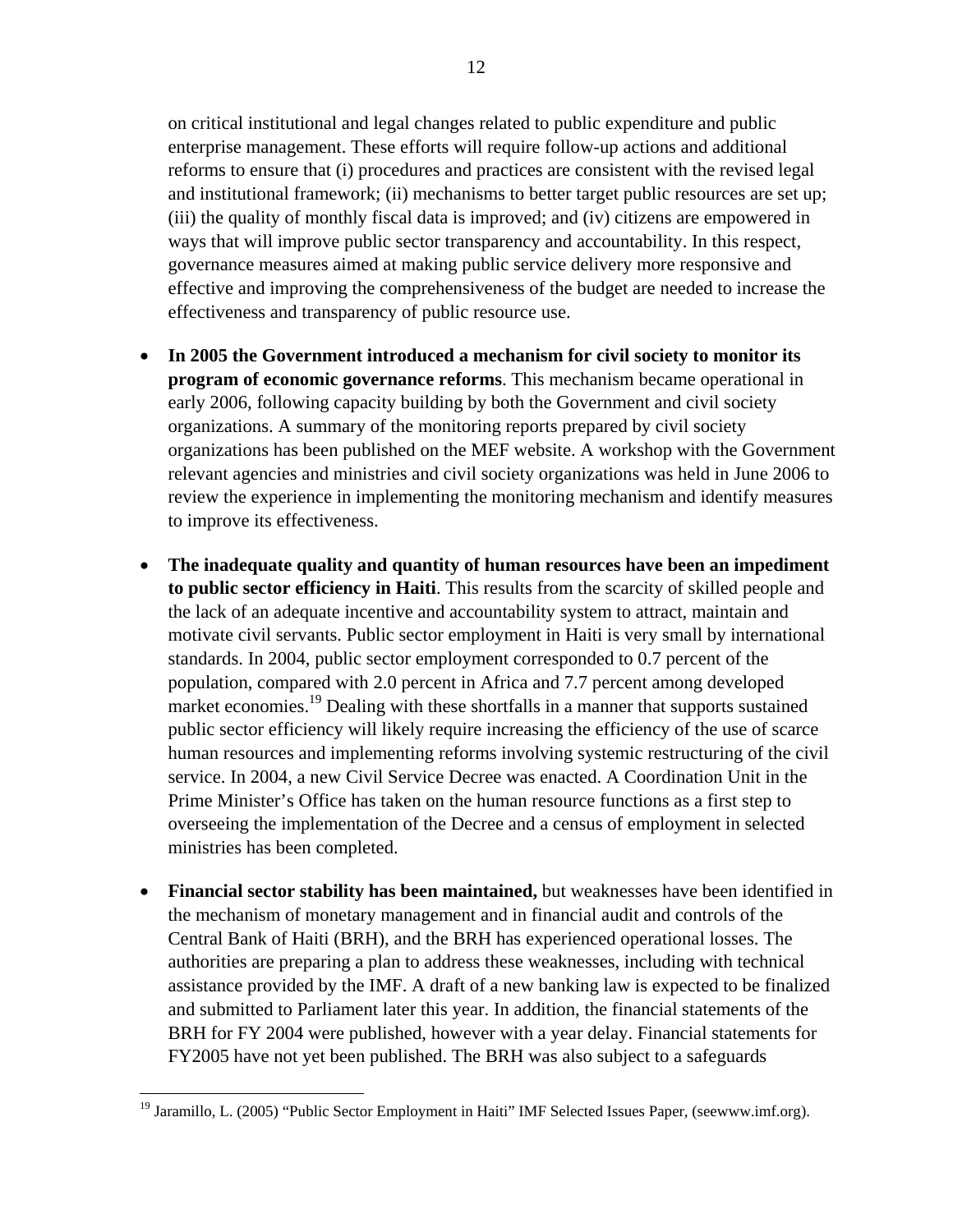on critical institutional and legal changes related to public expenditure and public enterprise management. These efforts will require follow-up actions and additional reforms to ensure that (i) procedures and practices are consistent with the revised legal and institutional framework; (ii) mechanisms to better target public resources are set up; (iii) the quality of monthly fiscal data is improved; and (iv) citizens are empowered in ways that will improve public sector transparency and accountability. In this respect, governance measures aimed at making public service delivery more responsive and effective and improving the comprehensiveness of the budget are needed to increase the effectiveness and transparency of public resource use.

- **In 2005 the Government introduced a mechanism for civil society to monitor its program of economic governance reforms**. This mechanism became operational in early 2006, following capacity building by both the Government and civil society organizations. A summary of the monitoring reports prepared by civil society organizations has been published on the MEF website. A workshop with the Government relevant agencies and ministries and civil society organizations was held in June 2006 to review the experience in implementing the monitoring mechanism and identify measures to improve its effectiveness.
- **The inadequate quality and quantity of human resources have been an impediment to public sector efficiency in Haiti**. This results from the scarcity of skilled people and the lack of an adequate incentive and accountability system to attract, maintain and motivate civil servants. Public sector employment in Haiti is very small by international standards. In 2004, public sector employment corresponded to 0.7 percent of the population, compared with 2.0 percent in Africa and 7.7 percent among developed market economies.<sup>19</sup> Dealing with these shortfalls in a manner that supports sustained public sector efficiency will likely require increasing the efficiency of the use of scarce human resources and implementing reforms involving systemic restructuring of the civil service. In 2004, a new Civil Service Decree was enacted. A Coordination Unit in the Prime Minister's Office has taken on the human resource functions as a first step to overseeing the implementation of the Decree and a census of employment in selected ministries has been completed.
- **Financial sector stability has been maintained,** but weaknesses have been identified in the mechanism of monetary management and in financial audit and controls of the Central Bank of Haiti (BRH), and the BRH has experienced operational losses. The authorities are preparing a plan to address these weaknesses, including with technical assistance provided by the IMF. A draft of a new banking law is expected to be finalized and submitted to Parliament later this year. In addition, the financial statements of the BRH for FY 2004 were published, however with a year delay. Financial statements for FY2005 have not yet been published. The BRH was also subject to a safeguards

<u>.</u>

<sup>&</sup>lt;sup>19</sup> Jaramillo, L. (2005) "Public Sector Employment in Haiti" IMF Selected Issues Paper, (seewww.imf.org).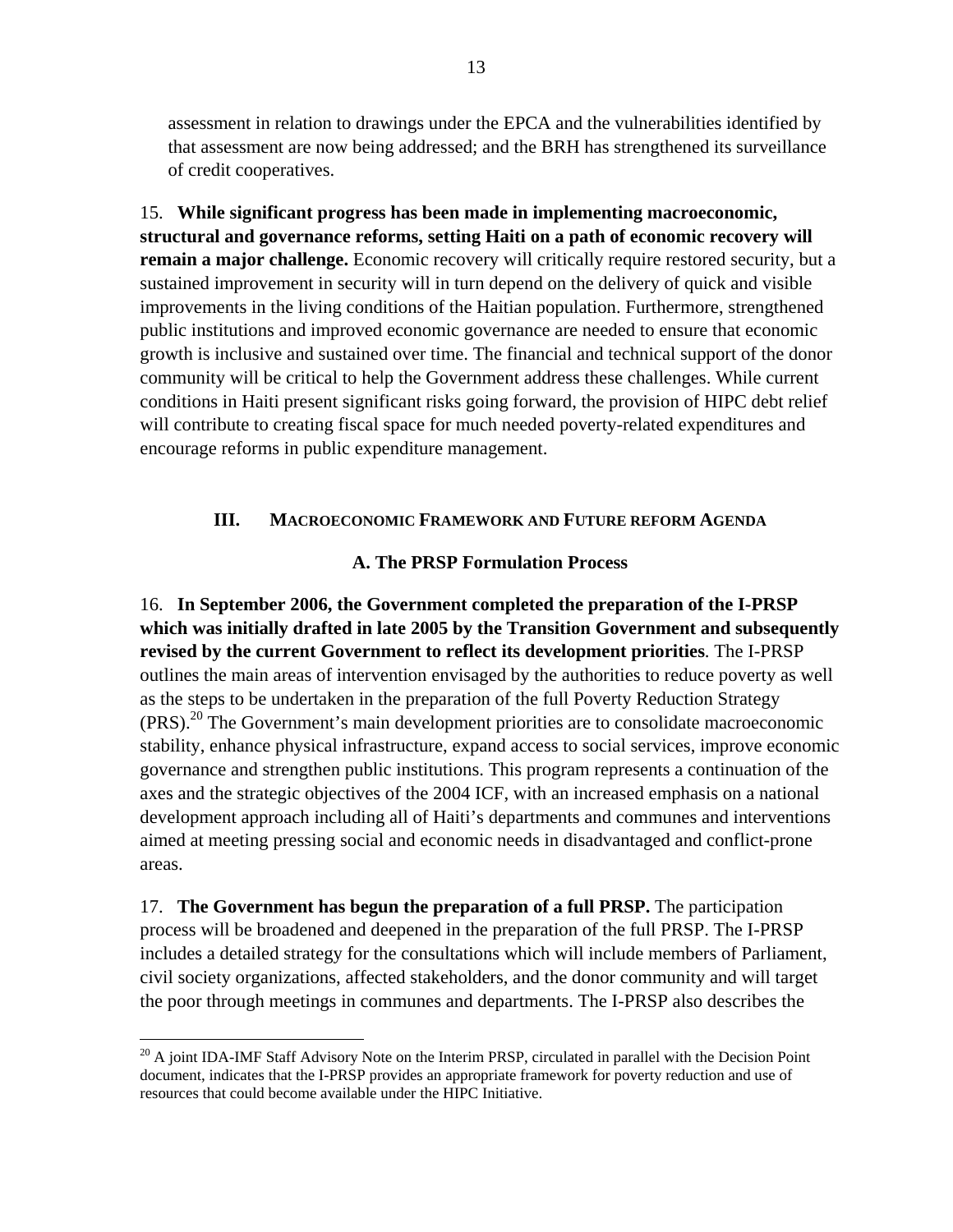assessment in relation to drawings under the EPCA and the vulnerabilities identified by that assessment are now being addressed; and the BRH has strengthened its surveillance of credit cooperatives.

15. **While significant progress has been made in implementing macroeconomic, structural and governance reforms, setting Haiti on a path of economic recovery will remain a major challenge.** Economic recovery will critically require restored security, but a sustained improvement in security will in turn depend on the delivery of quick and visible improvements in the living conditions of the Haitian population. Furthermore, strengthened public institutions and improved economic governance are needed to ensure that economic growth is inclusive and sustained over time. The financial and technical support of the donor community will be critical to help the Government address these challenges. While current conditions in Haiti present significant risks going forward, the provision of HIPC debt relief will contribute to creating fiscal space for much needed poverty-related expenditures and encourage reforms in public expenditure management.

#### **III. MACROECONOMIC FRAMEWORK AND FUTURE REFORM AGENDA**

## **A. The PRSP Formulation Process**

16. **In September 2006, the Government completed the preparation of the I-PRSP which was initially drafted in late 2005 by the Transition Government and subsequently revised by the current Government to reflect its development priorities**. The I-PRSP outlines the main areas of intervention envisaged by the authorities to reduce poverty as well as the steps to be undertaken in the preparation of the full Poverty Reduction Strategy  $(PRS).$ <sup>20</sup> The Government's main development priorities are to consolidate macroeconomic stability, enhance physical infrastructure, expand access to social services, improve economic governance and strengthen public institutions. This program represents a continuation of the axes and the strategic objectives of the 2004 ICF, with an increased emphasis on a national development approach including all of Haiti's departments and communes and interventions aimed at meeting pressing social and economic needs in disadvantaged and conflict-prone areas.

17. **The Government has begun the preparation of a full PRSP.** The participation process will be broadened and deepened in the preparation of the full PRSP. The I-PRSP includes a detailed strategy for the consultations which will include members of Parliament, civil society organizations, affected stakeholders, and the donor community and will target the poor through meetings in communes and departments. The I-PRSP also describes the

 $^{20}$  A joint IDA-IMF Staff Advisory Note on the Interim PRSP, circulated in parallel with the Decision Point document, indicates that the I-PRSP provides an appropriate framework for poverty reduction and use of resources that could become available under the HIPC Initiative.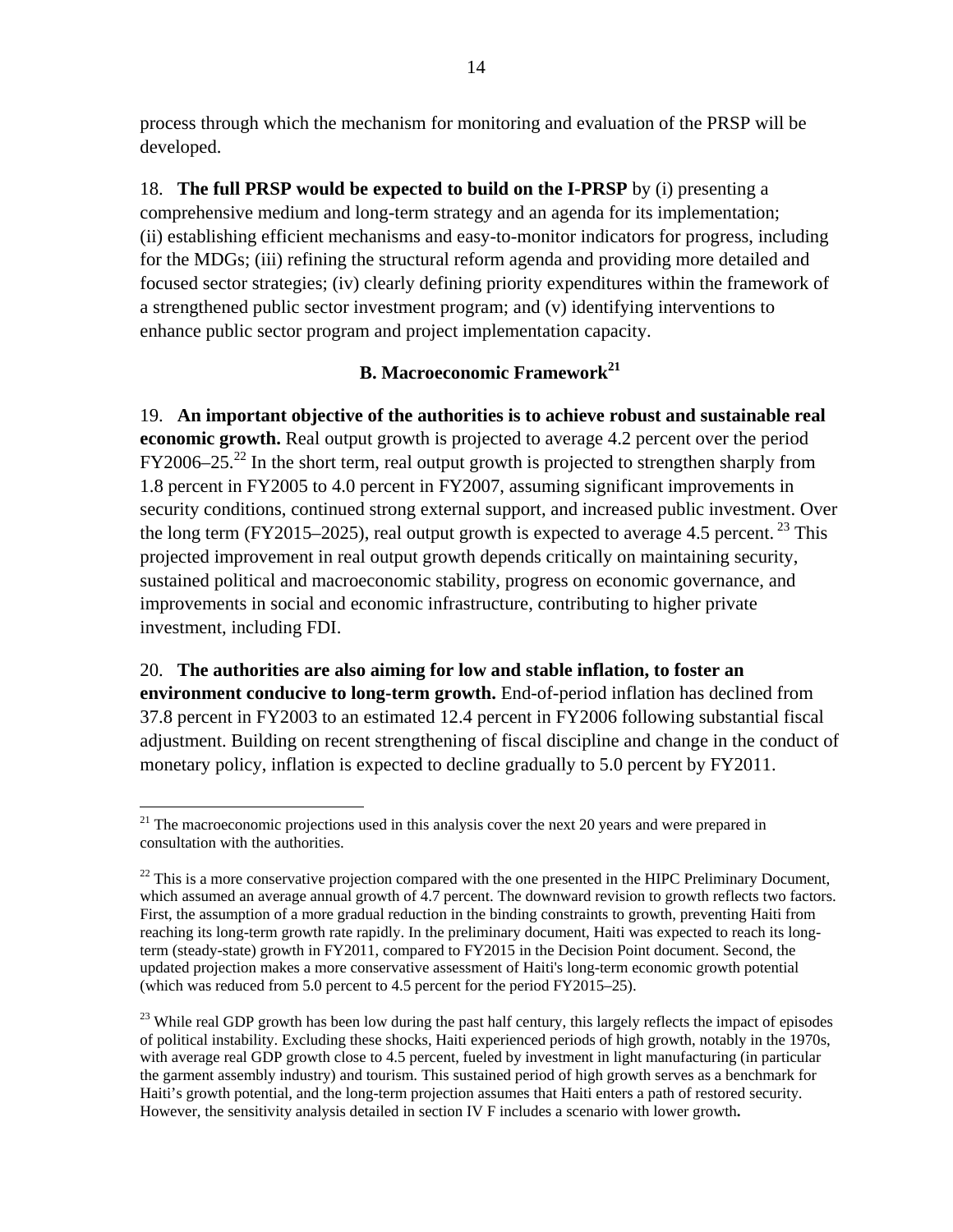process through which the mechanism for monitoring and evaluation of the PRSP will be developed.

18. **The full PRSP would be expected to build on the I-PRSP** by (i) presenting a comprehensive medium and long-term strategy and an agenda for its implementation; (ii) establishing efficient mechanisms and easy-to-monitor indicators for progress, including for the MDGs; (iii) refining the structural reform agenda and providing more detailed and focused sector strategies; (iv) clearly defining priority expenditures within the framework of a strengthened public sector investment program; and (v) identifying interventions to enhance public sector program and project implementation capacity.

# **B. Macroeconomic Framework<sup>21</sup>**

19. **An important objective of the authorities is to achieve robust and sustainable real economic growth.** Real output growth is projected to average 4.2 percent over the period  $FY2006-25.<sup>22</sup>$  In the short term, real output growth is projected to strengthen sharply from 1.8 percent in FY2005 to 4.0 percent in FY2007, assuming significant improvements in security conditions, continued strong external support, and increased public investment. Over the long term (FY2015–2025), real output growth is expected to average 4.5 percent. <sup>23</sup> This projected improvement in real output growth depends critically on maintaining security, sustained political and macroeconomic stability, progress on economic governance, and improvements in social and economic infrastructure, contributing to higher private investment, including FDI.

20. **The authorities are also aiming for low and stable inflation, to foster an environment conducive to long-term growth.** End-of-period inflation has declined from 37.8 percent in FY2003 to an estimated 12.4 percent in FY2006 following substantial fiscal adjustment. Building on recent strengthening of fiscal discipline and change in the conduct of monetary policy, inflation is expected to decline gradually to 5.0 percent by FY2011.

 $\overline{a}$  $21$  The macroeconomic projections used in this analysis cover the next 20 years and were prepared in consultation with the authorities.

 $22$  This is a more conservative projection compared with the one presented in the HIPC Preliminary Document, which assumed an average annual growth of 4.7 percent. The downward revision to growth reflects two factors. First, the assumption of a more gradual reduction in the binding constraints to growth, preventing Haiti from reaching its long-term growth rate rapidly. In the preliminary document, Haiti was expected to reach its longterm (steady-state) growth in FY2011, compared to FY2015 in the Decision Point document. Second, the updated projection makes a more conservative assessment of Haiti's long-term economic growth potential (which was reduced from 5.0 percent to 4.5 percent for the period FY2015–25).

 $^{23}$  While real GDP growth has been low during the past half century, this largely reflects the impact of episodes of political instability. Excluding these shocks, Haiti experienced periods of high growth, notably in the 1970s, with average real GDP growth close to 4.5 percent, fueled by investment in light manufacturing (in particular the garment assembly industry) and tourism. This sustained period of high growth serves as a benchmark for Haiti's growth potential, and the long-term projection assumes that Haiti enters a path of restored security. However, the sensitivity analysis detailed in section IV F includes a scenario with lower growth**.**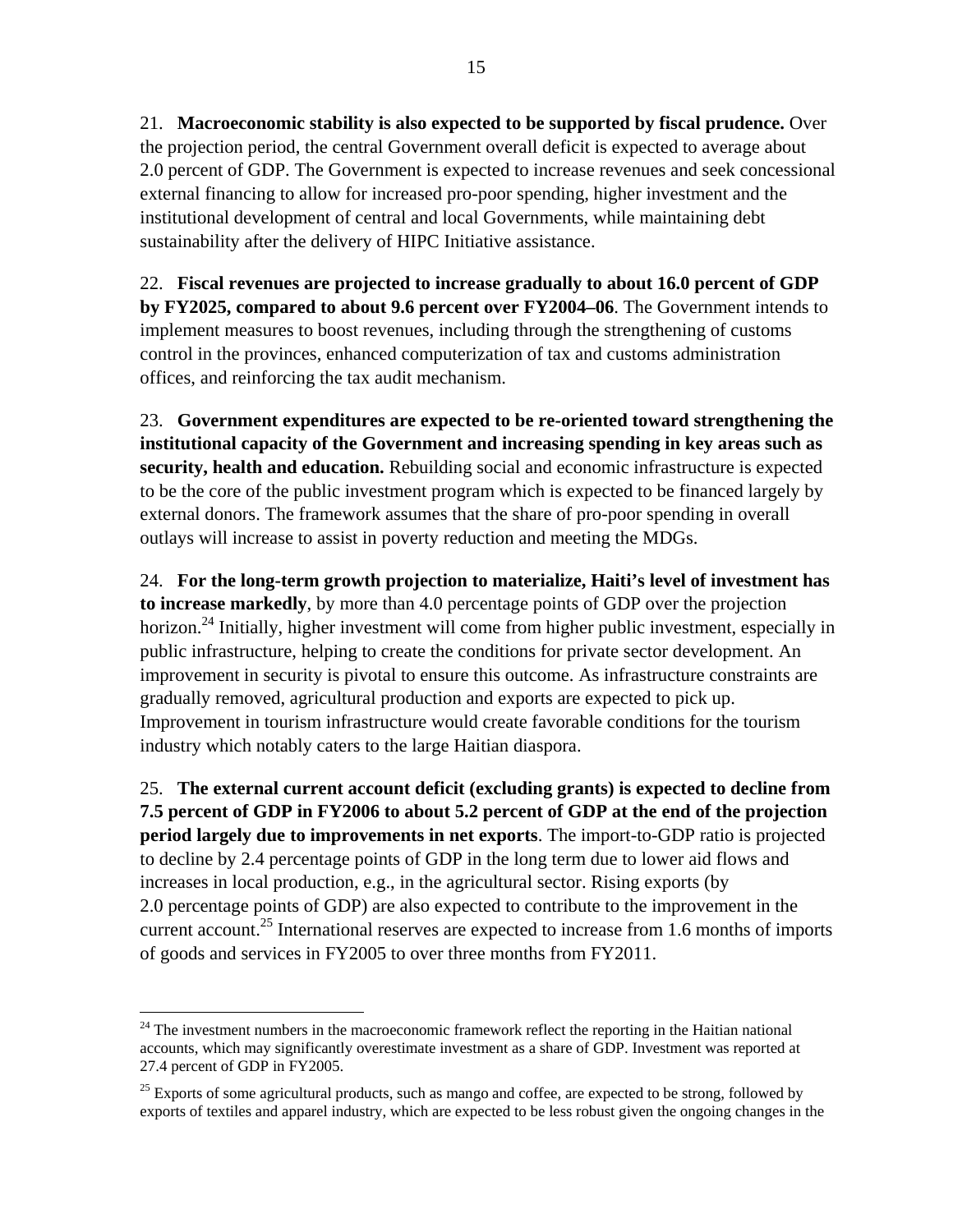21. **Macroeconomic stability is also expected to be supported by fiscal prudence.** Over the projection period, the central Government overall deficit is expected to average about 2.0 percent of GDP. The Government is expected to increase revenues and seek concessional external financing to allow for increased pro-poor spending, higher investment and the institutional development of central and local Governments, while maintaining debt sustainability after the delivery of HIPC Initiative assistance.

22. **Fiscal revenues are projected to increase gradually to about 16.0 percent of GDP by FY2025, compared to about 9.6 percent over FY2004–06**. The Government intends to implement measures to boost revenues, including through the strengthening of customs control in the provinces, enhanced computerization of tax and customs administration offices, and reinforcing the tax audit mechanism.

23. **Government expenditures are expected to be re-oriented toward strengthening the institutional capacity of the Government and increasing spending in key areas such as security, health and education.** Rebuilding social and economic infrastructure is expected to be the core of the public investment program which is expected to be financed largely by external donors. The framework assumes that the share of pro-poor spending in overall outlays will increase to assist in poverty reduction and meeting the MDGs.

24. **For the long-term growth projection to materialize, Haiti's level of investment has to increase markedly**, by more than 4.0 percentage points of GDP over the projection horizon.<sup>24</sup> Initially, higher investment will come from higher public investment, especially in public infrastructure, helping to create the conditions for private sector development. An improvement in security is pivotal to ensure this outcome. As infrastructure constraints are gradually removed, agricultural production and exports are expected to pick up. Improvement in tourism infrastructure would create favorable conditions for the tourism industry which notably caters to the large Haitian diaspora.

25. **The external current account deficit (excluding grants) is expected to decline from 7.5 percent of GDP in FY2006 to about 5.2 percent of GDP at the end of the projection period largely due to improvements in net exports**. The import-to-GDP ratio is projected to decline by 2.4 percentage points of GDP in the long term due to lower aid flows and increases in local production, e.g., in the agricultural sector. Rising exports (by 2.0 percentage points of GDP) are also expected to contribute to the improvement in the current account.<sup>25</sup> International reserves are expected to increase from 1.6 months of imports of goods and services in FY2005 to over three months from FY2011.

 $24$  The investment numbers in the macroeconomic framework reflect the reporting in the Haitian national accounts, which may significantly overestimate investment as a share of GDP. Investment was reported at 27.4 percent of GDP in FY2005.

 $25$  Exports of some agricultural products, such as mango and coffee, are expected to be strong, followed by exports of textiles and apparel industry, which are expected to be less robust given the ongoing changes in the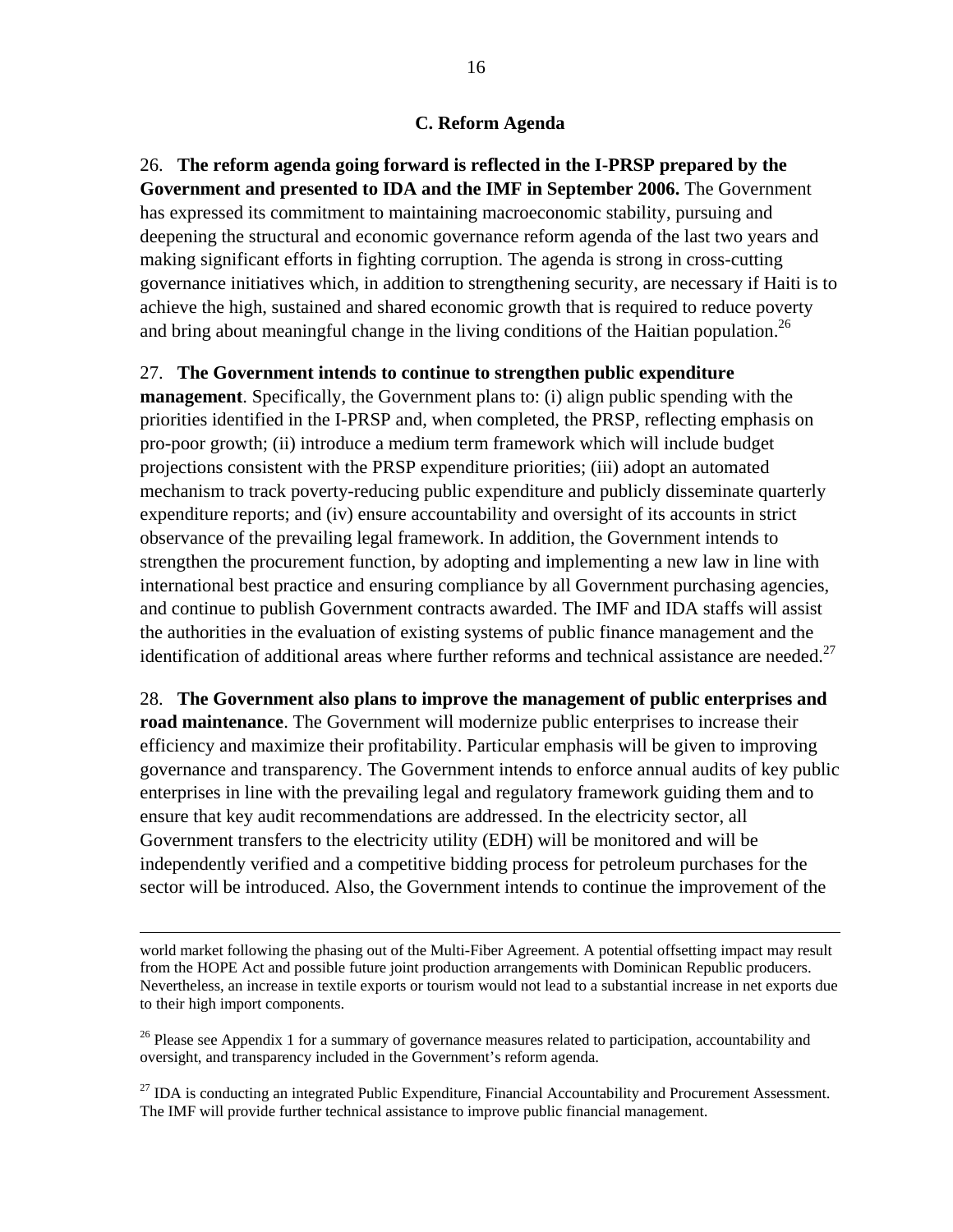#### **C. Reform Agenda**

26. **The reform agenda going forward is reflected in the I-PRSP prepared by the Government and presented to IDA and the IMF in September 2006.** The Government has expressed its commitment to maintaining macroeconomic stability, pursuing and deepening the structural and economic governance reform agenda of the last two years and making significant efforts in fighting corruption. The agenda is strong in cross-cutting governance initiatives which, in addition to strengthening security, are necessary if Haiti is to achieve the high, sustained and shared economic growth that is required to reduce poverty and bring about meaningful change in the living conditions of the Haitian population.<sup>26</sup>

#### 27. **The Government intends to continue to strengthen public expenditure**

**management**. Specifically, the Government plans to: (i) align public spending with the priorities identified in the I-PRSP and, when completed, the PRSP, reflecting emphasis on pro-poor growth; (ii) introduce a medium term framework which will include budget projections consistent with the PRSP expenditure priorities; (iii) adopt an automated mechanism to track poverty-reducing public expenditure and publicly disseminate quarterly expenditure reports; and (iv) ensure accountability and oversight of its accounts in strict observance of the prevailing legal framework. In addition, the Government intends to strengthen the procurement function, by adopting and implementing a new law in line with international best practice and ensuring compliance by all Government purchasing agencies, and continue to publish Government contracts awarded. The IMF and IDA staffs will assist the authorities in the evaluation of existing systems of public finance management and the identification of additional areas where further reforms and technical assistance are needed.<sup>27</sup>

28. **The Government also plans to improve the management of public enterprises and road maintenance**. The Government will modernize public enterprises to increase their efficiency and maximize their profitability. Particular emphasis will be given to improving governance and transparency. The Government intends to enforce annual audits of key public enterprises in line with the prevailing legal and regulatory framework guiding them and to ensure that key audit recommendations are addressed. In the electricity sector, all Government transfers to the electricity utility (EDH) will be monitored and will be independently verified and a competitive bidding process for petroleum purchases for the sector will be introduced. Also, the Government intends to continue the improvement of the

world market following the phasing out of the Multi-Fiber Agreement. A potential offsetting impact may result from the HOPE Act and possible future joint production arrangements with Dominican Republic producers. Nevertheless, an increase in textile exports or tourism would not lead to a substantial increase in net exports due to their high import components.

<sup>&</sup>lt;sup>26</sup> Please see Appendix 1 for a summary of governance measures related to participation, accountability and oversight, and transparency included in the Government's reform agenda.

 $^{27}$  IDA is conducting an integrated Public Expenditure, Financial Accountability and Procurement Assessment. The IMF will provide further technical assistance to improve public financial management.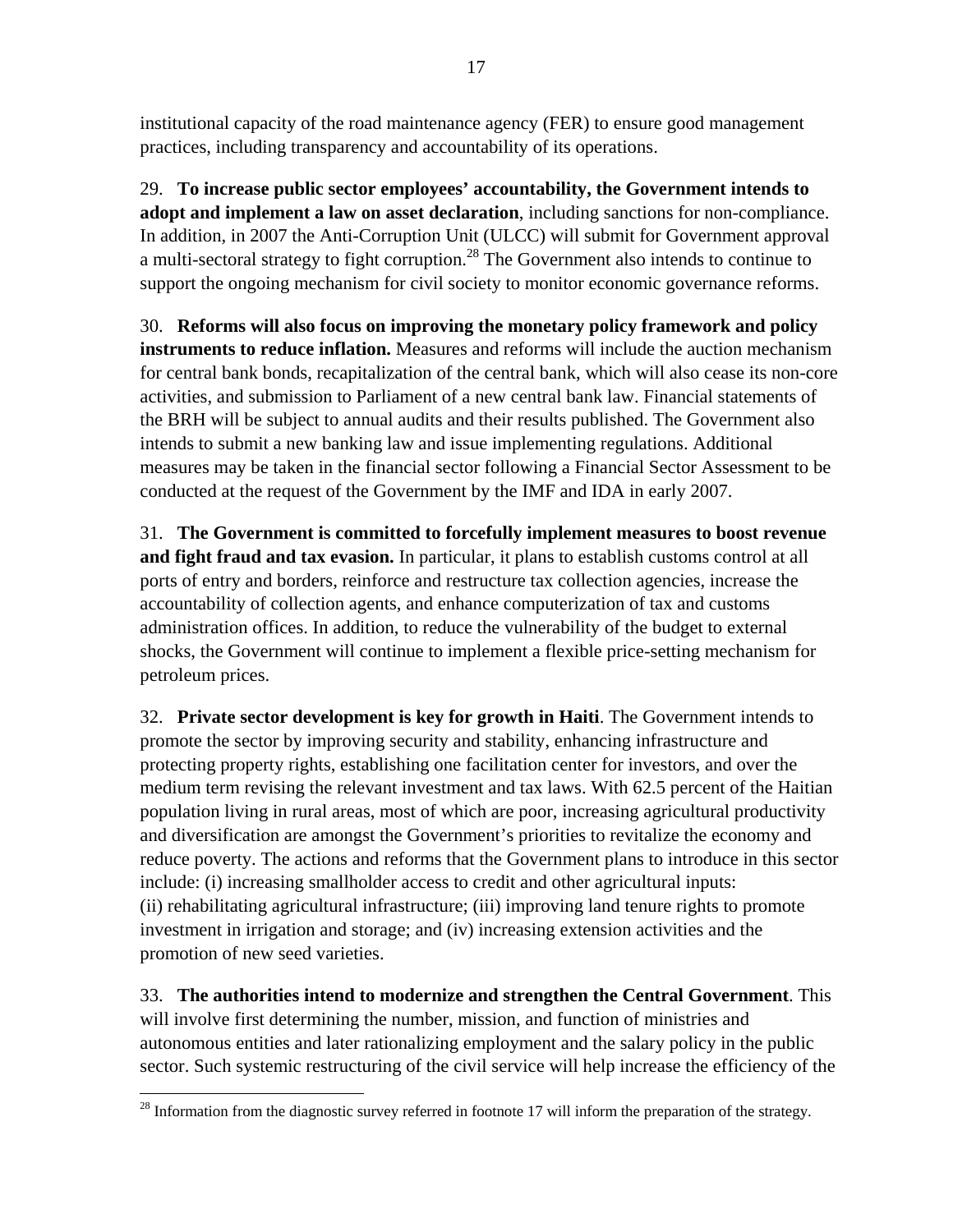institutional capacity of the road maintenance agency (FER) to ensure good management practices, including transparency and accountability of its operations.

29. **To increase public sector employees' accountability, the Government intends to adopt and implement a law on asset declaration**, including sanctions for non-compliance. In addition, in 2007 the Anti-Corruption Unit (ULCC) will submit for Government approval a multi-sectoral strategy to fight corruption.<sup>28</sup> The Government also intends to continue to support the ongoing mechanism for civil society to monitor economic governance reforms.

30. **Reforms will also focus on improving the monetary policy framework and policy instruments to reduce inflation.** Measures and reforms will include the auction mechanism for central bank bonds, recapitalization of the central bank, which will also cease its non-core activities, and submission to Parliament of a new central bank law. Financial statements of the BRH will be subject to annual audits and their results published. The Government also intends to submit a new banking law and issue implementing regulations. Additional measures may be taken in the financial sector following a Financial Sector Assessment to be conducted at the request of the Government by the IMF and IDA in early 2007.

31. **The Government is committed to forcefully implement measures to boost revenue and fight fraud and tax evasion.** In particular, it plans to establish customs control at all ports of entry and borders, reinforce and restructure tax collection agencies, increase the accountability of collection agents, and enhance computerization of tax and customs administration offices. In addition, to reduce the vulnerability of the budget to external shocks, the Government will continue to implement a flexible price-setting mechanism for petroleum prices.

32. **Private sector development is key for growth in Haiti**. The Government intends to promote the sector by improving security and stability, enhancing infrastructure and protecting property rights, establishing one facilitation center for investors, and over the medium term revising the relevant investment and tax laws. With 62.5 percent of the Haitian population living in rural areas, most of which are poor, increasing agricultural productivity and diversification are amongst the Government's priorities to revitalize the economy and reduce poverty. The actions and reforms that the Government plans to introduce in this sector include: (i) increasing smallholder access to credit and other agricultural inputs: (ii) rehabilitating agricultural infrastructure; (iii) improving land tenure rights to promote investment in irrigation and storage; and (iv) increasing extension activities and the promotion of new seed varieties.

33. **The authorities intend to modernize and strengthen the Central Government**. This will involve first determining the number, mission, and function of ministries and autonomous entities and later rationalizing employment and the salary policy in the public sector. Such systemic restructuring of the civil service will help increase the efficiency of the

 $^{28}$  Information from the diagnostic survey referred in footnote 17 will inform the preparation of the strategy.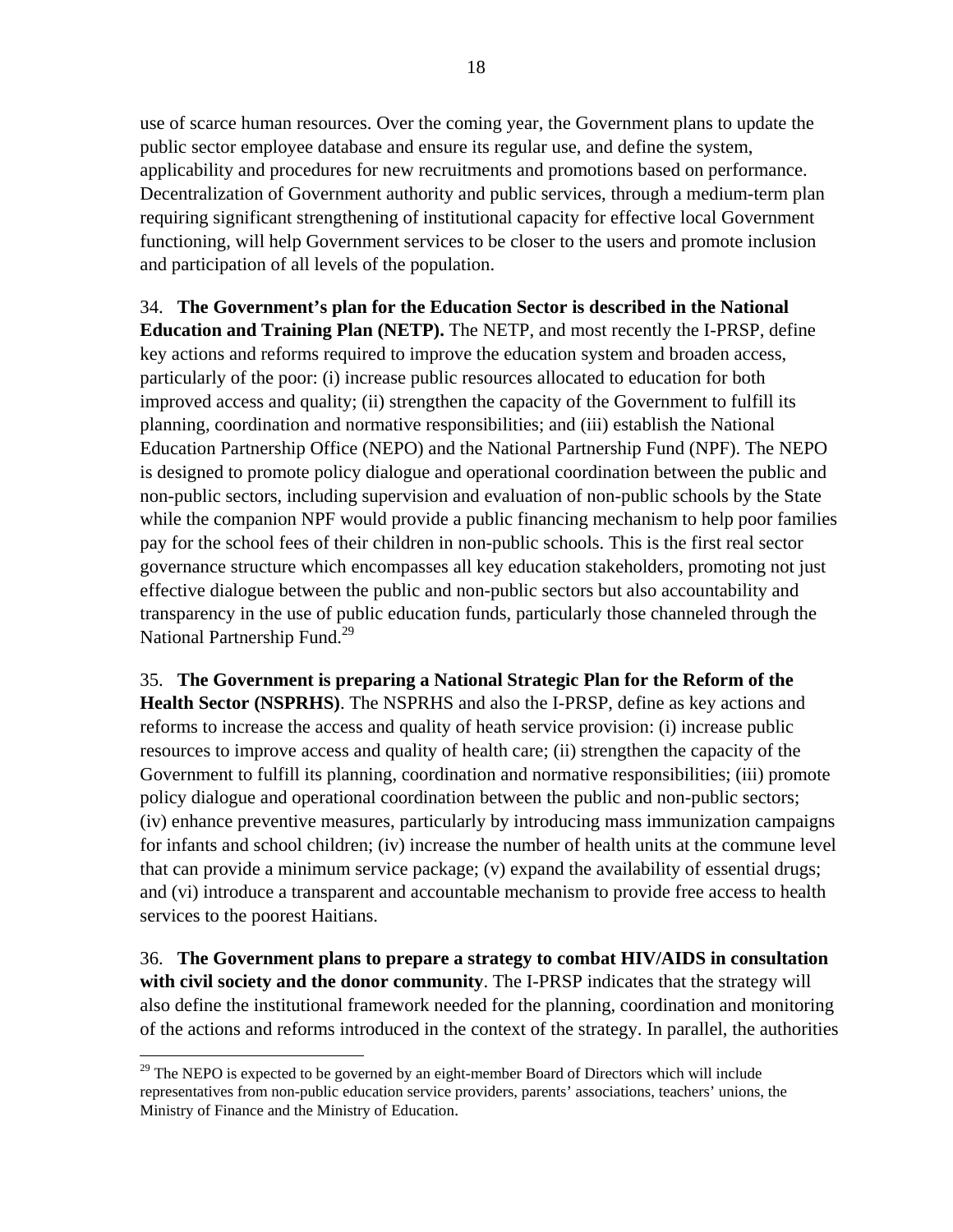use of scarce human resources. Over the coming year, the Government plans to update the public sector employee database and ensure its regular use, and define the system, applicability and procedures for new recruitments and promotions based on performance. Decentralization of Government authority and public services, through a medium-term plan requiring significant strengthening of institutional capacity for effective local Government functioning, will help Government services to be closer to the users and promote inclusion and participation of all levels of the population.

34. **The Government's plan for the Education Sector is described in the National Education and Training Plan (NETP).** The NETP, and most recently the I-PRSP, define key actions and reforms required to improve the education system and broaden access, particularly of the poor: (i) increase public resources allocated to education for both improved access and quality; (ii) strengthen the capacity of the Government to fulfill its planning, coordination and normative responsibilities; and (iii) establish the National Education Partnership Office (NEPO) and the National Partnership Fund (NPF). The NEPO is designed to promote policy dialogue and operational coordination between the public and non-public sectors, including supervision and evaluation of non-public schools by the State while the companion NPF would provide a public financing mechanism to help poor families pay for the school fees of their children in non-public schools. This is the first real sector governance structure which encompasses all key education stakeholders, promoting not just effective dialogue between the public and non-public sectors but also accountability and transparency in the use of public education funds, particularly those channeled through the National Partnership Fund.<sup>29</sup>

35. **The Government is preparing a National Strategic Plan for the Reform of the Health Sector (NSPRHS)**. The NSPRHS and also the I-PRSP, define as key actions and reforms to increase the access and quality of heath service provision: (i) increase public resources to improve access and quality of health care; (ii) strengthen the capacity of the Government to fulfill its planning, coordination and normative responsibilities; (iii) promote policy dialogue and operational coordination between the public and non-public sectors; (iv) enhance preventive measures, particularly by introducing mass immunization campaigns for infants and school children; (iv) increase the number of health units at the commune level that can provide a minimum service package; (v) expand the availability of essential drugs; and (vi) introduce a transparent and accountable mechanism to provide free access to health services to the poorest Haitians.

36. **The Government plans to prepare a strategy to combat HIV/AIDS in consultation with civil society and the donor community**. The I-PRSP indicates that the strategy will also define the institutional framework needed for the planning, coordination and monitoring of the actions and reforms introduced in the context of the strategy. In parallel, the authorities

 $29$  The NEPO is expected to be governed by an eight-member Board of Directors which will include representatives from non-public education service providers, parents' associations, teachers' unions, the Ministry of Finance and the Ministry of Education.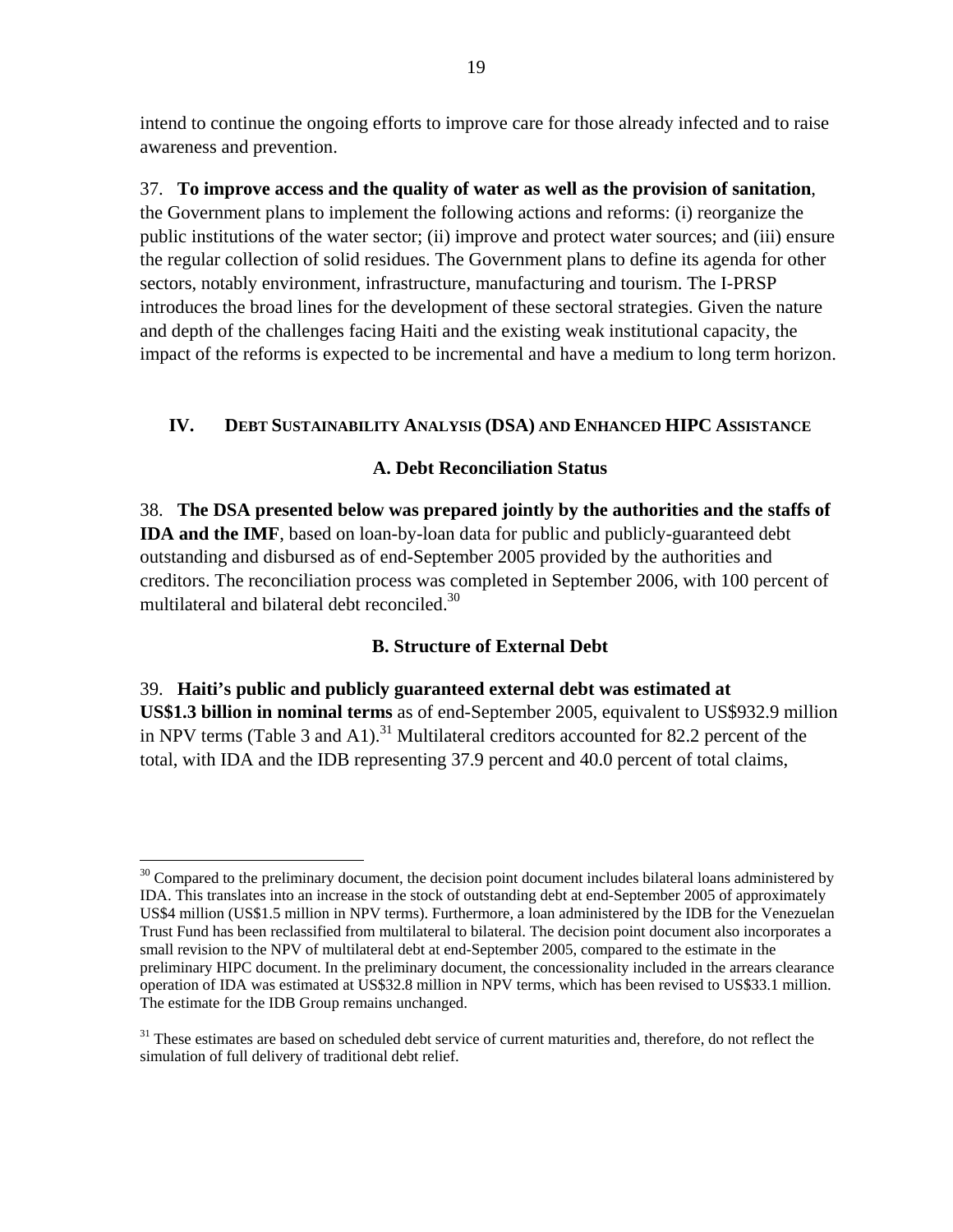intend to continue the ongoing efforts to improve care for those already infected and to raise awareness and prevention.

37. **To improve access and the quality of water as well as the provision of sanitation**, the Government plans to implement the following actions and reforms: (i) reorganize the public institutions of the water sector; (ii) improve and protect water sources; and (iii) ensure the regular collection of solid residues. The Government plans to define its agenda for other sectors, notably environment, infrastructure, manufacturing and tourism. The I-PRSP introduces the broad lines for the development of these sectoral strategies. Given the nature and depth of the challenges facing Haiti and the existing weak institutional capacity, the impact of the reforms is expected to be incremental and have a medium to long term horizon.

## **IV. DEBT SUSTAINABILITY ANALYSIS (DSA) AND ENHANCED HIPC ASSISTANCE**

#### **A. Debt Reconciliation Status**

38. **The DSA presented below was prepared jointly by the authorities and the staffs of IDA and the IMF**, based on loan-by-loan data for public and publicly-guaranteed debt outstanding and disbursed as of end-September 2005 provided by the authorities and creditors. The reconciliation process was completed in September 2006, with 100 percent of multilateral and bilateral debt reconciled.<sup>30</sup>

## **B. Structure of External Debt**

39. **Haiti's public and publicly guaranteed external debt was estimated at US\$1.3 billion in nominal terms** as of end-September 2005, equivalent to US\$932.9 million in NPV terms (Table 3 and A1).<sup>31</sup> Multilateral creditors accounted for 82.2 percent of the total, with IDA and the IDB representing 37.9 percent and 40.0 percent of total claims,

 $30$  Compared to the preliminary document, the decision point document includes bilateral loans administered by IDA. This translates into an increase in the stock of outstanding debt at end-September 2005 of approximately US\$4 million (US\$1.5 million in NPV terms). Furthermore, a loan administered by the IDB for the Venezuelan Trust Fund has been reclassified from multilateral to bilateral. The decision point document also incorporates a small revision to the NPV of multilateral debt at end-September 2005, compared to the estimate in the preliminary HIPC document. In the preliminary document, the concessionality included in the arrears clearance operation of IDA was estimated at US\$32.8 million in NPV terms, which has been revised to US\$33.1 million. The estimate for the IDB Group remains unchanged.

<sup>&</sup>lt;sup>31</sup> These estimates are based on scheduled debt service of current maturities and, therefore, do not reflect the simulation of full delivery of traditional debt relief.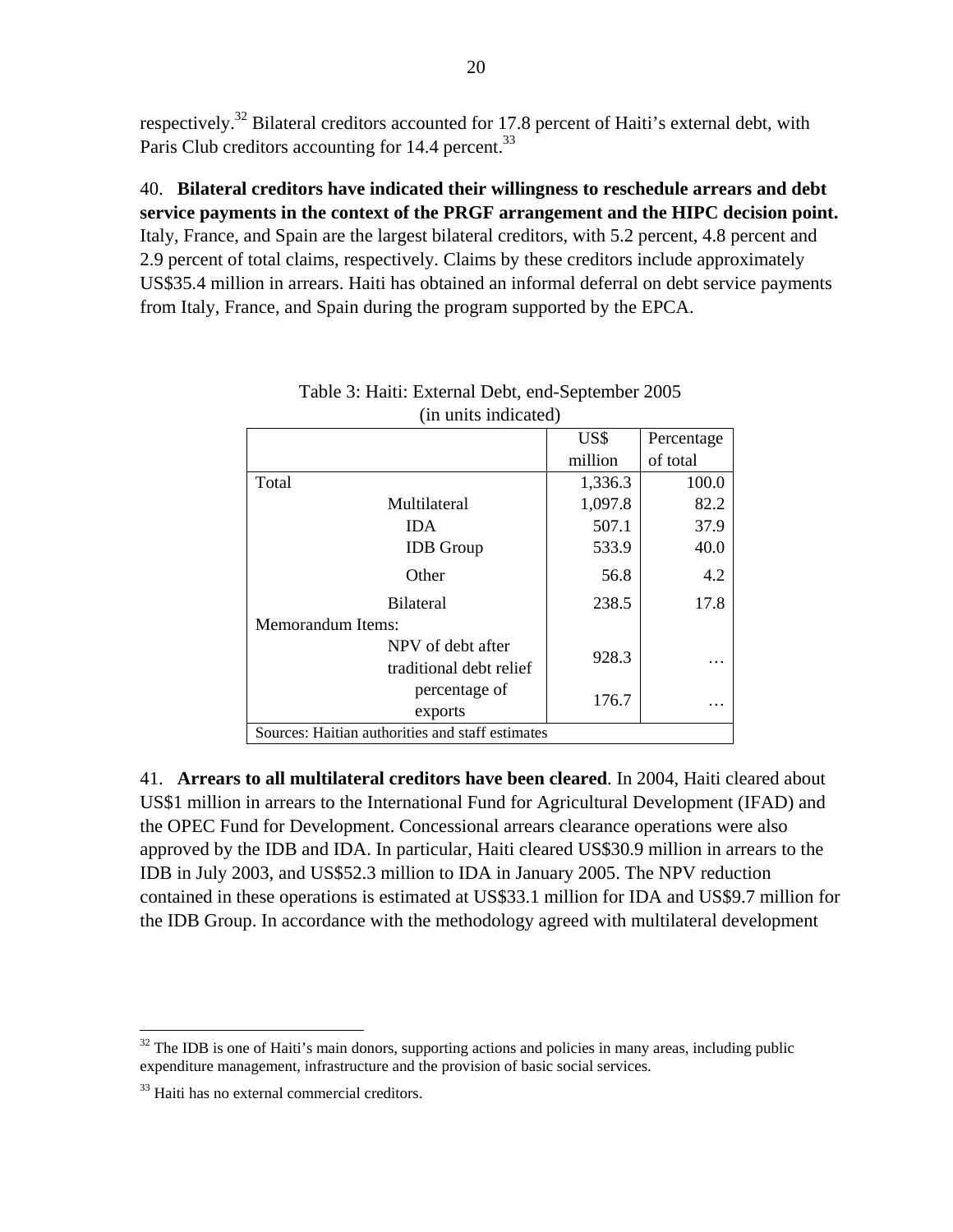respectively.<sup>32</sup> Bilateral creditors accounted for 17.8 percent of Haiti's external debt, with Paris Club creditors accounting for 14.4 percent.<sup>33</sup>

40. **Bilateral creditors have indicated their willingness to reschedule arrears and debt service payments in the context of the PRGF arrangement and the HIPC decision point.** Italy, France, and Spain are the largest bilateral creditors, with 5.2 percent, 4.8 percent and 2.9 percent of total claims, respectively. Claims by these creditors include approximately US\$35.4 million in arrears. Haiti has obtained an informal deferral on debt service payments from Italy, France, and Spain during the program supported by the EPCA.

| un unius muneuteu                                |         |            |
|--------------------------------------------------|---------|------------|
|                                                  | US\$    | Percentage |
|                                                  | million | of total   |
| Total                                            | 1,336.3 | 100.0      |
| Multilateral                                     | 1,097.8 | 82.2       |
| <b>IDA</b>                                       | 507.1   | 37.9       |
| <b>IDB</b> Group                                 | 533.9   | 40.0       |
| Other                                            | 56.8    | 4.2        |
| <b>Bilateral</b>                                 | 238.5   | 17.8       |
| <b>Memorandum Items:</b>                         |         |            |
| NPV of debt after                                | 928.3   |            |
| traditional debt relief                          |         |            |
| percentage of                                    | 176.7   |            |
| exports                                          |         |            |
| Sources: Haitian authorities and staff estimates |         |            |

| Table 3: Haiti: External Debt, end-September 2005 |
|---------------------------------------------------|
| (in units indicated)                              |

41. **Arrears to all multilateral creditors have been cleared**. In 2004, Haiti cleared about US\$1 million in arrears to the International Fund for Agricultural Development (IFAD) and the OPEC Fund for Development. Concessional arrears clearance operations were also approved by the IDB and IDA. In particular, Haiti cleared US\$30.9 million in arrears to the IDB in July 2003, and US\$52.3 million to IDA in January 2005. The NPV reduction contained in these operations is estimated at US\$33.1 million for IDA and US\$9.7 million for the IDB Group. In accordance with the methodology agreed with multilateral development

 $\overline{a}$  $32$  The IDB is one of Haiti's main donors, supporting actions and policies in many areas, including public expenditure management, infrastructure and the provision of basic social services.

<sup>&</sup>lt;sup>33</sup> Haiti has no external commercial creditors.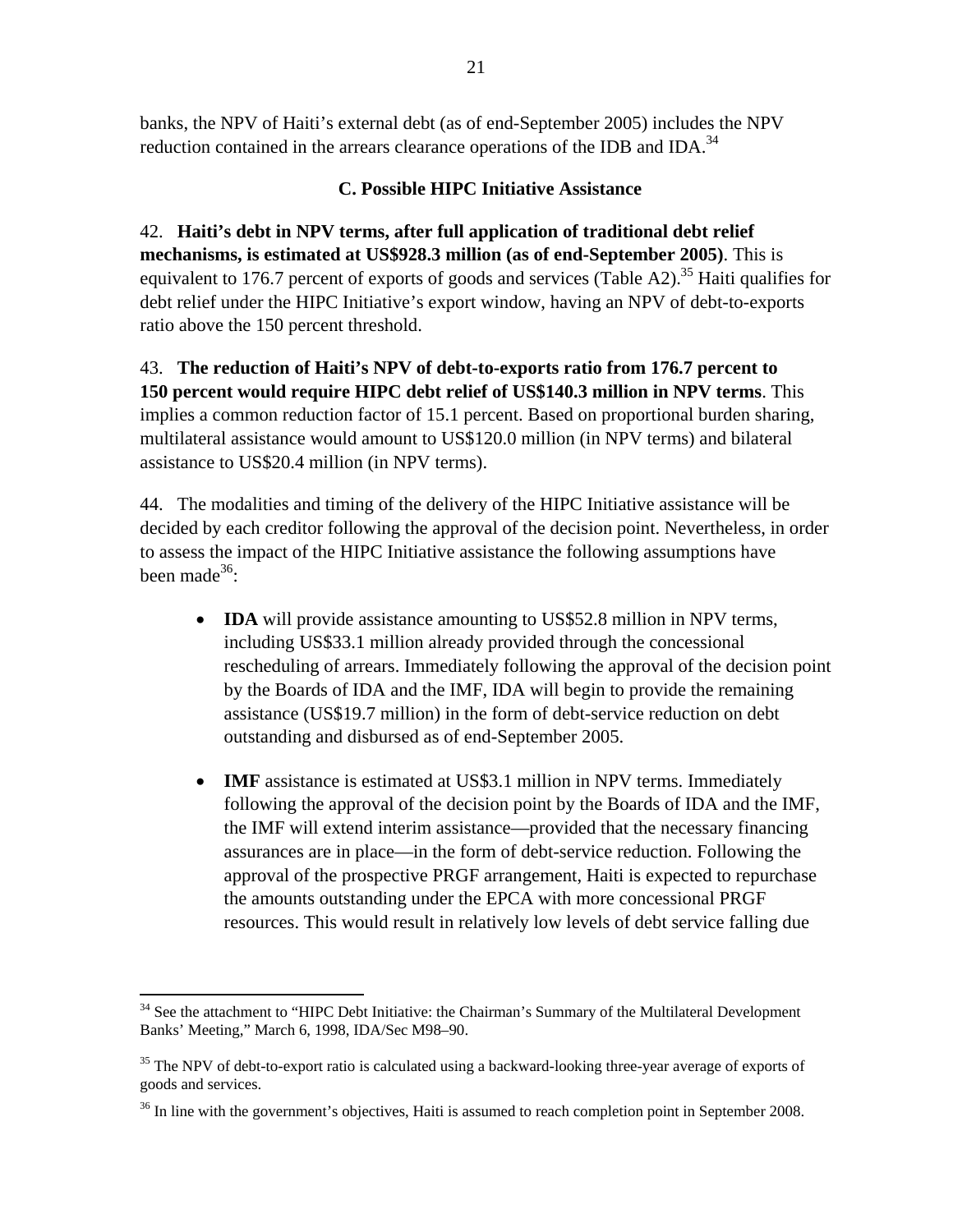banks, the NPV of Haiti's external debt (as of end-September 2005) includes the NPV reduction contained in the arrears clearance operations of the IDB and IDA.<sup>34</sup>

# **C. Possible HIPC Initiative Assistance**

42. **Haiti's debt in NPV terms, after full application of traditional debt relief mechanisms, is estimated at US\$928.3 million (as of end-September 2005)**. This is equivalent to 176.7 percent of exports of goods and services (Table A2).<sup>35</sup> Haiti qualifies for debt relief under the HIPC Initiative's export window, having an NPV of debt-to-exports ratio above the 150 percent threshold.

43. **The reduction of Haiti's NPV of debt-to-exports ratio from 176.7 percent to 150 percent would require HIPC debt relief of US\$140.3 million in NPV terms**. This implies a common reduction factor of 15.1 percent. Based on proportional burden sharing, multilateral assistance would amount to US\$120.0 million (in NPV terms) and bilateral assistance to US\$20.4 million (in NPV terms).

44. The modalities and timing of the delivery of the HIPC Initiative assistance will be decided by each creditor following the approval of the decision point. Nevertheless, in order to assess the impact of the HIPC Initiative assistance the following assumptions have been made<sup>36</sup>:

- **IDA** will provide assistance amounting to US\$52.8 million in NPV terms, including US\$33.1 million already provided through the concessional rescheduling of arrears. Immediately following the approval of the decision point by the Boards of IDA and the IMF, IDA will begin to provide the remaining assistance (US\$19.7 million) in the form of debt-service reduction on debt outstanding and disbursed as of end-September 2005.
- **IMF** assistance is estimated at US\$3.1 million in NPV terms. Immediately following the approval of the decision point by the Boards of IDA and the IMF, the IMF will extend interim assistance—provided that the necessary financing assurances are in place—in the form of debt-service reduction. Following the approval of the prospective PRGF arrangement, Haiti is expected to repurchase the amounts outstanding under the EPCA with more concessional PRGF resources. This would result in relatively low levels of debt service falling due

<sup>1</sup> <sup>34</sup> See the attachment to "HIPC Debt Initiative: the Chairman's Summary of the Multilateral Development Banks' Meeting," March 6, 1998, IDA/Sec M98–90.

 $35$  The NPV of debt-to-export ratio is calculated using a backward-looking three-year average of exports of goods and services.

 $36$  In line with the government's objectives, Haiti is assumed to reach completion point in September 2008.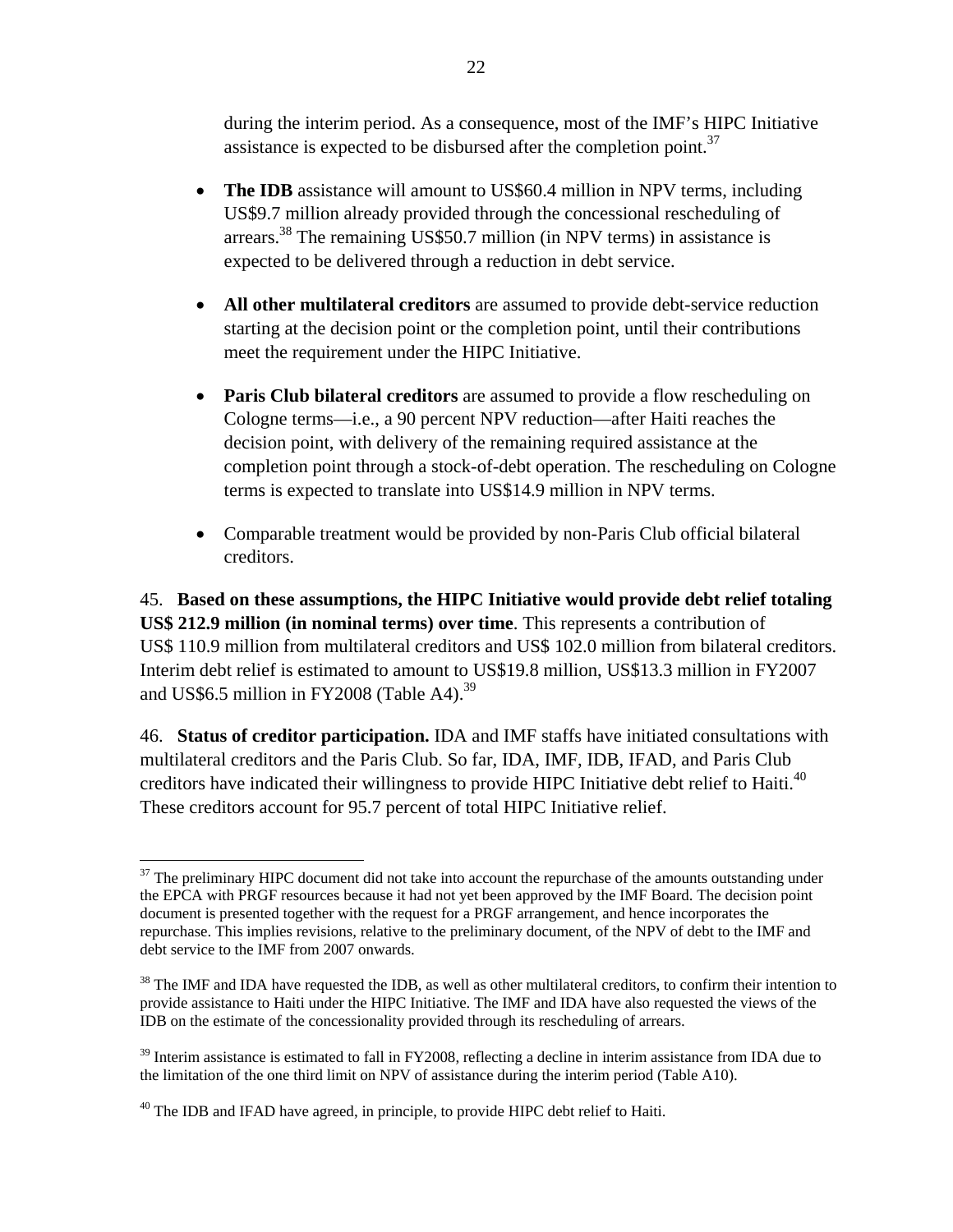during the interim period. As a consequence, most of the IMF's HIPC Initiative assistance is expected to be disbursed after the completion point.  $37$ 

- **The IDB** assistance will amount to US\$60.4 million in NPV terms, including US\$9.7 million already provided through the concessional rescheduling of arrears.<sup>38</sup> The remaining US\$50.7 million (in NPV terms) in assistance is expected to be delivered through a reduction in debt service.
- **All other multilateral creditors** are assumed to provide debt-service reduction starting at the decision point or the completion point, until their contributions meet the requirement under the HIPC Initiative.
- **Paris Club bilateral creditors** are assumed to provide a flow rescheduling on Cologne terms—i.e., a 90 percent NPV reduction—after Haiti reaches the decision point, with delivery of the remaining required assistance at the completion point through a stock-of-debt operation. The rescheduling on Cologne terms is expected to translate into US\$14.9 million in NPV terms.
- Comparable treatment would be provided by non-Paris Club official bilateral creditors.

45. **Based on these assumptions, the HIPC Initiative would provide debt relief totaling US\$ 212.9 million (in nominal terms) over time**. This represents a contribution of US\$ 110.9 million from multilateral creditors and US\$ 102.0 million from bilateral creditors. Interim debt relief is estimated to amount to US\$19.8 million, US\$13.3 million in FY2007 and US\$6.5 million in FY2008 (Table A4).<sup>39</sup>

46. **Status of creditor participation.** IDA and IMF staffs have initiated consultations with multilateral creditors and the Paris Club. So far, IDA, IMF, IDB, IFAD, and Paris Club creditors have indicated their willingness to provide HIPC Initiative debt relief to Haiti.<sup>40</sup> These creditors account for 95.7 percent of total HIPC Initiative relief.

<sup>1</sup>  $37$  The preliminary HIPC document did not take into account the repurchase of the amounts outstanding under the EPCA with PRGF resources because it had not yet been approved by the IMF Board. The decision point document is presented together with the request for a PRGF arrangement, and hence incorporates the repurchase. This implies revisions, relative to the preliminary document, of the NPV of debt to the IMF and debt service to the IMF from 2007 onwards.

 $38$  The IMF and IDA have requested the IDB, as well as other multilateral creditors, to confirm their intention to provide assistance to Haiti under the HIPC Initiative. The IMF and IDA have also requested the views of the IDB on the estimate of the concessionality provided through its rescheduling of arrears.

<sup>&</sup>lt;sup>39</sup> Interim assistance is estimated to fall in FY2008, reflecting a decline in interim assistance from IDA due to the limitation of the one third limit on NPV of assistance during the interim period (Table A10).

<sup>&</sup>lt;sup>40</sup> The IDB and IFAD have agreed, in principle, to provide HIPC debt relief to Haiti.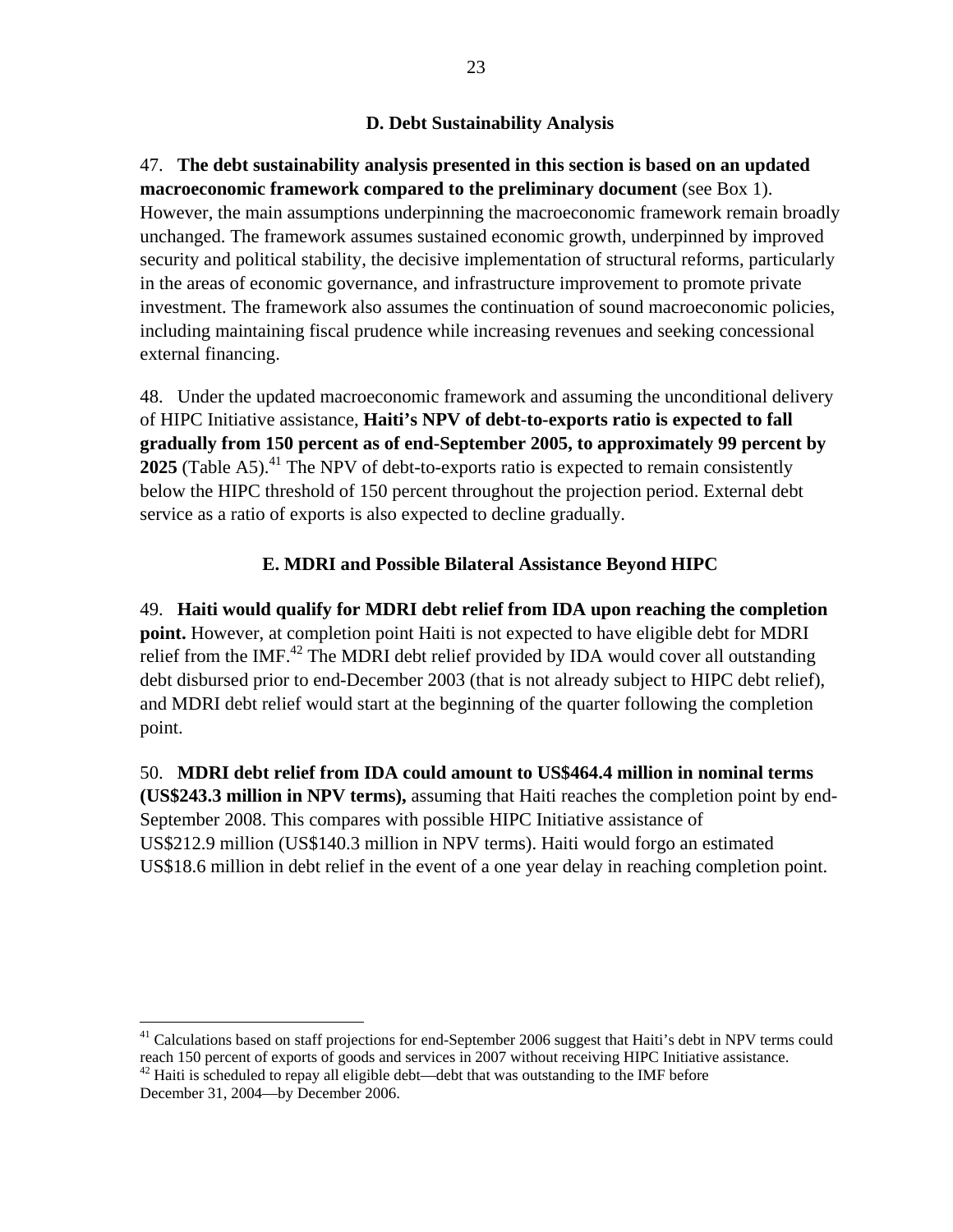## **D. Debt Sustainability Analysis**

# 47. **The debt sustainability analysis presented in this section is based on an updated macroeconomic framework compared to the preliminary document** (see Box 1). However, the main assumptions underpinning the macroeconomic framework remain broadly unchanged. The framework assumes sustained economic growth, underpinned by improved security and political stability, the decisive implementation of structural reforms, particularly in the areas of economic governance, and infrastructure improvement to promote private investment. The framework also assumes the continuation of sound macroeconomic policies,

including maintaining fiscal prudence while increasing revenues and seeking concessional

external financing.

 $\overline{a}$ 

48. Under the updated macroeconomic framework and assuming the unconditional delivery of HIPC Initiative assistance, **Haiti's NPV of debt-to-exports ratio is expected to fall gradually from 150 percent as of end-September 2005, to approximately 99 percent by 2025** (Table A5).<sup>41</sup> The NPV of debt-to-exports ratio is expected to remain consistently below the HIPC threshold of 150 percent throughout the projection period. External debt service as a ratio of exports is also expected to decline gradually.

# **E. MDRI and Possible Bilateral Assistance Beyond HIPC**

49. **Haiti would qualify for MDRI debt relief from IDA upon reaching the completion point.** However, at completion point Haiti is not expected to have eligible debt for MDRI relief from the IMF. $^{42}$  The MDRI debt relief provided by IDA would cover all outstanding debt disbursed prior to end-December 2003 (that is not already subject to HIPC debt relief), and MDRI debt relief would start at the beginning of the quarter following the completion point.

50. **MDRI debt relief from IDA could amount to US\$464.4 million in nominal terms (US\$243.3 million in NPV terms),** assuming that Haiti reaches the completion point by end-September 2008. This compares with possible HIPC Initiative assistance of US\$212.9 million (US\$140.3 million in NPV terms). Haiti would forgo an estimated US\$18.6 million in debt relief in the event of a one year delay in reaching completion point.

 $41$  Calculations based on staff projections for end-September 2006 suggest that Haiti's debt in NPV terms could reach 150 percent of exports of goods and services in 2007 without receiving HIPC Initiative assistance.

 $42$  Haiti is scheduled to repay all eligible debt—debt that was outstanding to the IMF before. December 31, 2004—by December 2006.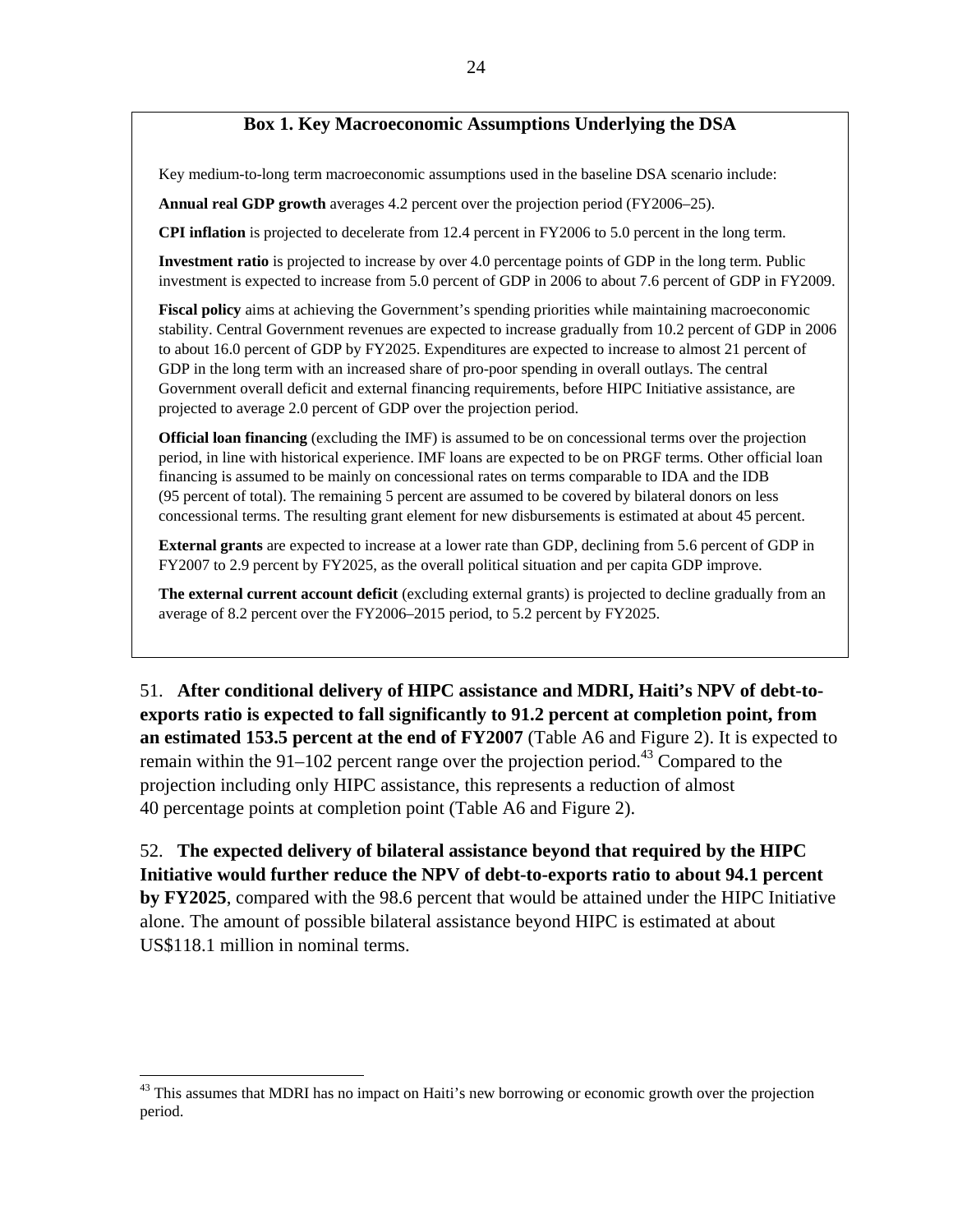## **Box 1. Key Macroeconomic Assumptions Underlying the DSA**

Key medium-to-long term macroeconomic assumptions used in the baseline DSA scenario include:

**Annual real GDP growth** averages 4.2 percent over the projection period (FY2006–25).

**CPI inflation** is projected to decelerate from 12.4 percent in FY2006 to 5.0 percent in the long term.

**Investment ratio** is projected to increase by over 4.0 percentage points of GDP in the long term. Public investment is expected to increase from 5.0 percent of GDP in 2006 to about 7.6 percent of GDP in FY2009.

**Fiscal policy** aims at achieving the Government's spending priorities while maintaining macroeconomic stability. Central Government revenues are expected to increase gradually from 10.2 percent of GDP in 2006 to about 16.0 percent of GDP by FY2025. Expenditures are expected to increase to almost 21 percent of GDP in the long term with an increased share of pro-poor spending in overall outlays. The central Government overall deficit and external financing requirements, before HIPC Initiative assistance, are projected to average 2.0 percent of GDP over the projection period.

**Official loan financing** (excluding the IMF) is assumed to be on concessional terms over the projection period, in line with historical experience. IMF loans are expected to be on PRGF terms. Other official loan financing is assumed to be mainly on concessional rates on terms comparable to IDA and the IDB (95 percent of total). The remaining 5 percent are assumed to be covered by bilateral donors on less concessional terms. The resulting grant element for new disbursements is estimated at about 45 percent.

**External grants** are expected to increase at a lower rate than GDP, declining from 5.6 percent of GDP in FY2007 to 2.9 percent by FY2025, as the overall political situation and per capita GDP improve.

**The external current account deficit** (excluding external grants) is projected to decline gradually from an average of 8.2 percent over the FY2006–2015 period, to 5.2 percent by FY2025.

51. **After conditional delivery of HIPC assistance and MDRI, Haiti's NPV of debt-toexports ratio is expected to fall significantly to 91.2 percent at completion point, from an estimated 153.5 percent at the end of FY2007** (Table A6 and Figure 2). It is expected to remain within the 91–102 percent range over the projection period.<sup>43</sup> Compared to the projection including only HIPC assistance, this represents a reduction of almost 40 percentage points at completion point (Table A6 and Figure 2).

52. **The expected delivery of bilateral assistance beyond that required by the HIPC Initiative would further reduce the NPV of debt-to-exports ratio to about 94.1 percent by FY2025**, compared with the 98.6 percent that would be attained under the HIPC Initiative alone. The amount of possible bilateral assistance beyond HIPC is estimated at about US\$118.1 million in nominal terms.

1

<sup>&</sup>lt;sup>43</sup> This assumes that MDRI has no impact on Haiti's new borrowing or economic growth over the projection period.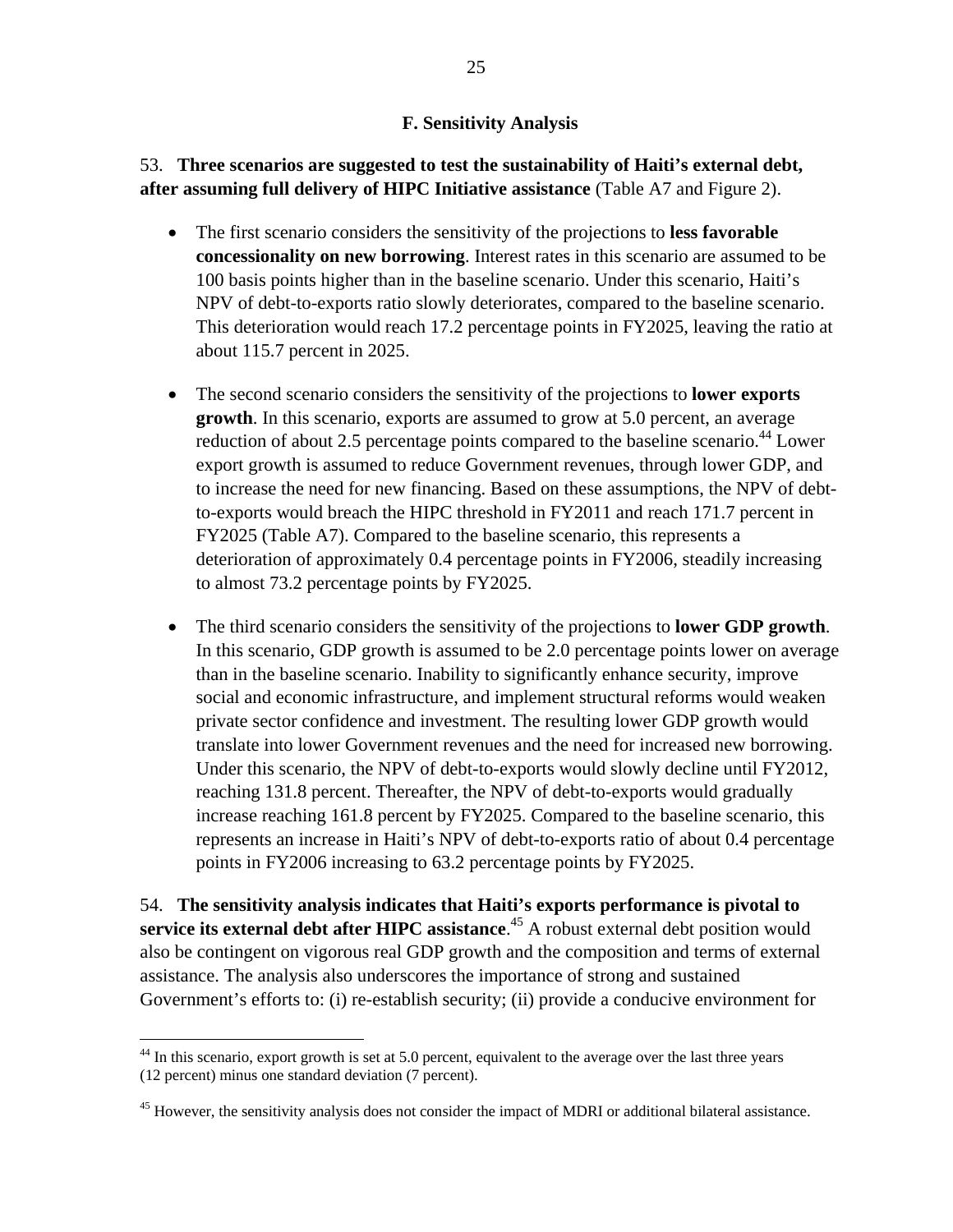## **F. Sensitivity Analysis**

# 53. **Three scenarios are suggested to test the sustainability of Haiti's external debt, after assuming full delivery of HIPC Initiative assistance** (Table A7 and Figure 2).

- The first scenario considers the sensitivity of the projections to **less favorable concessionality on new borrowing**. Interest rates in this scenario are assumed to be 100 basis points higher than in the baseline scenario. Under this scenario, Haiti's NPV of debt-to-exports ratio slowly deteriorates, compared to the baseline scenario. This deterioration would reach 17.2 percentage points in FY2025, leaving the ratio at about 115.7 percent in 2025.
- The second scenario considers the sensitivity of the projections to **lower exports growth**. In this scenario, exports are assumed to grow at 5.0 percent, an average reduction of about 2.5 percentage points compared to the baseline scenario.<sup>44</sup> Lower export growth is assumed to reduce Government revenues, through lower GDP, and to increase the need for new financing. Based on these assumptions, the NPV of debtto-exports would breach the HIPC threshold in FY2011 and reach 171.7 percent in FY2025 (Table A7). Compared to the baseline scenario, this represents a deterioration of approximately 0.4 percentage points in FY2006, steadily increasing to almost 73.2 percentage points by FY2025.
- The third scenario considers the sensitivity of the projections to **lower GDP growth**. In this scenario, GDP growth is assumed to be 2.0 percentage points lower on average than in the baseline scenario. Inability to significantly enhance security, improve social and economic infrastructure, and implement structural reforms would weaken private sector confidence and investment. The resulting lower GDP growth would translate into lower Government revenues and the need for increased new borrowing. Under this scenario, the NPV of debt-to-exports would slowly decline until FY2012, reaching 131.8 percent. Thereafter, the NPV of debt-to-exports would gradually increase reaching 161.8 percent by FY2025. Compared to the baseline scenario, this represents an increase in Haiti's NPV of debt-to-exports ratio of about 0.4 percentage points in FY2006 increasing to 63.2 percentage points by FY2025.

54. **The sensitivity analysis indicates that Haiti's exports performance is pivotal to service its external debt after HIPC assistance**. 45 A robust external debt position would also be contingent on vigorous real GDP growth and the composition and terms of external assistance. The analysis also underscores the importance of strong and sustained Government's efforts to: (i) re-establish security; (ii) provide a conducive environment for

<u>.</u>

<sup>&</sup>lt;sup>44</sup> In this scenario, export growth is set at 5.0 percent, equivalent to the average over the last three years (12 percent) minus one standard deviation (7 percent).

<sup>&</sup>lt;sup>45</sup> However, the sensitivity analysis does not consider the impact of MDRI or additional bilateral assistance.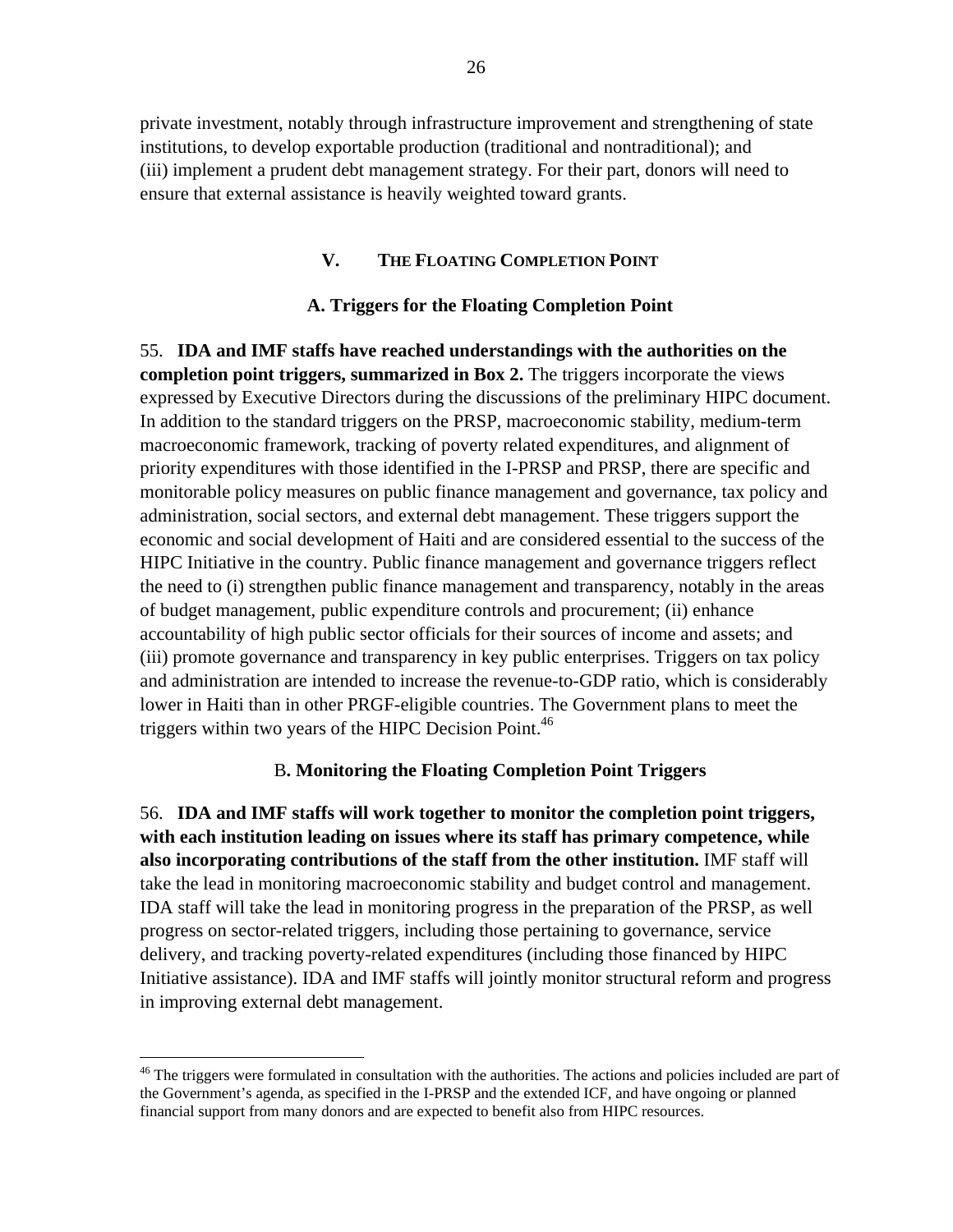private investment, notably through infrastructure improvement and strengthening of state institutions, to develop exportable production (traditional and nontraditional); and (iii) implement a prudent debt management strategy. For their part, donors will need to ensure that external assistance is heavily weighted toward grants.

### **V. THE FLOATING COMPLETION POINT**

#### **A. Triggers for the Floating Completion Point**

55. **IDA and IMF staffs have reached understandings with the authorities on the completion point triggers, summarized in Box 2.** The triggers incorporate the views expressed by Executive Directors during the discussions of the preliminary HIPC document. In addition to the standard triggers on the PRSP, macroeconomic stability, medium-term macroeconomic framework, tracking of poverty related expenditures, and alignment of priority expenditures with those identified in the I-PRSP and PRSP, there are specific and monitorable policy measures on public finance management and governance, tax policy and administration, social sectors, and external debt management. These triggers support the economic and social development of Haiti and are considered essential to the success of the HIPC Initiative in the country. Public finance management and governance triggers reflect the need to (i) strengthen public finance management and transparency, notably in the areas of budget management, public expenditure controls and procurement; (ii) enhance accountability of high public sector officials for their sources of income and assets; and (iii) promote governance and transparency in key public enterprises. Triggers on tax policy and administration are intended to increase the revenue-to-GDP ratio, which is considerably lower in Haiti than in other PRGF-eligible countries. The Government plans to meet the triggers within two years of the HIPC Decision Point. $46$ 

#### B**. Monitoring the Floating Completion Point Triggers**

56. **IDA and IMF staffs will work together to monitor the completion point triggers, with each institution leading on issues where its staff has primary competence, while also incorporating contributions of the staff from the other institution.** IMF staff will take the lead in monitoring macroeconomic stability and budget control and management. IDA staff will take the lead in monitoring progress in the preparation of the PRSP, as well progress on sector-related triggers, including those pertaining to governance, service delivery, and tracking poverty-related expenditures (including those financed by HIPC Initiative assistance). IDA and IMF staffs will jointly monitor structural reform and progress in improving external debt management.

1

<sup>&</sup>lt;sup>46</sup> The triggers were formulated in consultation with the authorities. The actions and policies included are part of the Government's agenda, as specified in the I-PRSP and the extended ICF, and have ongoing or planned financial support from many donors and are expected to benefit also from HIPC resources.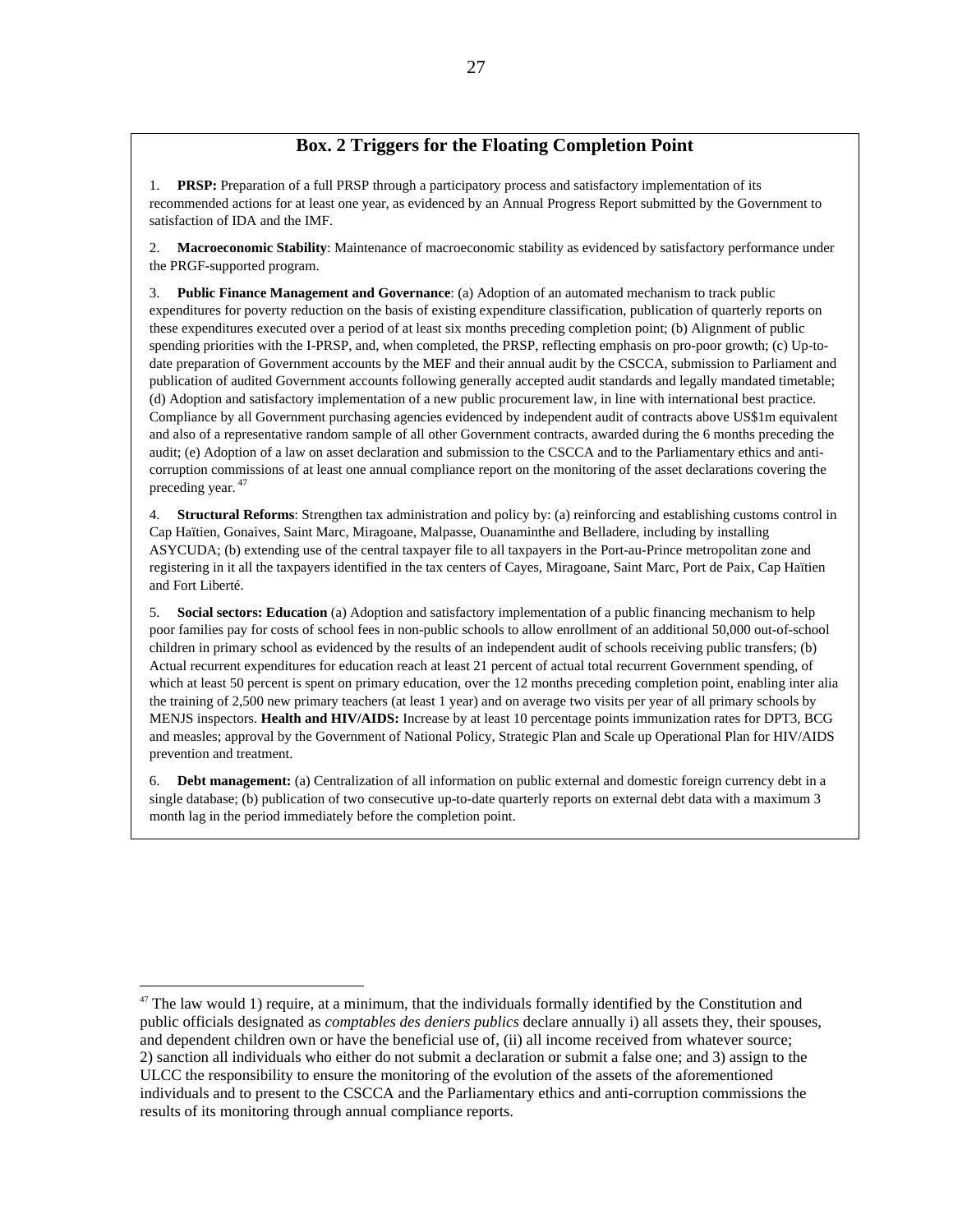## **Box. 2 Triggers for the Floating Completion Point**

1. **PRSP:** Preparation of a full PRSP through a participatory process and satisfactory implementation of its recommended actions for at least one year, as evidenced by an Annual Progress Report submitted by the Government to satisfaction of IDA and the IMF.

2. **Macroeconomic Stability**: Maintenance of macroeconomic stability as evidenced by satisfactory performance under the PRGF-supported program.

3. **Public Finance Management and Governance**: (a) Adoption of an automated mechanism to track public expenditures for poverty reduction on the basis of existing expenditure classification, publication of quarterly reports on these expenditures executed over a period of at least six months preceding completion point; (b) Alignment of public spending priorities with the I-PRSP, and, when completed, the PRSP, reflecting emphasis on pro-poor growth; (c) Up-todate preparation of Government accounts by the MEF and their annual audit by the CSCCA, submission to Parliament and publication of audited Government accounts following generally accepted audit standards and legally mandated timetable; (d) Adoption and satisfactory implementation of a new public procurement law, in line with international best practice. Compliance by all Government purchasing agencies evidenced by independent audit of contracts above US\$1m equivalent and also of a representative random sample of all other Government contracts, awarded during the 6 months preceding the audit; (e) Adoption of a law on asset declaration and submission to the CSCCA and to the Parliamentary ethics and anticorruption commissions of at least one annual compliance report on the monitoring of the asset declarations covering the preceding year. 47

4. **Structural Reforms**: Strengthen tax administration and policy by: (a) reinforcing and establishing customs control in Cap Haïtien, Gonaives, Saint Marc, Miragoane, Malpasse, Ouanaminthe and Belladere, including by installing ASYCUDA; (b) extending use of the central taxpayer file to all taxpayers in the Port-au-Prince metropolitan zone and registering in it all the taxpayers identified in the tax centers of Cayes, Miragoane, Saint Marc, Port de Paix, Cap Haïtien and Fort Liberté.

5. **Social sectors: Education** (a) Adoption and satisfactory implementation of a public financing mechanism to help poor families pay for costs of school fees in non-public schools to allow enrollment of an additional 50,000 out-of-school children in primary school as evidenced by the results of an independent audit of schools receiving public transfers; (b) Actual recurrent expenditures for education reach at least 21 percent of actual total recurrent Government spending, of which at least 50 percent is spent on primary education, over the 12 months preceding completion point, enabling inter alia the training of 2,500 new primary teachers (at least 1 year) and on average two visits per year of all primary schools by MENJS inspectors. **Health and HIV/AIDS:** Increase by at least 10 percentage points immunization rates for DPT3, BCG and measles; approval by the Government of National Policy, Strategic Plan and Scale up Operational Plan for HIV/AIDS prevention and treatment.

6. **Debt management:** (a) Centralization of all information on public external and domestic foreign currency debt in a single database; (b) publication of two consecutive up-to-date quarterly reports on external debt data with a maximum 3 month lag in the period immediately before the completion point.

 $47$  The law would 1) require, at a minimum, that the individuals formally identified by the Constitution and public officials designated as *comptables des deniers publics* declare annually i) all assets they, their spouses, and dependent children own or have the beneficial use of, (ii) all income received from whatever source; 2) sanction all individuals who either do not submit a declaration or submit a false one; and 3) assign to the ULCC the responsibility to ensure the monitoring of the evolution of the assets of the aforementioned individuals and to present to the CSCCA and the Parliamentary ethics and anti-corruption commissions the results of its monitoring through annual compliance reports.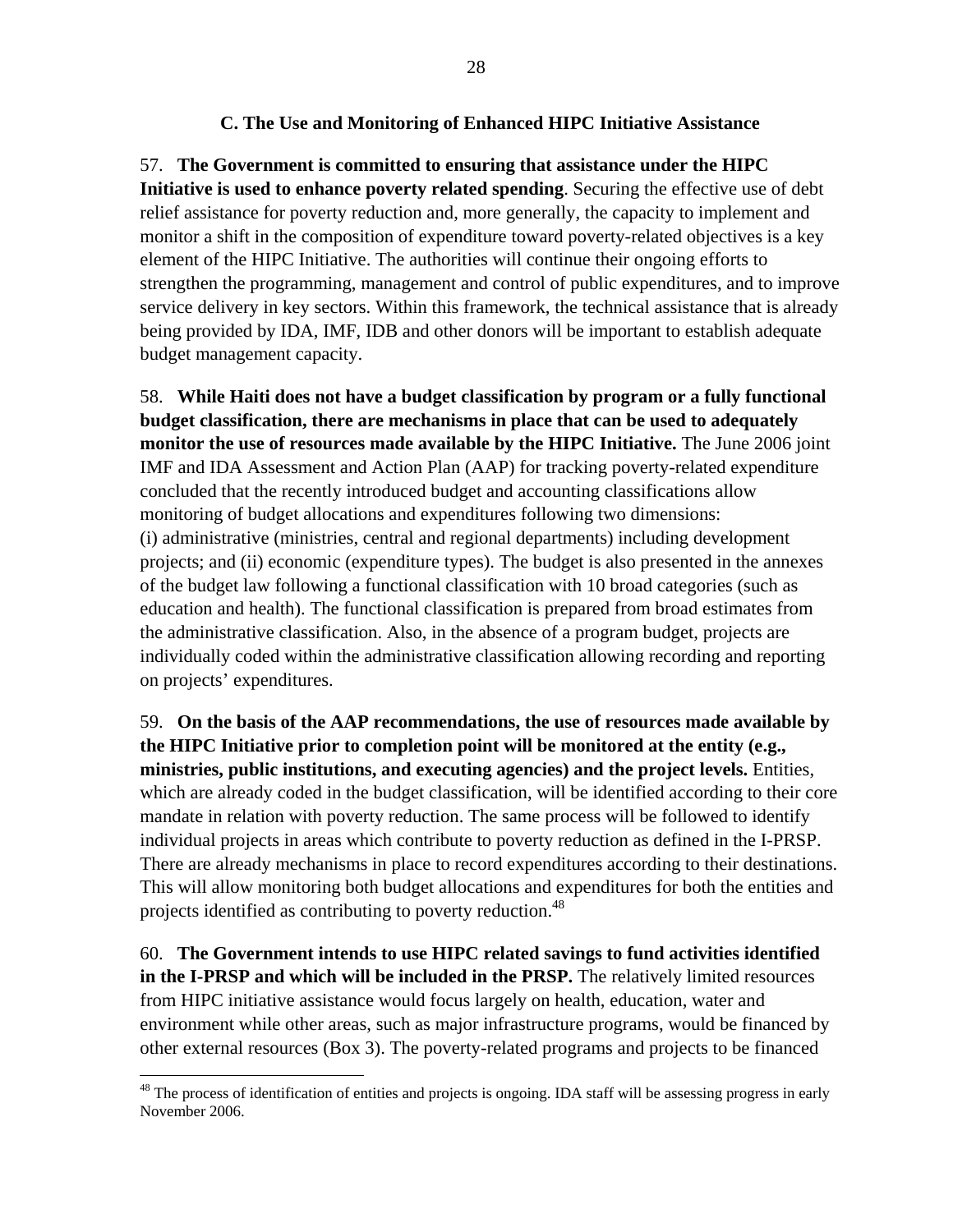## **C. The Use and Monitoring of Enhanced HIPC Initiative Assistance**

## 57. **The Government is committed to ensuring that assistance under the HIPC**

**Initiative is used to enhance poverty related spending**. Securing the effective use of debt relief assistance for poverty reduction and, more generally, the capacity to implement and monitor a shift in the composition of expenditure toward poverty-related objectives is a key element of the HIPC Initiative. The authorities will continue their ongoing efforts to strengthen the programming, management and control of public expenditures, and to improve service delivery in key sectors. Within this framework, the technical assistance that is already being provided by IDA, IMF, IDB and other donors will be important to establish adequate budget management capacity.

58. **While Haiti does not have a budget classification by program or a fully functional budget classification, there are mechanisms in place that can be used to adequately monitor the use of resources made available by the HIPC Initiative.** The June 2006 joint IMF and IDA Assessment and Action Plan (AAP) for tracking poverty-related expenditure concluded that the recently introduced budget and accounting classifications allow monitoring of budget allocations and expenditures following two dimensions: (i) administrative (ministries, central and regional departments) including development projects; and (ii) economic (expenditure types). The budget is also presented in the annexes of the budget law following a functional classification with 10 broad categories (such as education and health). The functional classification is prepared from broad estimates from the administrative classification. Also, in the absence of a program budget, projects are individually coded within the administrative classification allowing recording and reporting on projects' expenditures.

59. **On the basis of the AAP recommendations, the use of resources made available by the HIPC Initiative prior to completion point will be monitored at the entity (e.g., ministries, public institutions, and executing agencies) and the project levels.** Entities, which are already coded in the budget classification, will be identified according to their core mandate in relation with poverty reduction. The same process will be followed to identify individual projects in areas which contribute to poverty reduction as defined in the I-PRSP. There are already mechanisms in place to record expenditures according to their destinations. This will allow monitoring both budget allocations and expenditures for both the entities and projects identified as contributing to poverty reduction.<sup>48</sup>

60. **The Government intends to use HIPC related savings to fund activities identified in the I-PRSP and which will be included in the PRSP.** The relatively limited resources from HIPC initiative assistance would focus largely on health, education, water and environment while other areas, such as major infrastructure programs, would be financed by other external resources (Box 3). The poverty-related programs and projects to be financed

1

<sup>&</sup>lt;sup>48</sup> The process of identification of entities and projects is ongoing. IDA staff will be assessing progress in early November 2006.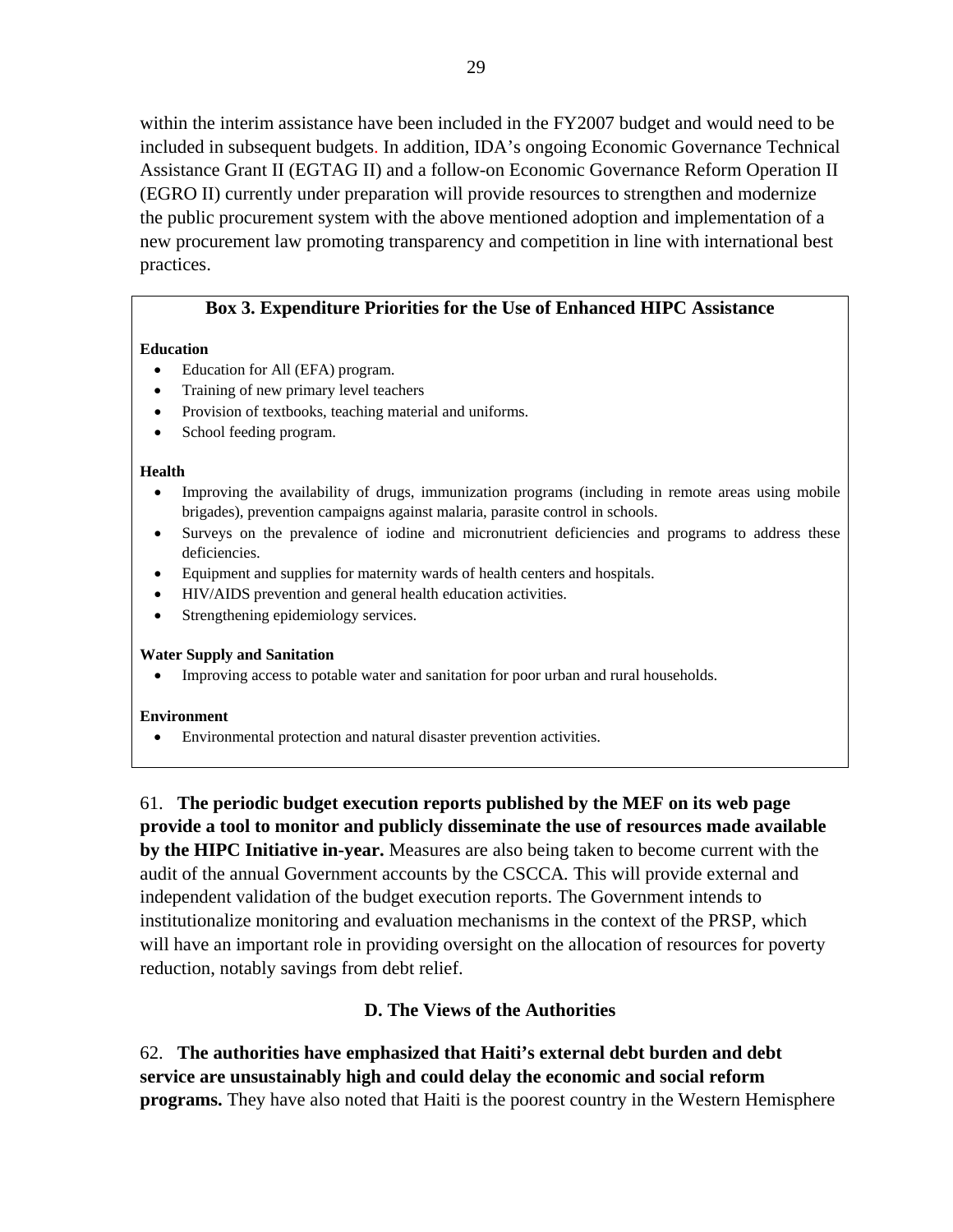within the interim assistance have been included in the FY2007 budget and would need to be included in subsequent budgets. In addition, IDA's ongoing Economic Governance Technical Assistance Grant II (EGTAG II) and a follow-on Economic Governance Reform Operation II (EGRO II) currently under preparation will provide resources to strengthen and modernize the public procurement system with the above mentioned adoption and implementation of a new procurement law promoting transparency and competition in line with international best practices.

### **Box 3. Expenditure Priorities for the Use of Enhanced HIPC Assistance**

#### **Education**

- Education for All (EFA) program.
- Training of new primary level teachers
- Provision of textbooks, teaching material and uniforms.
- School feeding program.

#### **Health**

- Improving the availability of drugs, immunization programs (including in remote areas using mobile brigades), prevention campaigns against malaria, parasite control in schools.
- Surveys on the prevalence of iodine and micronutrient deficiencies and programs to address these deficiencies.
- Equipment and supplies for maternity wards of health centers and hospitals.
- HIV/AIDS prevention and general health education activities.
- Strengthening epidemiology services.

#### **Water Supply and Sanitation**

• Improving access to potable water and sanitation for poor urban and rural households.

#### **Environment**

• Environmental protection and natural disaster prevention activities.

61. **The periodic budget execution reports published by the MEF on its web page provide a tool to monitor and publicly disseminate the use of resources made available by the HIPC Initiative in-year.** Measures are also being taken to become current with the audit of the annual Government accounts by the CSCCA*.* This will provide external and independent validation of the budget execution reports. The Government intends to institutionalize monitoring and evaluation mechanisms in the context of the PRSP, which will have an important role in providing oversight on the allocation of resources for poverty reduction, notably savings from debt relief.

## **D. The Views of the Authorities**

62. **The authorities have emphasized that Haiti's external debt burden and debt service are unsustainably high and could delay the economic and social reform programs.** They have also noted that Haiti is the poorest country in the Western Hemisphere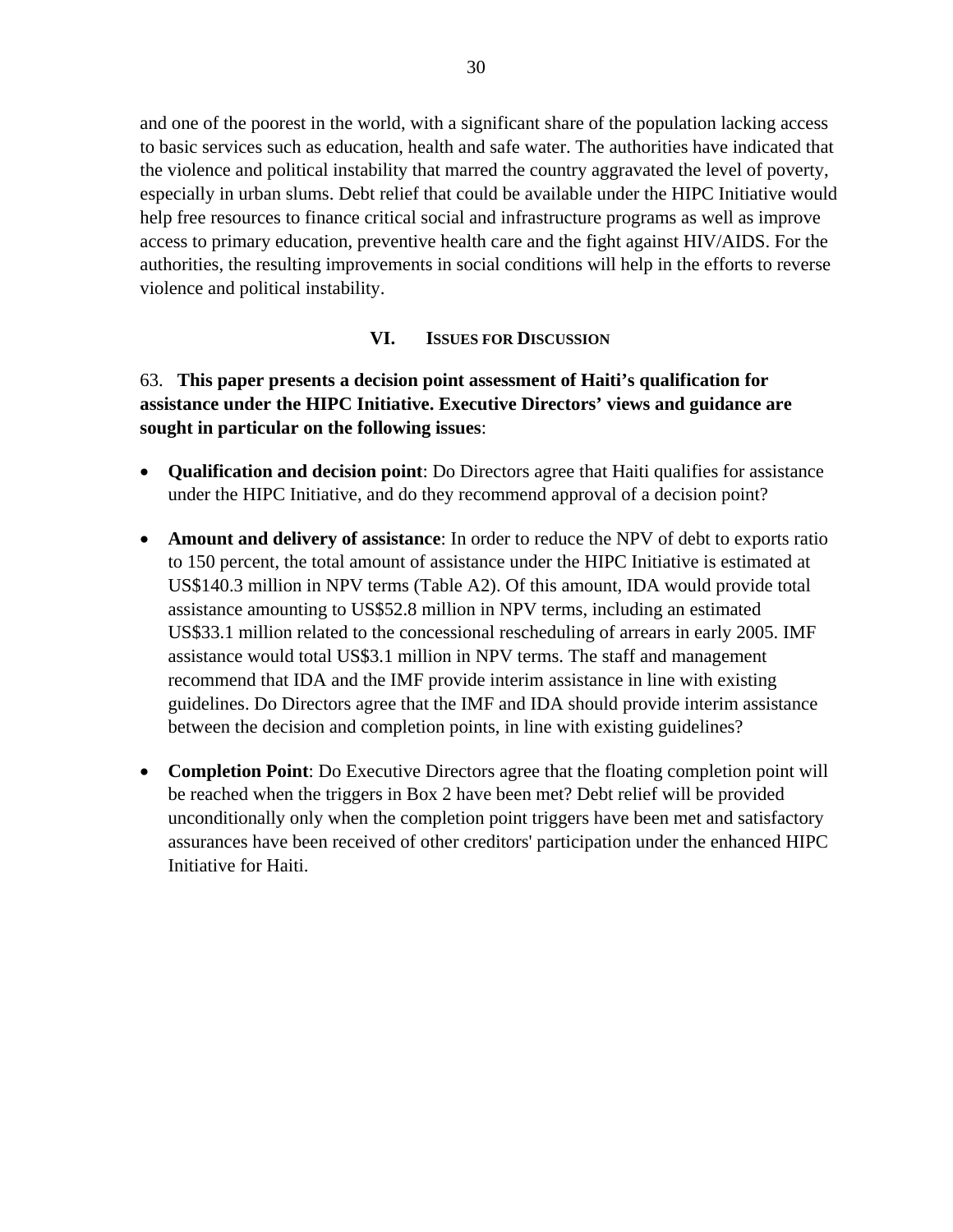and one of the poorest in the world, with a significant share of the population lacking access to basic services such as education, health and safe water. The authorities have indicated that the violence and political instability that marred the country aggravated the level of poverty, especially in urban slums. Debt relief that could be available under the HIPC Initiative would help free resources to finance critical social and infrastructure programs as well as improve access to primary education, preventive health care and the fight against HIV/AIDS. For the authorities, the resulting improvements in social conditions will help in the efforts to reverse violence and political instability.

## **VI. ISSUES FOR DISCUSSION**

# 63. **This paper presents a decision point assessment of Haiti's qualification for assistance under the HIPC Initiative. Executive Directors' views and guidance are sought in particular on the following issues**:

- **Qualification and decision point**: Do Directors agree that Haiti qualifies for assistance under the HIPC Initiative, and do they recommend approval of a decision point?
- **Amount and delivery of assistance**: In order to reduce the NPV of debt to exports ratio to 150 percent, the total amount of assistance under the HIPC Initiative is estimated at US\$140.3 million in NPV terms (Table A2). Of this amount, IDA would provide total assistance amounting to US\$52.8 million in NPV terms, including an estimated US\$33.1 million related to the concessional rescheduling of arrears in early 2005. IMF assistance would total US\$3.1 million in NPV terms. The staff and management recommend that IDA and the IMF provide interim assistance in line with existing guidelines. Do Directors agree that the IMF and IDA should provide interim assistance between the decision and completion points, in line with existing guidelines?
- **Completion Point**: Do Executive Directors agree that the floating completion point will be reached when the triggers in Box 2 have been met? Debt relief will be provided unconditionally only when the completion point triggers have been met and satisfactory assurances have been received of other creditors' participation under the enhanced HIPC Initiative for Haiti.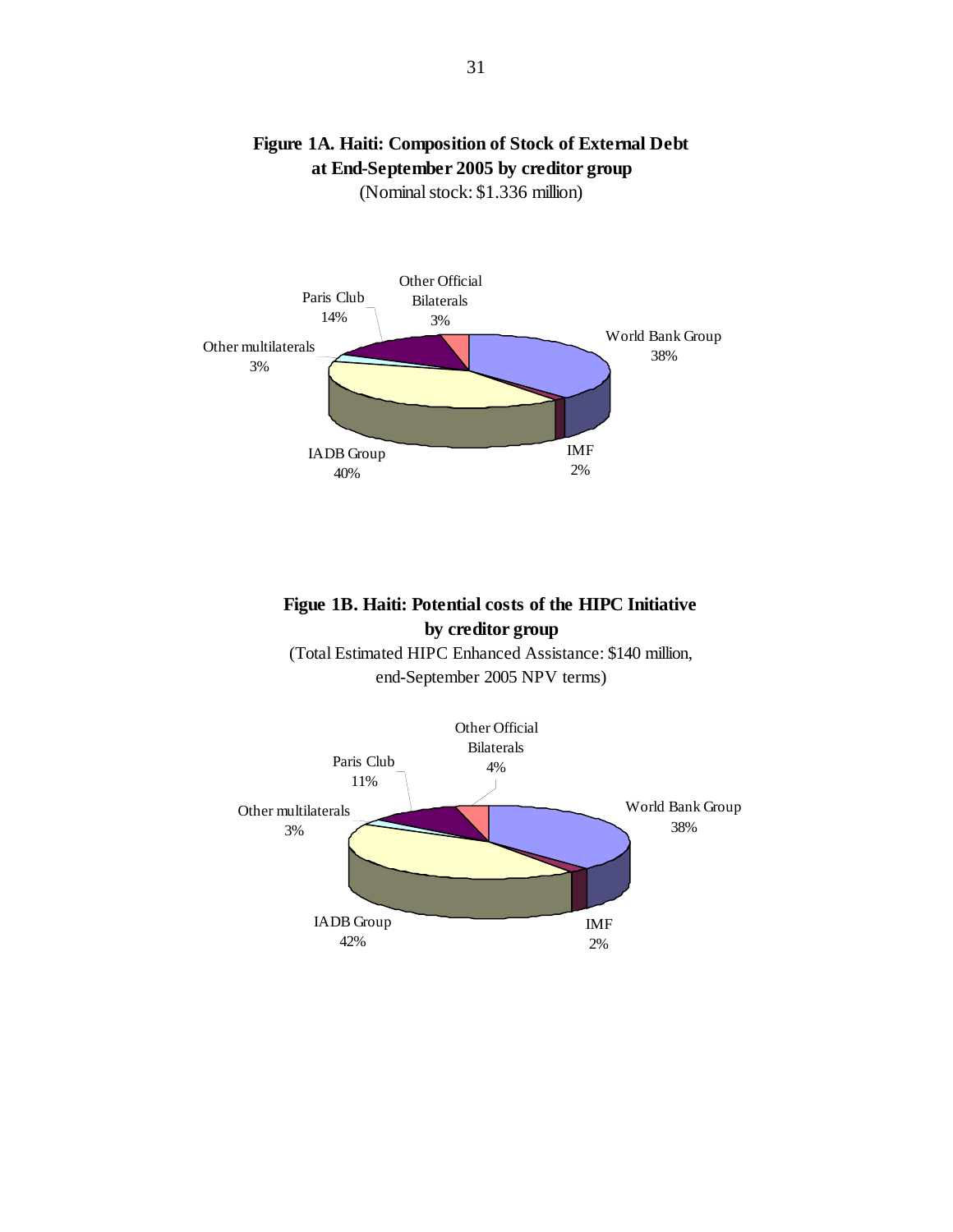

# **Figure 1A. Haiti: Composition of Stock of External Debt at End-September 2005 by creditor group**

(Nominal stock: \$1.336 million)

# **Figue 1B. Haiti: Potential costs of the HIPC Initiative by creditor group**

(Total Estimated HIPC Enhanced Assistance: \$140 million, end-September 2005 NPV terms)

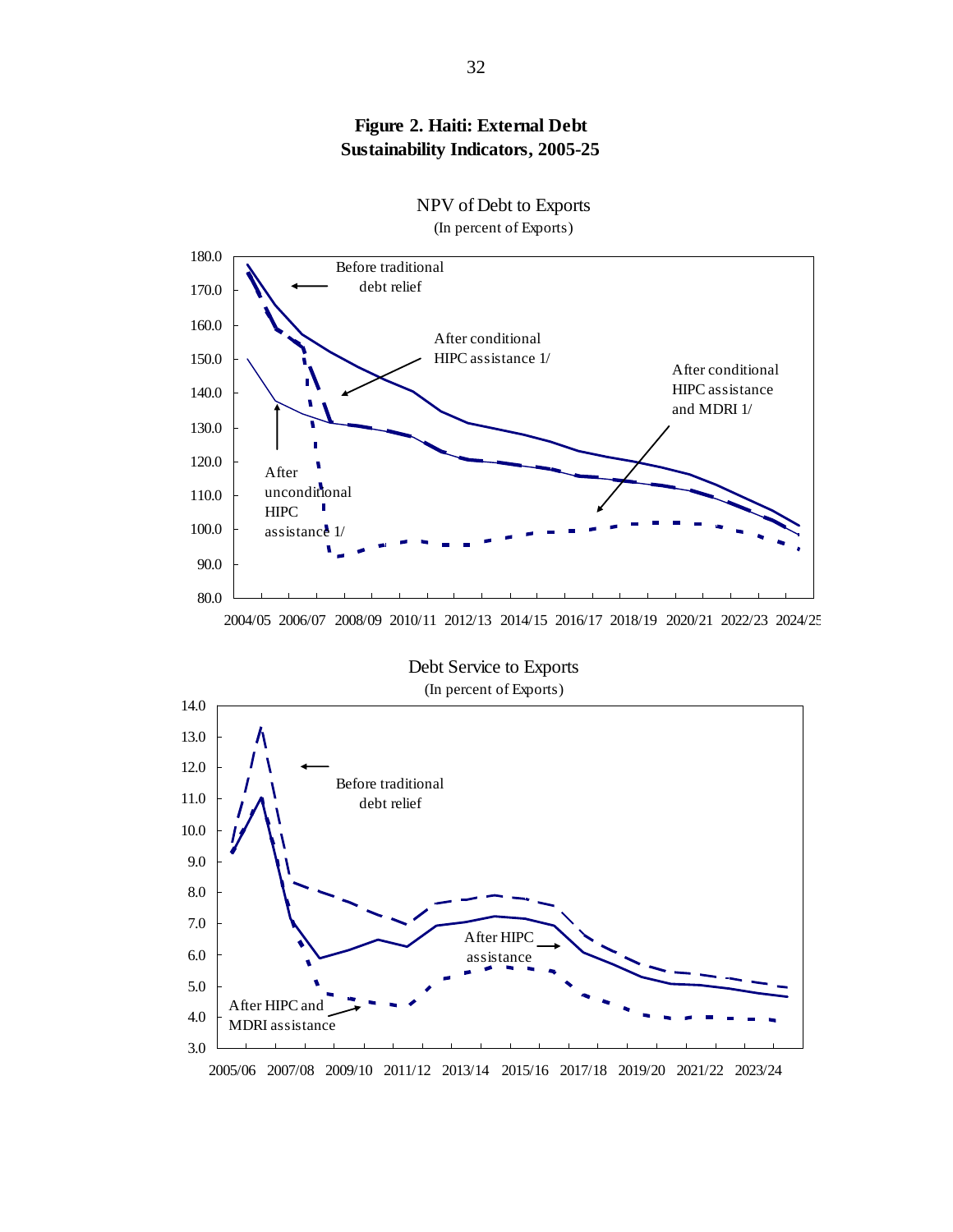



NPV of Debt to Exports

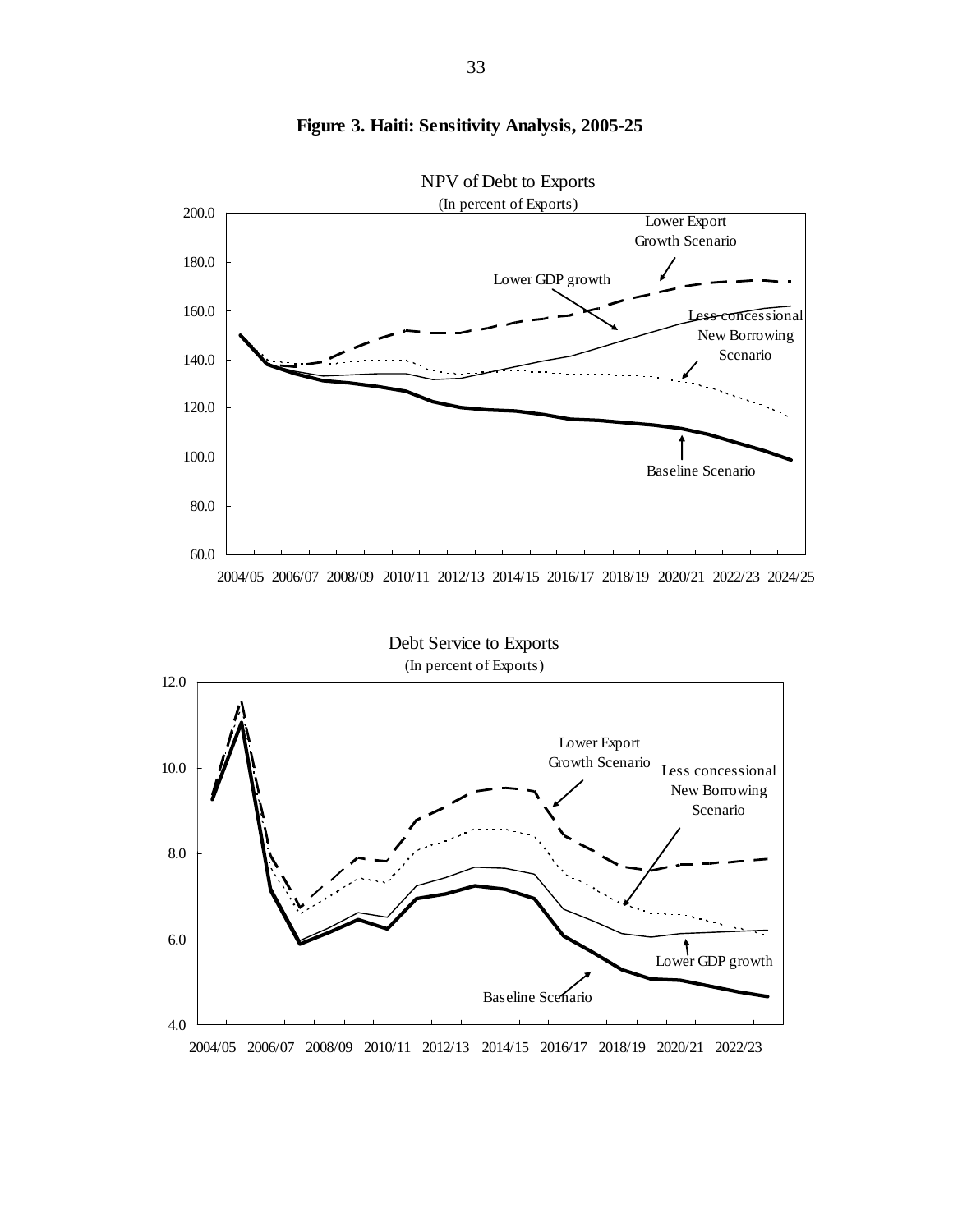

**Figure 3. Haiti: Sensitivity Analysis, 2005-25**

33

2004/05 2006/07 2008/09 2010/11 2012/13 2014/15 2016/17 2018/19 2020/21 2022/23

4.0

6.0

Baseline Scenario

Lower GDP growth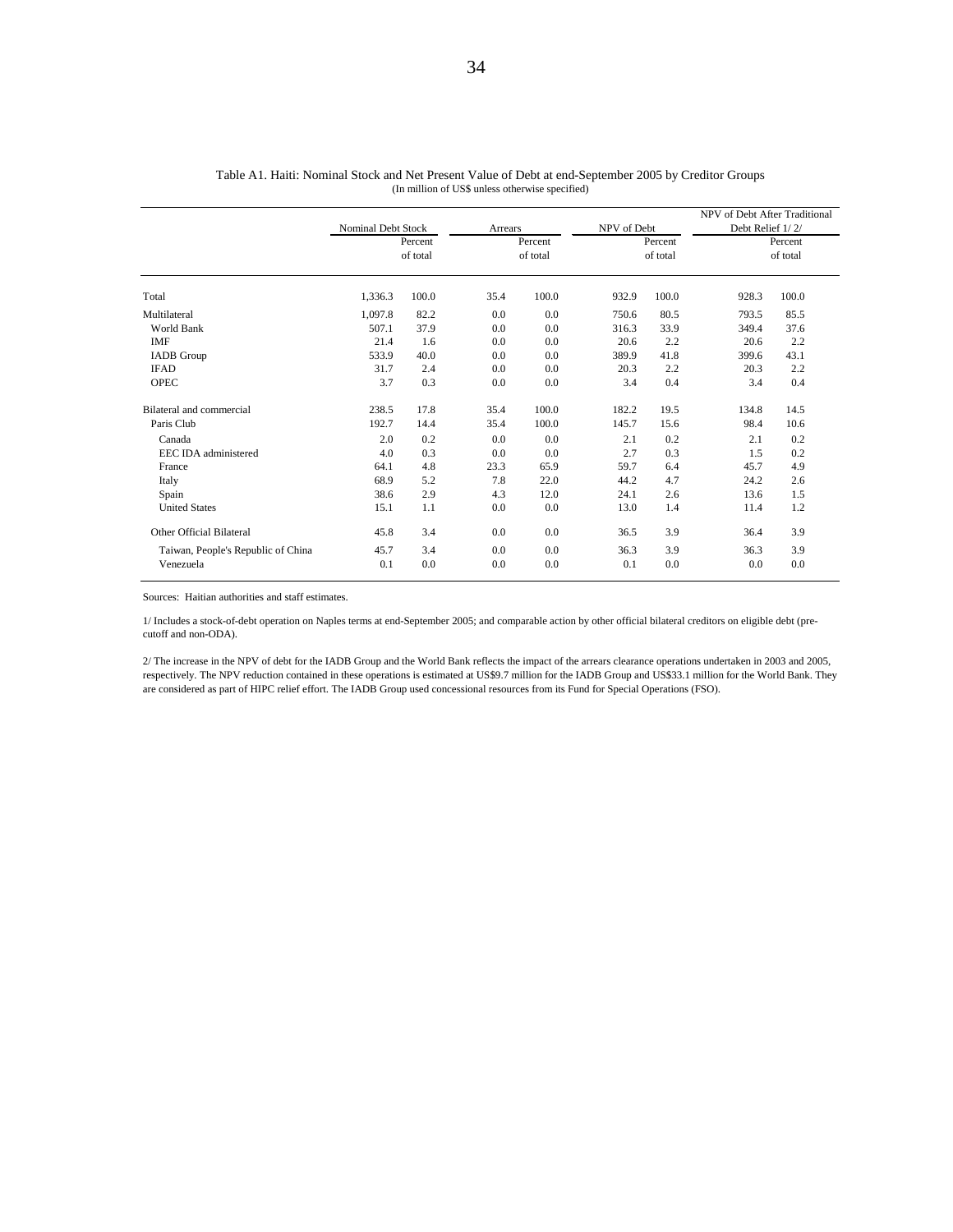|                                    | Nominal Debt Stock |          | Arrears |          | NPV of Debt |          | NPV of Debt After Traditional<br>Debt Relief 1/2/ |          |
|------------------------------------|--------------------|----------|---------|----------|-------------|----------|---------------------------------------------------|----------|
|                                    |                    | Percent  |         | Percent  |             | Percent  |                                                   | Percent  |
|                                    |                    | of total |         | of total |             | of total |                                                   | of total |
| Total                              | 1,336.3            | 100.0    | 35.4    | 100.0    | 932.9       | 100.0    | 928.3                                             | 100.0    |
| Multilateral                       | 1,097.8            | 82.2     | 0.0     | 0.0      | 750.6       | 80.5     | 793.5                                             | 85.5     |
| World Bank                         | 507.1              | 37.9     | 0.0     | 0.0      | 316.3       | 33.9     | 349.4                                             | 37.6     |
| <b>IMF</b>                         | 21.4               | 1.6      | 0.0     | 0.0      | 20.6        | 2.2      | 20.6                                              | 2.2      |
| <b>IADB</b> Group                  | 533.9              | 40.0     | 0.0     | 0.0      | 389.9       | 41.8     | 399.6                                             | 43.1     |
| <b>IFAD</b>                        | 31.7               | 2.4      | 0.0     | 0.0      | 20.3        | 2.2      | 20.3                                              | 2.2      |
| <b>OPEC</b>                        | 3.7                | 0.3      | 0.0     | 0.0      | 3.4         | 0.4      | 3.4                                               | 0.4      |
| Bilateral and commercial           | 238.5              | 17.8     | 35.4    | 100.0    | 182.2       | 19.5     | 134.8                                             | 14.5     |
| Paris Club                         | 192.7              | 14.4     | 35.4    | 100.0    | 145.7       | 15.6     | 98.4                                              | 10.6     |
| Canada                             | 2.0                | 0.2      | 0.0     | 0.0      | 2.1         | 0.2      | 2.1                                               | 0.2      |
| EEC IDA administered               | 4.0                | 0.3      | 0.0     | 0.0      | 2.7         | 0.3      | 1.5                                               | 0.2      |
| France                             | 64.1               | 4.8      | 23.3    | 65.9     | 59.7        | 6.4      | 45.7                                              | 4.9      |
| Italy                              | 68.9               | 5.2      | 7.8     | 22.0     | 44.2        | 4.7      | 24.2                                              | 2.6      |
| Spain                              | 38.6               | 2.9      | 4.3     | 12.0     | 24.1        | 2.6      | 13.6                                              | 1.5      |
| <b>United States</b>               | 15.1               | 1.1      | 0.0     | 0.0      | 13.0        | 1.4      | 11.4                                              | 1.2      |
| Other Official Bilateral           | 45.8               | 3.4      | 0.0     | 0.0      | 36.5        | 3.9      | 36.4                                              | 3.9      |
| Taiwan, People's Republic of China | 45.7               | 3.4      | 0.0     | 0.0      | 36.3        | 3.9      | 36.3                                              | 3.9      |
| Venezuela                          | 0.1                | 0.0      | 0.0     | 0.0      | 0.1         | 0.0      | 0.0                                               | 0.0      |

(In million of US\$ unless otherwise specified) Table A1. Haiti: Nominal Stock and Net Present Value of Debt at end-September 2005 by Creditor Groups

Sources: Haitian authorities and staff estimates.

1/ Includes a stock-of-debt operation on Naples terms at end-September 2005; and comparable action by other official bilateral creditors on eligible debt (precutoff and non-ODA).

2/ The increase in the NPV of debt for the IADB Group and the World Bank reflects the impact of the arrears clearance operations undertaken in 2003 and 2005, respectively. The NPV reduction contained in these operations is estimated at US\$9.7 million for the IADB Group and US\$33.1 million for the World Bank. They are considered as part of HIPC relief effort. The IADB Group used concessional resources from its Fund for Special Operations (FSO).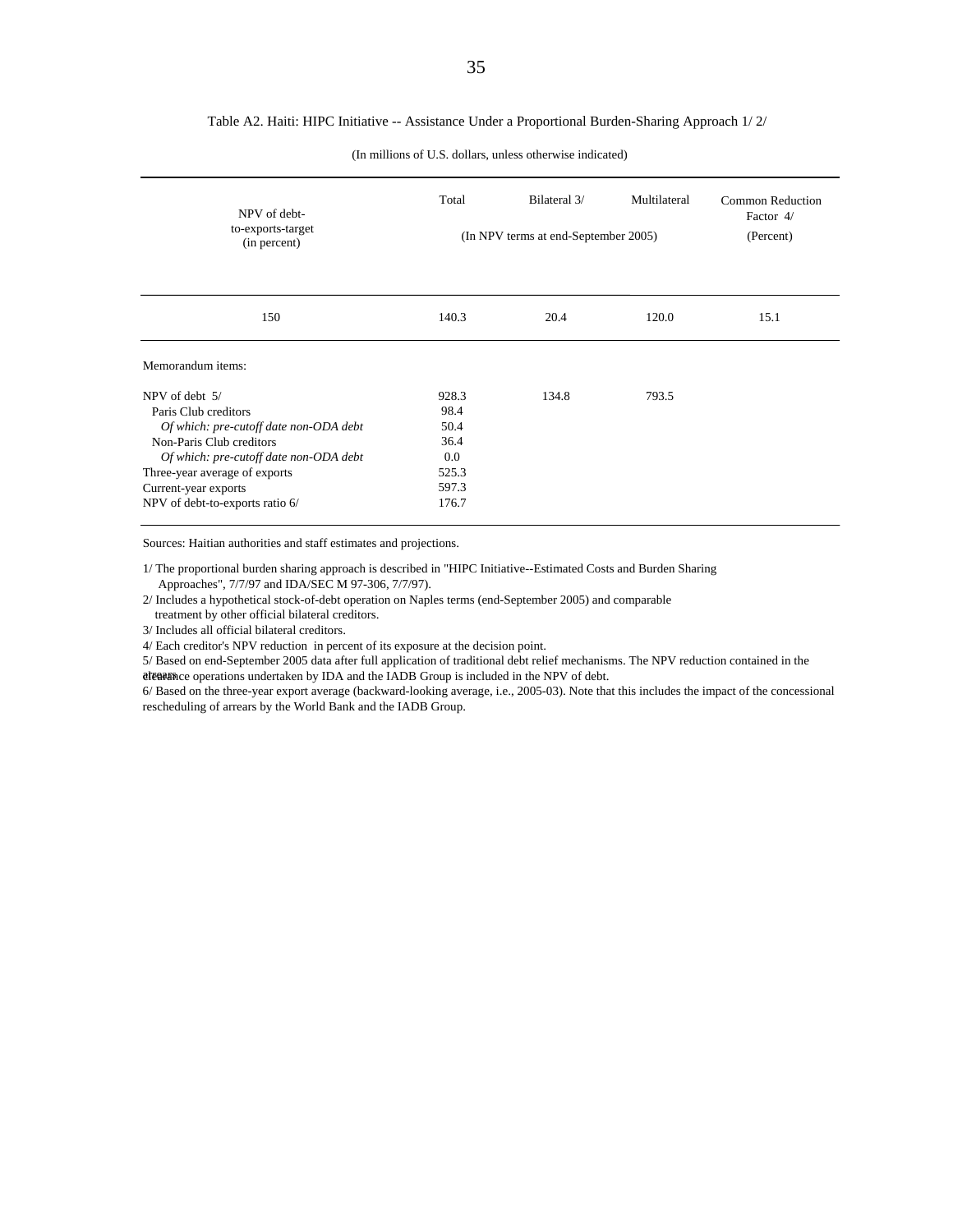#### Table A2. Haiti: HIPC Initiative -- Assistance Under a Proportional Burden-Sharing Approach 1/ 2/

| NPV of debt-                           | Total   | Bilateral 3/                         | Multilateral | Common Reduction<br>Factor 4/ |
|----------------------------------------|---------|--------------------------------------|--------------|-------------------------------|
| to-exports-target<br>(in percent)      |         | (In NPV terms at end-September 2005) |              | (Percent)                     |
| 150                                    | 140.3   | 20.4                                 | 120.0        | 15.1                          |
| Memorandum items:                      |         |                                      |              |                               |
| NPV of debt 5/                         | 928.3   | 134.8                                | 793.5        |                               |
| Paris Club creditors                   | 98.4    |                                      |              |                               |
| Of which: pre-cutoff date non-ODA debt | 50.4    |                                      |              |                               |
| Non-Paris Club creditors               | 36.4    |                                      |              |                               |
| Of which: pre-cutoff date non-ODA debt | $0.0\,$ |                                      |              |                               |
| Three-year average of exports          | 525.3   |                                      |              |                               |
| Current-year exports                   | 597.3   |                                      |              |                               |
| NPV of debt-to-exports ratio 6/        | 176.7   |                                      |              |                               |

(In millions of U.S. dollars, unless otherwise indicated)

Sources: Haitian authorities and staff estimates and projections.

1/ The proportional burden sharing approach is described in "HIPC Initiative--Estimated Costs and Burden Sharing Approaches", 7/7/97 and IDA/SEC M 97-306, 7/7/97).

2/ Includes a hypothetical stock-of-debt operation on Naples terms (end-September 2005) and comparable

treatment by other official bilateral creditors.

3/ Includes all official bilateral creditors.

4/ Each creditor's NPV reduction in percent of its exposure at the decision point.

5/ Based on end-September 2005 data after full application of traditional debt relief mechanisms. The NPV reduction contained in the atearance operations undertaken by IDA and the IADB Group is included in the NPV of debt.

6/ Based on the three-year export average (backward-looking average, i.e., 2005-03). Note that this includes the impact of the concessional rescheduling of arrears by the World Bank and the IADB Group.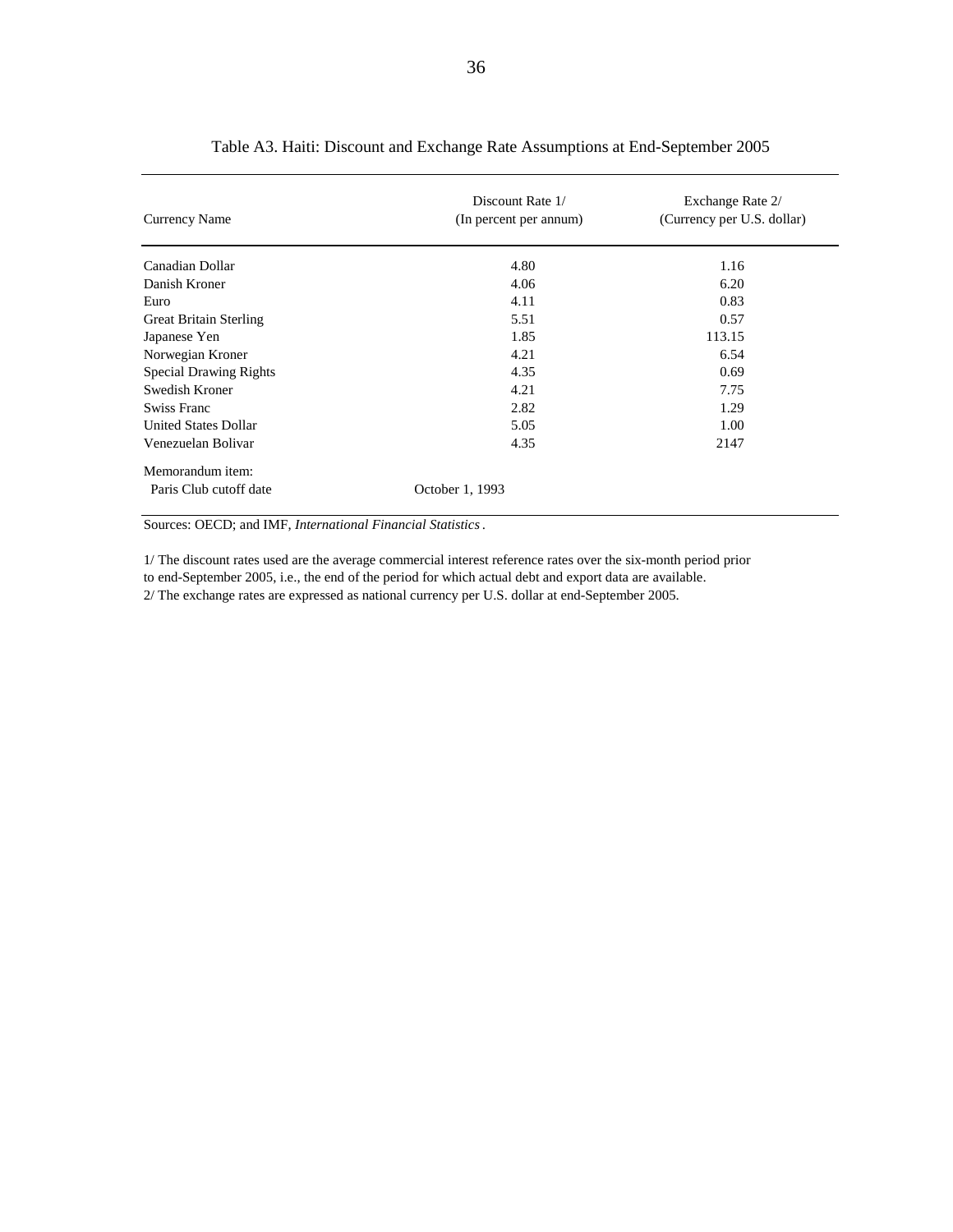| <b>Currency Name</b>          | Discount Rate 1/<br>(In percent per annum) | Exchange Rate 2/<br>(Currency per U.S. dollar) |
|-------------------------------|--------------------------------------------|------------------------------------------------|
| Canadian Dollar               | 4.80                                       | 1.16                                           |
| Danish Kroner                 | 4.06                                       | 6.20                                           |
| Euro                          | 4.11                                       | 0.83                                           |
| <b>Great Britain Sterling</b> | 5.51                                       | 0.57                                           |
| Japanese Yen                  | 1.85                                       | 113.15                                         |
| Norwegian Kroner              | 4.21                                       | 6.54                                           |
| <b>Special Drawing Rights</b> | 4.35                                       | 0.69                                           |
| Swedish Kroner                | 4.21                                       | 7.75                                           |
| Swiss Franc                   | 2.82                                       | 1.29                                           |
| <b>United States Dollar</b>   | 5.05                                       | 1.00                                           |
| Venezuelan Bolivar            | 4.35                                       | 2147                                           |
| Memorandum item:              |                                            |                                                |
| Paris Club cutoff date        | October 1, 1993                            |                                                |

#### Table A3. Haiti: Discount and Exchange Rate Assumptions at End-September 2005

Sources: OECD; and IMF, *International Financial Statistics*.

to end-September 2005, i.e., the end of the period for which actual debt and export data are available. 1/ The discount rates used are the average commercial interest reference rates over the six-month period prior 2/ The exchange rates are expressed as national currency per U.S. dollar at end-September 2005.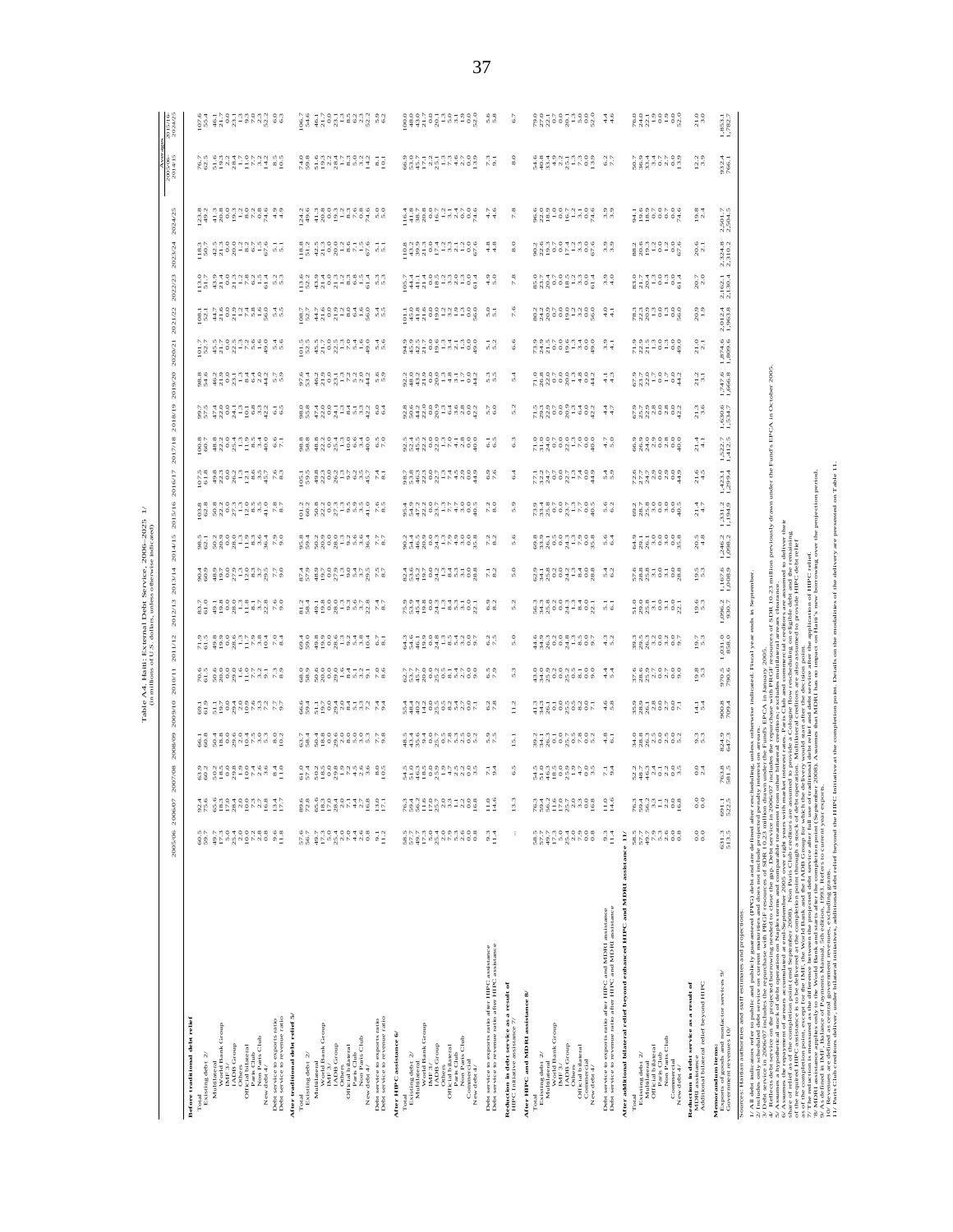|                                                                                                                                                                                                                                                    |                                           |                                           |                                                   |                                                           |                                                 |                                        |                                           | Table A4. Haiti: External Debt Service, 2006–2025<br>(in millions of U.S. dollars, unless otherwise indicated)                                                                                                                                                                                                                                                                                                                                                                                         |                                                          |                        |                                                                                                                                                                                                                                                                                                                    |                                                                                                                                                                                                                                                                                                                                                                                                                                                               |                        |                                                                                                                                                                                                                                                                                                                                                                                                                                                                                                                                                                                         |                                                                                                                                                                                                                                                                                                                     |                                                                                                                                                                                                                                                                            |                                                                                                                                                                                                                                                                                                                                                                                                                                                 |                                                                                                                                                                                                                                                                                    |                                                                       |                                                                                                                                                                                                                                                                                                                |                      |
|----------------------------------------------------------------------------------------------------------------------------------------------------------------------------------------------------------------------------------------------------|-------------------------------------------|-------------------------------------------|---------------------------------------------------|-----------------------------------------------------------|-------------------------------------------------|----------------------------------------|-------------------------------------------|--------------------------------------------------------------------------------------------------------------------------------------------------------------------------------------------------------------------------------------------------------------------------------------------------------------------------------------------------------------------------------------------------------------------------------------------------------------------------------------------------------|----------------------------------------------------------|------------------------|--------------------------------------------------------------------------------------------------------------------------------------------------------------------------------------------------------------------------------------------------------------------------------------------------------------------|---------------------------------------------------------------------------------------------------------------------------------------------------------------------------------------------------------------------------------------------------------------------------------------------------------------------------------------------------------------------------------------------------------------------------------------------------------------|------------------------|-----------------------------------------------------------------------------------------------------------------------------------------------------------------------------------------------------------------------------------------------------------------------------------------------------------------------------------------------------------------------------------------------------------------------------------------------------------------------------------------------------------------------------------------------------------------------------------------|---------------------------------------------------------------------------------------------------------------------------------------------------------------------------------------------------------------------------------------------------------------------------------------------------------------------|----------------------------------------------------------------------------------------------------------------------------------------------------------------------------------------------------------------------------------------------------------------------------|-------------------------------------------------------------------------------------------------------------------------------------------------------------------------------------------------------------------------------------------------------------------------------------------------------------------------------------------------------------------------------------------------------------------------------------------------|------------------------------------------------------------------------------------------------------------------------------------------------------------------------------------------------------------------------------------------------------------------------------------|-----------------------------------------------------------------------|----------------------------------------------------------------------------------------------------------------------------------------------------------------------------------------------------------------------------------------------------------------------------------------------------------------|----------------------|
|                                                                                                                                                                                                                                                    | 2005/06 2006/07                           |                                           | 2007/08                                           | 2008/09                                                   | 2009/10                                         | 2011/12<br>2010/11                     |                                           | 2013/14<br>2012/13                                                                                                                                                                                                                                                                                                                                                                                                                                                                                     | 2014/15                                                  | 2015/16                | 2016/17                                                                                                                                                                                                                                                                                                            | 2017/18                                                                                                                                                                                                                                                                                                                                                                                                                                                       | 2018/19                | 2019/20                                                                                                                                                                                                                                                                                                                                                                                                                                                                                                                                                                                 | 2020/21                                                                                                                                                                                                                                                                                                             | 2021/22                                                                                                                                                                                                                                                                    | 2022/23                                                                                                                                                                                                                                                                                                                                                                                                                                         | 2023/24                                                                                                                                                                                                                                                                            | 2024/25                                                               | Aver<br>2005/06-<br>2014/15                                                                                                                                                                                                                                                                                    | 2015/16-<br>2024/25  |
| Before traditional debt relief<br>Existing debt $2/$<br>Total                                                                                                                                                                                      | 60.5                                      |                                           |                                                   |                                                           |                                                 |                                        |                                           |                                                                                                                                                                                                                                                                                                                                                                                                                                                                                                        |                                                          |                        |                                                                                                                                                                                                                                                                                                                    |                                                                                                                                                                                                                                                                                                                                                                                                                                                               |                        |                                                                                                                                                                                                                                                                                                                                                                                                                                                                                                                                                                                         |                                                                                                                                                                                                                                                                                                                     |                                                                                                                                                                                                                                                                            |                                                                                                                                                                                                                                                                                                                                                                                                                                                 |                                                                                                                                                                                                                                                                                    |                                                                       |                                                                                                                                                                                                                                                                                                                |                      |
| Multilateral<br>World Bank Group                                                                                                                                                                                                                   | 49.7<br>17.3                              |                                           |                                                   |                                                           |                                                 |                                        |                                           |                                                                                                                                                                                                                                                                                                                                                                                                                                                                                                        |                                                          |                        |                                                                                                                                                                                                                                                                                                                    |                                                                                                                                                                                                                                                                                                                                                                                                                                                               |                        |                                                                                                                                                                                                                                                                                                                                                                                                                                                                                                                                                                                         |                                                                                                                                                                                                                                                                                                                     |                                                                                                                                                                                                                                                                            |                                                                                                                                                                                                                                                                                                                                                                                                                                                 |                                                                                                                                                                                                                                                                                    |                                                                       |                                                                                                                                                                                                                                                                                                                |                      |
| $\begin{array}{ll}\n\textbf{IMF } 3'\\ \n\textbf{IMDB Group} \end{array}$                                                                                                                                                                          |                                           |                                           |                                                   |                                                           |                                                 |                                        |                                           |                                                                                                                                                                                                                                                                                                                                                                                                                                                                                                        |                                                          |                        |                                                                                                                                                                                                                                                                                                                    |                                                                                                                                                                                                                                                                                                                                                                                                                                                               |                        |                                                                                                                                                                                                                                                                                                                                                                                                                                                                                                                                                                                         |                                                                                                                                                                                                                                                                                                                     |                                                                                                                                                                                                                                                                            |                                                                                                                                                                                                                                                                                                                                                                                                                                                 |                                                                                                                                                                                                                                                                                    |                                                                       |                                                                                                                                                                                                                                                                                                                |                      |
| Official bilateral<br><b>Cubers</b>                                                                                                                                                                                                                |                                           | 있는 음료들의 이름나 이루                            | ad dudwadd da 19<br>1988 2009 - 2010 102          |                                                           |                                                 | en seegseend na<br>Se ssesings         | an gasantaga sa<br>Dagasantaga sa         |                                                                                                                                                                                                                                                                                                                                                                                                                                                                                                        |                                                          |                        |                                                                                                                                                                                                                                                                                                                    |                                                                                                                                                                                                                                                                                                                                                                                                                                                               |                        |                                                                                                                                                                                                                                                                                                                                                                                                                                                                                                                                                                                         | $\frac{1}{2}$ $\frac{1}{6}$ $\frac{1}{3}$ $\frac{1}{1}$ $\frac{1}{2}$ $\frac{1}{6}$ $\frac{1}{3}$ $\frac{1}{1}$ $\frac{1}{6}$ $\frac{1}{1}$ $\frac{1}{1}$ $\frac{1}{1}$ $\frac{1}{1}$ $\frac{1}{1}$ $\frac{1}{1}$ $\frac{1}{1}$ $\frac{1}{2}$ $\frac{1}{2}$ $\frac{1}{2}$ $\frac{1}{3}$ $\frac{1}{1}$ $\frac{1}{2}$ | $\begin{array}{c} 0.01 & 0.01 & 0.00 & 0.00 & 0.00 & 0.00 & 0.00 & 0.00 & 0.00 & 0.00 & 0.00 & 0.00 & 0.00 & 0.00 & 0.00 & 0.00 & 0.00 & 0.00 & 0.00 & 0.00 & 0.00 & 0.00 & 0.00 & 0.00 & 0.00 & 0.00 & 0.00 & 0.00 & 0.00 & 0.00 & 0.00 & 0.00 & 0.00 & 0.00 & 0.00 & 0.$ | er a tenneggnt da<br>Es fales de esta                                                                                                                                                                                                                                                                                                                                                                                                           |                                                                                                                                                                                                                                                                                    |                                                                       |                                                                                                                                                                                                                                                                                                                | ed driedune van de   |
| Paris Club<br>Non Paris Club<br>New debt 4/                                                                                                                                                                                                        |                                           |                                           |                                                   |                                                           |                                                 |                                        |                                           |                                                                                                                                                                                                                                                                                                                                                                                                                                                                                                        |                                                          |                        |                                                                                                                                                                                                                                                                                                                    |                                                                                                                                                                                                                                                                                                                                                                                                                                                               |                        |                                                                                                                                                                                                                                                                                                                                                                                                                                                                                                                                                                                         |                                                                                                                                                                                                                                                                                                                     |                                                                                                                                                                                                                                                                            |                                                                                                                                                                                                                                                                                                                                                                                                                                                 |                                                                                                                                                                                                                                                                                    |                                                                       |                                                                                                                                                                                                                                                                                                                |                      |
| Debt service to exports ratio<br>Debt service to revenue ratio                                                                                                                                                                                     |                                           | 40 0 m 0 t 0 0 m r x d r<br>$\frac{3}{2}$ |                                                   |                                                           |                                                 |                                        |                                           |                                                                                                                                                                                                                                                                                                                                                                                                                                                                                                        |                                                          |                        |                                                                                                                                                                                                                                                                                                                    |                                                                                                                                                                                                                                                                                                                                                                                                                                                               |                        |                                                                                                                                                                                                                                                                                                                                                                                                                                                                                                                                                                                         |                                                                                                                                                                                                                                                                                                                     |                                                                                                                                                                                                                                                                            |                                                                                                                                                                                                                                                                                                                                                                                                                                                 |                                                                                                                                                                                                                                                                                    |                                                                       |                                                                                                                                                                                                                                                                                                                |                      |
| After traditional debt relief 5/<br>Total                                                                                                                                                                                                          |                                           |                                           |                                                   |                                                           |                                                 |                                        |                                           |                                                                                                                                                                                                                                                                                                                                                                                                                                                                                                        |                                                          |                        |                                                                                                                                                                                                                                                                                                                    |                                                                                                                                                                                                                                                                                                                                                                                                                                                               |                        |                                                                                                                                                                                                                                                                                                                                                                                                                                                                                                                                                                                         |                                                                                                                                                                                                                                                                                                                     |                                                                                                                                                                                                                                                                            |                                                                                                                                                                                                                                                                                                                                                                                                                                                 |                                                                                                                                                                                                                                                                                    |                                                                       |                                                                                                                                                                                                                                                                                                                |                      |
| Existing debt 2/                                                                                                                                                                                                                                   | 57.6<br>56.7                              |                                           |                                                   |                                                           |                                                 |                                        |                                           |                                                                                                                                                                                                                                                                                                                                                                                                                                                                                                        |                                                          |                        |                                                                                                                                                                                                                                                                                                                    |                                                                                                                                                                                                                                                                                                                                                                                                                                                               |                        |                                                                                                                                                                                                                                                                                                                                                                                                                                                                                                                                                                                         |                                                                                                                                                                                                                                                                                                                     |                                                                                                                                                                                                                                                                            |                                                                                                                                                                                                                                                                                                                                                                                                                                                 |                                                                                                                                                                                                                                                                                    |                                                                       |                                                                                                                                                                                                                                                                                                                |                      |
| Multilateral<br>World Bank Group<br>IMF 3/                                                                                                                                                                                                         | 22999900                                  |                                           |                                                   |                                                           |                                                 |                                        |                                           |                                                                                                                                                                                                                                                                                                                                                                                                                                                                                                        |                                                          |                        |                                                                                                                                                                                                                                                                                                                    |                                                                                                                                                                                                                                                                                                                                                                                                                                                               |                        |                                                                                                                                                                                                                                                                                                                                                                                                                                                                                                                                                                                         |                                                                                                                                                                                                                                                                                                                     |                                                                                                                                                                                                                                                                            |                                                                                                                                                                                                                                                                                                                                                                                                                                                 |                                                                                                                                                                                                                                                                                    |                                                                       |                                                                                                                                                                                                                                                                                                                |                      |
| <b>ADB</b> Group<br>Others<br>Official bilateral                                                                                                                                                                                                   |                                           |                                           |                                                   |                                                           |                                                 |                                        |                                           |                                                                                                                                                                                                                                                                                                                                                                                                                                                                                                        |                                                          |                        |                                                                                                                                                                                                                                                                                                                    |                                                                                                                                                                                                                                                                                                                                                                                                                                                               |                        |                                                                                                                                                                                                                                                                                                                                                                                                                                                                                                                                                                                         |                                                                                                                                                                                                                                                                                                                     |                                                                                                                                                                                                                                                                            |                                                                                                                                                                                                                                                                                                                                                                                                                                                 |                                                                                                                                                                                                                                                                                    |                                                                       |                                                                                                                                                                                                                                                                                                                |                      |
| Paris Club<br>Non Paris Club                                                                                                                                                                                                                       | $\begin{array}{c} 468 \\ 268 \end{array}$ |                                           |                                                   |                                                           |                                                 |                                        |                                           |                                                                                                                                                                                                                                                                                                                                                                                                                                                                                                        |                                                          |                        |                                                                                                                                                                                                                                                                                                                    |                                                                                                                                                                                                                                                                                                                                                                                                                                                               |                        |                                                                                                                                                                                                                                                                                                                                                                                                                                                                                                                                                                                         |                                                                                                                                                                                                                                                                                                                     |                                                                                                                                                                                                                                                                            |                                                                                                                                                                                                                                                                                                                                                                                                                                                 |                                                                                                                                                                                                                                                                                    |                                                                       |                                                                                                                                                                                                                                                                                                                |                      |
| Debt service to exports ratio<br>Debt service to revenue ratio<br>New debt 4/                                                                                                                                                                      | $\frac{5}{11}$ .2                         |                                           | ad diadwiddd ad<br>dr Saest-Linu ad               | r 4 4 8 0 9 0 0 0 0 0 m<br>na da da da da da da da da da  |                                                 | $88.889898 - 8.79268$                  |                                           | $\begin{array}{l} \mathbb{Z} \mathbb{S} \end{array} \begin{array}{l} \mathbb{S} \end{array} \begin{array}{l} \mathbb{S} \end{array} \begin{array}{l} \mathbb{S} \end{array} \begin{array}{l} \mathbb{S} \end{array} \begin{array}{l} \mathbb{S} \end{array} \begin{array}{l} \mathbb{S} \end{array} \begin{array}{l} \mathbb{S} \end{array} \begin{array}{l} \mathbb{S} \end{array} \begin{array}{l} \mathbb{S} \end{array} \begin{array}{l} \mathbb{S} \end{array} \begin{array}{l} \mathbb{S} \end{$ |                                                          |                        | $\frac{1}{2}$ $\frac{3}{6}$ $\frac{3}{6}$ $\frac{3}{6}$ $\frac{1}{10}$ $\frac{5}{6}$ $\frac{1}{10}$ $\frac{3}{10}$ $\frac{1}{10}$ $\frac{5}{10}$ $\frac{3}{10}$ $\frac{1}{10}$ $\frac{5}{10}$ $\frac{1}{10}$ $\frac{5}{10}$ $\frac{1}{10}$ $\frac{5}{10}$ $\frac{1}{10}$ $\frac{1}{10}$ $\frac{1}{10}$ $\frac{1}{$ | $\begin{array}{c} \texttt{sgn} \texttt{ s} \texttt{ s} \texttt{ s} \texttt{ s} \texttt{ s} \texttt{ s} \texttt{ s} \texttt{ s} \texttt{ s} \texttt{ s} \texttt{ s} \texttt{ s} \texttt{ s} \texttt{ s} \texttt{ s} \texttt{ s} \texttt{ s} \texttt{ s} \texttt{ s} \texttt{ s} \texttt{ s} \texttt{ s} \texttt{ s} \texttt{ s} \texttt{ s} \texttt{ s} \texttt{ s} \texttt{ s} \texttt{ s} \texttt{ s} \texttt{ s} \texttt{ s} \texttt{ s} \texttt{ s} \text$ |                        | $\begin{array}{l} \mathcal{C} \overset{\mathcal{A}}{\rightarrow} \ \mathcal{C} \overset{\mathcal{B}}{\rightarrow} \ \mathcal{C} \overset{\mathcal{B}}{\rightarrow} \ \mathcal{C} \overset{\mathcal{B}}{\rightarrow} \ \mathcal{C} \overset{\mathcal{B}}{\rightarrow} \ \mathcal{C} \overset{\mathcal{B}}{\rightarrow} \ \mathcal{C} \overset{\mathcal{B}}{\rightarrow} \ \mathcal{C} \overset{\mathcal{B}}{\rightarrow} \ \mathcal{C} \overset{\mathcal{B}}{\rightarrow} \ \mathcal{C} \overset{\mathcal{B}}{\rightarrow} \ \mathcal{C} \overset{\mathcal{B}}{\rightarrow} \ \mathcal{$ |                                                                                                                                                                                                                                                                                                                     | $\begin{array}{l} 0.01 & 0.01 & 0.00 & 0.00 & 0.00 & 0.00 & 0.00 & 0.00 & 0.00 & 0.00 & 0.00 & 0.00 & 0.00 & 0.00 & 0.00 & 0.00 & 0.00 & 0.00 & 0.00 & 0.00 & 0.00 & 0.00 & 0.00 & 0.00 & 0.00 & 0.00 & 0.00 & 0.00 & 0.00 & 0.00 & 0.00 & 0.00 & 0.00 & 0.00 & 0.00 & 0.$ |                                                                                                                                                                                                                                                                                                                                                                                                                                                 | $\begin{array}{c} 31.75 & 0.75 & 0.75 & 0.75 \\ 0.75 & 0.75 & 0.75 & 0.75 \\ 0.75 & 0.75 & 0.75 & 0.75 \\ 0.75 & 0.75 & 0.75 & 0.75 \\ 0.75 & 0.75 & 0.75 & 0.75 \\ 0.75 & 0.75 & 0.75 & 0.75 \\ 0.75 & 0.75 & 0.75 & 0.75 \\ 0.75 & 0.75 & 0.75 & 0.75 \\ 0.75 & 0.75 & 0.75 & 0$ |                                                                       | $\frac{56}{56}$ $\frac{664}{52}$ $\frac{15}{6}$ $\frac{15}{6}$ $\frac{15}{6}$ $\frac{15}{6}$ $\frac{15}{6}$ $\frac{15}{6}$ $\frac{15}{6}$ $\frac{15}{6}$ $\frac{15}{6}$ $\frac{15}{6}$ $\frac{15}{6}$ $\frac{15}{6}$ $\frac{15}{6}$ $\frac{15}{6}$ $\frac{15}{6}$ $\frac{15}{6}$ $\frac{15}{6}$ $\frac{15}{6}$ |                      |
| After HIPC assistance 6/                                                                                                                                                                                                                           |                                           |                                           |                                                   |                                                           |                                                 |                                        |                                           |                                                                                                                                                                                                                                                                                                                                                                                                                                                                                                        |                                                          |                        |                                                                                                                                                                                                                                                                                                                    |                                                                                                                                                                                                                                                                                                                                                                                                                                                               |                        |                                                                                                                                                                                                                                                                                                                                                                                                                                                                                                                                                                                         |                                                                                                                                                                                                                                                                                                                     |                                                                                                                                                                                                                                                                            |                                                                                                                                                                                                                                                                                                                                                                                                                                                 |                                                                                                                                                                                                                                                                                    |                                                                       |                                                                                                                                                                                                                                                                                                                |                      |
| Existing debt 2/<br>Total                                                                                                                                                                                                                          | 557<br>1977<br>1977                       |                                           |                                                   |                                                           |                                                 |                                        |                                           |                                                                                                                                                                                                                                                                                                                                                                                                                                                                                                        |                                                          |                        |                                                                                                                                                                                                                                                                                                                    |                                                                                                                                                                                                                                                                                                                                                                                                                                                               |                        |                                                                                                                                                                                                                                                                                                                                                                                                                                                                                                                                                                                         |                                                                                                                                                                                                                                                                                                                     |                                                                                                                                                                                                                                                                            |                                                                                                                                                                                                                                                                                                                                                                                                                                                 |                                                                                                                                                                                                                                                                                    |                                                                       |                                                                                                                                                                                                                                                                                                                |                      |
| Multilateral<br>World Bank Group                                                                                                                                                                                                                   |                                           |                                           |                                                   |                                                           |                                                 |                                        |                                           |                                                                                                                                                                                                                                                                                                                                                                                                                                                                                                        |                                                          |                        |                                                                                                                                                                                                                                                                                                                    |                                                                                                                                                                                                                                                                                                                                                                                                                                                               |                        |                                                                                                                                                                                                                                                                                                                                                                                                                                                                                                                                                                                         |                                                                                                                                                                                                                                                                                                                     |                                                                                                                                                                                                                                                                            |                                                                                                                                                                                                                                                                                                                                                                                                                                                 |                                                                                                                                                                                                                                                                                    |                                                                       |                                                                                                                                                                                                                                                                                                                |                      |
| $\begin{array}{ll} \text{IMF } 3/\\ \text{IMDB Group} \end{array}$<br><b>Others</b>                                                                                                                                                                | $\frac{5.0}{25.4}$                        |                                           |                                                   |                                                           |                                                 |                                        |                                           |                                                                                                                                                                                                                                                                                                                                                                                                                                                                                                        |                                                          |                        |                                                                                                                                                                                                                                                                                                                    |                                                                                                                                                                                                                                                                                                                                                                                                                                                               |                        |                                                                                                                                                                                                                                                                                                                                                                                                                                                                                                                                                                                         |                                                                                                                                                                                                                                                                                                                     |                                                                                                                                                                                                                                                                            |                                                                                                                                                                                                                                                                                                                                                                                                                                                 |                                                                                                                                                                                                                                                                                    |                                                                       |                                                                                                                                                                                                                                                                                                                |                      |
| Paris Club<br>Non Paris Club<br>Official bilateral                                                                                                                                                                                                 | O O M O O M<br>N N N N O O                |                                           |                                                   |                                                           |                                                 |                                        |                                           |                                                                                                                                                                                                                                                                                                                                                                                                                                                                                                        |                                                          |                        |                                                                                                                                                                                                                                                                                                                    |                                                                                                                                                                                                                                                                                                                                                                                                                                                               |                        |                                                                                                                                                                                                                                                                                                                                                                                                                                                                                                                                                                                         |                                                                                                                                                                                                                                                                                                                     |                                                                                                                                                                                                                                                                            |                                                                                                                                                                                                                                                                                                                                                                                                                                                 |                                                                                                                                                                                                                                                                                    |                                                                       |                                                                                                                                                                                                                                                                                                                |                      |
| Commercial<br>New debt $4/\sqrt{2}$                                                                                                                                                                                                                |                                           |                                           | adado guerrado en 14<br>1450 - 1490 - 1490 - 1490 | ada cicliada da cicliada<br>National cicliada da cicliada | radio condente del del<br>1888 - Condente de Ca |                                        | astado auntidor de<br>1980 - Carlo de Car | $\begin{array}{c} 0.0.4, 8.5, 0.0, 0.4, 0.4, 0.5, 0.7 \\ 0.0, 0.4, 0.5, 0.4, 0.4, 0.5, 0.5, 0.6 \\ 0.0, 0.4, 0.5, 0.6, 0.6, 0.7 \end{array}$                                                                                                                                                                                                                                                                                                                                                           | a curo du a un comento.<br>A un a un comento del comento |                        |                                                                                                                                                                                                                                                                                                                    | adado de Lago<br>1988 de la de la de la de la de la de la de la de la de la de la de la de la de la de la de la de la de la de                                                                                                                                                                                                                                                                                                                                |                        |                                                                                                                                                                                                                                                                                                                                                                                                                                                                                                                                                                                         |                                                                                                                                                                                                                                                                                                                     |                                                                                                                                                                                                                                                                            | $\begin{array}{l} \Xi \; \stackrel{.}{\sim} \; \bot \; \stackrel{.}{\sim} \; \Xi \; \stackrel{.}{\sim} \; \Xi \; \stackrel{.}{\sim} \; \Xi \; \stackrel{.}{\sim} \; \Xi \; \stackrel{.}{\sim} \; \Xi \; \stackrel{.}{\sim} \; \Xi \; \stackrel{.}{\sim} \; \Xi \; \stackrel{.}{\sim} \; \Xi \; \stackrel{.}{\sim} \; \Xi \; \stackrel{.}{\sim} \; \Xi \; \stackrel{.}{\sim} \; \Xi \; \stackrel{.}{\sim} \; \Xi \; \stackrel{.}{\sim} \; \Xi \$ |                                                                                                                                                                                                                                                                                    | $\begin{array}{l} 4.817388874446664 \\ 4.489667449664 \\ \end{array}$ |                                                                                                                                                                                                                                                                                                                |                      |
| Debt service to exports ratio after HIPC assistance<br>Debt service to revenue ratio after HIPC assistance                                                                                                                                         | $^{9.3}_{1.4}$                            |                                           |                                                   |                                                           |                                                 |                                        |                                           | 6.2                                                                                                                                                                                                                                                                                                                                                                                                                                                                                                    |                                                          | 7.2                    | 7.80                                                                                                                                                                                                                                                                                                               | $\frac{1}{6}$<br>0,000                                                                                                                                                                                                                                                                                                                                                                                                                                        | 5.7                    | $-3.5$                                                                                                                                                                                                                                                                                                                                                                                                                                                                                                                                                                                  | - 5.2                                                                                                                                                                                                                                                                                                               | $\frac{5.0}{5.1}$                                                                                                                                                                                                                                                          | $^{4.9}_{5.0}$                                                                                                                                                                                                                                                                                                                                                                                                                                  |                                                                                                                                                                                                                                                                                    | 4.7                                                                   | 7.3                                                                                                                                                                                                                                                                                                            |                      |
| Reduction in debt service as a result of HIPC Initiative assistance $7\prime$                                                                                                                                                                      |                                           |                                           | S                                                 | š                                                         | 11.2                                            | 3                                      | $\frac{0}{5}$                             | $\frac{3}{2}$                                                                                                                                                                                                                                                                                                                                                                                                                                                                                          | $\frac{0}{5}$                                            | $\frac{6}{5}$          | - 5.9                                                                                                                                                                                                                                                                                                              | 3<br>$\sqrt{6}$                                                                                                                                                                                                                                                                                                                                                                                                                                               |                        | $\frac{4}{3}$                                                                                                                                                                                                                                                                                                                                                                                                                                                                                                                                                                           | $\frac{6}{6}$                                                                                                                                                                                                                                                                                                       | $\frac{6}{7}$                                                                                                                                                                                                                                                              | $\frac{8}{7}$                                                                                                                                                                                                                                                                                                                                                                                                                                   | $\frac{8}{8}$                                                                                                                                                                                                                                                                      | $\frac{8}{7}$                                                         | $\frac{0}{8}$                                                                                                                                                                                                                                                                                                  | $\ddot{\phantom{0}}$ |
| After HIPC and MDRI assistance 8/                                                                                                                                                                                                                  |                                           |                                           |                                                   |                                                           |                                                 |                                        |                                           |                                                                                                                                                                                                                                                                                                                                                                                                                                                                                                        |                                                          |                        |                                                                                                                                                                                                                                                                                                                    |                                                                                                                                                                                                                                                                                                                                                                                                                                                               |                        |                                                                                                                                                                                                                                                                                                                                                                                                                                                                                                                                                                                         |                                                                                                                                                                                                                                                                                                                     |                                                                                                                                                                                                                                                                            |                                                                                                                                                                                                                                                                                                                                                                                                                                                 |                                                                                                                                                                                                                                                                                    |                                                                       |                                                                                                                                                                                                                                                                                                                |                      |
| World Bank Group $\mathop{\rm IMF}\nolimits 3/$<br>Total<br>Existing debt $2$ /<br>Multilateral<br>Multilateral<br>World Bank                                                                                                                      |                                           |                                           | edado de caractera<br>1980<br>1980 de caractera   |                                                           | androwser de                                    | econdediace tri<br>Condediction of the | eongoeghach na<br>110001-000 40           |                                                                                                                                                                                                                                                                                                                                                                                                                                                                                                        | ediscondresses de<br>Stade de la cal                     |                        |                                                                                                                                                                                                                                                                                                                    |                                                                                                                                                                                                                                                                                                                                                                                                                                                               | rancesure di tri       |                                                                                                                                                                                                                                                                                                                                                                                                                                                                                                                                                                                         | nanceguige au                                                                                                                                                                                                                                                                                                       |                                                                                                                                                                                                                                                                            |                                                                                                                                                                                                                                                                                                                                                                                                                                                 |                                                                                                                                                                                                                                                                                    |                                                                       | esteduringen dr.<br>1988 - Papa Br                                                                                                                                                                                                                                                                             |                      |
| <b>IADB</b> Group                                                                                                                                                                                                                                  | r n q t q q q g<br>q h n n n r o o        |                                           |                                                   |                                                           |                                                 |                                        |                                           |                                                                                                                                                                                                                                                                                                                                                                                                                                                                                                        |                                                          |                        |                                                                                                                                                                                                                                                                                                                    |                                                                                                                                                                                                                                                                                                                                                                                                                                                               |                        |                                                                                                                                                                                                                                                                                                                                                                                                                                                                                                                                                                                         |                                                                                                                                                                                                                                                                                                                     |                                                                                                                                                                                                                                                                            |                                                                                                                                                                                                                                                                                                                                                                                                                                                 |                                                                                                                                                                                                                                                                                    |                                                                       |                                                                                                                                                                                                                                                                                                                |                      |
| Others<br>Official bilateral<br>Commercial<br>New debt $4/$                                                                                                                                                                                        |                                           |                                           |                                                   |                                                           |                                                 |                                        |                                           |                                                                                                                                                                                                                                                                                                                                                                                                                                                                                                        |                                                          |                        |                                                                                                                                                                                                                                                                                                                    |                                                                                                                                                                                                                                                                                                                                                                                                                                                               |                        |                                                                                                                                                                                                                                                                                                                                                                                                                                                                                                                                                                                         |                                                                                                                                                                                                                                                                                                                     |                                                                                                                                                                                                                                                                            |                                                                                                                                                                                                                                                                                                                                                                                                                                                 |                                                                                                                                                                                                                                                                                    |                                                                       |                                                                                                                                                                                                                                                                                                                |                      |
| Debt service to exports rutio after HIPC and MDRI assistance<br>Debt service to revenue rutio after HIPC and MDRI assistance                                                                                                                       | $^{9.3}_{1.4}$                            |                                           |                                                   |                                                           |                                                 |                                        |                                           |                                                                                                                                                                                                                                                                                                                                                                                                                                                                                                        |                                                          |                        |                                                                                                                                                                                                                                                                                                                    |                                                                                                                                                                                                                                                                                                                                                                                                                                                               |                        |                                                                                                                                                                                                                                                                                                                                                                                                                                                                                                                                                                                         |                                                                                                                                                                                                                                                                                                                     |                                                                                                                                                                                                                                                                            | 3.9                                                                                                                                                                                                                                                                                                                                                                                                                                             |                                                                                                                                                                                                                                                                                    |                                                                       |                                                                                                                                                                                                                                                                                                                |                      |
| After additional bilateral relief beyond enhanced HIPC and MDRI assistance 11/<br>Total                                                                                                                                                            |                                           |                                           |                                                   |                                                           |                                                 |                                        |                                           |                                                                                                                                                                                                                                                                                                                                                                                                                                                                                                        |                                                          |                        |                                                                                                                                                                                                                                                                                                                    |                                                                                                                                                                                                                                                                                                                                                                                                                                                               |                        |                                                                                                                                                                                                                                                                                                                                                                                                                                                                                                                                                                                         |                                                                                                                                                                                                                                                                                                                     |                                                                                                                                                                                                                                                                            |                                                                                                                                                                                                                                                                                                                                                                                                                                                 |                                                                                                                                                                                                                                                                                    |                                                                       |                                                                                                                                                                                                                                                                                                                |                      |
| $\begin{tabular}{l} { \\ \bf Existing debt} \ 2' \\ {\bf Multiheral} \\ {\bf Official bilateral} \end{tabular}$                                                                                                                                    | 58.5<br>$-5.7$                            |                                           |                                                   |                                                           |                                                 |                                        |                                           |                                                                                                                                                                                                                                                                                                                                                                                                                                                                                                        |                                                          |                        |                                                                                                                                                                                                                                                                                                                    |                                                                                                                                                                                                                                                                                                                                                                                                                                                               |                        |                                                                                                                                                                                                                                                                                                                                                                                                                                                                                                                                                                                         |                                                                                                                                                                                                                                                                                                                     |                                                                                                                                                                                                                                                                            |                                                                                                                                                                                                                                                                                                                                                                                                                                                 |                                                                                                                                                                                                                                                                                    |                                                                       |                                                                                                                                                                                                                                                                                                                |                      |
| Paris Club<br>Non Paris Club<br>Commercial                                                                                                                                                                                                         |                                           |                                           | $0.504 - 0.60$<br>$0.94 - 0.000$                  | o a m n o n o n<br>Tagg n o n o n                         |                                                 | ción de 1999<br>Regiones               | n n n n q n q n<br>a a g n q n q n        |                                                                                                                                                                                                                                                                                                                                                                                                                                                                                                        | caa-0-0a<br>Candronoa                                    |                        |                                                                                                                                                                                                                                                                                                                    |                                                                                                                                                                                                                                                                                                                                                                                                                                                               |                        | $649 - 64$                                                                                                                                                                                                                                                                                                                                                                                                                                                                                                                                                                              |                                                                                                                                                                                                                                                                                                                     |                                                                                                                                                                                                                                                                            | 0.5499994                                                                                                                                                                                                                                                                                                                                                                                                                                       |                                                                                                                                                                                                                                                                                    |                                                                       | n o t thh 0 0<br>C gm m 0 N 0 m                                                                                                                                                                                                                                                                                | 89739990             |
| New debt 4/                                                                                                                                                                                                                                        |                                           |                                           |                                                   |                                                           |                                                 |                                        |                                           |                                                                                                                                                                                                                                                                                                                                                                                                                                                                                                        |                                                          |                        |                                                                                                                                                                                                                                                                                                                    |                                                                                                                                                                                                                                                                                                                                                                                                                                                               |                        |                                                                                                                                                                                                                                                                                                                                                                                                                                                                                                                                                                                         |                                                                                                                                                                                                                                                                                                                     |                                                                                                                                                                                                                                                                            |                                                                                                                                                                                                                                                                                                                                                                                                                                                 |                                                                                                                                                                                                                                                                                    |                                                                       |                                                                                                                                                                                                                                                                                                                |                      |
| Reduction in debt service as a result of<br>MDRI assistance<br>Additional bilateral relief beyond HIPC                                                                                                                                             | $\frac{0}{0.0}$                           |                                           | $\frac{54}{64}$                                   | 5.3                                                       | 급증                                              | $\frac{9.8}{5.3}$                      | 3.3                                       | 3.3                                                                                                                                                                                                                                                                                                                                                                                                                                                                                                    | $\frac{9.5}{5.3}$                                        | 20.5                   | 21.4                                                                                                                                                                                                                                                                                                               | 21.4<br>$21.6$<br>4.5                                                                                                                                                                                                                                                                                                                                                                                                                                         | 21.3                   | $21.2$<br>$3.1$                                                                                                                                                                                                                                                                                                                                                                                                                                                                                                                                                                         | 21.0                                                                                                                                                                                                                                                                                                                | 20.9                                                                                                                                                                                                                                                                       | 20.7                                                                                                                                                                                                                                                                                                                                                                                                                                            | 20.6                                                                                                                                                                                                                                                                               | $\frac{9.8}{2.4}$                                                     | $\frac{2.3}{3.9}$                                                                                                                                                                                                                                                                                              | 21.0                 |
| Exports of goods and nonfactor services $9/$<br>Government revenues $10/$<br>Memorandum items:                                                                                                                                                     | $631.3$<br>$513.5$                        | $691.$<br>522.                            | 763.8<br>581.5                                    | 824.9<br>647.3                                            | 900.8<br>709.4                                  | $1,031.0$<br>858.0<br>970.5<br>790.6   |                                           | $\frac{1,167.6}{1,008.9}$<br>1,096.2<br>930.7                                                                                                                                                                                                                                                                                                                                                                                                                                                          | 1,246.2<br>1,098.2                                       | $1,331.2$<br>$1,194.9$ | $1,423.1$<br>$1,299.4$                                                                                                                                                                                                                                                                                             | $1,522.7$<br>$1,412.5$                                                                                                                                                                                                                                                                                                                                                                                                                                        | $1,630.6$<br>$1,534.7$ | $1,747.6$<br>$1,666.8$                                                                                                                                                                                                                                                                                                                                                                                                                                                                                                                                                                  | $1,874.6$<br>$1,809.6$                                                                                                                                                                                                                                                                                              | 2,012.4                                                                                                                                                                                                                                                                    | $\frac{162.1}{130.4}$<br>$\sim$ $\sim$                                                                                                                                                                                                                                                                                                                                                                                                          | $2,324.8$<br>$2,310.2$                                                                                                                                                                                                                                                             | 2,501.7<br>2,504.5                                                    | 932.4<br>766.1                                                                                                                                                                                                                                                                                                 | 1,853.1<br>1,782.7   |
| Sources: Haitian authorities and staff estimates and projections.                                                                                                                                                                                  |                                           |                                           |                                                   |                                                           |                                                 |                                        |                                           |                                                                                                                                                                                                                                                                                                                                                                                                                                                                                                        |                                                          |                        |                                                                                                                                                                                                                                                                                                                    |                                                                                                                                                                                                                                                                                                                                                                                                                                                               |                        |                                                                                                                                                                                                                                                                                                                                                                                                                                                                                                                                                                                         |                                                                                                                                                                                                                                                                                                                     |                                                                                                                                                                                                                                                                            |                                                                                                                                                                                                                                                                                                                                                                                                                                                 |                                                                                                                                                                                                                                                                                    |                                                                       |                                                                                                                                                                                                                                                                                                                |                      |
| $J$ All debt indication for the public and multiply gammings (DPG) debt and are defined after each<br>shall make the second to the public of the contract of the second state of<br>$\mathcal{O}$ and $\mathcal{O}$ and $\mathcal{O}$ and the seco |                                           |                                           |                                                   |                                                           |                                                 |                                        |                                           | such<br>substituting unless orders was<br>or and the state of the state of the state of SDR (10.25 million previously derived in the state of the state of the properties and the state of the state of the st                                                                                                                                                                                                                                                                                         |                                                          |                        | under the                                                                                                                                                                                                                                                                                                          |                                                                                                                                                                                                                                                                                                                                                                                                                                                               | Fund's EPCA in         | October 2005                                                                                                                                                                                                                                                                                                                                                                                                                                                                                                                                                                            |                                                                                                                                                                                                                                                                                                                     |                                                                                                                                                                                                                                                                            |                                                                                                                                                                                                                                                                                                                                                                                                                                                 |                                                                                                                                                                                                                                                                                    |                                                                       |                                                                                                                                                                                                                                                                                                                |                      |
|                                                                                                                                                                                                                                                    |                                           |                                           |                                                   |                                                           |                                                 |                                        |                                           |                                                                                                                                                                                                                                                                                                                                                                                                                                                                                                        |                                                          |                        |                                                                                                                                                                                                                                                                                                                    |                                                                                                                                                                                                                                                                                                                                                                                                                                                               |                        |                                                                                                                                                                                                                                                                                                                                                                                                                                                                                                                                                                                         |                                                                                                                                                                                                                                                                                                                     |                                                                                                                                                                                                                                                                            |                                                                                                                                                                                                                                                                                                                                                                                                                                                 |                                                                                                                                                                                                                                                                                    |                                                                       |                                                                                                                                                                                                                                                                                                                |                      |
|                                                                                                                                                                                                                                                    |                                           |                                           |                                                   |                                                           |                                                 |                                        |                                           |                                                                                                                                                                                                                                                                                                                                                                                                                                                                                                        |                                                          |                        | period                                                                                                                                                                                                                                                                                                             |                                                                                                                                                                                                                                                                                                                                                                                                                                                               |                        |                                                                                                                                                                                                                                                                                                                                                                                                                                                                                                                                                                                         |                                                                                                                                                                                                                                                                                                                     |                                                                                                                                                                                                                                                                            |                                                                                                                                                                                                                                                                                                                                                                                                                                                 |                                                                                                                                                                                                                                                                                    |                                                                       |                                                                                                                                                                                                                                                                                                                |                      |
|                                                                                                                                                                                                                                                    |                                           |                                           |                                                   |                                                           |                                                 |                                        |                                           | at the completion point. Details on the modalities of the delivery are                                                                                                                                                                                                                                                                                                                                                                                                                                 |                                                          |                        | presented on Table 11                                                                                                                                                                                                                                                                                              |                                                                                                                                                                                                                                                                                                                                                                                                                                                               |                        |                                                                                                                                                                                                                                                                                                                                                                                                                                                                                                                                                                                         |                                                                                                                                                                                                                                                                                                                     |                                                                                                                                                                                                                                                                            |                                                                                                                                                                                                                                                                                                                                                                                                                                                 |                                                                                                                                                                                                                                                                                    |                                                                       |                                                                                                                                                                                                                                                                                                                |                      |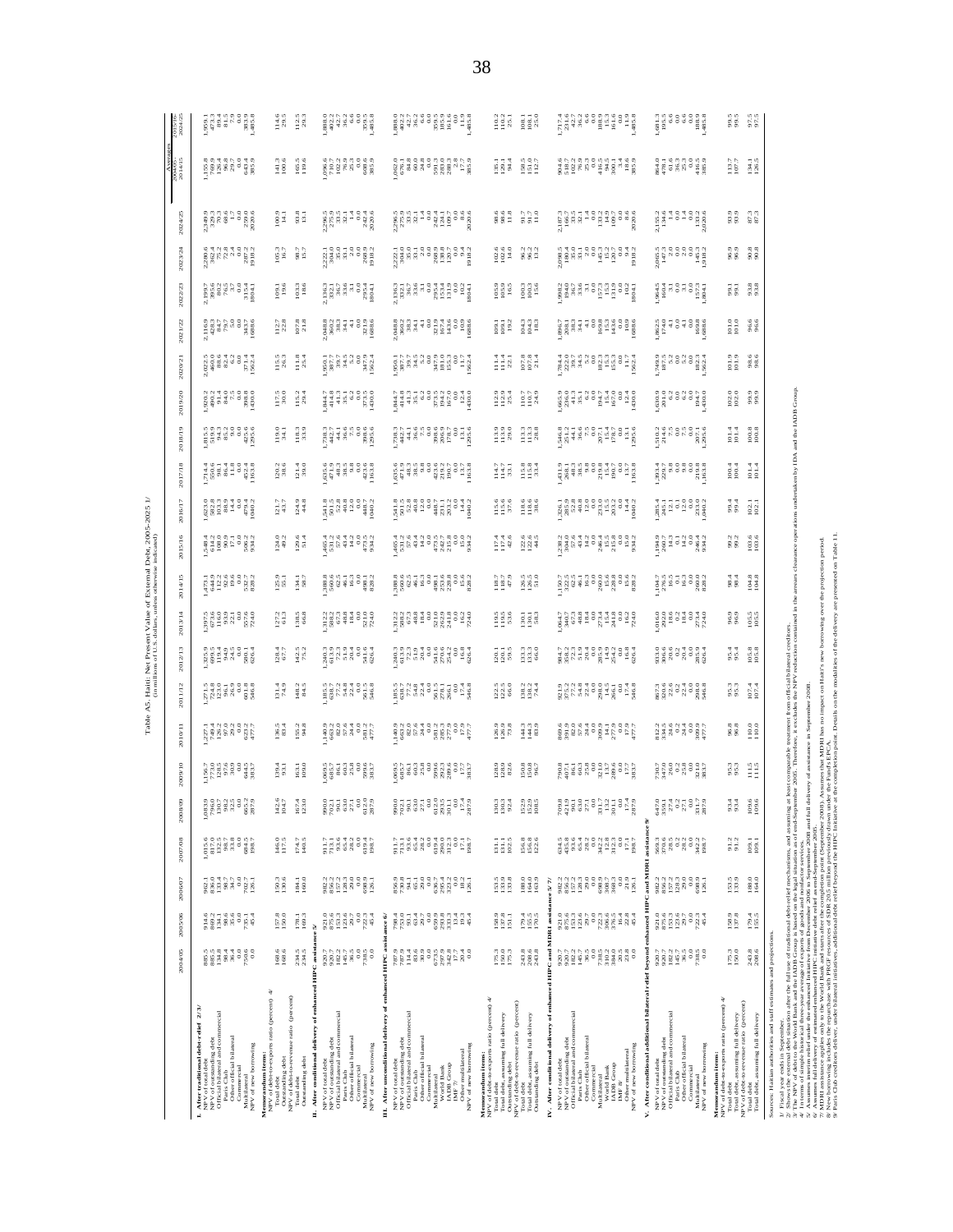|                                                                                                                                                                                                                                                                                                                            | 2004/05                                                                                                                                                                                                                                                                                                                                 | 2005/06                                                                                                                                                                                                                                                                                                                               | 2006/07                                                                                                          | 2007/08                                                                           | 2008/0                                         | 2009/10                                                                                                                                                                                                                                                                                             | <b>Cable</b><br>2010/11                                                                   | A5. Haiti:<br>2011/12<br>Ë                                                                                                                                                                                                                                                                                                                                                                | iti: Net Present Value of External Debt, 2005-<br>milions of U.S. dollars, unless otherwise indicated)<br>2012/13                                                                                                                                                                                                                                   | 2013/14                                                                                                                                                                                                                                                                                                         | 2014/15                                                                                                        | 2015/16                                                                                                                                                                                                                                                                                                            | 2016/17<br>$-2025$                                                                                                                                                                                                                                                                                            | 2017/18                                                                      | 2018/19                                                                                                                                                                                                          | 2020/21<br>2019/20                                                         | 2021/22                                                                                                         | 2022/23                                                                                                                                                                                                                                                                                                                                                                                 | 2023/24                                                                                                                           | 2024/25                                                                                             | Averi<br>2004/05-<br>2014/15                                                                                                                                                                                                                                                                                       | 2015/16-<br>2024/25 |                                                    |
|----------------------------------------------------------------------------------------------------------------------------------------------------------------------------------------------------------------------------------------------------------------------------------------------------------------------------|-----------------------------------------------------------------------------------------------------------------------------------------------------------------------------------------------------------------------------------------------------------------------------------------------------------------------------------------|---------------------------------------------------------------------------------------------------------------------------------------------------------------------------------------------------------------------------------------------------------------------------------------------------------------------------------------|------------------------------------------------------------------------------------------------------------------|-----------------------------------------------------------------------------------|------------------------------------------------|-----------------------------------------------------------------------------------------------------------------------------------------------------------------------------------------------------------------------------------------------------------------------------------------------------|-------------------------------------------------------------------------------------------|-------------------------------------------------------------------------------------------------------------------------------------------------------------------------------------------------------------------------------------------------------------------------------------------------------------------------------------------------------------------------------------------|-----------------------------------------------------------------------------------------------------------------------------------------------------------------------------------------------------------------------------------------------------------------------------------------------------------------------------------------------------|-----------------------------------------------------------------------------------------------------------------------------------------------------------------------------------------------------------------------------------------------------------------------------------------------------------------|----------------------------------------------------------------------------------------------------------------|--------------------------------------------------------------------------------------------------------------------------------------------------------------------------------------------------------------------------------------------------------------------------------------------------------------------|---------------------------------------------------------------------------------------------------------------------------------------------------------------------------------------------------------------------------------------------------------------------------------------------------------------|------------------------------------------------------------------------------|------------------------------------------------------------------------------------------------------------------------------------------------------------------------------------------------------------------|----------------------------------------------------------------------------|-----------------------------------------------------------------------------------------------------------------|-----------------------------------------------------------------------------------------------------------------------------------------------------------------------------------------------------------------------------------------------------------------------------------------------------------------------------------------------------------------------------------------|-----------------------------------------------------------------------------------------------------------------------------------|-----------------------------------------------------------------------------------------------------|--------------------------------------------------------------------------------------------------------------------------------------------------------------------------------------------------------------------------------------------------------------------------------------------------------------------|---------------------|----------------------------------------------------|
| <b>I. After traditional debt-relief</b> 2/3/<br>NPV of total debt<br>NPV of outstanding debt<br>Official bilateral and commercial<br>Paris Club<br>Other official bilateral<br>NPV of new borrowing<br>Commercial<br>Multilateral                                                                                          |                                                                                                                                                                                                                                                                                                                                         | $\begin{array}{l} 48.0 \\ 38.0 \\ 28.0 \\ 38.0 \\ 48.0 \\ 58.0 \\ 58.0 \\ 68.0 \\ 78.0 \\ 78.0 \\ 78.0 \\ 78.0 \\ 78.0 \\ 78.0 \\ 78.0 \\ 78.0 \\ 78.0 \\ 78.0 \\ 78.0 \\ 78.0 \\ 78.0 \\ 78.0 \\ 78.0 \\ 78.0 \\ 78.0 \\ 78.0 \\ 78.0 \\ 78.0 \\ 78.0 \\ 78.0 \\ 78.0 \\ 78.0 \\ 78.0 \\ 78.0 \\ 78.0 \\ 78$                         |                                                                                                                  |                                                                                   |                                                | $\begin{array}{c} 156.7 \\ 158.8 \\ 173.0 \\ 183.6 \\ 96.9 \\ 183.7 \\ 183.7 \\ 183.7 \\ 183.7 \\ 183.7 \\ 183.7 \\ 183.7 \\ 183.7 \\ 183.7 \\ 183.7 \\ 183.7 \\ 183.7 \\ 183.7 \\ 183.7 \\ 183.7 \\ 183.7 \\ 183.7 \\ 183.7 \\ 183.7 \\ 183.7 \\ 183.7 \\ 183.7 \\ 183.7 \\ 183.7 \\ 183.7 \\ 183$ |                                                                                           | $\begin{array}{l} 271.5 \\ 724.8 \\ 125.9 \\ 196.3 \\ 86.9 \\ 66.8 \\ 746.8 \\ \end{array}$                                                                                                                                                                                                                                                                                               |                                                                                                                                                                                                                                                                                                                                                     | $\begin{array}{c} 7.5 \\ 7.5 \\ 8.5 \\ 9.5 \\ 10.6 \\ 11.6 \\ 12.7 \\ 13.7 \\ 14.0 \\ 15.7 \\ 16.7 \\ 17.7 \\ 18.7 \\ 19.8 \\ 19.7 \\ 19.8 \\ 19.9 \\ 19.9 \\ 19.9 \\ 19.9 \\ 19.9 \\ 19.9 \\ 19.9 \\ 19.9 \\ 19.9 \\ 19.9 \\ 19.9 \\ 19.9 \\ 19.9 \\ 19.9 \\ 19.9 \\ 19.9 \\ 19.9 \\ 19.9 \\ 19.9 \\ 19.9 \\ $ |                                                                                                                |                                                                                                                                                                                                                                                                                                                    |                                                                                                                                                                                                                                                                                                               |                                                                              | ក្ខុង ខេត្ត ដូច<br>ក្នុង ក្នុង ក្នុង ក្នុង<br>ក្នុង ក្នុង ក្នុង                                                                                                                                                  |                                                                            | $\begin{array}{l} 2023 \\ 200 \\ 460 \\ 824 \\ 631 \\ 631 \\ 714 \\ 824 \\ 714 \\ 824 \\ 1562 \\ 1 \end{array}$ | 1997<br>1998 1997<br>1998 1998<br>1998 1999<br>$\begin{array}{l} 2.116.9\\ -4.28.7\\ 3.47\\ 7.9\\ -3.0\\ -3.0\\ 0\\ 8.8\\ 0\\ 8.6 \end{array}$                                                                                                                                                                                                                                          |                                                                                                                                   |                                                                                                     | $\begin{array}{cccccc} 3 & 3 & 3 & 4 & 8 & 15 & 3 & 3 & 6 \\ 15 & 8 & 8 & 8 & 15 & 3 & 3 & 6 \\ 15 & 8 & 8 & 8 & 15 & 3 & 5 & 8 \\ 15 & 8 & 8 & 15 & 3 & 5 & 8 \\ 15 & 8 & 15 & 8 & 3 & 5 & 8 \\ 15 & 15 & 8 & 15 & 3 & 5 & 8 \\ 15 & 15 & 15 & 8 & 15 & 3 & 8 \\ 15 & 15 & 15 & 15 & 3 & 5 & 8 \\ 15 & 15 & 15 &$ |                     | 1333283888                                         |
| ₹<br>Outstanding debt<br>NPV of debt-to-revenue ratio (percent)<br>NPV of debt-to-exports ratio (percent)<br>Total debt<br>Memorandum items:<br>Outstanding debt<br>Total debt                                                                                                                                             | 168.6<br>168.6<br>234.5                                                                                                                                                                                                                                                                                                                 | 178.1<br>169.3<br>157.8                                                                                                                                                                                                                                                                                                               | $150.3$<br>$130.6$<br>184.1<br>160.0                                                                             | 146.0<br>117.5<br>174.7<br>140.5                                                  | $0 \rightarrow 0$<br>$\frac{142}{104}$<br>167. | 163.1<br>109.0<br>139.4                                                                                                                                                                                                                                                                             | 155.2<br>94.8<br>136.5<br>83.4                                                            | 148.2<br>84.5<br>131.4<br>74.9                                                                                                                                                                                                                                                                                                                                                            | 142.5<br>75.2<br>128.4                                                                                                                                                                                                                                                                                                                              | 138,5<br>127.2<br>61.3                                                                                                                                                                                                                                                                                          | I25.9<br>55.1<br>134.1<br>58.7                                                                                 | $124.0$<br>$49.2$<br>$129.6$<br>51.4                                                                                                                                                                                                                                                                               | $124.9$<br>$44.8$<br>121.7                                                                                                                                                                                                                                                                                    | 121.4<br>120.2<br>38.6                                                       | 118.3<br>33.9<br>19.0<br>34.1                                                                                                                                                                                    | 117.5<br>30.0<br>115.2                                                     | $11.8$<br>$25.4$<br>115.3<br>26.3                                                                               | $\begin{array}{c} 112.7 \\ 22.8 \end{array}$<br>107.8                                                                                                                                                                                                                                                                                                                                   | 98.7<br>105.3<br>16.7<br>103.3<br>19.6                                                                                            | 93.8<br>$\frac{100.9}{14.1}$                                                                        | $\begin{array}{r} 141.3 \\ 100.6 \\ 19.5 \\ 19.6 \end{array}$                                                                                                                                                                                                                                                      |                     | $\frac{145}{29.5}$ $\frac{55}{29.3}$               |
| II. After conditional delivery of enhanced HIPC assistance<br>Official bilateral and commercial<br>Paris Club<br>Other official bilateral<br>NPV of total debt<br>NPV of outstanding debt<br>NPV of new borrowing<br>Commercial<br>Multilateral                                                                            | $\begin{array}{l} 20.7 \\ 20.2 \\ 14.5 \\ 14.5 \\ 7.9 \\ 0.0 \\ 7.9 \\ \end{array}$<br>920.7                                                                                                                                                                                                                                            | $\frac{0.0}{72.2.4}$<br>5                                                                                                                                                                                                                                                                                                             |                                                                                                                  | $\begin{array}{l} 91.7 \\ 713.1 \\ 93.4 \\ 65.2 \end{array}$                      |                                                | $\begin{array}{l} 0.00000\\ 0.00000\\ 0.00000\\ 0.00000\\ 0.00000\\ 0.0000\\ 0.0000\\ 0.0000\\ 0.0000\\ 0.0000\\ 0.0000\\ 0.0000\\ 0.0000\\ 0.0000\\ 0.0000\\ 0.0000\\ 0.0000\\ 0.0000\\ 0.0000\\ 0.0000\\ 0.0000\\ 0.0000\\ 0.0000\\ 0.0000\\ 0.0000\\ 0.0000\\$                                   |                                                                                           | $\frac{35}{380}$<br>$\frac{33}{380}$<br>$\frac{33}{380}$<br>$\frac{33}{380}$<br>$\frac{33}{360}$                                                                                                                                                                                                                                                                                          |                                                                                                                                                                                                                                                                                                                                                     | $\begin{array}{c} 12.2 \\ 12.3 \\ 13.6 \\ 13.6 \\ 14.7 \\ 15.8 \\ 16.7 \\ 18.4 \\ 19.0 \\ 10.0 \\ 10.0 \\ 10.0 \\ 10.0 \\ 10.0 \\ 10.0 \\ 10.0 \\ 10.0 \\ 10.0 \\ 10.0 \\ 10.0 \\ 10.0 \\ 10.0 \\ 10.0 \\ 10.0 \\ 10.0 \\ 10.0 \\ 10.0 \\ 10.0 \\ 10.0 \\ 10.0 \\ 10.0 \\ 10.0 \\ 10.0 \\ 10.0 \\ 10.0 \\ 10$   |                                                                                                                | $\begin{smallmatrix} 4 & 6 & 7 & 8 & 8 & 1\\ 4 & 6 & 7 & 1 & 1 & 1\\ 5 & 6 & 7 & 1 & 1 & 1\\ 6 & 6 & 8 & 1 & 1 & 1\\ 4 & 1 & 1 & 1 & 1 & 1\\ 6 & 1 & 1 & 1 & 1 & 1\\ 8 & 1 & 1 & 1 & 1 & 1\\ 9 & 1 & 1 & 1 & 1 & 1\\ 1 & 1 & 1 & 1 & 1 & 1\\ 1 & 1 & 1 & 1 & 1 & 1\\ 1 & 1 & 1 & 1 & 1 & 1\\ 1 & 1 & 1 & 1 & 1 & $ | $\begin{array}{c} 1.71 \\ 1.71 \\ 1.72 \\ 1.73 \\ 1.74 \\ 1.75 \\ 1.76 \\ 1.76 \\ 1.76 \\ 1.76 \\ 1.76 \\ 1.76 \\ 1.76 \\ 1.76 \\ 1.76 \\ 1.76 \\ 1.76 \\ 1.76 \\ 1.76 \\ 1.76 \\ 1.76 \\ 1.76 \\ 1.76 \\ 1.76 \\ 1.76 \\ 1.76 \\ 1.76 \\ 1.76 \\ 1.76 \\ 1.76 \\ 1.76 \\ 1.76 \\ 1.76 \\ 1.76 \\ 1.76 \\ 1.$ | 953 389 908<br>1948 908 908<br>1948 909 90                                   | 84486888                                                                                                                                                                                                         |                                                                            |                                                                                                                 |                                                                                                                                                                                                                                                                                                                                                                                         |                                                                                                                                   | anna 1333<br>Shana 1348<br>Shana 135                                                                |                                                                                                                                                                                                                                                                                                                    |                     | $880170869986$<br>$8947869986$<br>$89476$<br>$894$ |
| III. After unconditional delivery of enhanced<br>Official bilateral and commercial<br>Other official bilateral<br>NPV of total debt<br>NPV of outstanding debt<br>NPV of new borrowing<br>Other multilateral<br><b>IADB</b> Group<br>Commercial<br>World Bank<br>Paris Club<br>Multilateral<br>IMF <sub>7/</sub>           | <b>HIPC</b> assis                                                                                                                                                                                                                                                                                                                       | $nce$ 6/                                                                                                                                                                                                                                                                                                                              |                                                                                                                  |                                                                                   | a gal<br>1982<br>0.587<br>ed grand<br>Special  |                                                                                                                                                                                                                                                                                                     |                                                                                           | $\begin{array}{cccccc} \mathbf{15.7} & \mathbf{26.7} & \mathbf{36.7} & \mathbf{5.7} & \mathbf{6.7} & \mathbf{6.7} & \mathbf{6.7} & \mathbf{6.7} & \mathbf{6.7} & \mathbf{6.7} & \mathbf{6.7} & \mathbf{6.7} & \mathbf{6.7} & \mathbf{6.7} & \mathbf{6.7} & \mathbf{6.7} & \mathbf{6.7} & \mathbf{6.7} & \mathbf{6.7} & \mathbf{6.7} & \mathbf{6.7} & \mathbf{6.7} & \mathbf{6.7} & \math$ |                                                                                                                                                                                                                                                                                                                                                     |                                                                                                                                                                                                                                                                                                                 |                                                                                                                |                                                                                                                                                                                                                                                                                                                    |                                                                                                                                                                                                                                                                                                               |                                                                              |                                                                                                                                                                                                                  |                                                                            |                                                                                                                 |                                                                                                                                                                                                                                                                                                                                                                                         |                                                                                                                                   |                                                                                                     |                                                                                                                                                                                                                                                                                                                    |                     |                                                    |
| Memorandum items:<br>NPV of debt-to-exports ratio (percent) $4/\sqrt{2}$<br>NPV of debt-to-revenue ratio (percent)<br>Total debt<br>Total debt, assuming full delivery<br>Total debt<br>Total debt, assuming full delivery<br>Outstanding debt<br>Outstanding debt                                                         | $\begin{array}{c} 175.3 \\ 150.0 \\ 175.3 \end{array}$<br>$\begin{array}{c} 243.8 \\ 208.6 \\ 243.8 \end{array}$                                                                                                                                                                                                                        | 158.9<br>137.8<br>151.1<br>179.4<br>155.5<br>170.5                                                                                                                                                                                                                                                                                    | $\begin{array}{l} 153.8 \\ 133.8 \\ 133.4 \end{array}$<br>$\begin{array}{r} 188.0 \\ 164.0 \\ 163.9 \end{array}$ | $\begin{array}{c} 131.1 \\ 131.1 \\ 102.5 \end{array}$<br>156.8<br>156.8<br>122.6 | 152.9<br>152.9<br>108.5<br>130.2               | 128.9<br>128.9<br>82.6<br>150.8<br>150.8                                                                                                                                                                                                                                                            | $\begin{array}{c} 4.3 \\ 4.43 \\ 1.43 \\ \end{array}$<br>126.9<br>126.9<br>73.8           | $\begin{array}{r} 138.2 \\ 138.2 \\ 74.4 \end{array}$<br>$\frac{1}{2}$ $\frac{1}{2}$ $\frac{1}{6}$                                                                                                                                                                                                                                                                                        | $\begin{array}{c} 133.3 \\ 133.3 \\ 66.0 \end{array}$<br>$\frac{20}{20}$                                                                                                                                                                                                                                                                            | 1301<br>1301<br>583<br>119.5<br>119.5<br>53.6                                                                                                                                                                                                                                                                   | $\begin{array}{r} 126.5 \\ 126.5 \\ 51.0 \end{array}$<br>$\begin{array}{c} 118.7 \\ 118.7 \\ 47.9 \end{array}$ | $\begin{array}{r} 122.6 \\ 122.6 \\ 44.5 \end{array}$<br>$117.4$<br>$117.4$<br>$42.6$                                                                                                                                                                                                                              | $\begin{array}{c} 118.6 \\ 118.6 \\ 38.6 \end{array}$<br>115.6<br>115.6<br>37.6                                                                                                                                                                                                                               | $\begin{array}{c} 0.8 \\ 1.5 \\ 1.7 \\ 3.3 \end{array}$<br>$\frac{147}{143}$ | $\begin{array}{c} 3.3 \\ 2.3 \\ 1.3 \\ 2.8 \end{array}$<br>$\begin{array}{c} 2.9 \\ 1.3 \\ 2.9 \end{array}$                                                                                                      | $\begin{array}{c} 112.9 \\ 112.9 \\ 25.4 \end{array}$<br>$\frac{7}{110.7}$ | $\begin{array}{c} 107.8 \\ 107.8 \\ 21.4 \end{array}$<br>$\frac{3}{2}$ $\frac{3}{2}$                            | 104.3<br>104.3<br>18.3<br>$\frac{8}{1}$ $\frac{8}{1}$ $\frac{9}{1}$                                                                                                                                                                                                                                                                                                                     | 96.2<br>96.2<br>13.2<br>$\begin{array}{c} 102.6 \\ 102.6 \\ 14.0 \end{array}$<br>105.9<br>105.9<br>16.5<br>100.3<br>100.3<br>15.6 | 91.7<br>51.7<br>11.0<br>98.6<br>98.6<br>11.8                                                        | $\begin{array}{c} 158.5 \\ 151.0 \\ 112.7 \end{array}$<br>$\frac{135.1}{129.1}$                                                                                                                                                                                                                                    |                     | $\frac{132}{1102}$<br>108.1<br>108.1               |
| IV. After conditional delivery of enhanced HIPC and<br>Official bilateral and commercial<br>Paris Club<br>Other official bilateral<br>NPV of total debt<br>NPV of outstanding debt<br>Other multilateral<br>NPV of new borrowing<br>World Bank<br>IADB Group<br>Commercial<br>Multilateral<br>$\text{IMF}$ 8/              | 920.7<br>920.7                                                                                                                                                                                                                                                                                                                          | MDRI assis<br>$\begin{array}{l} 2 \  \  0 \  \  0 \  \  0 \  \  0 \  \  0 \  \  0 \\ 0 \  \  0 \  \  0 \  \  0 \\ 0 \  \  0 \  \  0 \  \  0 \\ 0 \  \  0 \  \  0 \  \  0 \\ 0 \  \  0 \  \  0 \  \  0 \\ 0 \  \  0 \  \  0 \  \  0 \\ 0 \  \  0 \  \  0 \  \  0 \\ 0 \  \  0 \  \  0 \  \  0 \\ 0 \  \  0 \  \  0 \  \  0 \\ 0 \  \ $ | ance $5/7/$                                                                                                      |                                                                                   | $0.0 - 0 - 0 - 0 - 0 - 0 - 0$                  | $\begin{array}{l} 0.7511 \\ 0.7521 \\ 0.7531 \\ 0.7542 \\ 0.7551 \\ 0.7551 \\ 0.7551 \\ 0.7551 \\ 0.7551 \\ 0.7551 \\ 0.7551 \\ 0.7551 \\ 0.7551 \\ 0.7551 \\ 0.7551 \\ 0.7551 \\ 0.7551 \\ 0.7551 \\ 0.7551 \\ 0.7551 \\ 0.7551 \\ 0.7551 \\ 0.7551 \\ 0.7551 \\ 0.7551 \\ 0.7551 \\ 0.75$         |                                                                                           | annade angera                                                                                                                                                                                                                                                                                                                                                                             | $\begin{array}{c}\n\text{1.5}\n\text{1.6}\n\text{1.7}\n\text{1.7}\n\text{1.7}\n\text{1.7}\n\text{1.7}\n\text{1.7}\n\text{1.7}\n\text{1.7}\n\text{1.7}\n\text{1.7}\n\text{1.7}\n\text{1.7}\n\text{1.7}\n\text{1.7}\n\text{1.7}\n\text{1.7}\n\text{1.7}\n\text{1.7}\n\text{1.7}\n\text{1.7}\n\text{1.7}\n\text{1.7}\n\text{1.7}\n\text{1.7}\n\text{1$ |                                                                                                                                                                                                                                                                                                                 |                                                                                                                |                                                                                                                                                                                                                                                                                                                    |                                                                                                                                                                                                                                                                                                               |                                                                              |                                                                                                                                                                                                                  |                                                                            |                                                                                                                 |                                                                                                                                                                                                                                                                                                                                                                                         |                                                                                                                                   |                                                                                                     | $\begin{array}{l} 0.75 & 0.75 & 0.75 & 0.75 & 0.75 \\ 0.75 & 0.75 & 0.75 & 0.75 & 0.75 \\ 0.75 & 0.75 & 0.75 & 0.75 & 0.75 \\ 0.75 & 0.75 & 0.75 & 0.75 & 0.75 \\ 0.75 & 0.75 & 0.75 & 0.75 & 0.75 \\ 0.75 & 0.75 & 0.75 & 0.75 & 0.75 \\ 0.75 & 0.75 & 0.75 & 0.75 & 0.75 \\ 0.$                                  |                     |                                                    |
| V. After conditional additional bilateral relief beyond<br>aercial<br>NPV of total debt<br>NPV of outstanding debt<br>Official bilateral and comr<br>Other official bilateral<br>NPV of new borrowing<br>Commercial<br>Multilateral<br>Paris Club                                                                          | Ē<br>920.7<br>$\frac{1}{2}$<br>$\frac{1}{2}$<br>$\frac{1}{2}$ $\frac{1}{2}$ $\frac{1}{2}$ $\frac{1}{2}$ $\frac{1}{2}$ $\frac{1}{2}$ $\frac{1}{2}$ $\frac{1}{2}$ $\frac{1}{2}$ $\frac{1}{2}$ $\frac{1}{2}$ $\frac{1}{2}$ $\frac{1}{2}$ $\frac{1}{2}$ $\frac{1}{2}$ $\frac{1}{2}$ $\frac{1}{2}$ $\frac{1}{2}$ $\frac{1}{2}$ $\frac{1}{2}$ | nced H<br>921.0                                                                                                                                                                                                                                                                                                                       | and MDR<br>2<br>22223<br>2323<br>$0.0$<br>$0.9$<br>$0.9$<br>$126.1$                                              | assista<br>569.3                                                                  | a a gala da a ga<br>à                          |                                                                                                                                                                                                                                                                                                     | $\begin{array}{c}\n 1199014000 \\  13401000 \\  3501000 \\  400000 \\  501\n \end{array}$ |                                                                                                                                                                                                                                                                                                                                                                                           |                                                                                                                                                                                                                                                                                                                                                     |                                                                                                                                                                                                                                                                                                                 |                                                                                                                |                                                                                                                                                                                                                                                                                                                    |                                                                                                                                                                                                                                                                                                               | $393.4$<br>$229.7$<br>9.8                                                    | $\begin{array}{cccc}\n 1 & 4 & 5 & 6 & 8 \\  1 & 1 & 1 & 1 & 1 \\  1 & 1 & 1 & 1 & 1 \\  1 & 1 & 1 & 1 & 1 \\  1 & 1 & 1 & 1 & 1 \\  1 & 1 & 1 & 1 & 1 \\  1 & 1 & 1 & 1 & 1 \\  1 & 1 & 1 & 1 & 1\n\end{array}$ |                                                                            |                                                                                                                 | 1994<br>1995<br>1995<br>1995<br>1998<br>$\begin{array}{r} 362.5 \\ 374.0 \\ -10.0 \\ -10.0 \\ -10.0 \\ -10.0 \\ -10.0 \\ -10.0 \\ -10.0 \\ -10.0 \\ -10.0 \\ -10.0 \\ -10.0 \\ -10.0 \\ -10.0 \\ -10.0 \\ -10.0 \\ -10.0 \\ -10.0 \\ -10.0 \\ -10.0 \\ -10.0 \\ -10.0 \\ -10.0 \\ -10.0 \\ -10.0 \\ -10.0 \\ -10.0 \\ -10.0 \\ -10.0 \\ -10.0 \\ -10.0 \\ -10.0 \\ -10.0 \\ -10.0 \\ -$ |                                                                                                                                   | $\begin{array}{r} 1.4 \\ 0.0 \\ 0.3 \\ 133.2 \\ 2.020.6 \end{array}$<br>2,155.2<br>134.6<br>14<br>ĕ |                                                                                                                                                                                                                                                                                                                    |                     |                                                    |
| $\begin{array}{ll} \textbf{Memor} \textbf{and} \textbf{um} \textbf{ items:}\\ \textbf{NPV} \text{ of } \text{deb} \text{t-to-exports ratio (percent) } 4/\\ \end{array}$<br>NPV of debt-to-revenue ratio (percent)<br>Total debt<br>Total debt, assuming full delivery<br>Total debt, assuming full delivery<br>Total debt | 175.3<br>243.8<br>208.6                                                                                                                                                                                                                                                                                                                 | 158.9<br>137.8<br>179.4<br>155.5                                                                                                                                                                                                                                                                                                      | 153.5<br>188.0<br>164.0                                                                                          | $91.2$<br>$91.2$<br>109.1<br>109.1                                                | 93.4<br>93.4<br>ం ల<br>109.                    | $\frac{111.5}{111.5}$<br>95.3                                                                                                                                                                                                                                                                       | $968968100110$                                                                            | 95.3<br>95.3<br>107.4                                                                                                                                                                                                                                                                                                                                                                     | $\frac{105.8}{105.8}$<br>95.4                                                                                                                                                                                                                                                                                                                       | $\frac{105.5}{105.5}$<br>96.9                                                                                                                                                                                                                                                                                   | 104.8<br>104.8<br>98.4                                                                                         | $103.6$<br>$103.6$<br>99.2<br>99.2                                                                                                                                                                                                                                                                                 | 99.4<br>102.1<br>102.1                                                                                                                                                                                                                                                                                        | 101.4<br>100.4<br>100.4                                                      | $\frac{100.8}{100.8}$<br>101.4                                                                                                                                                                                   | 102.0<br>99.9<br>99.9                                                      | $\frac{6}{101}$<br>98.6<br>98.6                                                                                 | $\frac{101.0}{101.0}$<br>96.6<br>96.6                                                                                                                                                                                                                                                                                                                                                   | 90.8<br>90.8<br>96.9<br>93.8<br>99.1                                                                                              | 87.3<br>93.9                                                                                        | 113.7<br>$\frac{34.1}{26.5}$                                                                                                                                                                                                                                                                                       |                     | 995 555<br>995 556                                 |
| J/ Fissal space and in September, a flucture fund tiest disclosured interdention, and assuming at heat comparable technical from official bilanced coduraction of the space of the space of the space of the space of the spac<br>Sources: Haitian authorities and staff estimates and projections                         |                                                                                                                                                                                                                                                                                                                                         |                                                                                                                                                                                                                                                                                                                                       |                                                                                                                  |                                                                                   |                                                |                                                                                                                                                                                                                                                                                                     |                                                                                           |                                                                                                                                                                                                                                                                                                                                                                                           | bilateral creditors.<br>/ reduction contained in the                                                                                                                                                                                                                                                                                                | borrowing over                                                                                                                                                                                                                                                                                                  | are presented on Table 11.<br>the projection period.                                                           | arrears clearance operations undertaken by IDA and the IADB Group                                                                                                                                                                                                                                                  |                                                                                                                                                                                                                                                                                                               |                                                                              |                                                                                                                                                                                                                  |                                                                            |                                                                                                                 |                                                                                                                                                                                                                                                                                                                                                                                         |                                                                                                                                   |                                                                                                     |                                                                                                                                                                                                                                                                                                                    |                     |                                                    |

Table A5. Haiti: Net Present Value of External Debt, 2005-2025 1/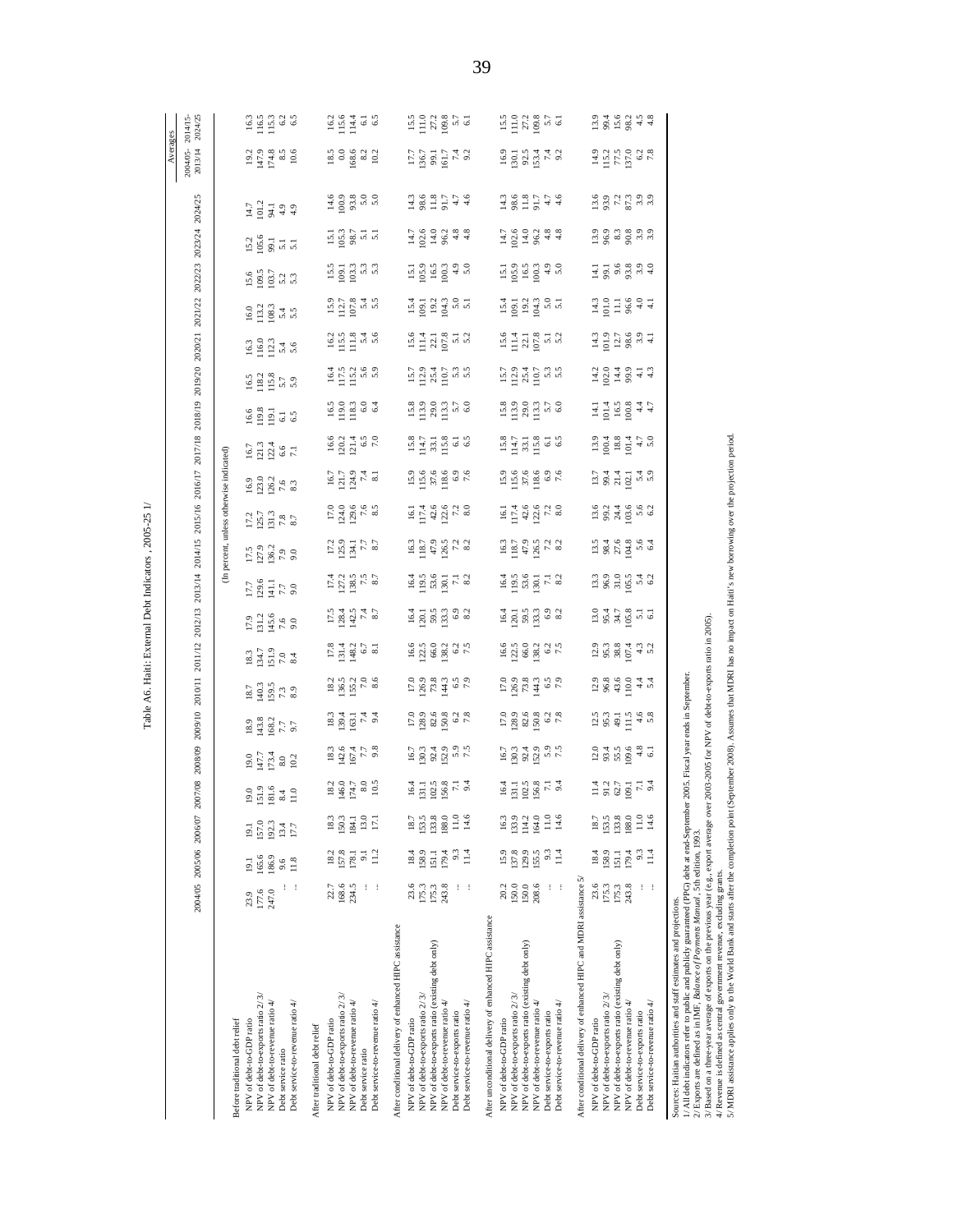|                                                                                                                                                                                                                                                                                                                                                                                                                                                                                                                                                                                                                                                       |                                 | 2004/05 2005/06 2006/07                                  |                                                    |                                                                                                                                |                                                             |                                                                                                                                                                                                                                |                                                                    |                                                                     |                                                                     | 2007/08 2008/09 2009/10 2010/11 2011/12 2013/14 2014/15 2015/16 2016/17 2017/18 2018/19 2019/20 2020/21 2021/22 202223 2023/24 |                                                                                                |                                                                                                                                                                                                                                                                                                                                                                                                                |                                                                             |                                                                                 |                                                                                                   |                                                                                |                                                                                 |                                                                                                  |                                                                                                   |                                        | 2024/25                                                                              | Averages<br>2004/05-<br>2013/14                                   | 2014/15-<br>2024/25                                                                  |
|-------------------------------------------------------------------------------------------------------------------------------------------------------------------------------------------------------------------------------------------------------------------------------------------------------------------------------------------------------------------------------------------------------------------------------------------------------------------------------------------------------------------------------------------------------------------------------------------------------------------------------------------------------|---------------------------------|----------------------------------------------------------|----------------------------------------------------|--------------------------------------------------------------------------------------------------------------------------------|-------------------------------------------------------------|--------------------------------------------------------------------------------------------------------------------------------------------------------------------------------------------------------------------------------|--------------------------------------------------------------------|---------------------------------------------------------------------|---------------------------------------------------------------------|--------------------------------------------------------------------------------------------------------------------------------|------------------------------------------------------------------------------------------------|----------------------------------------------------------------------------------------------------------------------------------------------------------------------------------------------------------------------------------------------------------------------------------------------------------------------------------------------------------------------------------------------------------------|-----------------------------------------------------------------------------|---------------------------------------------------------------------------------|---------------------------------------------------------------------------------------------------|--------------------------------------------------------------------------------|---------------------------------------------------------------------------------|--------------------------------------------------------------------------------------------------|---------------------------------------------------------------------------------------------------|----------------------------------------|--------------------------------------------------------------------------------------|-------------------------------------------------------------------|--------------------------------------------------------------------------------------|
|                                                                                                                                                                                                                                                                                                                                                                                                                                                                                                                                                                                                                                                       |                                 |                                                          |                                                    |                                                                                                                                |                                                             |                                                                                                                                                                                                                                |                                                                    |                                                                     |                                                                     |                                                                                                                                |                                                                                                |                                                                                                                                                                                                                                                                                                                                                                                                                | (In percent, unless otherwise indicated)                                    |                                                                                 |                                                                                                   |                                                                                |                                                                                 |                                                                                                  |                                                                                                   |                                        |                                                                                      |                                                                   |                                                                                      |
| NPV of debt-to-exports ratio 2/3/<br>NPV of debt-to-revenue ratio 4/<br>Debt service-to-revenue ratio 4/<br>Before traditional debt relief<br>NPV of debt-to-GDP ratio<br>Debt service ratio                                                                                                                                                                                                                                                                                                                                                                                                                                                          | 177.6<br>247.0<br>23.9          | 165.6<br>186.9<br>11.8<br>19.1<br>9.6                    | 157.0<br>192.3<br>13.4<br>17.7<br>$\overline{191}$ | $\begin{array}{c} 19.0 \\ 151.9 \\ 81.6 \\ 11.0 \end{array}$                                                                   | 19.0<br>147.7<br>15.4<br>10.2                               | $\begin{array}{c} 18.9 \\ 143.8 \\ 168.2 \\ 7.7 \\ 9.7 \end{array}$                                                                                                                                                            | $\begin{array}{c} 18.7 \\ 140.3 \\ 159.5 \\ 7.3 \\ \end{array}$    | $\begin{array}{c} 18.3 \\ 134.7 \\ 151.9 \\ 7.0 \\ 8.4 \end{array}$ | $\begin{array}{c}\n 17.9 \\  131.2 \\  145.6 \\  7.6\n \end{array}$ | 17.7<br>129.6<br>17.7<br>9.0                                                                                                   | $\frac{17.5}{12.0}$<br>$\frac{0.2}{0.2}$<br>$\frac{0.2}{0.2}$                                  | $\begin{array}{c} 17.2 \\ 12.5.7 \\ 131.3 \\ 7.8 \\ \end{array}$                                                                                                                                                                                                                                                                                                                                               | $\begin{array}{c} 16.9 \\ 123.0 \\ 126.2 \\ 7.6 \\ 8.3 \end{array}$         | $\frac{16.7}{121.3}$ $\frac{23.4}{6.5}$                                         | $\begin{array}{r} 16.6 \\ 119.1 \\ 61 \\ 65 \end{array}$                                          | $\begin{array}{r} 16.5 \\ 118.2 \\ 115.8 \\ 5.7 \\ 5.9 \end{array}$            | $\begin{array}{c} 16.3 \\ 16.0 \\ 12.3 \\ 5.6 \end{array}$                      | $\begin{array}{c} 16.0 \\ 13.2 \\ 108.3 \\ \end{array}$                                          | $\begin{array}{l} 15.6 \\ 109.5 \\ 103.7 \\ 5.2 \\ 5.3 \end{array}$                               | $\frac{15.2}{99.3}$ 5.1                | $14.7$<br>$10.2$<br>$34.3$<br>$49.3$                                                 | $\begin{array}{c} 19.2 \\ 19.3 \\ 19.8 \\ 10.6 \end{array}$       | $\frac{16.3}{116.5}$<br>115.3<br>6.2                                                 |
| NPV of debt-to-exports ratio 2/3/<br>NPV of debt-to-revenue ratio 4/<br>Debt service-to-revenue ratio 4/<br>NPV of debt-to-GDP ratio<br>After traditional debt relief<br>Debt service ratio                                                                                                                                                                                                                                                                                                                                                                                                                                                           | 168.6<br>22.7<br>234.5          | 157.8<br>18.2<br>11.2<br>178.1<br>$\overline{5}$         | 184.1<br>13.0<br>150.3<br>18.3<br>$17.1\,$         | $\begin{array}{c}\n 18.2 \\  \times 19.5 \\  \hline\n 19.5 \\  \hline\n 10.5\n \end{array}$                                    | $\begin{array}{r} 18.3 \\ 14.26 \\ 16.7 \\ 3.8 \end{array}$ | $23.5$ $-1.3$ $-1.3$ $-1.3$ $-1.3$ $-1.3$ $-1.3$ $-1.3$ $-1.3$ $-1.3$ $-1.3$ $-1.3$ $-1.3$ $-1.3$ $-1.3$ $-1.3$ $-1.3$ $-1.3$ $-1.3$ $-1.3$ $-1.3$ $-1.3$ $-1.3$ $-1.3$ $-1.3$ $-1.3$ $-1.3$ $-1.3$ $-1.3$ $-1.3$ $-1.3$ $-1.$ |                                                                    | 17.3<br>1514<br>1514<br>1515                                        | $\frac{17.3}{284}$ $\frac{47.7}{284}$                               | $\begin{array}{c} 17.4 \\ 127.2 \\ 138.5 \\ 75 \\ 8.7 \end{array}$                                                             | $\frac{173}{1253}$ $\frac{317}{125}$ $\frac{27}{125}$                                          | $\begin{array}{@{}c@{\hspace{1em}}c@{\hspace{1em}}c@{\hspace{1em}}c@{\hspace{1em}}c@{\hspace{1em}}c@{\hspace{1em}}c@{\hspace{1em}}c@{\hspace{1em}}c@{\hspace{1em}}c@{\hspace{1em}}c@{\hspace{1em}}c@{\hspace{1em}}c@{\hspace{1em}}c@{\hspace{1em}}c@{\hspace{1em}}c@{\hspace{1em}}c@{\hspace{1em}}c@{\hspace{1em}}c@{\hspace{1em}}c@{\hspace{1em}}c@{\hspace{1em}}c@{\hspace{1em}}c@{\hspace{1em}}c@{\hspace{$ |                                                                             | $\begin{array}{c} 16.6 \\ 18.2 \\ 12.5 \\ \hline \end{array}$                   |                                                                                                   | $\begin{array}{c}\n16.4 \\ 16.7 \\ 11.2 \\ 16.9 \\ 17.0 \\ 18.9\n\end{array}$  | $\begin{array}{c} 23.5 \\ 24.5 \\ 25.5 \\ \hline \end{array}$                   |                                                                                                  | 193333                                                                                            | 15<br>1987<br>5<br>8<br>8<br>5<br>1    |                                                                                      | 18.9<br>08.82<br>10.2                                             | $\begin{array}{c} 16.2 \\ 15.6 \\ 114.4 \end{array}$<br>$6.5$                        |
| After conditional delivery of enhanced HIPC assistance<br>NPV of debt-to-exports ratio (existing debt only)<br>NPV of debt-to-exports ratio 2/3/<br>NPV of debt-to-revenue ratio $4/$<br>Debt service-to-revenue ratio 4/<br>Debt service-to-exports ratio<br>NPV of debt-to-GDP ratio                                                                                                                                                                                                                                                                                                                                                                | 23.6<br>175.3<br>243.8<br>175.3 | 18.4<br>158.9<br>$\frac{4}{11}$<br>179.4<br>9.3<br>151.1 | 188.0<br>18.7<br>133.8<br>11.0<br>153.5<br>14.6    | $\frac{41}{510}$ $\frac{38}{50}$ $\frac{31}{50}$ $\frac{33}{50}$ $\frac{31}{50}$                                               | 15749955                                                    | $\frac{17.0}{28.3}$<br>$\frac{8.6}{50.8}$<br>$6.2$<br>7.8                                                                                                                                                                      | $\frac{17.0}{73.8}$<br>6.5                                         | $\begin{array}{c} 16.6 \\ 2.3 \\ 6.6 \\ 8.2 \\ 10 \end{array}$      | 18.78888                                                            | $\frac{1636}{1360}$ $\frac{3}{12}$ $\frac{3}{12}$ $\frac{3}{12}$                                                               | $\begin{array}{c} 16.7 \\ 18.7 \\ 19.6 \\ 19.7 \\ 19.7 \\ 19.7 \\ 19.2 \\ 19.3 \\ \end{array}$ | $\begin{array}{c} 16.1 \\ 17.4 \\ 12.6 \\ 12.7 \\ 8.0 \end{array}$                                                                                                                                                                                                                                                                                                                                             | $\begin{array}{r} 15.9 \\ 15.6 \\ 37.6 \\ 18.6 \end{array}$<br>$6.9$<br>7.6 | $33.778$ $-3.78$ $-5.5$                                                         | $\begin{smallmatrix} 3 & 3 & 0 \\ 1 & 3 & 0 \\ 1 & 2 & 0 \\ 1 & 0 & 1 \end{smallmatrix}$          | 533595                                                                         | $154$<br>$158$<br>$158$<br>$153$                                                | $\frac{4}{19}$ $\frac{1}{19}$ $\frac{1}{19}$ $\frac{1}{19}$ $\frac{1}{19}$ $\frac{1}{19}$<br>5.0 | $\begin{array}{c} 15.1 \\ 105.9 \\ 16.5 \\ 100.3 \end{array}$<br>$4.9$<br>5.0                     | $14.7$<br>02.0 12.8<br>4.9 14.8<br>4.8 | $\begin{array}{c}\n 4.3 \\  4.8 \\  2.5 \\  3.6 \\  4.5 \\  5.7 \\  6\n \end{array}$ | $\begin{array}{r} 17.7 \\ 13.6 \\ 13.6 \\ \hline 1 \end{array}$   | $\begin{array}{c} 15.5 \\[-4pt] 11.0 \\[-4pt] 27.2 \\[-4pt] 09.8 \end{array}$<br>5.7 |
| After unconditional delivery of enhanced HIPC assistance<br>NPV of debt-to-exports ratio (existing debt only)<br>NPV of debt-to-exports ratio 2/3/<br>NPV of debt-to-revenue ratio $4/$<br>Debt service-to-revenue ratio 4/<br>Debt service-to-exports ratio<br>NPV of debt-to-GDP ratio                                                                                                                                                                                                                                                                                                                                                              | 150.0<br>150.0<br>208.6<br>20.2 | 15.9<br>137.8<br>129.9<br>11.4<br>155.5<br>9.3           | 164.0<br>16.3<br>133.9<br>114.2<br>11.0<br>14.6    | $\frac{4}{5}$ $\frac{1}{10}$ $\frac{8}{5}$ $\frac{8}{5}$ $\frac{1}{5}$ $\frac{3}{5}$ $\frac{8}{5}$ $\frac{1}{5}$ $\frac{3}{5}$ | $16.7$ $3.3$ $3.9$ $5.9$ $7.5$                              | $17.9$<br>$12.8$<br>$15.8$<br>$15.8$<br>$6.2\phantom{0}\phantom{0}\phantom{0}7.8$                                                                                                                                              | 120880720                                                          | $\begin{array}{c} 16.6 \\ 2.3 \\ 6.6 \\ 8.2 \\ 10.7 \\ \end{array}$ | 3<br>2003 30                                                        | $\begin{array}{c} 16.4 \\ 19.5 \\ 53.6 \\ 130.1 \\ 7.1 \\ 8.2 \end{array}$                                                     | $\begin{array}{c} 16.7 \\ 18.7 \\ 19.6 \\ 19.7 \\ 19.7 \\ 19.7 \\ 19.2 \\ 19.3 \\ \end{array}$ | $1, 4, 6, 6, 7, 8, 6, 7, 8, 6, 7, 8, 8, 6, 7, 8, 8, 6, 7, 8, 8, 7, 8, 8, 7, 8, 7, 8, 7, 8, 7, 8, 7, 8, 7, 8, 7, 8, 7, 8, 7, 8, 7, 8, 7, 8, 7, 8, 7, 8, 7, 8, 7, 8, 7, 8, 7, 8, 7, 8, 7, 8, 7, 8, 7, 8, 7, 8, 7, 8, 7, 8, 7, 8$                                                                                                                                                                                 | 3588887                                                                     | 33.77858                                                                        | 1898970                                                                                           | 533595                                                                         | $154$ $138$ $13$<br>$158$ $13$                                                  | $\frac{4}{5}$ $\frac{1}{2}$ $\frac{3}{2}$ $\frac{3}{2}$<br>$5.0$                                 | $15.9$<br>$16.5$<br>$16.3$<br>$16.3$<br>$4.9$<br>5.0                                              |                                        |                                                                                      | $16.3$ $15.4$ $15.3$<br>$15.6$ $15.7$ $15.2$                      | 15.9<br>11.0<br>109.8<br>$5.7$ $6.1$                                                 |
| After conditional delivery of enhanced HIPC and MDRI assistance 5/<br>NPV of debt-to-exports ratio (existing debt only)<br>NPV of debt-to-exports ratio 2/3/<br>NPV of debt-to-revenue ratio 4/<br>Debt service-to-revenue ratio 4/<br>Debt service-to-exports ratio<br>NPV of debt-to-GDP ratio                                                                                                                                                                                                                                                                                                                                                      | 23.6<br>175.3<br>243.8<br>175.3 | 18.4<br>158.9<br>179.4<br>9.3<br>$\frac{4}{11}$<br>151.1 | 188.0<br>$11.0$<br>18.7<br>153.5<br>133.8<br>14.6  | $\frac{14}{50}$ $\frac{1}{60}$ $\frac{1}{60}$ $\frac{1}{60}$ $\frac{1}{60}$ $\frac{1}{60}$ $\frac{1}{60}$                      | $12.0$<br>$93.4$<br>$56.6$<br>$4.8$ $\,$                    | $\begin{array}{c} 2.5 \\ 2.5 \\ 3.6 \\ \hline \end{array}$<br>$4.6$<br>5.8                                                                                                                                                     | $\begin{array}{c} 12.9 \\ 96.8 \\ 43.0 \\ 110.0 \end{array}$<br>44 |                                                                     | $-3, 7, 8, 7, 6$<br>$-3, 7, 8, 7, 6$                                | 1390 1342<br>1965 1979                                                                                                         | 1346364<br>19851                                                                               | $\begin{array}{c}\n 18 \\  20 \\  31 \\  45 \\  6\n \end{array}$                                                                                                                                                                                                                                                                                                                                               | n a a a a a<br>B a a a a a                                                  | $\begin{array}{c} 2.3 \\ 2.3 \\ 1.0 \\ 0.0 \\ 0.0 \\ 0.0 \\ 0.0 \\ \end{array}$ | $\frac{1}{1}$ $\frac{4}{1}$ $\frac{5}{1}$ $\frac{6}{1}$ $\frac{8}{1}$ $\frac{4}{1}$ $\frac{1}{1}$ | $\begin{array}{c} 1.2 \\ 1.0 \\ 2.4 \\ 3.5 \\ \end{array}$<br>$\frac{1}{4}$ .? | $\begin{array}{c} 1.3 \\ 1.2 \\ 1.5 \\ 1.6 \\ 1.7 \\ 1.8 \\ 1.4 \\ \end{array}$ | 13011844                                                                                         | $\frac{1}{4}$ $\frac{1}{8}$ $\frac{6}{9}$ $\frac{8}{9}$ $\frac{9}{9}$ $\frac{3}{9}$ $\frac{3}{4}$ | n gang ang<br>Digmagnan                | 1992<br>1992<br>1992                                                                 | $\begin{array}{c} 14.9 \\ 15.7 \\ 17.7 \\ 6.2 \\ 7.8 \end{array}$ | 15.6<br>98.2<br>13.9<br>99.4<br>$4.5$<br>$4.8$                                       |
| 5/MDRI assistance applies only to the World Bank and starts after the completion point (September 2008). Assumes that MDRI has no impact on Haiti's new borrowing over the projection period.<br>/ All debt indicators refer to public and publicly guaranteed (PPG) debt at end-September 2005. Fiscal year ends in September<br>Based on a three-year average of exports on the previous year (e.g., export average ov<br>Exports are defined as in IMF, Balance of Payments Manual, 5th edition, 1993.<br>Revenue is defined as central government revenue, excluding grants.<br>Sources: Haitian authorities and staff estimates and projections. |                                 |                                                          |                                                    |                                                                                                                                |                                                             |                                                                                                                                                                                                                                |                                                                    | er 2003-2005 for NPV of debt-to-exports ratio in 2005).             |                                                                     |                                                                                                                                |                                                                                                |                                                                                                                                                                                                                                                                                                                                                                                                                |                                                                             |                                                                                 |                                                                                                   |                                                                                |                                                                                 |                                                                                                  |                                                                                                   |                                        |                                                                                      |                                                                   |                                                                                      |

Table A6. Haiti: External Debt Indicators, 2005-25 1/ Table A6. Haiti: External Debt Indicators , 2005-25 1/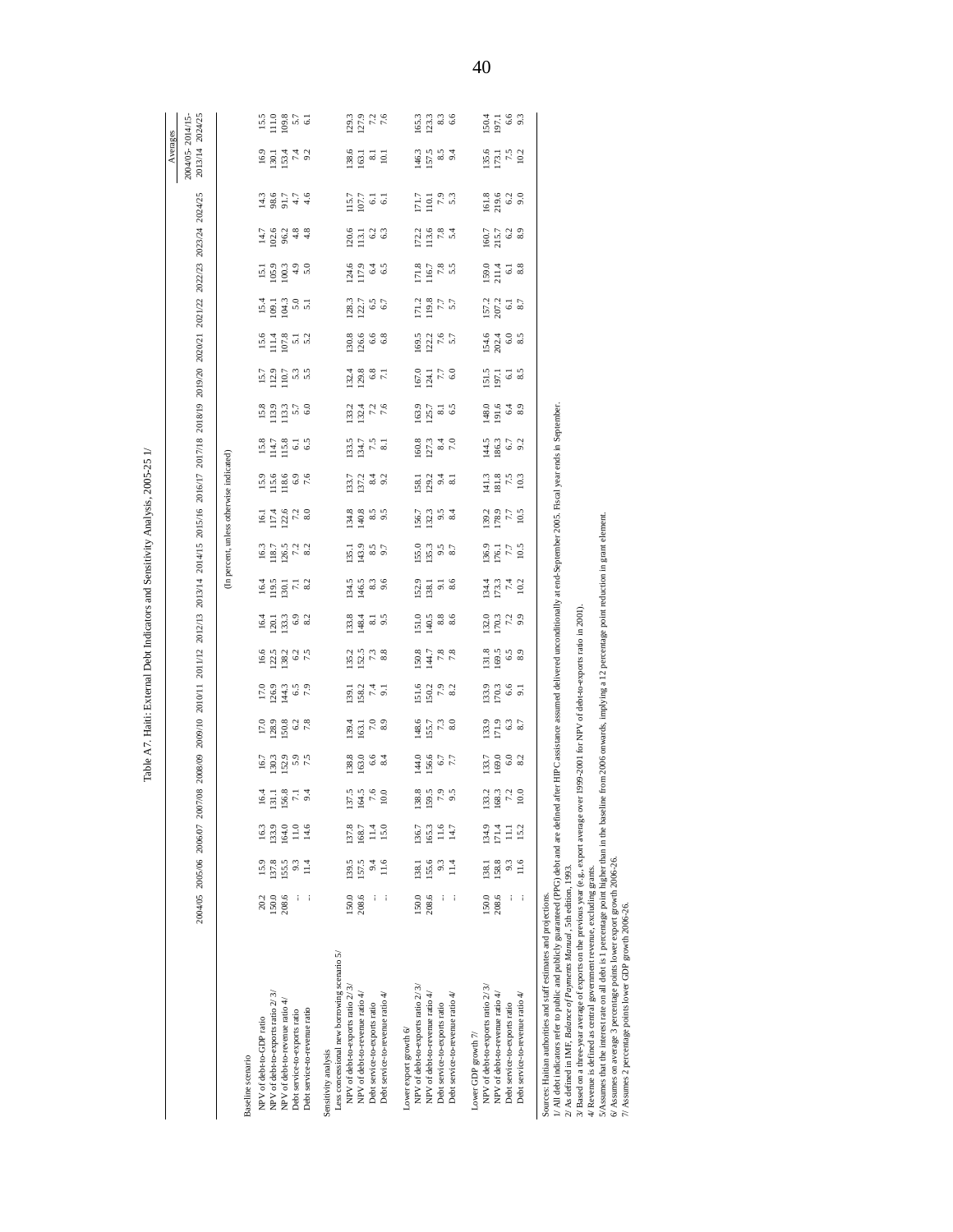|                                                                                                                                                                                                                                                                                |       |                |       |                                                            |                                                                   |                                      |                                                               |                                                              |                                                                                                   |                                                                 |                                          |                                                                                                                                                                                                                                                                                                                                                                                                                |                                                            |                                        |                                                           |                                                |                                                                                          |     |                                                                                          | 2004/05 2006/07 2008/09 2008/09 2009/10 2011/12 2012/13 2013/14 2014/15 2015/16 2016/17 2017/18 2018/19 2019/20 2020/21 2021/22 2022/23 2024/25 |                                                                       | 2013/14 2024/25<br>2004/05-2014/15-<br>Averages |                                                                  |
|--------------------------------------------------------------------------------------------------------------------------------------------------------------------------------------------------------------------------------------------------------------------------------|-------|----------------|-------|------------------------------------------------------------|-------------------------------------------------------------------|--------------------------------------|---------------------------------------------------------------|--------------------------------------------------------------|---------------------------------------------------------------------------------------------------|-----------------------------------------------------------------|------------------------------------------|----------------------------------------------------------------------------------------------------------------------------------------------------------------------------------------------------------------------------------------------------------------------------------------------------------------------------------------------------------------------------------------------------------------|------------------------------------------------------------|----------------------------------------|-----------------------------------------------------------|------------------------------------------------|------------------------------------------------------------------------------------------|-----|------------------------------------------------------------------------------------------|-------------------------------------------------------------------------------------------------------------------------------------------------|-----------------------------------------------------------------------|-------------------------------------------------|------------------------------------------------------------------|
|                                                                                                                                                                                                                                                                                |       |                |       |                                                            |                                                                   |                                      |                                                               |                                                              |                                                                                                   |                                                                 | (In percent, unless otherwise indicated) |                                                                                                                                                                                                                                                                                                                                                                                                                |                                                            |                                        |                                                           |                                                |                                                                                          |     |                                                                                          |                                                                                                                                                 |                                                                       |                                                 |                                                                  |
| Baseline scenario                                                                                                                                                                                                                                                              |       |                |       |                                                            |                                                                   |                                      |                                                               |                                                              |                                                                                                   |                                                                 |                                          |                                                                                                                                                                                                                                                                                                                                                                                                                |                                                            |                                        |                                                           |                                                |                                                                                          |     |                                                                                          |                                                                                                                                                 |                                                                       |                                                 |                                                                  |
| NPV of debt-to-GDP ratio                                                                                                                                                                                                                                                       | 20.2  | 15.9           | 163   | 16.4                                                       |                                                                   |                                      |                                                               |                                                              |                                                                                                   |                                                                 |                                          |                                                                                                                                                                                                                                                                                                                                                                                                                |                                                            |                                        |                                                           |                                                |                                                                                          |     |                                                                                          |                                                                                                                                                 |                                                                       |                                                 |                                                                  |
| NPV of debt-to-exports ratio 2/3/                                                                                                                                                                                                                                              | 150.0 | 137.8          | 133.9 | $\begin{array}{c} 131.1 \\ 56.8 \\ 7.1 \\ 9.4 \end{array}$ | $\begin{array}{c} 16.7 \\ 18.3 \\ 20.9 \\ 5.9 \\ 7.5 \end{array}$ |                                      | $\frac{1363}{1263}$ $\frac{3}{4}$ $\frac{5}{6}$ $\frac{5}{6}$ | $\begin{array}{c}\n16.6 \\ 12.3 \\ 38.2 \\ 7.5\n\end{array}$ | $\frac{4}{2}$ $\frac{1}{2}$ $\frac{3}{2}$ $\frac{3}{2}$ $\frac{3}{2}$ $\frac{3}{2}$ $\frac{3}{2}$ | $\frac{43}{22}$ $\frac{53}{22}$ $\frac{13}{22}$ $\frac{23}{22}$ | 1979<br>1979<br>1979<br>1979             | $\begin{array}{@{}c@{\hspace{1em}}c@{\hspace{1em}}c@{\hspace{1em}}c@{\hspace{1em}}c@{\hspace{1em}}c@{\hspace{1em}}c@{\hspace{1em}}c@{\hspace{1em}}c@{\hspace{1em}}c@{\hspace{1em}}c@{\hspace{1em}}c@{\hspace{1em}}c@{\hspace{1em}}c@{\hspace{1em}}c@{\hspace{1em}}c@{\hspace{1em}}c@{\hspace{1em}}c@{\hspace{1em}}c@{\hspace{1em}}c@{\hspace{1em}}c@{\hspace{1em}}c@{\hspace{1em}}c@{\hspace{1em}}c@{\hspace{$ | $3.6880$<br>$1.680$<br>$-7.6$                              | $33.78$<br>$14.78$<br>$-6.5$<br>$-6.5$ | $\begin{array}{c} 13.8 \\ 13.9 \\ 11.5 \\ 60 \end{array}$ | $\frac{15.7}{12.2}$ 5.3<br>12.9<br>11.0<br>5.3 | 프로 그 정보<br>고 이 무 정<br>$\begin{array}{c} 15.6 \\ 11.4 \\ 107.8 \\ 5.1 \\ 5.2 \end{array}$ |     | $\frac{13.9}{20.9}$ $\frac{33.9}{4.9}$                                                   | $1380776$<br>$1580776$<br>$1.76$<br>$9.28$<br>$4.8$                                                                                             | $\frac{3}{2}$ $\frac{3}{2}$ $\frac{4}{2}$ $\frac{4}{2}$ $\frac{3}{2}$ |                                                 | $\begin{array}{c} 15.5 \\ 11.0 \\ 09.8 \\ 5.7 \\ 61 \end{array}$ |
| NPV of debt-to-revenue ratio $4\prime$                                                                                                                                                                                                                                         | 208.6 | 155.5          | 164.0 |                                                            |                                                                   |                                      |                                                               |                                                              |                                                                                                   |                                                                 |                                          |                                                                                                                                                                                                                                                                                                                                                                                                                |                                                            |                                        |                                                           |                                                |                                                                                          |     |                                                                                          |                                                                                                                                                 |                                                                       |                                                 |                                                                  |
| Debt service-to-exports ratio                                                                                                                                                                                                                                                  |       | 9.3            | 11.0  |                                                            |                                                                   |                                      |                                                               |                                                              |                                                                                                   |                                                                 |                                          |                                                                                                                                                                                                                                                                                                                                                                                                                |                                                            |                                        |                                                           |                                                |                                                                                          |     |                                                                                          |                                                                                                                                                 |                                                                       |                                                 |                                                                  |
| Debt service-to-revenue ratio                                                                                                                                                                                                                                                  |       |                | 14.6  |                                                            |                                                                   |                                      |                                                               |                                                              |                                                                                                   |                                                                 |                                          |                                                                                                                                                                                                                                                                                                                                                                                                                |                                                            |                                        |                                                           |                                                |                                                                                          |     |                                                                                          | 4.8                                                                                                                                             |                                                                       |                                                 |                                                                  |
| Sensitivity analysis                                                                                                                                                                                                                                                           |       |                |       |                                                            |                                                                   |                                      |                                                               |                                                              |                                                                                                   |                                                                 |                                          |                                                                                                                                                                                                                                                                                                                                                                                                                |                                                            |                                        |                                                           |                                                |                                                                                          |     |                                                                                          |                                                                                                                                                 |                                                                       |                                                 |                                                                  |
| Less concessional new borrowing scenario 5/                                                                                                                                                                                                                                    |       |                |       |                                                            |                                                                   |                                      |                                                               |                                                              |                                                                                                   |                                                                 |                                          |                                                                                                                                                                                                                                                                                                                                                                                                                |                                                            |                                        |                                                           |                                                |                                                                                          |     |                                                                                          |                                                                                                                                                 |                                                                       |                                                 |                                                                  |
| NPV of debt-to-exports ratio 2/3/                                                                                                                                                                                                                                              | 150.0 | 139.5          | 137.8 | 137.5                                                      | $\frac{138.8}{63.0}$                                              | $139.4$<br>$163.7$<br>$8.9$<br>$8.9$ | 139.1<br>158.2<br>7.4<br>9.1                                  | $\begin{array}{c} 13.2 \\ 15.2 \\ 8.3 \end{array}$           | 334<br>1484<br>9.5                                                                                | 134.5<br>146.5                                                  | $\frac{135.1}{43.9}$                     | $\frac{134.8}{40.8}$                                                                                                                                                                                                                                                                                                                                                                                           | 1317<br>1314<br>1314<br>921                                | 133.5<br>7.5<br>8.1<br>8.1             | $\begin{array}{c} 133.2 \\ 132.4 \\ 7.2 \\ 6 \end{array}$ |                                                | $\frac{128.3}{122.7}$<br>30.6<br>126.68                                                  |     | 124.6<br>117.9                                                                           | 157<br>1961<br>1961<br>120.6<br>113.1                                                                                                           | $\frac{18.6}{63.1}$ and 10.1                                          |                                                 | 1293<br>127.9                                                    |
| NPV of debt-to-revenue ratio 4/                                                                                                                                                                                                                                                | 208.6 | 157.5          | 168.7 |                                                            |                                                                   |                                      |                                                               |                                                              |                                                                                                   |                                                                 |                                          |                                                                                                                                                                                                                                                                                                                                                                                                                |                                                            |                                        |                                                           |                                                |                                                                                          |     |                                                                                          |                                                                                                                                                 |                                                                       |                                                 |                                                                  |
| Debt service-to-exports ratio                                                                                                                                                                                                                                                  |       |                | 11.4  | $\frac{164.5}{7.6}$                                        | $6.6$<br>8.4                                                      |                                      |                                                               |                                                              |                                                                                                   | $8.3$<br>9.6                                                    | 8.5<br>0.7                               | $8.5$<br>9.5                                                                                                                                                                                                                                                                                                                                                                                                   |                                                            |                                        |                                                           |                                                |                                                                                          | 6.5 | 6.4                                                                                      | $6.\overline{3}$                                                                                                                                |                                                                       |                                                 | $7.2$<br>7.6                                                     |
| Debt service-to-revenue ratio 4/                                                                                                                                                                                                                                               |       | 11.6           | 15.0  |                                                            |                                                                   |                                      |                                                               |                                                              |                                                                                                   |                                                                 |                                          |                                                                                                                                                                                                                                                                                                                                                                                                                |                                                            |                                        |                                                           |                                                |                                                                                          |     |                                                                                          |                                                                                                                                                 |                                                                       |                                                 |                                                                  |
|                                                                                                                                                                                                                                                                                |       |                |       |                                                            |                                                                   |                                      |                                                               |                                                              |                                                                                                   |                                                                 |                                          |                                                                                                                                                                                                                                                                                                                                                                                                                |                                                            |                                        |                                                           |                                                |                                                                                          |     |                                                                                          |                                                                                                                                                 |                                                                       |                                                 |                                                                  |
| Lower export growth $6\prime$                                                                                                                                                                                                                                                  |       |                |       |                                                            |                                                                   |                                      |                                                               |                                                              |                                                                                                   |                                                                 |                                          |                                                                                                                                                                                                                                                                                                                                                                                                                |                                                            |                                        |                                                           |                                                |                                                                                          |     |                                                                                          |                                                                                                                                                 |                                                                       |                                                 |                                                                  |
| NPV of debt-to-exports ratio 2/3/                                                                                                                                                                                                                                              | 150.0 | 138.1          | 136.7 | 138.8<br>159.5                                             | $480$<br>$560$<br>$77$<br>$77$                                    | $18.5$<br>$7.7$<br>$7.3$<br>$8.0$    | 51.6<br>50.2<br>7.9<br>8.2                                    | $\begin{array}{c} 1508 \\ 780 \\ 780 \\ 80 \\ \end{array}$   | 1519886                                                                                           | 52.3<br>138.13 &                                                | $\frac{155.0}{35.3}$ 8.7                 | 156.7<br>1523<br>1524                                                                                                                                                                                                                                                                                                                                                                                          | 138.13 3.13                                                | 160.3<br>127 sept<br>180.91            | 163.7<br>125.7<br>6.5                                     | 167.1<br>124.1<br>150                          | 1712<br>1985<br>1757<br>$\frac{169.5}{7.6}$                                              |     | $\begin{array}{c} 7.2 \\ 1.5 \\ 2.8 \\ 1.5 \end{array}$<br>171.8<br>116.7<br>17.8<br>5.5 | $\frac{7}{101}$<br>$\frac{7}{101}$<br>$\frac{8}{101}$                                                                                           | 1463<br>15783<br>1684                                                 |                                                 | $\frac{1653}{233}$                                               |
| NPV of debt-to-revenue ratio 4/                                                                                                                                                                                                                                                | 208.6 | 155.6          | 165.3 |                                                            |                                                                   |                                      |                                                               |                                                              |                                                                                                   |                                                                 |                                          |                                                                                                                                                                                                                                                                                                                                                                                                                |                                                            |                                        |                                                           |                                                |                                                                                          |     |                                                                                          |                                                                                                                                                 |                                                                       |                                                 |                                                                  |
| Debt service-to-exports ratio                                                                                                                                                                                                                                                  |       | 9.3            | 11.6  | $7.9$<br>5                                                 |                                                                   |                                      |                                                               |                                                              |                                                                                                   |                                                                 |                                          |                                                                                                                                                                                                                                                                                                                                                                                                                |                                                            |                                        |                                                           |                                                |                                                                                          |     |                                                                                          |                                                                                                                                                 |                                                                       |                                                 | $8.3$<br>6.6                                                     |
| Debt service-to-revenue ratio 4/                                                                                                                                                                                                                                               |       | $\frac{4}{14}$ | 14.7  |                                                            |                                                                   |                                      |                                                               |                                                              |                                                                                                   |                                                                 |                                          |                                                                                                                                                                                                                                                                                                                                                                                                                |                                                            |                                        |                                                           |                                                |                                                                                          |     |                                                                                          |                                                                                                                                                 |                                                                       |                                                 |                                                                  |
| Lower GDP growth 7/                                                                                                                                                                                                                                                            |       |                |       |                                                            |                                                                   |                                      |                                                               |                                                              |                                                                                                   |                                                                 |                                          |                                                                                                                                                                                                                                                                                                                                                                                                                |                                                            |                                        |                                                           |                                                |                                                                                          |     |                                                                                          |                                                                                                                                                 |                                                                       |                                                 |                                                                  |
| NPV of debt-to-exports ratio 2/3/                                                                                                                                                                                                                                              | 150.0 | 138.1          | 134.9 | 133.2                                                      |                                                                   |                                      |                                                               |                                                              |                                                                                                   |                                                                 |                                          |                                                                                                                                                                                                                                                                                                                                                                                                                |                                                            |                                        |                                                           |                                                |                                                                                          |     |                                                                                          |                                                                                                                                                 |                                                                       |                                                 |                                                                  |
| NPV of debt-to-revenue ratio 4/                                                                                                                                                                                                                                                | 208.6 | 158.8          | 171.4 | 168.3                                                      | 133.7<br>169.0<br>8.2                                             | $33.9$<br>$-3.3$<br>$-3.3$<br>$-3.7$ | 133.9<br>170.3<br>9.1                                         | 1318<br>169.5<br>63                                          | 1329<br>1703<br>1703                                                                              | 134.3<br>173.4<br>174                                           | 175<br>176.1<br>177                      | 139.2<br>178.7<br>10.5                                                                                                                                                                                                                                                                                                                                                                                         | $\begin{array}{c} 4.3 \\ 4.8 \\ 2.5 \\ \hline \end{array}$ | $14.3$ 6.7<br>$9.3$ 6.7                | $48.0$<br>$-1.6$<br>$-6.3$<br>$-8.9$                      | 1513<br>197.1<br>6.1                           | 157.2<br>207.2<br>8.7<br>154.0<br>2020<br>154                                            |     | 160.7<br>215.7<br>$\frac{159.0}{211.4}$                                                  | 161.8<br>219.6<br>20.91                                                                                                                         |                                                                       | 195.6<br>175.1<br>102                           | ISO.4<br>197.1                                                   |
| Debt service-to-exports ratio                                                                                                                                                                                                                                                  |       | 9.3            | Ξ     | $7.2$<br>10.0                                              |                                                                   |                                      |                                                               |                                                              |                                                                                                   |                                                                 |                                          |                                                                                                                                                                                                                                                                                                                                                                                                                |                                                            |                                        |                                                           |                                                |                                                                                          |     |                                                                                          | $6.2$<br>8.9                                                                                                                                    |                                                                       |                                                 | $6.6$<br>9.3                                                     |
| Debt service-to-revenue ratio 4/                                                                                                                                                                                                                                               | ļ     | 11.6           | 15.2  |                                                            |                                                                   |                                      |                                                               |                                                              |                                                                                                   | 10.2                                                            | 10.5                                     |                                                                                                                                                                                                                                                                                                                                                                                                                |                                                            |                                        |                                                           |                                                |                                                                                          |     |                                                                                          |                                                                                                                                                 |                                                                       |                                                 |                                                                  |
|                                                                                                                                                                                                                                                                                |       |                |       |                                                            |                                                                   |                                      |                                                               |                                                              |                                                                                                   |                                                                 |                                          |                                                                                                                                                                                                                                                                                                                                                                                                                |                                                            |                                        |                                                           |                                                |                                                                                          |     |                                                                                          |                                                                                                                                                 |                                                                       |                                                 |                                                                  |
| Sources: Haitian authorities and staff estimates and projections.                                                                                                                                                                                                              |       |                |       |                                                            |                                                                   |                                      |                                                               |                                                              |                                                                                                   |                                                                 |                                          |                                                                                                                                                                                                                                                                                                                                                                                                                |                                                            |                                        |                                                           |                                                |                                                                                          |     |                                                                                          |                                                                                                                                                 |                                                                       |                                                 |                                                                  |
| // All debt indicators refer to public and publicly guaranteed (PPG) debt and are defined after HIPC assistance assumed delivered unconditionally at end-September 2005. Fiscal year ends in September<br>2/ As defined in IMF, Balance of Payments Manual, 5th edition, 1993. |       |                |       |                                                            |                                                                   |                                      |                                                               |                                                              |                                                                                                   |                                                                 |                                          |                                                                                                                                                                                                                                                                                                                                                                                                                |                                                            |                                        |                                                           |                                                |                                                                                          |     |                                                                                          |                                                                                                                                                 |                                                                       |                                                 |                                                                  |
| 3/ Based on a three-year average of exports on the previous year (e.g., export average over 1999-2001 for NPV of debt-to-exports ratio in 2001).                                                                                                                               |       |                |       |                                                            |                                                                   |                                      |                                                               |                                                              |                                                                                                   |                                                                 |                                          |                                                                                                                                                                                                                                                                                                                                                                                                                |                                                            |                                        |                                                           |                                                |                                                                                          |     |                                                                                          |                                                                                                                                                 |                                                                       |                                                 |                                                                  |
| 4/ Revenue is defined as central government revenue, excluding grants.                                                                                                                                                                                                         |       |                |       |                                                            |                                                                   |                                      |                                                               |                                                              |                                                                                                   |                                                                 |                                          |                                                                                                                                                                                                                                                                                                                                                                                                                |                                                            |                                        |                                                           |                                                |                                                                                          |     |                                                                                          |                                                                                                                                                 |                                                                       |                                                 |                                                                  |
| 5/Assumes that the interest rate on all debt is 1 percentage point higher than in the baseline from 2006 onwards, implying a 12 percentage point reduction in grant element.<br>6/ Assumes on average 3 percentage points lower export growth 2006-26.                         |       |                |       |                                                            |                                                                   |                                      |                                                               |                                                              |                                                                                                   |                                                                 |                                          |                                                                                                                                                                                                                                                                                                                                                                                                                |                                                            |                                        |                                                           |                                                |                                                                                          |     |                                                                                          |                                                                                                                                                 |                                                                       |                                                 |                                                                  |
| 7/ Assumes 2 percentage points lower GDP growth 2006-26.                                                                                                                                                                                                                       |       |                |       |                                                            |                                                                   |                                      |                                                               |                                                              |                                                                                                   |                                                                 |                                          |                                                                                                                                                                                                                                                                                                                                                                                                                |                                                            |                                        |                                                           |                                                |                                                                                          |     |                                                                                          |                                                                                                                                                 |                                                                       |                                                 |                                                                  |
|                                                                                                                                                                                                                                                                                |       |                |       |                                                            |                                                                   |                                      |                                                               |                                                              |                                                                                                   |                                                                 |                                          |                                                                                                                                                                                                                                                                                                                                                                                                                |                                                            |                                        |                                                           |                                                |                                                                                          |     |                                                                                          |                                                                                                                                                 |                                                                       |                                                 |                                                                  |
|                                                                                                                                                                                                                                                                                |       |                |       |                                                            |                                                                   |                                      |                                                               |                                                              |                                                                                                   |                                                                 |                                          |                                                                                                                                                                                                                                                                                                                                                                                                                |                                                            |                                        |                                                           |                                                |                                                                                          |     |                                                                                          |                                                                                                                                                 |                                                                       |                                                 |                                                                  |

Table A7. Haiti: External Debt Indicators and Sensitivity Analysis, 2005-25 1/ Table A7. Haiti: External Debt Indicators and Sensitivity Analysis, 2005-25 1/

40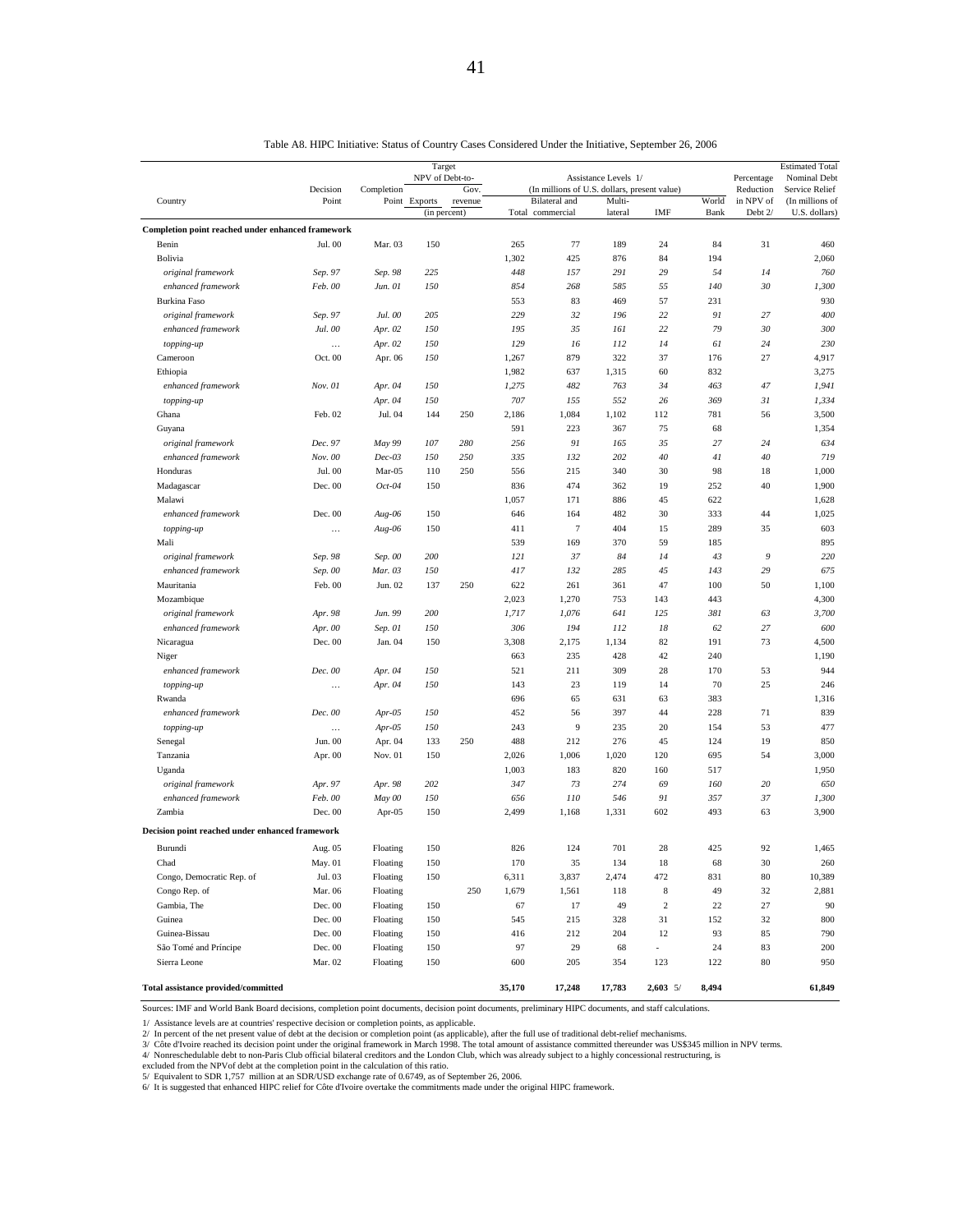|                                                   |                      |                    | Target          |         |            |                                              |                      |            |            |                         | <b>Estimated Total</b>         |
|---------------------------------------------------|----------------------|--------------------|-----------------|---------|------------|----------------------------------------------|----------------------|------------|------------|-------------------------|--------------------------------|
|                                                   | Decision             | Completion         | NPV of Debt-to- | Gov.    |            | (In millions of U.S. dollars, present value) | Assistance Levels 1/ |            |            | Percentage<br>Reduction | Nominal Debt<br>Service Relief |
| Country                                           | Point                |                    | Point Exports   | revenue |            | Bilateral and                                | Multi-               | IMF        | World      | in NPV of<br>Debt 2/    | (In millions of                |
|                                                   |                      |                    | (in percent)    |         |            | Total commercial                             | lateral              |            | Bank       |                         | U.S. dollars)                  |
| Completion point reached under enhanced framework |                      | Mar. 03            |                 |         |            |                                              |                      |            |            |                         |                                |
| Benin<br>Bolivia                                  | Jul. 00              |                    | 150             |         | 265        | 77                                           | 189                  | 24         | 84<br>194  | 31                      | 460                            |
|                                                   |                      |                    |                 |         | 1,302      | 425<br>157                                   | 876<br>291           | 84<br>29   |            |                         | 2,060<br>760                   |
| original framework                                | Sep. 97              | Sep. 98            | 225             |         | 448        |                                              |                      |            | 54         | 14                      |                                |
| enhanced framework                                | Feb. 00              | Jun. 01            | 150             |         | 854        | 268                                          | 585                  | 55<br>57   | 140<br>231 | 30                      | 1,300<br>930                   |
| <b>Burkina Faso</b>                               |                      |                    | 205             |         | 553<br>229 | 83                                           | 469<br>196           | 22         | 91         | 27                      | 400                            |
| original framework                                | Sep. 97              | Jul. 00            | 150             |         | 195        | 32                                           |                      | 22         | 79         | 30                      | 300                            |
| enhanced framework                                | Jul. 00              | Apr. 02<br>Apr. 02 | 150             |         | 129        | 35<br>16                                     | 161<br>112           | 14         | 61         | 24                      | 230                            |
| topping-up<br>Cameroon                            | $\ddotsc$<br>Oct. 00 | Apr. 06            | 150             |         | 1,267      | 879                                          | 322                  | 37         | 176        | 27                      | 4,917                          |
| Ethiopia                                          |                      |                    |                 |         | 1,982      | 637                                          | 1,315                | 60         | 832        |                         | 3,275                          |
| enhanced framework                                | Nov. 01              | Apr. 04            | 150             |         | 1,275      | 482                                          | 763                  | 34         | 463        | 47                      | 1,941                          |
| topping-up                                        |                      | Apr. 04            | 150             |         | 707        | 155                                          | 552                  | 26         | 369        | 31                      | 1,334                          |
| Ghana                                             | Feb. 02              | Jul. 04            | 144             | 250     | 2,186      | 1,084                                        | 1,102                | 112        | 781        | 56                      | 3,500                          |
| Guyana                                            |                      |                    |                 |         | 591        | 223                                          | 367                  | 75         | 68         |                         | 1,354                          |
| original framework                                | Dec. 97              | May 99             | 107             | 280     | 256        | 91                                           | 165                  | 35         | 27         | 24                      | 634                            |
| enhanced framework                                | Nov. 00              | $Dec-03$           | 150             | 250     | 335        | 132                                          | 202                  | 40         | 41         | 40                      | 719                            |
| Honduras                                          | Jul. 00              | Mar-05             | 110             | 250     | 556        | 215                                          | 340                  | 30         | 98         | 18                      | 1,000                          |
| Madagascar                                        | Dec. 00              | $Oct-04$           | 150             |         | 836        | 474                                          | 362                  | 19         | 252        | 40                      | 1,900                          |
| Malawi                                            |                      |                    |                 |         | 1,057      | 171                                          | 886                  | 45         | 622        |                         | 1,628                          |
| enhanced framework                                | Dec. 00              | $Aug-06$           | 150             |         | 646        | 164                                          | 482                  | 30         | 333        | 44                      | 1,025                          |
| topping-up                                        | $\cdots$             | Aug-06             | 150             |         | 411        | $\tau$                                       | 404                  | 15         | 289        | 35                      | 603                            |
| Mali                                              |                      |                    |                 |         | 539        | 169                                          | 370                  | 59         | 185        |                         | 895                            |
| original framework                                | Sep. 98              | Sep. 00            | 200             |         | 121        | 37                                           | 84                   | 14         | 43         | $\mathfrak{g}$          | 220                            |
| enhanced framework                                | Sep. 00              | Mar. 03            | 150             |         | 417        | 132                                          | 285                  | 45         | 143        | 29                      | 675                            |
| Mauritania                                        | Feb. 00              | Jun. 02            | 137             | 250     | 622        | 261                                          | 361                  | 47         | 100        | 50                      | 1,100                          |
| Mozambique                                        |                      |                    |                 |         | 2,023      | 1,270                                        | 753                  | 143        | 443        |                         | 4,300                          |
| original framework                                | Apr. 98              | Jun. 99            | 200             |         | 1,717      | 1,076                                        | 641                  | 125        | 381        | 63                      | 3,700                          |
| enhanced framework                                | Apr. 00              | Sep. 01            | 150             |         | 306        | 194                                          | 112                  | 18         | 62         | 27                      | 600                            |
| Nicaragua                                         | Dec. 00              | Jan. 04            | 150             |         | 3,308      | 2,175                                        | 1,134                | 82         | 191        | 73                      | 4,500                          |
| Niger                                             |                      |                    |                 |         | 663        | 235                                          | 428                  | 42         | 240        |                         | 1,190                          |
| enhanced framework                                | Dec. 00              | Apr. 04            | 150             |         | 521        | 211                                          | 309                  | 28         | 170        | 53                      | 944                            |
| topping-up                                        |                      | Apr. 04            | 150             |         | 143        | 23                                           | 119                  | 14         | 70         | 25                      | 246                            |
| Rwanda                                            |                      |                    |                 |         | 696        | 65                                           | 631                  | 63         | 383        |                         | 1,316                          |
| enhanced framework                                | Dec. 00              | $Apr-05$           | 150             |         | 452        | 56                                           | 397                  | 44         | 228        | 71                      | 839                            |
| topping-up                                        |                      | $Apr-05$           | 150             |         | 243        | 9                                            | 235                  | 20         | 154        | 53                      | 477                            |
| Senegal                                           | Jun. 00              | Apr. 04            | 133             | 250     | 488        | 212                                          | 276                  | 45         | 124        | 19                      | 850                            |
| Tanzania                                          | Apr. 00              | Nov. 01            | 150             |         | 2,026      | 1,006                                        | 1,020                | 120        | 695        | 54                      | 3,000                          |
| Uganda                                            |                      |                    |                 |         | 1,003      | 183                                          | 820                  | 160        | 517        |                         | 1,950                          |
| original framework                                | Apr. 97              | Apr. 98            | 202             |         | 347        | 73                                           | 274                  | 69         | 160        | 20                      | 650                            |
| enhanced framework                                | Feb. 00              | May 00             | 150             |         | 656        | 110                                          | 546                  | 91         | 357        | 37                      | 1,300                          |
| Zambia                                            | Dec. 00              | Apr-05             | 150             |         | 2,499      | 1,168                                        | 1,331                | 602        | 493        | 63                      | 3,900                          |
| Decision point reached under enhanced framework   |                      |                    |                 |         |            |                                              |                      |            |            |                         |                                |
| Burundi                                           | Aug. 05              | Floating           | 150             |         | 826        | 124                                          | 701                  | 28         | 425        | 92                      | 1,465                          |
| Chad                                              | May. 01              | Floating           | 150             |         | 170        | 35                                           | 134                  | 18         | 68         | 30                      | 260                            |
| Congo, Democratic Rep. of                         | Jul. 03              | Floating           | 150             |         | 6,311      | 3,837                                        | 2,474                | 472        | 831        | 80                      | 10,389                         |
| Congo Rep. of                                     | Mar. 06              | Floating           |                 | 250     | 1,679      | 1,561                                        | 118                  | 8          | 49         | 32                      | 2,881                          |
| Gambia, The                                       | Dec. 00              | Floating           | 150             |         | 67         | 17                                           | 49                   | $\sqrt{2}$ | $22\,$     | 27                      | 90                             |
| Guinea                                            | Dec. 00              | Floating           | 150             |         | 545        | 215                                          | 328                  | 31         | 152        | 32                      | 800                            |
| Guinea-Bissau                                     | Dec. 00              | Floating           | 150             |         | 416        | 212                                          | 204                  | 12         | 93         | 85                      | 790                            |
| São Tomé and Príncipe                             | Dec. 00              | Floating           | 150             |         | 97         | 29                                           | 68                   | L.         | 24         | 83                      | 200                            |
| Sierra Leone                                      | Mar. 02              | Floating           | 150             |         | 600        | 205                                          | 354                  | 123        | 122        | 80                      | 950                            |
| Total assistance provided/committed               |                      |                    |                 |         | 35,170     | 17,248                                       | 17,783               | $2,603$ 5/ | 8,494      |                         | 61,849                         |

| Table A8. HIPC Initiative: Status of Country Cases Considered Under the Initiative, September 26, 2006 |
|--------------------------------------------------------------------------------------------------------|
|--------------------------------------------------------------------------------------------------------|

Sources: IMF and World Bank Board decisions, completion point documents, decision point documents, preliminary HIPC documents, and staff calculations.

1/ Assistance levels are at countries' respective decision or completion points, as applicable.<br>2/ In percent of the net present value of debt at the decision or completion point, (as applicable), after the full use of tra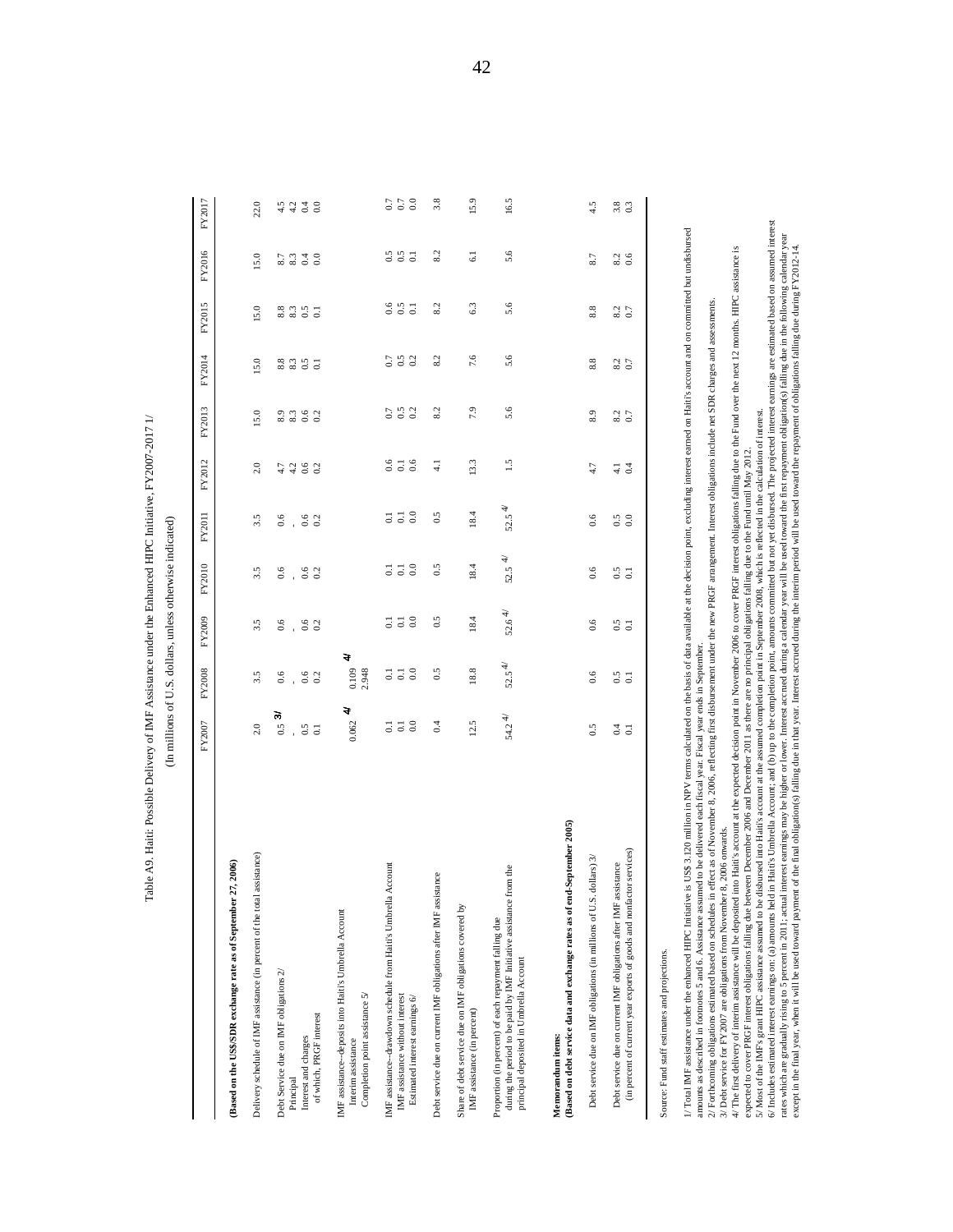|                                                                                                                                                                                                                                                                                                                                                                                                                                                                                                                                                                                                                                                                                                                                                                                                                                                                                                                                                                                                                                                                                                                                                                                                                                                                                                                                                                         | FY2007                                                               | FY2008                                       | FY2009                                                  | FY2010                                                    | FY2011                                                         | FY2012                            | FY2013                | FY2014                  | FY2015                              | FY2016                 | FY2017                         |
|-------------------------------------------------------------------------------------------------------------------------------------------------------------------------------------------------------------------------------------------------------------------------------------------------------------------------------------------------------------------------------------------------------------------------------------------------------------------------------------------------------------------------------------------------------------------------------------------------------------------------------------------------------------------------------------------------------------------------------------------------------------------------------------------------------------------------------------------------------------------------------------------------------------------------------------------------------------------------------------------------------------------------------------------------------------------------------------------------------------------------------------------------------------------------------------------------------------------------------------------------------------------------------------------------------------------------------------------------------------------------|----------------------------------------------------------------------|----------------------------------------------|---------------------------------------------------------|-----------------------------------------------------------|----------------------------------------------------------------|-----------------------------------|-----------------------|-------------------------|-------------------------------------|------------------------|--------------------------------|
| Based on the US\$/SDR exchange rate as of September 27, 2006)                                                                                                                                                                                                                                                                                                                                                                                                                                                                                                                                                                                                                                                                                                                                                                                                                                                                                                                                                                                                                                                                                                                                                                                                                                                                                                           |                                                                      |                                              |                                                         |                                                           |                                                                |                                   |                       |                         |                                     |                        |                                |
| Delivery schedule of IMF assistance (in percent of the total assistance)                                                                                                                                                                                                                                                                                                                                                                                                                                                                                                                                                                                                                                                                                                                                                                                                                                                                                                                                                                                                                                                                                                                                                                                                                                                                                                | $2.0\,$                                                              | 3.5                                          | $3.\overline{5}$                                        | 3.5                                                       | 3.5                                                            | 2.0                               | 15.0                  | 15.0                    | 15.0                                | 15.0                   | 22.0                           |
| Debt Service due on IMF obligations 2/                                                                                                                                                                                                                                                                                                                                                                                                                                                                                                                                                                                                                                                                                                                                                                                                                                                                                                                                                                                                                                                                                                                                                                                                                                                                                                                                  | $0.5\,3$                                                             | 0.6                                          | 6.6                                                     | 6.6                                                       | 6.6                                                            | 4.7                               | 8.3                   |                         |                                     | $8.7$ $\phantom{0}8.3$ | $4.5$<br>$4.2$                 |
| Interest and charges<br>Principal                                                                                                                                                                                                                                                                                                                                                                                                                                                                                                                                                                                                                                                                                                                                                                                                                                                                                                                                                                                                                                                                                                                                                                                                                                                                                                                                       | 0.5                                                                  | 0.6                                          | 0.6                                                     | $_{0.6}$                                                  | $_{0.6}$                                                       | $_{0.6}$<br>4.2                   | 0.6                   | $8.3$<br>$8.3$<br>$0.5$ | $8.3$<br>$8.3$<br>$0.5$             | 0.4                    |                                |
| of which, PRGF interest                                                                                                                                                                                                                                                                                                                                                                                                                                                                                                                                                                                                                                                                                                                                                                                                                                                                                                                                                                                                                                                                                                                                                                                                                                                                                                                                                 | $\overline{0}$                                                       | 0.2                                          | 0.2                                                     | 0.2                                                       | 0.2                                                            | 0.2                               | 0.2                   | $\overline{c}$          | $\overline{c}$                      | $_{0.0}$               | 6.0                            |
| IMF assistance-deposits into Haiti's Umbrella Account<br>Completion point assistance 5/<br>Interim assistance                                                                                                                                                                                                                                                                                                                                                                                                                                                                                                                                                                                                                                                                                                                                                                                                                                                                                                                                                                                                                                                                                                                                                                                                                                                           | चे<br>0.062                                                          | 0.109<br>2.948                               | च                                                       |                                                           |                                                                |                                   |                       |                         |                                     |                        |                                |
| Account<br>IMF assistance--drawdown schedule from Haiti's Umbrella<br>IMF assistance without interest<br>Estimated interest earnings 6/                                                                                                                                                                                                                                                                                                                                                                                                                                                                                                                                                                                                                                                                                                                                                                                                                                                                                                                                                                                                                                                                                                                                                                                                                                 | $\begin{array}{c} 0.1 \\ 0.0 \end{array}$<br>$\overline{\textbf{c}}$ | $\overline{5}$ $\overline{5}$ $\overline{8}$ | $_{\rm 0.0}$<br>$\overline{\text{o}}$<br>$\overline{0}$ | $_{0.0}$<br>$\overline{\textbf{c}}$<br>$\overline{\circ}$ | $\begin{smallmatrix} 1 & 1 & 0 \\ 0 & 0 & 0 \end{smallmatrix}$ | 0.6<br>$\Xi$<br>0.6               | 0.5<br>$\overline{0}$ | 0.5<br>0.7<br>0.2       | $0.6$<br>0.5<br>$\overline{\omega}$ |                        | $_{0.0}$<br>$0.7\,$<br>$0.7\,$ |
| Debt service due on current IMF obligations after IMF assistance                                                                                                                                                                                                                                                                                                                                                                                                                                                                                                                                                                                                                                                                                                                                                                                                                                                                                                                                                                                                                                                                                                                                                                                                                                                                                                        | 0.4                                                                  | 0.5                                          | 0.5                                                     | 0.5                                                       | 0.5                                                            | $\overline{41}$                   | 8.2                   | 8.2                     | 8.2                                 | 8.2                    | 3.8                            |
| Share of debt service due on IMF obligations covered by<br>IMF assistance (in percent)                                                                                                                                                                                                                                                                                                                                                                                                                                                                                                                                                                                                                                                                                                                                                                                                                                                                                                                                                                                                                                                                                                                                                                                                                                                                                  | 12.5                                                                 | 18.8                                         | 18.4                                                    | 18.4                                                      | 18.4                                                           | 13.3                              | 7.9                   | 7.6                     | 6.3                                 | $\overline{61}$        | 15.9                           |
| during the period to be paid by IMF Initiative assistance from the<br>Proportion (in percent) of each repayment falling due<br>principal deposited in Umbrella Account                                                                                                                                                                                                                                                                                                                                                                                                                                                                                                                                                                                                                                                                                                                                                                                                                                                                                                                                                                                                                                                                                                                                                                                                  | 54.24                                                                | $52.5^{4/}$                                  | 52.64/                                                  | $52.5$ $\pm$                                              | $52.5^{4/}$                                                    | 1.5                               | 5.6                   | 5.6                     | 5.6                                 | 5.6                    | 16.5                           |
| (Based on debt service data and exchange rates as of end-September 2005)<br>Memorandum items:                                                                                                                                                                                                                                                                                                                                                                                                                                                                                                                                                                                                                                                                                                                                                                                                                                                                                                                                                                                                                                                                                                                                                                                                                                                                           |                                                                      |                                              |                                                         |                                                           |                                                                |                                   |                       |                         |                                     |                        |                                |
| dollars) 3/<br>Debt service due on IMF obligations (in millions of U.S.                                                                                                                                                                                                                                                                                                                                                                                                                                                                                                                                                                                                                                                                                                                                                                                                                                                                                                                                                                                                                                                                                                                                                                                                                                                                                                 | 0.5                                                                  | 0.6                                          | 0.6                                                     | 0.6                                                       | 0.6                                                            | 4.7                               | 8.9                   | 8.8                     | 8.8                                 | 8.7                    | 4.5                            |
| tor services)<br>Debt service due on current IMF obligations after IMF assistance<br>(in percent of current year exports of goods and nonfact                                                                                                                                                                                                                                                                                                                                                                                                                                                                                                                                                                                                                                                                                                                                                                                                                                                                                                                                                                                                                                                                                                                                                                                                                           | 0.4<br>$\overline{c}$                                                | 0.5<br>$\overline{c}$                        | $\frac{5}{6}$                                           | 0.5                                                       | $\begin{array}{c} 0.5 \\ 0.0 \end{array}$                      | $\overline{0}$<br>$\overline{41}$ | $8.2$<br>0.7          | $8.2$<br>0.7            | $8.2$<br>0.7                        | $8.2$<br>0.6           | $3.8$<br>0.3                   |
| is US\$ 3.120 million in NPV terms calculated on the basis of data available at the decision point, excluding interest earned on Haiti's account and on conmitted but undisbursed<br>mo Hait's account at the expected decision point in November 2006 to cover PRGF interest obligations falling due to the Fund over the next 12 months. HIPC assistance is<br>effect as of November 8, 2006, reflecting first disbursement under the new PRGF arrangement. Interest obligations include net SDR charges and assessments<br>5/Most of the IMF's grant HIPC assistance assumed to be disbursed into Haiti's account at the assumed completion point in September 2008, which is reflected in the calculation of interest.<br>expected to cover PRGF interest obligations falling due between December 2006 and December 2011 as there are no principal obligations falling due to the Fund until May 2012<br>amounts as described in footnotes 5 and 6. Assistance assumed to be delivered each fiscal year. Fiscal year ends in September<br>8, 2006 onwards.<br>/Total IMF assistance under the enhanced HIPC Initiative<br>2/ Forthcoming obligations estimated based on schedules in<br>3/ Debt service for FY2007 are obligations from November<br>4/ The first delivery of interim assistance will be deposited<br>Source: Fund staff estimates and projections. |                                                                      |                                              |                                                         |                                                           |                                                                |                                   |                       |                         |                                     |                        |                                |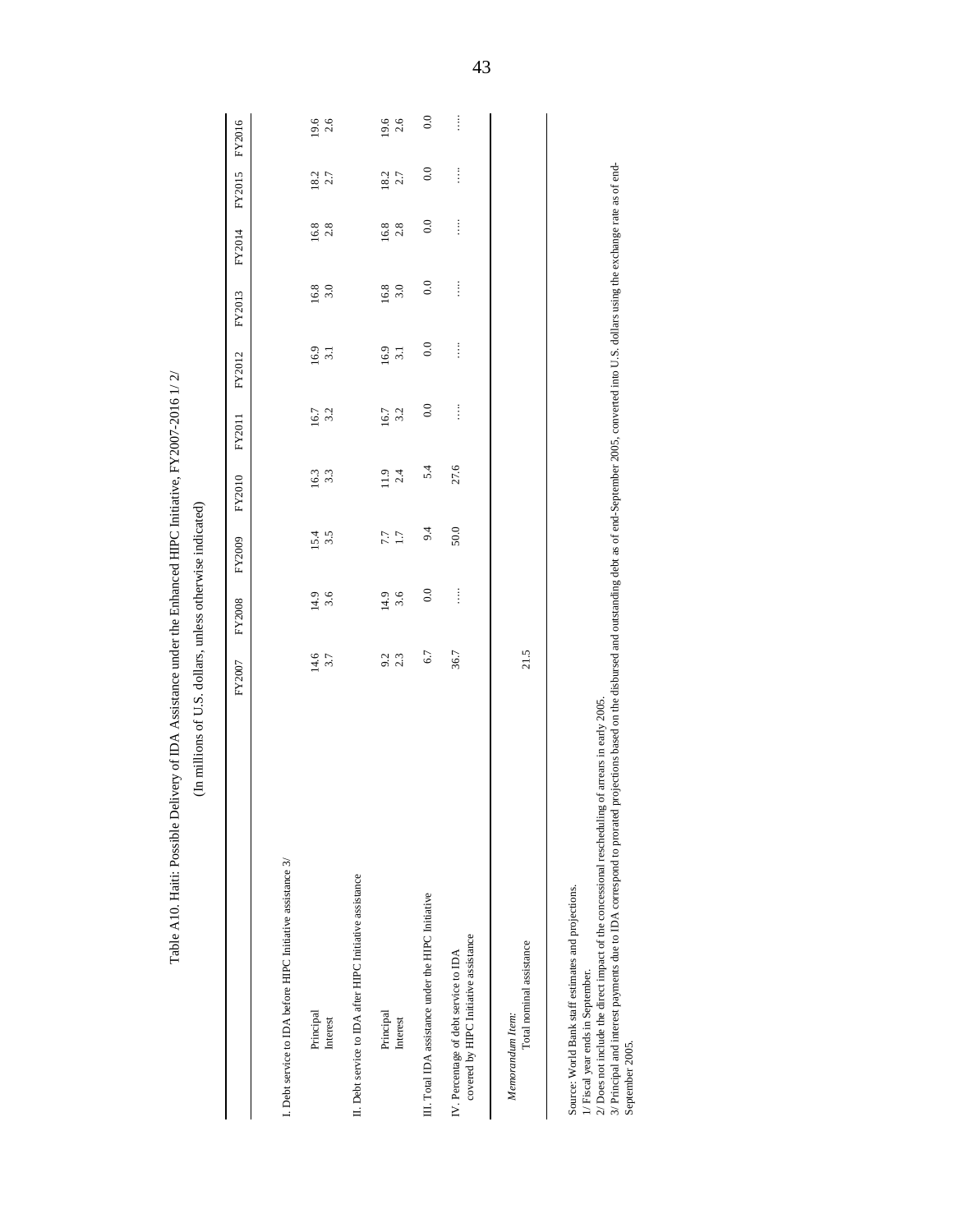| Table A10. Haiti: Possible Delivery of IDA Assistance under the Enhanced HIPC Initiative, FY2007-2016 1/2/                                                                                  | (In millions of U.S. dollars, unless otherwise indicated)                                                                                        |             |             |             |             |             |             |             |               |             |
|---------------------------------------------------------------------------------------------------------------------------------------------------------------------------------------------|--------------------------------------------------------------------------------------------------------------------------------------------------|-------------|-------------|-------------|-------------|-------------|-------------|-------------|---------------|-------------|
|                                                                                                                                                                                             | FY2007                                                                                                                                           | FY2008      | FY2009      | FY2010      | FY2011      | FY2012      | FY2013      | FY2014      | FY2015        | FY2016      |
| I. Debt service to IDA before HIPC Initiative assistance 3/                                                                                                                                 |                                                                                                                                                  |             |             |             |             |             |             |             |               |             |
|                                                                                                                                                                                             |                                                                                                                                                  |             |             |             |             |             |             |             |               |             |
| Principal<br>Interest                                                                                                                                                                       | 14.6<br>3.7                                                                                                                                      | 14.9<br>3.6 | 15.4<br>3.5 | 16.3<br>3.3 | 16.7<br>3.2 | 16.9<br>3.1 | 16.8<br>3.0 | 16.8<br>2.8 | $18.2$<br>2.7 | 19.6<br>2.6 |
| II. Debt service to IDA after HIPC Initiative assistance                                                                                                                                    |                                                                                                                                                  |             |             |             |             |             |             |             |               |             |
| Principal                                                                                                                                                                                   | 9.2                                                                                                                                              | 14.9        | 7.7         | 11.9        | 16.7        | 16.9        | 16.8        | 16.8        | 18.2          | 19.6        |
| Interest                                                                                                                                                                                    | 2.3                                                                                                                                              | 3.6         | 1.7         | 2.4         | 3.2         | 3.1         | 3.0         | 2.8         | 2.7           | 2.6         |
| III. Total IDA assistance under the HIPC Initiative                                                                                                                                         | 6.7                                                                                                                                              | 0.0         | 9.4         | 5.4         | 0.0         | 0.0         | 0.0         | $_{0.0}$    | $_{0.0}$      | $_{0.0}$    |
| covered by HIPC Initiative assistance<br>IV. Percentage of debt service to IDA                                                                                                              | 36.7                                                                                                                                             | $\vdots$    | 50.0        | 27.6        | $\vdots$    | $\vdots$    | $\vdots$    | $\vdots$    | $\vdots$      | $\vdots$    |
| Total nominal assistance<br>Memorandum Item:                                                                                                                                                | 21.5                                                                                                                                             |             |             |             |             |             |             |             |               |             |
|                                                                                                                                                                                             |                                                                                                                                                  |             |             |             |             |             |             |             |               |             |
| Source: World Bank staff estimates and projections.<br>1/ Fiscal year ends in September.                                                                                                    |                                                                                                                                                  |             |             |             |             |             |             |             |               |             |
| 2/ Does not include the direct impact of the concessional rescheduling of arrears in early 2005.<br>3/ Principal and interest payments due to IDA correspond to prorated<br>September 2005. | projections based on the disbursed and outstanding debt as of end-September 2005, converted into U.S. dollars using the exchange rate as of end- |             |             |             |             |             |             |             |               |             |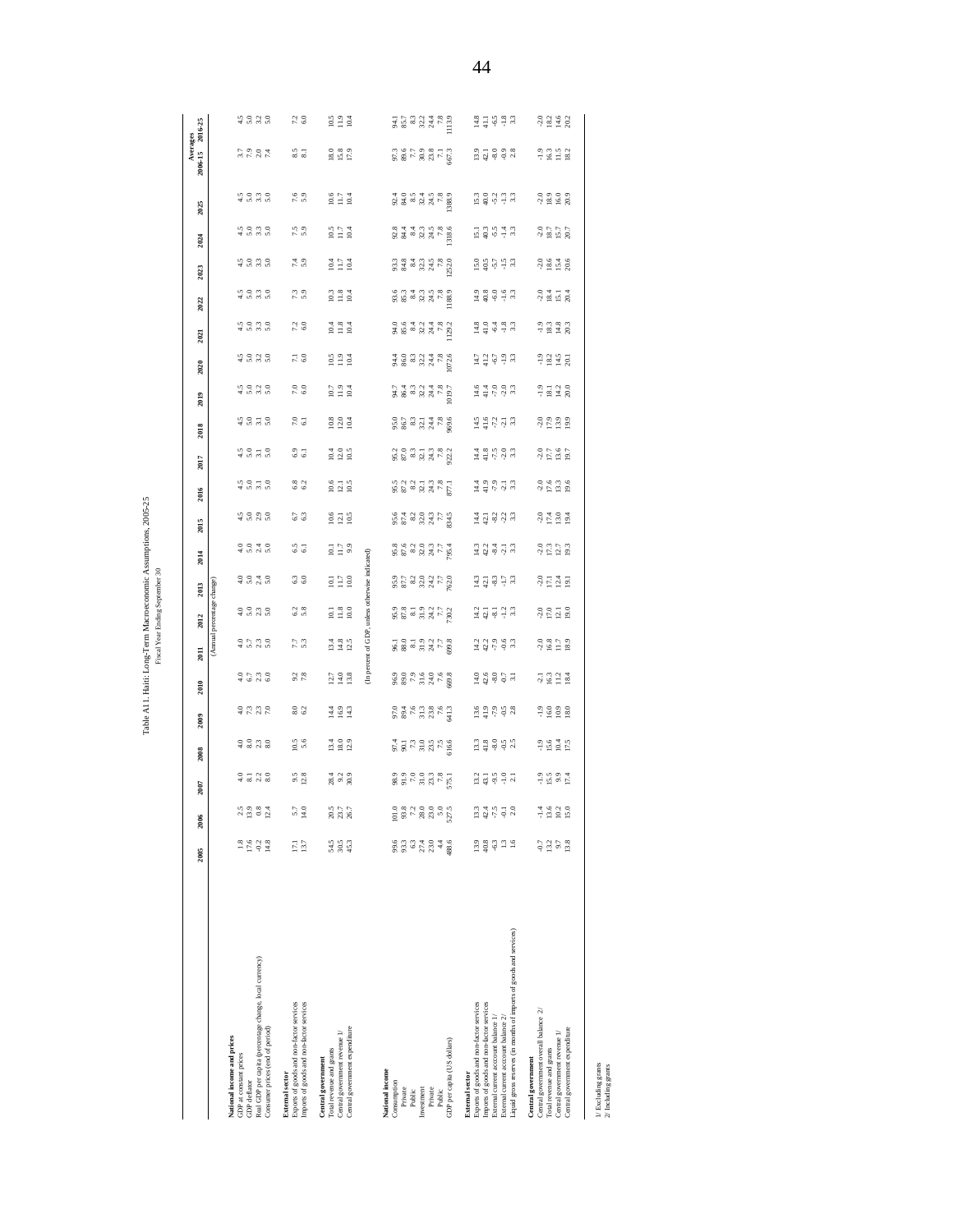|                                                                                                                                                                                                                                                                        | 2005                                                         | 2006                                                                 | 2007                          | 2008                                                                                                                                                      | 2009                       | 2010                                                     | 2011                                                                                                                | 2012                       | 2013                                                                                                                                                                                                                                                                                                                                                                                      | 2014                   | 2015                                                                                                                                                                                                                                                                                                                           | 2016                                                                                                                                                                                                                                                                                                                                                                                                          | 2017                                | 2018                                                                                                                                                                                                                                                                              | 2019                                                                                               | 2020                                                         | 2021                           | 2022                                                                                               | 2023                                                                                                                                                                                                                                                                                                          | 2025<br>2024                                                                                                                                                             |                                                                | Averages<br>2006-15 2016-25                                                                                                          |                                                                                                                                                                                                                                                                                                                     |
|------------------------------------------------------------------------------------------------------------------------------------------------------------------------------------------------------------------------------------------------------------------------|--------------------------------------------------------------|----------------------------------------------------------------------|-------------------------------|-----------------------------------------------------------------------------------------------------------------------------------------------------------|----------------------------|----------------------------------------------------------|---------------------------------------------------------------------------------------------------------------------|----------------------------|-------------------------------------------------------------------------------------------------------------------------------------------------------------------------------------------------------------------------------------------------------------------------------------------------------------------------------------------------------------------------------------------|------------------------|--------------------------------------------------------------------------------------------------------------------------------------------------------------------------------------------------------------------------------------------------------------------------------------------------------------------------------|---------------------------------------------------------------------------------------------------------------------------------------------------------------------------------------------------------------------------------------------------------------------------------------------------------------------------------------------------------------------------------------------------------------|-------------------------------------|-----------------------------------------------------------------------------------------------------------------------------------------------------------------------------------------------------------------------------------------------------------------------------------|----------------------------------------------------------------------------------------------------|--------------------------------------------------------------|--------------------------------|----------------------------------------------------------------------------------------------------|---------------------------------------------------------------------------------------------------------------------------------------------------------------------------------------------------------------------------------------------------------------------------------------------------------------|--------------------------------------------------------------------------------------------------------------------------------------------------------------------------|----------------------------------------------------------------|--------------------------------------------------------------------------------------------------------------------------------------|---------------------------------------------------------------------------------------------------------------------------------------------------------------------------------------------------------------------------------------------------------------------------------------------------------------------|
|                                                                                                                                                                                                                                                                        |                                                              |                                                                      |                               |                                                                                                                                                           |                            |                                                          |                                                                                                                     | (Annual percentage change) |                                                                                                                                                                                                                                                                                                                                                                                           |                        |                                                                                                                                                                                                                                                                                                                                |                                                                                                                                                                                                                                                                                                                                                                                                               |                                     |                                                                                                                                                                                                                                                                                   |                                                                                                    |                                                              |                                |                                                                                                    |                                                                                                                                                                                                                                                                                                               |                                                                                                                                                                          |                                                                |                                                                                                                                      |                                                                                                                                                                                                                                                                                                                     |
| Real GDP per capita (percentage change, local currency)<br>Consumer prices (end of period)<br>National income and prices<br>GDP at constant prices<br>GDP deflator                                                                                                     | $\begin{array}{c} 1.8 \\ 1.76 \\ -2.2 \\ \hline \end{array}$ | 2.5<br>13.9<br>$0.8$<br>12.4                                         | $-3.76$<br>$-3.76$            | $-2070$<br>$+2070$                                                                                                                                        | 3732                       | $\frac{0}{4}$ $\frac{0}{6}$ $\frac{0}{10}$ $\frac{0}{6}$ | $-25.70$                                                                                                            | 3.500                      | 3.540                                                                                                                                                                                                                                                                                                                                                                                     | $-0.040$               | $4.500$<br>$4.500$                                                                                                                                                                                                                                                                                                             | $4.5$ 0.7 0.8                                                                                                                                                                                                                                                                                                                                                                                                 | $4.5 - 5.5$                         | $4.0 - 0.0$                                                                                                                                                                                                                                                                       | 45055                                                                                              | 4.588                                                        | 40990                          | 4.888                                                                                              | 4535                                                                                                                                                                                                                                                                                                          | 45656                                                                                                                                                                    | 4.0880                                                         | $3.7$<br>$7.9$<br>$7.4$                                                                                                              | 5 5 6 7 6<br>7 5 6 7 6                                                                                                                                                                                                                                                                                              |
| Imports of goods and non-factor services<br>Exports of goods and non-factor services<br><b>External sector</b>                                                                                                                                                         | 17.1<br>13.7                                                 | 5.7<br>14.0                                                          | $9.5$<br>12.8                 | $10.5$<br>5.6                                                                                                                                             | $rac{6}{6}$                | $9.2$ $\phantom{0}7.8$                                   | 7. J<br>5. 3                                                                                                        | 6.2                        | $rac{3}{6}$                                                                                                                                                                                                                                                                                                                                                                               | 55                     | 6.7                                                                                                                                                                                                                                                                                                                            | $6.8$<br>$6.2$                                                                                                                                                                                                                                                                                                                                                                                                | $rac{6.9}{6.1}$                     | $7.0\phantom{0}\phantom{0}6.1$                                                                                                                                                                                                                                                    | $\frac{0}{6}$                                                                                      | $\overline{7}$ . $\overline{6}$ . 0                          | $7.2\phantom{0}\phantom{0}6.0$ | 7.3                                                                                                | 7.4                                                                                                                                                                                                                                                                                                           | 7.5                                                                                                                                                                      | $7.6$<br>5.9                                                   | $\frac{5}{8.1}$                                                                                                                      | $7.\overline{2}$<br>6.0                                                                                                                                                                                                                                                                                             |
| Central government expenditure<br>Central government revenue 1/<br>Total revenue and grants<br>Central government                                                                                                                                                      | 54.5<br>58.53                                                | 20.5<br>23.7<br>26.7                                                 | $28.4$<br>9.2<br>30.9         | $\frac{13.4}{18.0}$                                                                                                                                       | $14.4$<br>$16.9$<br>$14.3$ | $12.7$<br>$14.0$<br>$13.8$                               | $13.4$<br>$14.8$<br>$12.5$                                                                                          | $10.1$<br>$1.8$<br>$10.0$  | 10.1<br>11.7<br>10.0                                                                                                                                                                                                                                                                                                                                                                      | 10.1<br>5.17           | $10.6$<br>12.1<br>10.5                                                                                                                                                                                                                                                                                                         | $\frac{10.6}{12.1}$                                                                                                                                                                                                                                                                                                                                                                                           | $\frac{10.4}{12.0}$                 | $\begin{array}{c} 10.8 \\ 12.0 \\ 10.4 \end{array}$                                                                                                                                                                                                                               | $\frac{10.7}{11.9}$                                                                                | $0.5$<br>$1.9$<br>$1.9$                                      | $10.4$<br>$1.8$<br>$10.4$      | $\frac{10.3}{11.8}$                                                                                | $0.4$<br>11.7<br>10.4                                                                                                                                                                                                                                                                                         | $10.5$<br>11.7<br>10.4                                                                                                                                                   | $0.6$<br>11.7<br>10.4                                          | 18.0<br>15.8<br>17.9                                                                                                                 | $\begin{array}{c} 10.5 \\ 2.19 \\ 10.4 \end{array}$                                                                                                                                                                                                                                                                 |
|                                                                                                                                                                                                                                                                        |                                                              |                                                                      |                               |                                                                                                                                                           |                            |                                                          | (In percent of GDP, unless otherwise indicated)                                                                     |                            |                                                                                                                                                                                                                                                                                                                                                                                           |                        |                                                                                                                                                                                                                                                                                                                                |                                                                                                                                                                                                                                                                                                                                                                                                               |                                     |                                                                                                                                                                                                                                                                                   |                                                                                                    |                                                              |                                |                                                                                                    |                                                                                                                                                                                                                                                                                                               |                                                                                                                                                                          |                                                                |                                                                                                                                      |                                                                                                                                                                                                                                                                                                                     |
| GDP per capita (US dollars)<br>National income<br>Consumption<br>Private<br>Investment<br>Private<br>Public<br>Public                                                                                                                                                  | $8.33340$<br>$8.3333$<br>188.6<br>$4.4\,$                    | 101.0<br>$\begin{array}{c} 7.2 \\ 2.80 \end{array}$<br>23.0<br>527.5 | $283777$<br>$77777$<br>$7777$ | $\frac{4}{5}$ $\frac{3}{5}$ $\frac{5}{7}$ $\frac{3}{7}$ $\frac{5}{7}$ $\frac{5}{7}$ $\frac{5}{7}$ $\frac{5}{7}$ $\frac{5}{7}$ $\frac{5}{7}$ $\frac{5}{7}$ |                            | $8877778$<br>$8877778$                                   | $\frac{1}{8}$ $\frac{5}{8}$ $\frac{3}{8}$ $\frac{3}{12}$ $\frac{3}{12}$ $\frac{3}{12}$ $\frac{3}{12}$ $\frac{3}{8}$ |                            | $\frac{55}{25}$ $\frac{25}{25}$ $\frac{25}{25}$ $\frac{25}{25}$ $\frac{25}{25}$                                                                                                                                                                                                                                                                                                           | 3<br>2023 375          | 5233353                                                                                                                                                                                                                                                                                                                        | $823772$<br>$823772$                                                                                                                                                                                                                                                                                                                                                                                          | 2<br>2 2 3 3 3 3 4<br>2 2 3 3 4 5 2 | 9.5777888                                                                                                                                                                                                                                                                         | 3<br>2003 31<br>2003 31<br>2003 31                                                                 | $\begin{array}{c}\n 48888874888 \\  258887488\n \end{array}$ | 388877782                      | 3 3 3 3 3 4 5 3<br>8 3 3 3 4 5 3                                                                   | $\begin{array}{l} 0.33 \\ 0.34 \\ 0.35 \\ 0.36 \\ 0.37 \\ 0.37 \\ 0.38 \\ 0.37 \\ 0.37 \\ 0.37 \\ 0.37 \\ 0.37 \\ 0.37 \\ 0.37 \\ 0.37 \\ 0.37 \\ 0.37 \\ 0.37 \\ 0.37 \\ 0.37 \\ 0.37 \\ 0.37 \\ 0.37 \\ 0.37 \\ 0.37 \\ 0.37 \\ 0.37 \\ 0.37 \\ 0.37 \\ 0.37 \\ 0.37 \\ 0.37 \\ 0.37 \\ 0.37 \\ 0.37 \\ 0.$ | $\begin{array}{c} 2.3 \\ 2.4 \\ 3.5 \\ 4.7 \\ 5.8 \\ 6.8 \\ \hline \end{array}$                                                                                          |                                                                | $\frac{3}{2}$<br>$\frac{3}{2}$<br>$\frac{5}{2}$<br>$\frac{3}{2}$<br>$\frac{3}{2}$<br>$\frac{3}{2}$<br>$\frac{3}{2}$<br>$\frac{3}{2}$ | $\frac{1}{3}$ $\frac{1}{3}$ $\frac{3}{8}$ $\frac{3}{8}$ $\frac{3}{8}$ $\frac{3}{8}$ $\frac{3}{8}$ $\frac{3}{8}$ $\frac{3}{8}$ $\frac{3}{8}$ $\frac{3}{8}$ $\frac{3}{8}$ $\frac{3}{8}$ $\frac{3}{8}$ $\frac{3}{8}$ $\frac{3}{8}$ $\frac{3}{8}$ $\frac{3}{8}$ $\frac{3}{8}$ $\frac{3}{8}$ $\frac{3}{8}$ $\frac{3}{8}$ |
| Liquid gross reserves (in months of imports of goods and services)<br>Exports of goods and non-factor services<br>Imports of goods and non-factor services<br>External current account balance $1/\,$<br>External current account balance 2/<br><b>External sector</b> | $13.9$<br>$40.8$<br>$9.3$<br>$-1.6$                          | 13.3<br>42.4<br>$-7.5$<br>$\overline{\phi}$<br>2.0                   |                               | $\begin{array}{c} 13 \\ 13 \\ 4 \\ 3 \\ 6 \\ \end{array} \begin{array}{c} 2 \\ 3 \\ 6 \\ 7 \\ 8 \\ \end{array}$                                           |                            |                                                          |                                                                                                                     |                            | $\begin{array}{cccccc} \frac{13}{4} & \frac{13}{4} & \frac{15}{4} & \frac{13}{4} & \frac{13}{4} & \frac{13}{4} & \frac{13}{4} & \frac{13}{4} & \frac{13}{4} & \frac{13}{4} & \frac{13}{4} & \frac{13}{4} & \frac{13}{4} & \frac{13}{4} & \frac{13}{4} & \frac{13}{4} & \frac{13}{4} & \frac{13}{4} & \frac{13}{4} & \frac{13}{4} & \frac{13}{4} & \frac{13}{4} & \frac{13}{4} & \frac{13$ | 또 않 후 글 또<br>그 앞 후 한 후 | $\begin{array}{cccccc} \underline{\pi} & \underline{\pi} & \underline{\gamma} & \underline{\gamma} & \underline{\gamma} & \underline{\gamma} & \underline{\gamma} \\ \underline{\pi} & \underline{\eta} & \underline{\varphi} & \underline{\gamma} & \underline{\gamma} & \underline{\gamma} & \underline{\gamma} \end{array}$ | $\begin{array}{cccccc} \frac{4}{3} & \frac{3}{4} & \frac{5}{4} & \frac{1}{4} & \frac{1}{4} & \frac{1}{4} & \frac{1}{4} \\ \frac{1}{4} & \frac{1}{4} & \frac{1}{4} & \frac{1}{4} & \frac{1}{4} & \frac{1}{4} & \frac{1}{4} & \frac{1}{4} & \frac{1}{4} & \frac{1}{4} \\ \frac{1}{4} & \frac{1}{4} & \frac{1}{4} & \frac{1}{4} & \frac{1}{4} & \frac{1}{4} & \frac{1}{4} & \frac{1}{4} & \frac{1}{4} & \frac{1$ |                                     | $\begin{array}{cccccc} \frac{1}{4} & \frac{1}{4} & \frac{1}{4} & \frac{1}{4} & \frac{1}{4} \\ \frac{1}{4} & \frac{1}{4} & \frac{1}{4} & \frac{1}{4} & \frac{1}{4} & \frac{1}{4} \\ \frac{1}{4} & \frac{1}{4} & \frac{1}{4} & \frac{1}{4} & \frac{1}{4} & \frac{1}{4} \end{array}$ | $\begin{array}{cccccc} 4 & 4 & 0 & 0 & 0 \\ 4 & 4 & 0 & 0 & 0 \\ 0 & 0 & 0 & 0 & 0 \\ \end{array}$ |                                                              |                                | $\begin{array}{cccccc} 3 & 3 & 3 & 3 & 3 \\ 4 & 3 & 6 & 3 & 3 \\ 5 & 6 & 1 & 3 & 3 \\ \end{array}$ | $15.957$<br>$49.775$<br>$7.3$                                                                                                                                                                                                                                                                                 | $\begin{array}{l} 11 \\[-4pt] 13 \\[-4pt] 4 \end{array} \begin{array}{l} 12 \\[-4pt] 13 \\[-4pt] 14 \end{array} \begin{array}{l} 13 \\[-4pt] 14 \\[-4pt] 15 \end{array}$ | $\begin{array}{l} 13.9 \\ 15.9 \\ 19.7 \\ 13.9 \\ \end{array}$ |                                                                                                                                      |                                                                                                                                                                                                                                                                                                                     |
| Central government overall balance 2/<br>Central government expenditure<br>Central government revenue 1/<br>Total revenue and grants<br>Central government                                                                                                             | 0.728                                                        | $-1.4$<br>13.6<br>10.2<br>15.0                                       | $-1.53$<br>$-3.34$            | $-1.56$<br>10.4<br>17                                                                                                                                     | $-1.9$ 0.9 0.9 18.0        | $7324$<br>$72134$                                        | $78817$<br>$153$                                                                                                    |                            | $7131$<br>$124$                                                                                                                                                                                                                                                                                                                                                                           | $7123$<br>$7123$       | $71.4$<br>$71.6$<br>$13.4$                                                                                                                                                                                                                                                                                                     | $71.6$<br>$13.3$<br>$19.6$                                                                                                                                                                                                                                                                                                                                                                                    | $71.56$<br>$15.5$                   | $70990$<br>$7199$                                                                                                                                                                                                                                                                 | 72120                                                                                              | 721                                                          | $-1.38$<br>$-1.28$<br>$-1.88$  | $-24.58$<br>$-14.58$                                                                               | $2.6$<br>$2.6$<br>$15.4$<br>$20.6$                                                                                                                                                                                                                                                                            | $78.7$<br>$15.7$<br>20.7                                                                                                                                                 |                                                                | 722                                                                                                                                  | $7222$<br>$72122$                                                                                                                                                                                                                                                                                                   |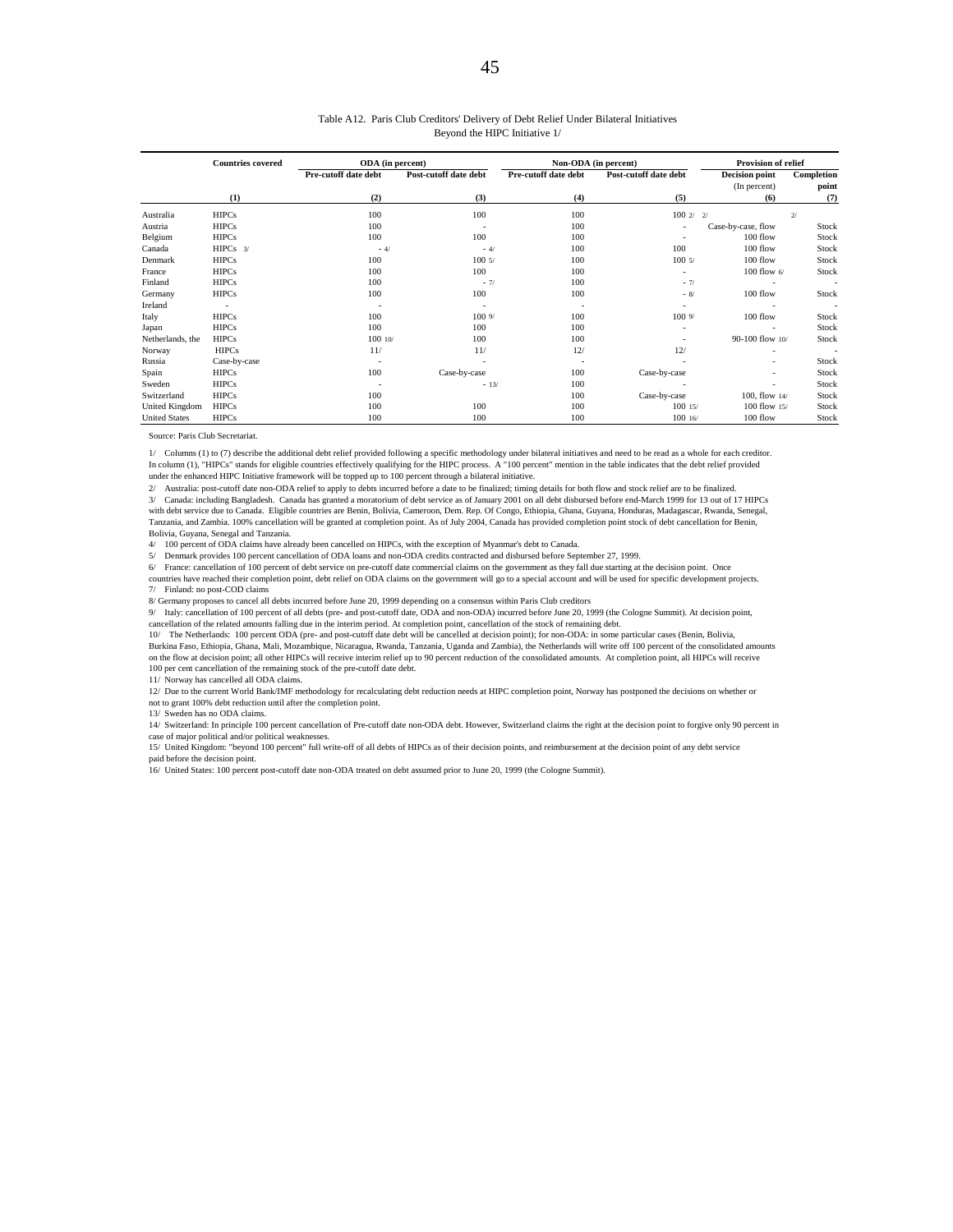#### Table A12. Paris Club Creditors' Delivery of Debt Relief Under Bilateral Initiatives Beyond the HIPC Initiative 1/

|                      | <b>Countries covered</b> | ODA (in percent)         |                       |                          | Non-ODA (in percent)  | Provision of relief   |            |
|----------------------|--------------------------|--------------------------|-----------------------|--------------------------|-----------------------|-----------------------|------------|
|                      |                          | Pre-cutoff date debt     | Post-cutoff date debt | Pre-cutoff date debt     | Post-cutoff date debt | <b>Decision point</b> | Completion |
|                      |                          |                          |                       |                          |                       | (In percent)          | point      |
|                      | (1)                      | (2)                      | (3)                   | (4)                      | (5)                   | (6)                   | (7)        |
| Australia            | <b>HIPCs</b>             | 100                      | 100                   | 100                      | 1002/                 | 2 <sup>′</sup>        | 2/         |
| Austria              | <b>HIPCs</b>             | 100                      |                       | 100                      |                       | Case-by-case, flow    | Stock      |
| Belgium              | <b>HIPCs</b>             | 100                      | 100                   | 100                      |                       | $100$ flow            | Stock      |
| Canada               | $HIPCs$ 3/               | $-4/$                    | $-4/$                 | 100                      | 100                   | 100 flow              | Stock      |
| Denmark              | <b>HIPCs</b>             | 100                      | 1005/                 | 100                      | 1005/                 | 100 flow              | Stock      |
| France               | <b>HIPCs</b>             | 100                      | 100                   | 100                      |                       | 100 flow $6/$         | Stock      |
| Finland              | <b>HIPCs</b>             | 100                      | $-7/$                 | 100                      | $-7/$                 |                       | $\sim$     |
| Germany              | <b>HIPCs</b>             | 100                      | 100                   | 100                      | $-8/$                 | 100 flow              | Stock      |
| Ireland              |                          | $\overline{\phantom{a}}$ |                       | $\overline{\phantom{a}}$ |                       |                       | $\sim$     |
| Italy                | <b>HIPCs</b>             | 100                      | 1009/                 | 100                      | 1009/                 | 100 flow              | Stock      |
| Japan                | <b>HIPCs</b>             | 100                      | 100                   | 100                      |                       |                       | Stock      |
| Netherlands, the     | <b>HIPCs</b>             | 100 10/                  | 100                   | 100                      |                       | 90-100 flow 10/       | Stock      |
| Norway               | <b>HIPCs</b>             | 11/                      | 11/                   | 12/                      | 12/                   |                       |            |
| Russia               | Case-by-case             |                          |                       |                          |                       |                       | Stock      |
| Spain                | <b>HIPCs</b>             | 100                      | Case-by-case          | 100                      | Case-by-case          |                       | Stock      |
| Sweden               | <b>HIPCs</b>             | $\overline{\phantom{a}}$ | $-13/$                | 100                      |                       |                       | Stock      |
| Switzerland          | <b>HIPCs</b>             | 100                      |                       | 100                      | Case-by-case          | 100, flow $14/$       | Stock      |
| United Kingdom       | <b>HIPCs</b>             | 100                      | 100                   | 100                      | 10015/                | 100 flow 15/          | Stock      |
| <b>United States</b> | <b>HIPCs</b>             | 100                      | 100                   | 100                      | 10016/                | $100$ flow            | Stock      |

Source: Paris Club Secretariat.

1/ Columns (1) to (7) describe the additional debt relief provided following a specific methodology under bilateral initiatives and need to be read as a whole for each creditor. In column (1), "HIPCs" stands for eligible countries effectively qualifying for the HIPC process. A "100 percent" mention in the table indicates that the debt relief provided under the enhanced HIPC Initiative framework will be topped up to 100 percent through a bilateral initiative.

2/ Australia: post-cutoff date non-ODA relief to apply to debts incurred before a date to be finalized; timing details for both flow and stock relief are to be finalized.

3/ Canada: including Bangladesh. Canada has granted a moratorium of debt service as of January 2001 on all debt disbursed before end-March 1999 for 13 out of 17 HIPCs

with debt service due to Canada. Eligible countries are Benin, Bolivia, Cameroon, Dem. Rep. Of Congo, Ethiopia, Ghana, Guyana, Honduras, Madagascar, Rwanda, Senegal,<br>Tanzania, and Zambia. 100% cancellation will be granted Bolivia, Guyana, Senegal and Tanzania.

4/ 100 percent of ODA claims have already been cancelled on HIPCs, with the exception of Myanmar's debt to Canada.

5/ Denmark provides 100 percent cancellation of ODA loans and non-ODA credits contracted and disbursed before September 27, 1999.

6/ France: cancellation of 100 percent of debt service on pre-cutoff date commercial claims on the government as they fall due starting at the decision point. Once countries have reached their completion point, debt relief on ODA claims on the government will go to a special account and will be used for specific development projects. 7/ Finland: no post-COD claims

8/ Germany proposes to cancel all debts incurred before June 20, 1999 depending on a consensus within Paris Club creditors

9/ Italy: cancellation of 100 percent of all debts (pre- and post-cutoff date, ODA and non-ODA) incurred before June 20, 1999 (the Cologne Summit). At decision point,

cancellation of the related amounts falling due in the interim period. At completion point, cancellation of the stock of remaining debt.

10/ The Netherlands: 100 percent ODA (pre- and post-cutoff date debt will be cancelled at decision point); for non-ODA: in some particular cases (Benin, Bolivia,<br>Burkina Faso, Ethiopia, Ghana, Mali, Mozambique, Nicaragua, on the flow at decision point; all other HIPCs will receive interim relief up to 90 percent reduction of the consolidated amounts. At completion point, all HIPCs will receive 100 per cent cancellation of the remaining stock of the pre-cutoff date debt.

11/ Norway has cancelled all ODA claims.

12/ Due to the current World Bank/IMF methodology for recalculating debt reduction needs at HIPC completion point, Norway has postponed the decisions on whether or not to grant 100% debt reduction until after the completion point.

13/ Sweden has no ODA claims.

14/ Switzerland: In principle 100 percent cancellation of Pre-cutoff date non-ODA debt. However, Switzerland claims the right at the decision point to forgive only 90 percent in case of major political and/or political weaknesses.

15/ United Kingdom: "beyond 100 percent" full write-off of all debts of HIPCs as of their decision points, and reimbursement at the decision point of any debt service

paid before the decision point. 16/ United States: 100 percent post-cutoff date non-ODA treated on debt assumed prior to June 20, 1999 (the Cologne Summit).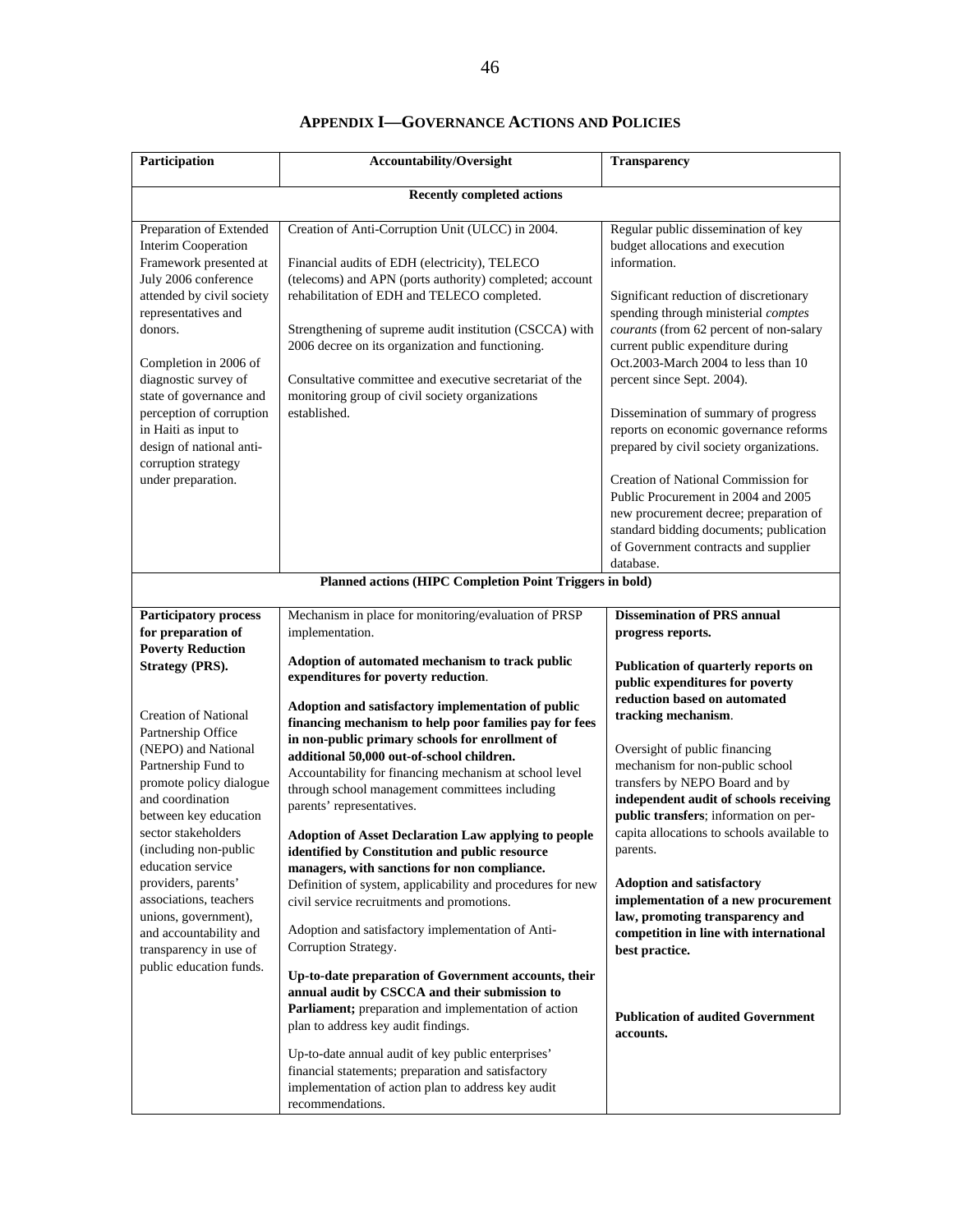| Participation                                                                                                                                                                                                                                                                                                                                                                   | <b>Accountability/Oversight</b>                                                                                                                                                                                                                                                                                                                                                                                                                                                                                                                                                                                                                                                                                 | Transparency                                                                                                                                                                                                                                                                                                                                                                                                                                                                                                                                                                                                                                                                         |
|---------------------------------------------------------------------------------------------------------------------------------------------------------------------------------------------------------------------------------------------------------------------------------------------------------------------------------------------------------------------------------|-----------------------------------------------------------------------------------------------------------------------------------------------------------------------------------------------------------------------------------------------------------------------------------------------------------------------------------------------------------------------------------------------------------------------------------------------------------------------------------------------------------------------------------------------------------------------------------------------------------------------------------------------------------------------------------------------------------------|--------------------------------------------------------------------------------------------------------------------------------------------------------------------------------------------------------------------------------------------------------------------------------------------------------------------------------------------------------------------------------------------------------------------------------------------------------------------------------------------------------------------------------------------------------------------------------------------------------------------------------------------------------------------------------------|
|                                                                                                                                                                                                                                                                                                                                                                                 | <b>Recently completed actions</b>                                                                                                                                                                                                                                                                                                                                                                                                                                                                                                                                                                                                                                                                               |                                                                                                                                                                                                                                                                                                                                                                                                                                                                                                                                                                                                                                                                                      |
| Preparation of Extended<br><b>Interim Cooperation</b><br>Framework presented at<br>July 2006 conference<br>attended by civil society<br>representatives and<br>donors.<br>Completion in 2006 of<br>diagnostic survey of<br>state of governance and<br>perception of corruption<br>in Haiti as input to<br>design of national anti-<br>corruption strategy<br>under preparation. | Creation of Anti-Corruption Unit (ULCC) in 2004.<br>Financial audits of EDH (electricity), TELECO<br>(telecoms) and APN (ports authority) completed; account<br>rehabilitation of EDH and TELECO completed.<br>Strengthening of supreme audit institution (CSCCA) with<br>2006 decree on its organization and functioning.<br>Consultative committee and executive secretariat of the<br>monitoring group of civil society organizations<br>established.                                                                                                                                                                                                                                                        | Regular public dissemination of key<br>budget allocations and execution<br>information.<br>Significant reduction of discretionary<br>spending through ministerial comptes<br>courants (from 62 percent of non-salary<br>current public expenditure during<br>Oct.2003-March 2004 to less than 10<br>percent since Sept. 2004).<br>Dissemination of summary of progress<br>reports on economic governance reforms<br>prepared by civil society organizations.<br>Creation of National Commission for<br>Public Procurement in 2004 and 2005<br>new procurement decree; preparation of<br>standard bidding documents; publication<br>of Government contracts and supplier<br>database. |
|                                                                                                                                                                                                                                                                                                                                                                                 | Planned actions (HIPC Completion Point Triggers in bold)                                                                                                                                                                                                                                                                                                                                                                                                                                                                                                                                                                                                                                                        |                                                                                                                                                                                                                                                                                                                                                                                                                                                                                                                                                                                                                                                                                      |
| Participatory process<br>for preparation of<br><b>Poverty Reduction</b><br><b>Strategy (PRS).</b>                                                                                                                                                                                                                                                                               | Mechanism in place for monitoring/evaluation of PRSP<br>implementation.<br>Adoption of automated mechanism to track public<br>expenditures for poverty reduction.                                                                                                                                                                                                                                                                                                                                                                                                                                                                                                                                               | <b>Dissemination of PRS annual</b><br>progress reports.<br>Publication of quarterly reports on<br>public expenditures for poverty<br>reduction based on automated                                                                                                                                                                                                                                                                                                                                                                                                                                                                                                                    |
| <b>Creation of National</b><br>Partnership Office<br>(NEPO) and National<br>Partnership Fund to<br>promote policy dialogue<br>and coordination<br>between key education<br>sector stakeholders<br>(including non-public<br>education service<br>providers, parents'<br>associations, teachers<br>unions, government),<br>and accountability and<br>transparency in use of       | Adoption and satisfactory implementation of public<br>financing mechanism to help poor families pay for fees<br>in non-public primary schools for enrollment of<br>additional 50,000 out-of-school children.<br>Accountability for financing mechanism at school level<br>through school management committees including<br>parents' representatives.<br><b>Adoption of Asset Declaration Law applying to people</b><br>identified by Constitution and public resource<br>managers, with sanctions for non compliance.<br>Definition of system, applicability and procedures for new<br>civil service recruitments and promotions.<br>Adoption and satisfactory implementation of Anti-<br>Corruption Strategy. | tracking mechanism.<br>Oversight of public financing<br>mechanism for non-public school<br>transfers by NEPO Board and by<br>independent audit of schools receiving<br>public transfers; information on per-<br>capita allocations to schools available to<br>parents.<br><b>Adoption and satisfactory</b><br>implementation of a new procurement<br>law, promoting transparency and<br>competition in line with international<br>best practice.                                                                                                                                                                                                                                     |
| public education funds.                                                                                                                                                                                                                                                                                                                                                         | Up-to-date preparation of Government accounts, their<br>annual audit by CSCCA and their submission to<br>Parliament; preparation and implementation of action<br>plan to address key audit findings.<br>Up-to-date annual audit of key public enterprises'<br>financial statements; preparation and satisfactory<br>implementation of action plan to address key audit<br>recommendations.                                                                                                                                                                                                                                                                                                                      | <b>Publication of audited Government</b><br>accounts.                                                                                                                                                                                                                                                                                                                                                                                                                                                                                                                                                                                                                                |

## **APPENDIX I—GOVERNANCE ACTIONS AND POLICIES**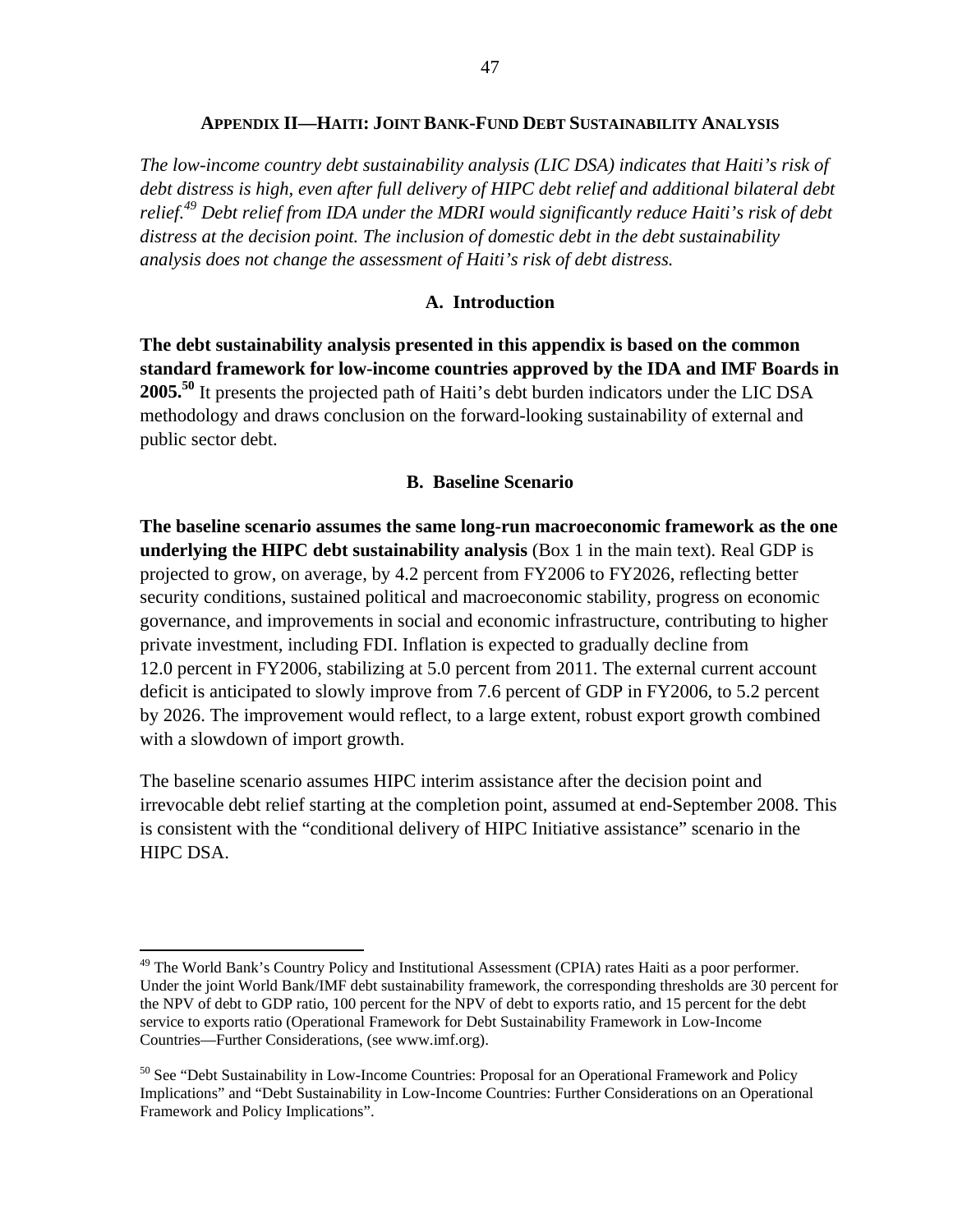#### **APPENDIX II—HAITI: JOINT BANK-FUND DEBT SUSTAINABILITY ANALYSIS**

*The low-income country debt sustainability analysis (LIC DSA) indicates that Haiti's risk of debt distress is high, even after full delivery of HIPC debt relief and additional bilateral debt relief.49 Debt relief from IDA under the MDRI would significantly reduce Haiti's risk of debt distress at the decision point. The inclusion of domestic debt in the debt sustainability analysis does not change the assessment of Haiti's risk of debt distress.* 

#### **A. Introduction**

**The debt sustainability analysis presented in this appendix is based on the common standard framework for low-income countries approved by the IDA and IMF Boards in 2005.50** It presents the projected path of Haiti's debt burden indicators under the LIC DSA methodology and draws conclusion on the forward-looking sustainability of external and public sector debt.

#### **B. Baseline Scenario**

**The baseline scenario assumes the same long-run macroeconomic framework as the one underlying the HIPC debt sustainability analysis** (Box 1 in the main text). Real GDP is projected to grow, on average, by 4.2 percent from FY2006 to FY2026, reflecting better security conditions, sustained political and macroeconomic stability, progress on economic governance, and improvements in social and economic infrastructure, contributing to higher private investment, including FDI. Inflation is expected to gradually decline from 12.0 percent in FY2006, stabilizing at 5.0 percent from 2011. The external current account deficit is anticipated to slowly improve from 7.6 percent of GDP in FY2006, to 5.2 percent by 2026. The improvement would reflect, to a large extent, robust export growth combined with a slowdown of import growth.

The baseline scenario assumes HIPC interim assistance after the decision point and irrevocable debt relief starting at the completion point, assumed at end-September 2008. This is consistent with the "conditional delivery of HIPC Initiative assistance" scenario in the HIPC DSA.

<sup>&</sup>lt;sup>49</sup> The World Bank's Country Policy and Institutional Assessment (CPIA) rates Haiti as a poor performer. Under the joint World Bank/IMF debt sustainability framework, the corresponding thresholds are 30 percent for the NPV of debt to GDP ratio, 100 percent for the NPV of debt to exports ratio, and 15 percent for the debt service to exports ratio (Operational Framework for Debt Sustainability Framework in Low-Income Countries—Further Considerations, (see www.imf.org).

 $50$  See "Debt Sustainability in Low-Income Countries: Proposal for an Operational Framework and Policy Implications" and "Debt Sustainability in Low-Income Countries: Further Considerations on an Operational Framework and Policy Implications".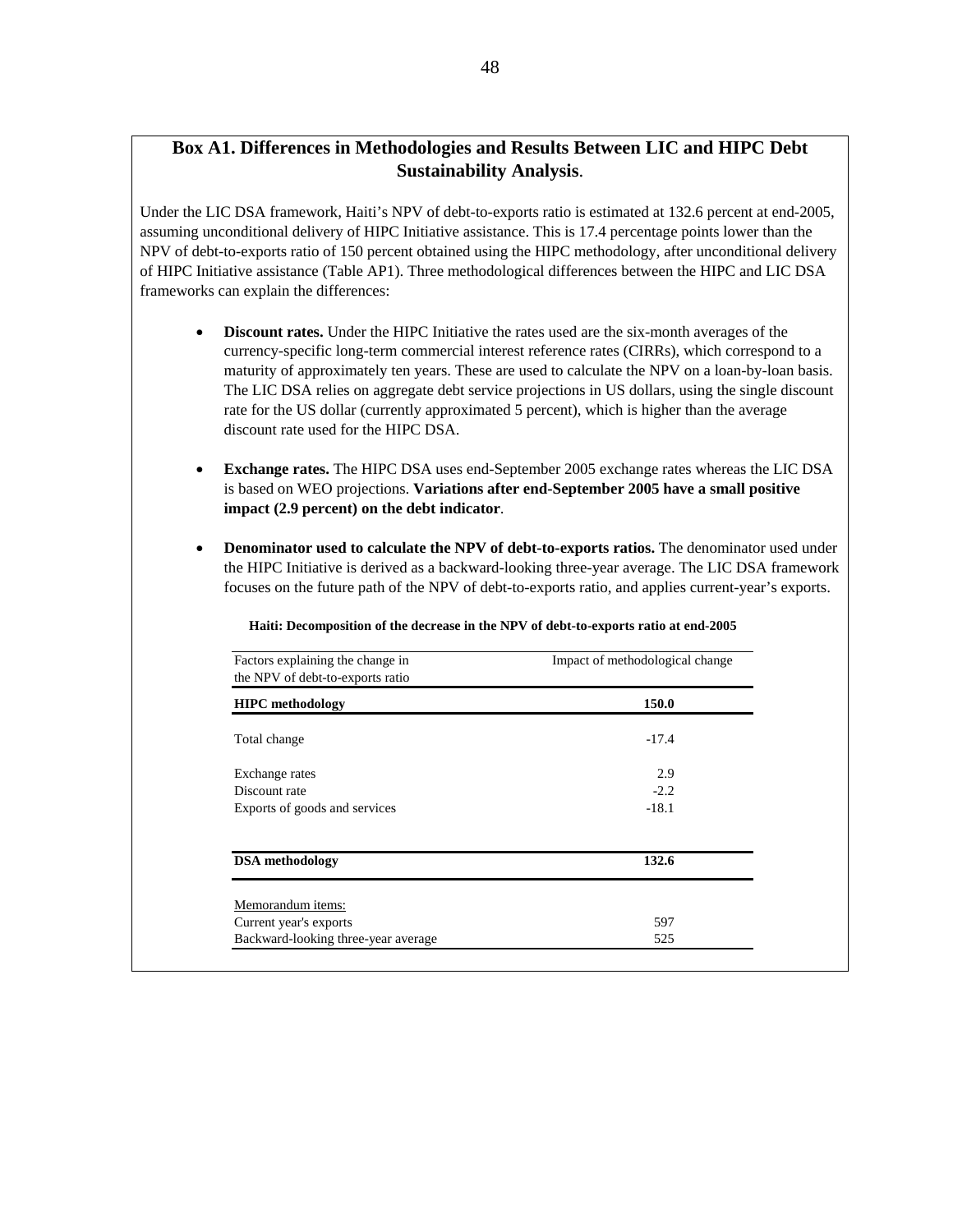## **Box A1. Differences in Methodologies and Results Between LIC and HIPC Debt Sustainability Analysis**.

Under the LIC DSA framework, Haiti's NPV of debt-to-exports ratio is estimated at 132.6 percent at end-2005, assuming unconditional delivery of HIPC Initiative assistance. This is 17.4 percentage points lower than the NPV of debt-to-exports ratio of 150 percent obtained using the HIPC methodology, after unconditional delivery of HIPC Initiative assistance (Table AP1). Three methodological differences between the HIPC and LIC DSA frameworks can explain the differences:

- **Discount rates.** Under the HIPC Initiative the rates used are the six-month averages of the currency-specific long-term commercial interest reference rates (CIRRs), which correspond to a maturity of approximately ten years. These are used to calculate the NPV on a loan-by-loan basis. The LIC DSA relies on aggregate debt service projections in US dollars, using the single discount rate for the US dollar (currently approximated 5 percent), which is higher than the average discount rate used for the HIPC DSA.
- **Exchange rates.** The HIPC DSA uses end-September 2005 exchange rates whereas the LIC DSA is based on WEO projections. **Variations after end-September 2005 have a small positive impact (2.9 percent) on the debt indicator**.
- **Denominator used to calculate the NPV of debt-to-exports ratios.** The denominator used under the HIPC Initiative is derived as a backward-looking three-year average. The LIC DSA framework focuses on the future path of the NPV of debt-to-exports ratio, and applies current-year's exports.

| Haiti: Decomposition of the decrease in the NPV of debt-to-exports ratio at end-2005 |  |  |  |
|--------------------------------------------------------------------------------------|--|--|--|
|                                                                                      |  |  |  |
|                                                                                      |  |  |  |

| Factors explaining the change in<br>the NPV of debt-to-exports ratio | Impact of methodological change |
|----------------------------------------------------------------------|---------------------------------|
| <b>HIPC</b> methodology                                              | 150.0                           |
| Total change                                                         | $-17.4$                         |
| Exchange rates                                                       | 2.9                             |
| Discount rate                                                        | $-2.2$                          |
| Exports of goods and services                                        | $-18.1$                         |
| <b>DSA</b> methodology                                               | 132.6                           |
| Memorandum items:                                                    |                                 |
| Current year's exports                                               | 597                             |
| Backward-looking three-year average                                  | 525                             |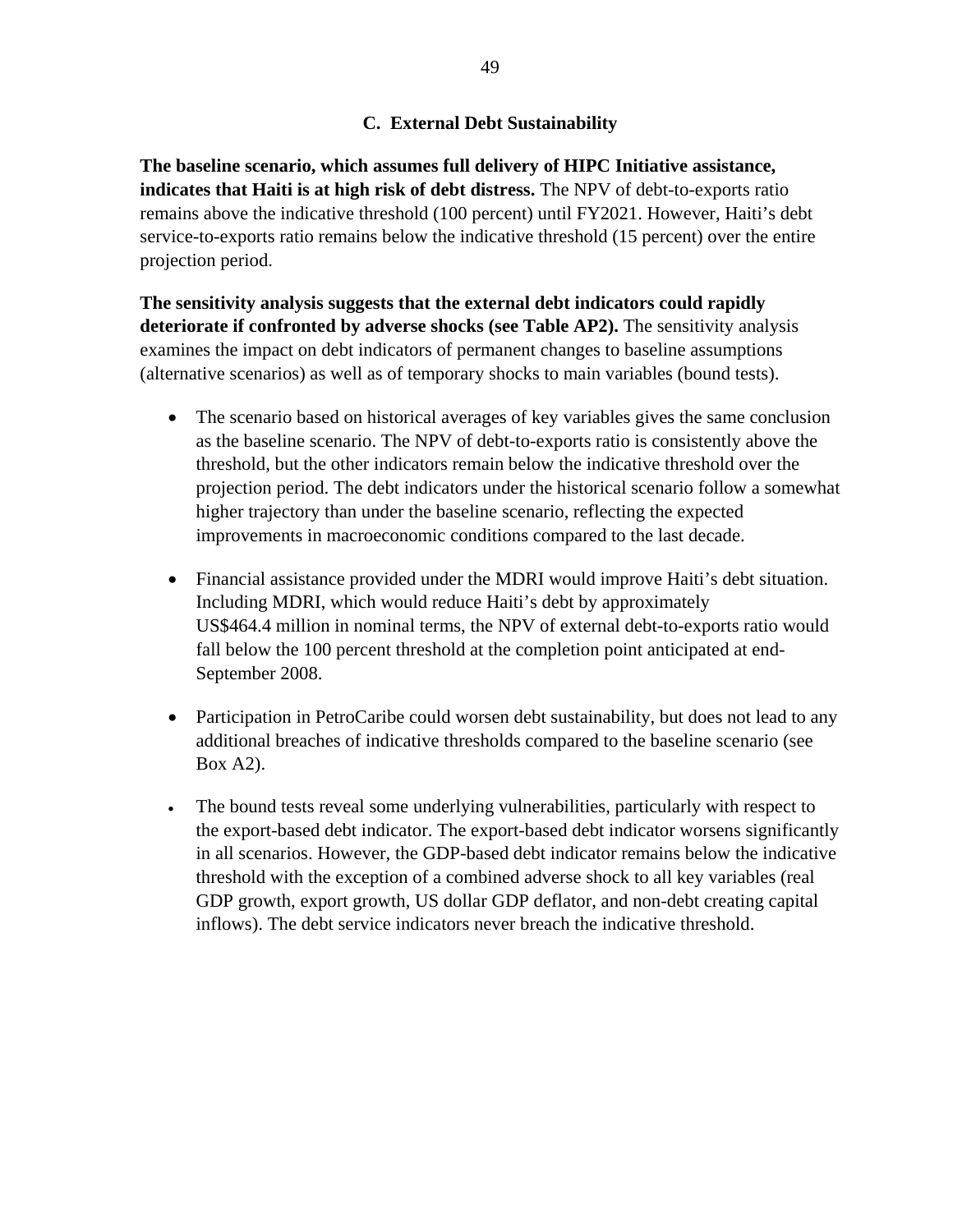## **C. External Debt Sustainability**

**The baseline scenario, which assumes full delivery of HIPC Initiative assistance, indicates that Haiti is at high risk of debt distress.** The NPV of debt-to-exports ratio remains above the indicative threshold (100 percent) until FY2021. However, Haiti's debt service-to-exports ratio remains below the indicative threshold (15 percent) over the entire projection period.

**The sensitivity analysis suggests that the external debt indicators could rapidly deteriorate if confronted by adverse shocks (see Table AP2).** The sensitivity analysis examines the impact on debt indicators of permanent changes to baseline assumptions (alternative scenarios) as well as of temporary shocks to main variables (bound tests).

- The scenario based on historical averages of key variables gives the same conclusion as the baseline scenario. The NPV of debt-to-exports ratio is consistently above the threshold, but the other indicators remain below the indicative threshold over the projection period. The debt indicators under the historical scenario follow a somewhat higher trajectory than under the baseline scenario, reflecting the expected improvements in macroeconomic conditions compared to the last decade.
- Financial assistance provided under the MDRI would improve Haiti's debt situation. Including MDRI, which would reduce Haiti's debt by approximately US\$464.4 million in nominal terms, the NPV of external debt-to-exports ratio would fall below the 100 percent threshold at the completion point anticipated at end-September 2008.
- Participation in PetroCaribe could worsen debt sustainability, but does not lead to any additional breaches of indicative thresholds compared to the baseline scenario (see Box A2).
- The bound tests reveal some underlying vulnerabilities, particularly with respect to the export-based debt indicator. The export-based debt indicator worsens significantly in all scenarios. However, the GDP-based debt indicator remains below the indicative threshold with the exception of a combined adverse shock to all key variables (real GDP growth, export growth, US dollar GDP deflator, and non-debt creating capital inflows). The debt service indicators never breach the indicative threshold.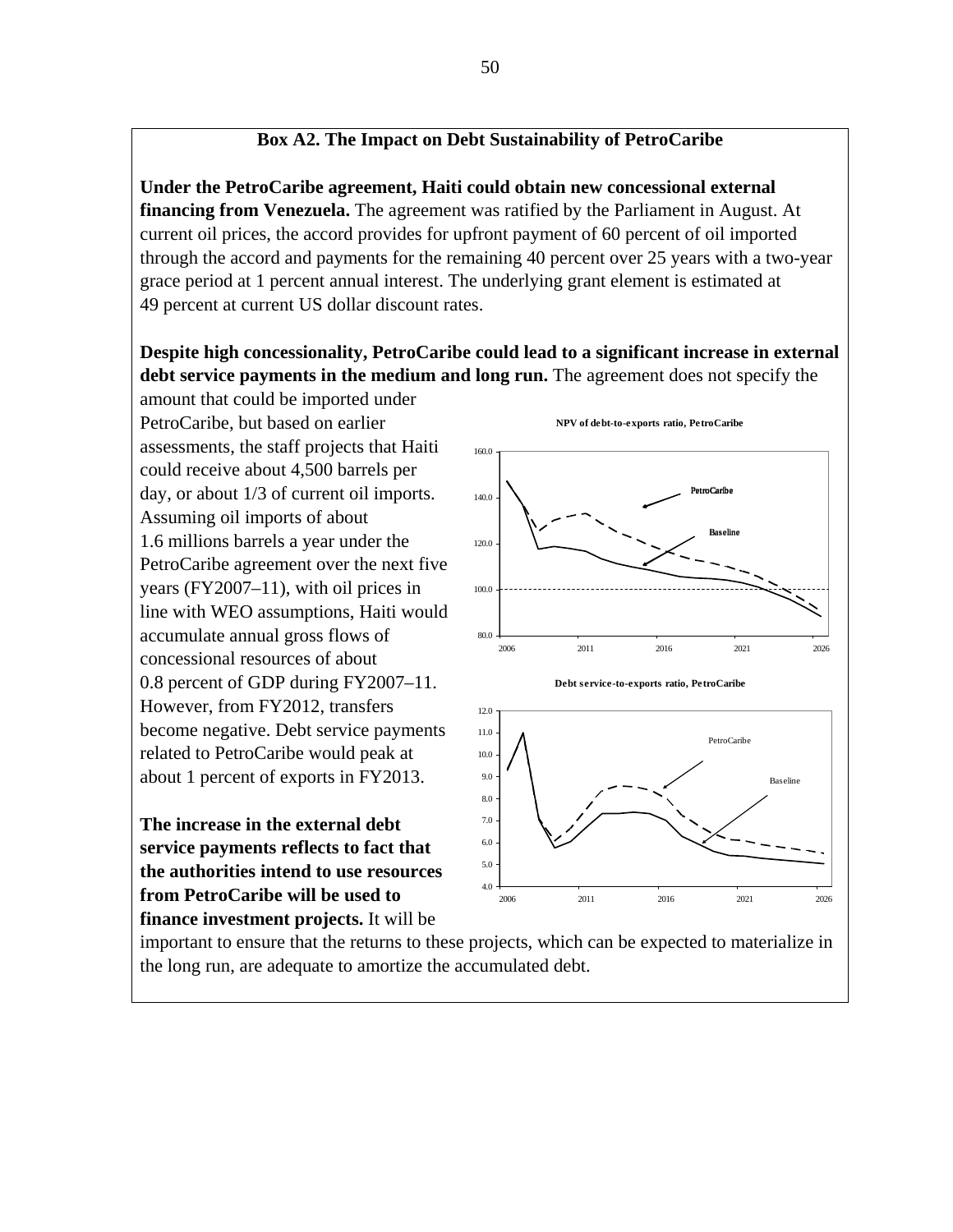## **Box A2. The Impact on Debt Sustainability of PetroCaribe**

**Under the PetroCaribe agreement, Haiti could obtain new concessional external financing from Venezuela.** The agreement was ratified by the Parliament in August. At current oil prices, the accord provides for upfront payment of 60 percent of oil imported through the accord and payments for the remaining 40 percent over 25 years with a two-year grace period at 1 percent annual interest. The underlying grant element is estimated at 49 percent at current US dollar discount rates.

## **Despite high concessionality, PetroCaribe could lead to a significant increase in external debt service payments in the medium and long run.** The agreement does not specify the

amount that could be imported under PetroCaribe, but based on earlier assessments, the staff projects that Haiti could receive about 4,500 barrels per day, or about 1/3 of current oil imports. Assuming oil imports of about 1.6 millions barrels a year under the PetroCaribe agreement over the next five years (FY2007–11), with oil prices in line with WEO assumptions, Haiti would accumulate annual gross flows of concessional resources of about 0.8 percent of GDP during FY2007–11. However, from FY2012, transfers become negative. Debt service payments related to PetroCaribe would peak at about 1 percent of exports in FY2013.

**The increase in the external debt service payments reflects to fact that the authorities intend to use resources from PetroCaribe will be used to finance investment projects.** It will be



important to ensure that the returns to these projects, which can be expected to materialize in the long run, are adequate to amortize the accumulated debt.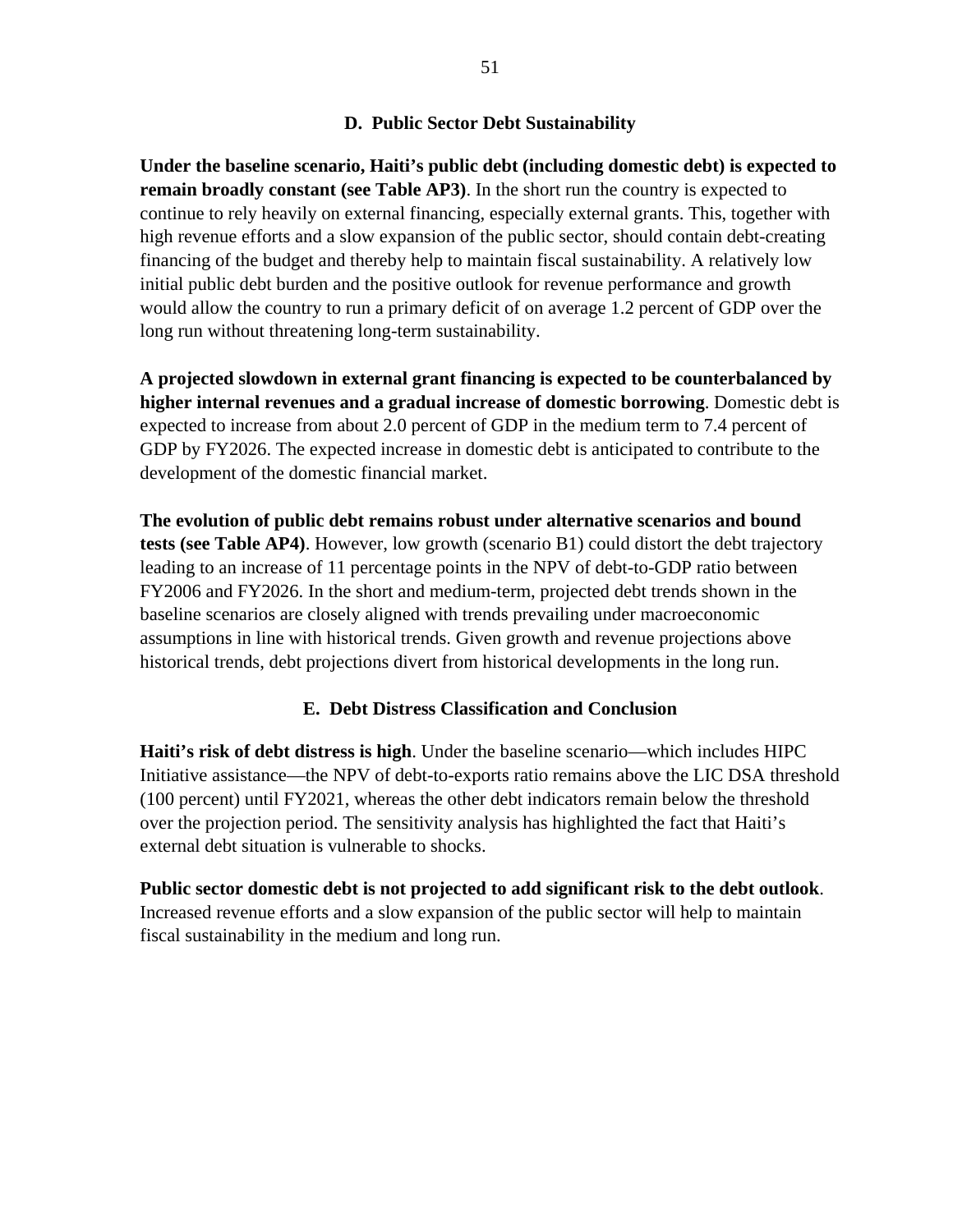#### **D. Public Sector Debt Sustainability**

**Under the baseline scenario, Haiti's public debt (including domestic debt) is expected to remain broadly constant (see Table AP3)**. In the short run the country is expected to continue to rely heavily on external financing, especially external grants. This, together with high revenue efforts and a slow expansion of the public sector, should contain debt-creating financing of the budget and thereby help to maintain fiscal sustainability. A relatively low initial public debt burden and the positive outlook for revenue performance and growth would allow the country to run a primary deficit of on average 1.2 percent of GDP over the long run without threatening long-term sustainability.

**A projected slowdown in external grant financing is expected to be counterbalanced by higher internal revenues and a gradual increase of domestic borrowing**. Domestic debt is expected to increase from about 2.0 percent of GDP in the medium term to 7.4 percent of GDP by FY2026. The expected increase in domestic debt is anticipated to contribute to the development of the domestic financial market.

**The evolution of public debt remains robust under alternative scenarios and bound tests (see Table AP4)**. However, low growth (scenario B1) could distort the debt trajectory leading to an increase of 11 percentage points in the NPV of debt-to-GDP ratio between FY2006 and FY2026. In the short and medium-term, projected debt trends shown in the baseline scenarios are closely aligned with trends prevailing under macroeconomic assumptions in line with historical trends. Given growth and revenue projections above historical trends, debt projections divert from historical developments in the long run.

#### **E. Debt Distress Classification and Conclusion**

**Haiti's risk of debt distress is high**. Under the baseline scenario—which includes HIPC Initiative assistance—the NPV of debt-to-exports ratio remains above the LIC DSA threshold (100 percent) until FY2021, whereas the other debt indicators remain below the threshold over the projection period. The sensitivity analysis has highlighted the fact that Haiti's external debt situation is vulnerable to shocks.

**Public sector domestic debt is not projected to add significant risk to the debt outlook**. Increased revenue efforts and a slow expansion of the public sector will help to maintain fiscal sustainability in the medium and long run.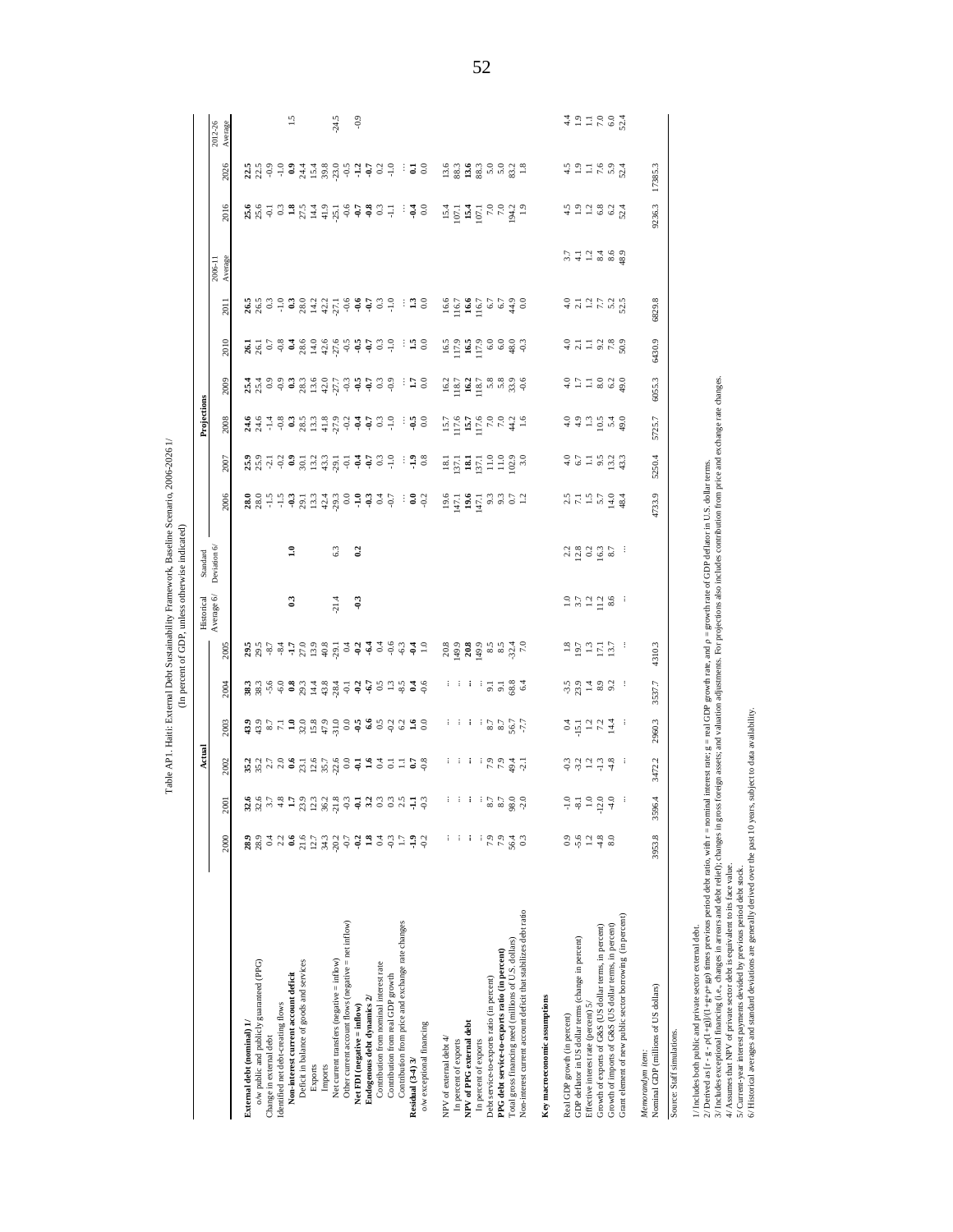| 2009<br>251728089<br>$354$<br>$259$<br>9999995999<br>ះ ទ<br>Projections<br>2008<br>4.9<br>$383325$<br>$83345$<br>$\frac{1}{9}$ $\frac{1}{9}$ $\frac{1}{9}$ $\frac{1}{9}$ $\frac{1}{9}$ $\frac{1}{9}$<br>$rac{6}{9}$<br>$15.5$ $6.7$ $7.6$ $7.6$ $7.7$ $4.7$ $1.6$ $7.7$ $4.7$<br>13549<br>$\ddot{ }$<br>$-0.8$<br>÷<br>24.6<br>24.6<br>$\frac{1}{2}$ 3<br>$-25122$<br>$-51222$<br>2007<br>$^{0.2}_{0.9}$<br>$30.1$<br>$3.2$<br>$3.3$<br>$3.5$<br>$-34$<br>0.3<br>E E E E E E E S S<br>$25.9$<br>25.9<br>2006<br>3937<br>28877728<br>$13.3$<br>$42.3$<br>$29.3$<br>$\begin{array}{c} 19.6 \\ \pm 1.1 \\ \hline 19.6 \end{array}$<br>$\begin{array}{c} 1.1 \\ 4.1 \\ 9.3 \\ 0.5 \\ 1.2 \end{array}$<br>217379484<br>$\frac{1}{2}$ 3<br>Deviation 6/<br>$\Xi$<br>0.2<br>23825<br>63<br>÷<br>Standard<br>Historical<br>Average $6/$<br>21.4<br>$\begin{array}{cccc}\n 2 & 7 & 7 & 7 & 8 & 8 \\  7 & 7 & 7 & 7 & 8 & 8\n \end{array}$<br>$\mathbb{S}^3$<br>$-9.3$<br>÷<br>25.57772222<br>$19.7$<br>$19.7$<br>$15.7$<br>2005<br>$\frac{3}{5}$ $\frac{3}{7}$ $\frac{4}{7}$ $\frac{3}{7}$ $\frac{6}{7}$ $\frac{6}{7}$ $\frac{3}{7}$ $\frac{4}{7}$<br>÷<br>ਾ ਾ ਾ ਤ ਤ ਛੁ ਫ<br>$\frac{1}{10}$ $\frac{1}{10}$ $\frac{1}{10}$ $\frac{1}{10}$ $\frac{1}{10}$ $\frac{1}{10}$ $\frac{1}{10}$<br>2004<br>$\frac{3}{8}$ $\frac{2}{8}$ $\frac{6}{9}$ $\frac{6}{9}$ $\frac{3}{8}$ $\frac{3}{1}$ $\frac{4}{1}$ $\frac{3}{4}$ $\frac{3}{8}$<br>5 3 6 9 9 9 8 9 9<br>÷<br><b>3</b><br><b>3</b> 3 5 7 3 8 3 9 9 9 9 9 8 9 9 9 9 1 9<br>2003<br>$7522$<br>7,288<br>7,288<br>$\begin{array}{c} 24 \\ 25 \\ 12 \\ 13 \\ 14 \\ 4 \end{array}$<br>: 1.1.227<br>2002<br>$\frac{3}{7}$ $\frac{3}{7}$ $\frac{3}{7}$ $\frac{3}{7}$ $\frac{3}{7}$<br>÷<br>325.35332<br>$-7 - 3 - 3 - 4$<br>gedaasad<br>22.5<br>$-2.0$<br>- E<br>$-0.3$<br><b>2001</b><br>$-5.6$<br>28.9<br>$0.4\,$<br>2.2<br>0.6<br>21.6<br>$_{0.9}$<br>$1.2\,$<br>$-4.8$<br>8.0<br>2000<br>12.7<br>34.3<br>$-20.2$<br>$-0.7$<br>$-0.2$<br>1.8<br>$0.4\,$<br>$-1.9$<br>$-9.2$<br>7.9<br>28.9<br>$\sim$<br>$\Box$<br>i i<br>÷<br>$\ddot{\phantom{1}}$<br>56.4<br>ු<br>Non-interest current account deficit that stabilizes debt ratio<br>Grant element of new public sector borrowing (in percent)<br>Other current account flows (negative $=$ net inflow)<br>Contribution from price and exchange rate changes<br>Growth of imports of G&S (US dollar terms, in percent)<br>Growth of exports of G&S (US dollar terms, in percent)<br>Total gross financing need (millions of U.S. dollars)<br>GDP deflator in US dollar terms (change in percent)<br>PPG debt service-to-exports ratio (in percent)<br>Net current transfers (negative $=$ inflow)<br>o/w public and publicly guaranteed (PPG)<br>Deficit in balance of goods and services<br>Contribution from nominal interest rate<br>Non-interest current account deficit<br>Contribution from real GDP growth<br>Debt service-to-exports ratio (in percent)<br>Endogenous debt dynamics $2/$<br>Key macroeconomic assumptions<br>Effective interest rate (percent) 5/<br>Identified net debt-creating flows<br>Net FDI (negative = inflow)<br>Real GDP growth (in percent)<br>External debt (nominal) 1/<br>NPV of PPG external debt<br>o/w exceptional financing<br>Change in external debt<br>NPV of external debt 4/<br>In percent of exports<br>In percent of exports<br>Residual (3-4) 3/<br>Imports<br>Exports |  |  | 201<br>2010<br>$\frac{1}{8}$ $\frac{1}{8}$ $\frac{1}{9}$ $\frac{5}{9}$ $\frac{8}{9}$ $\frac{4}{8}$ $\frac{6}{2}$ $\frac{6}{8}$ $\frac{1}{2}$ $\frac{1}{4}$ $\frac{6}{8}$ $\frac{6}{9}$ $\frac{6}{9}$ $\frac{6}{9}$ $\frac{6}{9}$ $\frac{6}{9}$ $\frac{6}{9}$ | Average<br>2006-11      | 2016                                                                  | 2026                 | 2012-26     |
|-----------------------------------------------------------------------------------------------------------------------------------------------------------------------------------------------------------------------------------------------------------------------------------------------------------------------------------------------------------------------------------------------------------------------------------------------------------------------------------------------------------------------------------------------------------------------------------------------------------------------------------------------------------------------------------------------------------------------------------------------------------------------------------------------------------------------------------------------------------------------------------------------------------------------------------------------------------------------------------------------------------------------------------------------------------------------------------------------------------------------------------------------------------------------------------------------------------------------------------------------------------------------------------------------------------------------------------------------------------------------------------------------------------------------------------------------------------------------------------------------------------------------------------------------------------------------------------------------------------------------------------------------------------------------------------------------------------------------------------------------------------------------------------------------------------------------------------------------------------------------------------------------------------------------------------------------------------------------------------------------------------------------------------------------------------------------------------------------------------------------------------------------------------------------------------------------------------------------------------------------------------------------------------------------------------------------------------------------------------------------------------------------------------------------------------------------------------------------------------------------------------------------------------------------------------------------------------------------------------------------------------------------------------------------------------------------------------------------------------------------------------------------------------------------------------------------------------------------------------------------------------------------------------------------------------------------------------------------------------------------------------------------------------------------------------------------------------------------------------------------------------------------------------------------------------------------------------------------------------------------------------------------------------------------------------------------------------------------------------------------------------------------------------|--|--|--------------------------------------------------------------------------------------------------------------------------------------------------------------------------------------------------------------------------------------------------------------|-------------------------|-----------------------------------------------------------------------|----------------------|-------------|
|                                                                                                                                                                                                                                                                                                                                                                                                                                                                                                                                                                                                                                                                                                                                                                                                                                                                                                                                                                                                                                                                                                                                                                                                                                                                                                                                                                                                                                                                                                                                                                                                                                                                                                                                                                                                                                                                                                                                                                                                                                                                                                                                                                                                                                                                                                                                                                                                                                                                                                                                                                                                                                                                                                                                                                                                                                                                                                                                                                                                                                                                                                                                                                                                                                                                                                                                                                                                           |  |  |                                                                                                                                                                                                                                                              |                         |                                                                       |                      | Average     |
|                                                                                                                                                                                                                                                                                                                                                                                                                                                                                                                                                                                                                                                                                                                                                                                                                                                                                                                                                                                                                                                                                                                                                                                                                                                                                                                                                                                                                                                                                                                                                                                                                                                                                                                                                                                                                                                                                                                                                                                                                                                                                                                                                                                                                                                                                                                                                                                                                                                                                                                                                                                                                                                                                                                                                                                                                                                                                                                                                                                                                                                                                                                                                                                                                                                                                                                                                                                                           |  |  |                                                                                                                                                                                                                                                              |                         |                                                                       |                      |             |
|                                                                                                                                                                                                                                                                                                                                                                                                                                                                                                                                                                                                                                                                                                                                                                                                                                                                                                                                                                                                                                                                                                                                                                                                                                                                                                                                                                                                                                                                                                                                                                                                                                                                                                                                                                                                                                                                                                                                                                                                                                                                                                                                                                                                                                                                                                                                                                                                                                                                                                                                                                                                                                                                                                                                                                                                                                                                                                                                                                                                                                                                                                                                                                                                                                                                                                                                                                                                           |  |  |                                                                                                                                                                                                                                                              |                         | $25.6$<br>25.6                                                        |                      |             |
|                                                                                                                                                                                                                                                                                                                                                                                                                                                                                                                                                                                                                                                                                                                                                                                                                                                                                                                                                                                                                                                                                                                                                                                                                                                                                                                                                                                                                                                                                                                                                                                                                                                                                                                                                                                                                                                                                                                                                                                                                                                                                                                                                                                                                                                                                                                                                                                                                                                                                                                                                                                                                                                                                                                                                                                                                                                                                                                                                                                                                                                                                                                                                                                                                                                                                                                                                                                                           |  |  |                                                                                                                                                                                                                                                              |                         |                                                                       | 1339933588999999     |             |
|                                                                                                                                                                                                                                                                                                                                                                                                                                                                                                                                                                                                                                                                                                                                                                                                                                                                                                                                                                                                                                                                                                                                                                                                                                                                                                                                                                                                                                                                                                                                                                                                                                                                                                                                                                                                                                                                                                                                                                                                                                                                                                                                                                                                                                                                                                                                                                                                                                                                                                                                                                                                                                                                                                                                                                                                                                                                                                                                                                                                                                                                                                                                                                                                                                                                                                                                                                                                           |  |  |                                                                                                                                                                                                                                                              |                         |                                                                       |                      |             |
|                                                                                                                                                                                                                                                                                                                                                                                                                                                                                                                                                                                                                                                                                                                                                                                                                                                                                                                                                                                                                                                                                                                                                                                                                                                                                                                                                                                                                                                                                                                                                                                                                                                                                                                                                                                                                                                                                                                                                                                                                                                                                                                                                                                                                                                                                                                                                                                                                                                                                                                                                                                                                                                                                                                                                                                                                                                                                                                                                                                                                                                                                                                                                                                                                                                                                                                                                                                                           |  |  |                                                                                                                                                                                                                                                              |                         |                                                                       |                      | $\tilde{5}$ |
|                                                                                                                                                                                                                                                                                                                                                                                                                                                                                                                                                                                                                                                                                                                                                                                                                                                                                                                                                                                                                                                                                                                                                                                                                                                                                                                                                                                                                                                                                                                                                                                                                                                                                                                                                                                                                                                                                                                                                                                                                                                                                                                                                                                                                                                                                                                                                                                                                                                                                                                                                                                                                                                                                                                                                                                                                                                                                                                                                                                                                                                                                                                                                                                                                                                                                                                                                                                                           |  |  |                                                                                                                                                                                                                                                              |                         |                                                                       |                      |             |
|                                                                                                                                                                                                                                                                                                                                                                                                                                                                                                                                                                                                                                                                                                                                                                                                                                                                                                                                                                                                                                                                                                                                                                                                                                                                                                                                                                                                                                                                                                                                                                                                                                                                                                                                                                                                                                                                                                                                                                                                                                                                                                                                                                                                                                                                                                                                                                                                                                                                                                                                                                                                                                                                                                                                                                                                                                                                                                                                                                                                                                                                                                                                                                                                                                                                                                                                                                                                           |  |  |                                                                                                                                                                                                                                                              |                         |                                                                       |                      |             |
|                                                                                                                                                                                                                                                                                                                                                                                                                                                                                                                                                                                                                                                                                                                                                                                                                                                                                                                                                                                                                                                                                                                                                                                                                                                                                                                                                                                                                                                                                                                                                                                                                                                                                                                                                                                                                                                                                                                                                                                                                                                                                                                                                                                                                                                                                                                                                                                                                                                                                                                                                                                                                                                                                                                                                                                                                                                                                                                                                                                                                                                                                                                                                                                                                                                                                                                                                                                                           |  |  |                                                                                                                                                                                                                                                              |                         | $3.38777777777777777778$                                              |                      |             |
|                                                                                                                                                                                                                                                                                                                                                                                                                                                                                                                                                                                                                                                                                                                                                                                                                                                                                                                                                                                                                                                                                                                                                                                                                                                                                                                                                                                                                                                                                                                                                                                                                                                                                                                                                                                                                                                                                                                                                                                                                                                                                                                                                                                                                                                                                                                                                                                                                                                                                                                                                                                                                                                                                                                                                                                                                                                                                                                                                                                                                                                                                                                                                                                                                                                                                                                                                                                                           |  |  |                                                                                                                                                                                                                                                              |                         |                                                                       |                      | 24.5        |
|                                                                                                                                                                                                                                                                                                                                                                                                                                                                                                                                                                                                                                                                                                                                                                                                                                                                                                                                                                                                                                                                                                                                                                                                                                                                                                                                                                                                                                                                                                                                                                                                                                                                                                                                                                                                                                                                                                                                                                                                                                                                                                                                                                                                                                                                                                                                                                                                                                                                                                                                                                                                                                                                                                                                                                                                                                                                                                                                                                                                                                                                                                                                                                                                                                                                                                                                                                                                           |  |  |                                                                                                                                                                                                                                                              |                         |                                                                       |                      |             |
|                                                                                                                                                                                                                                                                                                                                                                                                                                                                                                                                                                                                                                                                                                                                                                                                                                                                                                                                                                                                                                                                                                                                                                                                                                                                                                                                                                                                                                                                                                                                                                                                                                                                                                                                                                                                                                                                                                                                                                                                                                                                                                                                                                                                                                                                                                                                                                                                                                                                                                                                                                                                                                                                                                                                                                                                                                                                                                                                                                                                                                                                                                                                                                                                                                                                                                                                                                                                           |  |  |                                                                                                                                                                                                                                                              |                         |                                                                       |                      | $-0.9$      |
|                                                                                                                                                                                                                                                                                                                                                                                                                                                                                                                                                                                                                                                                                                                                                                                                                                                                                                                                                                                                                                                                                                                                                                                                                                                                                                                                                                                                                                                                                                                                                                                                                                                                                                                                                                                                                                                                                                                                                                                                                                                                                                                                                                                                                                                                                                                                                                                                                                                                                                                                                                                                                                                                                                                                                                                                                                                                                                                                                                                                                                                                                                                                                                                                                                                                                                                                                                                                           |  |  |                                                                                                                                                                                                                                                              |                         |                                                                       |                      |             |
|                                                                                                                                                                                                                                                                                                                                                                                                                                                                                                                                                                                                                                                                                                                                                                                                                                                                                                                                                                                                                                                                                                                                                                                                                                                                                                                                                                                                                                                                                                                                                                                                                                                                                                                                                                                                                                                                                                                                                                                                                                                                                                                                                                                                                                                                                                                                                                                                                                                                                                                                                                                                                                                                                                                                                                                                                                                                                                                                                                                                                                                                                                                                                                                                                                                                                                                                                                                                           |  |  |                                                                                                                                                                                                                                                              |                         |                                                                       |                      |             |
|                                                                                                                                                                                                                                                                                                                                                                                                                                                                                                                                                                                                                                                                                                                                                                                                                                                                                                                                                                                                                                                                                                                                                                                                                                                                                                                                                                                                                                                                                                                                                                                                                                                                                                                                                                                                                                                                                                                                                                                                                                                                                                                                                                                                                                                                                                                                                                                                                                                                                                                                                                                                                                                                                                                                                                                                                                                                                                                                                                                                                                                                                                                                                                                                                                                                                                                                                                                                           |  |  | $-1.0$                                                                                                                                                                                                                                                       |                         |                                                                       |                      |             |
|                                                                                                                                                                                                                                                                                                                                                                                                                                                                                                                                                                                                                                                                                                                                                                                                                                                                                                                                                                                                                                                                                                                                                                                                                                                                                                                                                                                                                                                                                                                                                                                                                                                                                                                                                                                                                                                                                                                                                                                                                                                                                                                                                                                                                                                                                                                                                                                                                                                                                                                                                                                                                                                                                                                                                                                                                                                                                                                                                                                                                                                                                                                                                                                                                                                                                                                                                                                                           |  |  | ះ 38                                                                                                                                                                                                                                                         |                         |                                                                       | ಿ ತ 8                |             |
|                                                                                                                                                                                                                                                                                                                                                                                                                                                                                                                                                                                                                                                                                                                                                                                                                                                                                                                                                                                                                                                                                                                                                                                                                                                                                                                                                                                                                                                                                                                                                                                                                                                                                                                                                                                                                                                                                                                                                                                                                                                                                                                                                                                                                                                                                                                                                                                                                                                                                                                                                                                                                                                                                                                                                                                                                                                                                                                                                                                                                                                                                                                                                                                                                                                                                                                                                                                                           |  |  | ់ ។ $\frac{5}{2}$                                                                                                                                                                                                                                            |                         |                                                                       |                      |             |
|                                                                                                                                                                                                                                                                                                                                                                                                                                                                                                                                                                                                                                                                                                                                                                                                                                                                                                                                                                                                                                                                                                                                                                                                                                                                                                                                                                                                                                                                                                                                                                                                                                                                                                                                                                                                                                                                                                                                                                                                                                                                                                                                                                                                                                                                                                                                                                                                                                                                                                                                                                                                                                                                                                                                                                                                                                                                                                                                                                                                                                                                                                                                                                                                                                                                                                                                                                                                           |  |  |                                                                                                                                                                                                                                                              |                         |                                                                       |                      |             |
|                                                                                                                                                                                                                                                                                                                                                                                                                                                                                                                                                                                                                                                                                                                                                                                                                                                                                                                                                                                                                                                                                                                                                                                                                                                                                                                                                                                                                                                                                                                                                                                                                                                                                                                                                                                                                                                                                                                                                                                                                                                                                                                                                                                                                                                                                                                                                                                                                                                                                                                                                                                                                                                                                                                                                                                                                                                                                                                                                                                                                                                                                                                                                                                                                                                                                                                                                                                                           |  |  |                                                                                                                                                                                                                                                              |                         |                                                                       |                      |             |
|                                                                                                                                                                                                                                                                                                                                                                                                                                                                                                                                                                                                                                                                                                                                                                                                                                                                                                                                                                                                                                                                                                                                                                                                                                                                                                                                                                                                                                                                                                                                                                                                                                                                                                                                                                                                                                                                                                                                                                                                                                                                                                                                                                                                                                                                                                                                                                                                                                                                                                                                                                                                                                                                                                                                                                                                                                                                                                                                                                                                                                                                                                                                                                                                                                                                                                                                                                                                           |  |  |                                                                                                                                                                                                                                                              |                         |                                                                       |                      |             |
|                                                                                                                                                                                                                                                                                                                                                                                                                                                                                                                                                                                                                                                                                                                                                                                                                                                                                                                                                                                                                                                                                                                                                                                                                                                                                                                                                                                                                                                                                                                                                                                                                                                                                                                                                                                                                                                                                                                                                                                                                                                                                                                                                                                                                                                                                                                                                                                                                                                                                                                                                                                                                                                                                                                                                                                                                                                                                                                                                                                                                                                                                                                                                                                                                                                                                                                                                                                                           |  |  |                                                                                                                                                                                                                                                              |                         |                                                                       |                      |             |
|                                                                                                                                                                                                                                                                                                                                                                                                                                                                                                                                                                                                                                                                                                                                                                                                                                                                                                                                                                                                                                                                                                                                                                                                                                                                                                                                                                                                                                                                                                                                                                                                                                                                                                                                                                                                                                                                                                                                                                                                                                                                                                                                                                                                                                                                                                                                                                                                                                                                                                                                                                                                                                                                                                                                                                                                                                                                                                                                                                                                                                                                                                                                                                                                                                                                                                                                                                                                           |  |  |                                                                                                                                                                                                                                                              |                         |                                                                       |                      |             |
|                                                                                                                                                                                                                                                                                                                                                                                                                                                                                                                                                                                                                                                                                                                                                                                                                                                                                                                                                                                                                                                                                                                                                                                                                                                                                                                                                                                                                                                                                                                                                                                                                                                                                                                                                                                                                                                                                                                                                                                                                                                                                                                                                                                                                                                                                                                                                                                                                                                                                                                                                                                                                                                                                                                                                                                                                                                                                                                                                                                                                                                                                                                                                                                                                                                                                                                                                                                                           |  |  |                                                                                                                                                                                                                                                              |                         |                                                                       |                      |             |
|                                                                                                                                                                                                                                                                                                                                                                                                                                                                                                                                                                                                                                                                                                                                                                                                                                                                                                                                                                                                                                                                                                                                                                                                                                                                                                                                                                                                                                                                                                                                                                                                                                                                                                                                                                                                                                                                                                                                                                                                                                                                                                                                                                                                                                                                                                                                                                                                                                                                                                                                                                                                                                                                                                                                                                                                                                                                                                                                                                                                                                                                                                                                                                                                                                                                                                                                                                                                           |  |  |                                                                                                                                                                                                                                                              |                         |                                                                       |                      |             |
|                                                                                                                                                                                                                                                                                                                                                                                                                                                                                                                                                                                                                                                                                                                                                                                                                                                                                                                                                                                                                                                                                                                                                                                                                                                                                                                                                                                                                                                                                                                                                                                                                                                                                                                                                                                                                                                                                                                                                                                                                                                                                                                                                                                                                                                                                                                                                                                                                                                                                                                                                                                                                                                                                                                                                                                                                                                                                                                                                                                                                                                                                                                                                                                                                                                                                                                                                                                                           |  |  |                                                                                                                                                                                                                                                              |                         |                                                                       |                      |             |
|                                                                                                                                                                                                                                                                                                                                                                                                                                                                                                                                                                                                                                                                                                                                                                                                                                                                                                                                                                                                                                                                                                                                                                                                                                                                                                                                                                                                                                                                                                                                                                                                                                                                                                                                                                                                                                                                                                                                                                                                                                                                                                                                                                                                                                                                                                                                                                                                                                                                                                                                                                                                                                                                                                                                                                                                                                                                                                                                                                                                                                                                                                                                                                                                                                                                                                                                                                                                           |  |  | $\begin{array}{r} 16.7 \\ 116.7 \\ 116.7 \\ 116.7 \\ 116.7 \\ 6.7 \\ 6.7 \\ 6.9 \\ 4.9 \\ 0.0 \\ \end{array}$                                                                                                                                                |                         | $\begin{array}{c} 15.4 \\ 19.1 \\ 19.1 \\ 19.1 \\ \hline \end{array}$ | 1982985832           |             |
|                                                                                                                                                                                                                                                                                                                                                                                                                                                                                                                                                                                                                                                                                                                                                                                                                                                                                                                                                                                                                                                                                                                                                                                                                                                                                                                                                                                                                                                                                                                                                                                                                                                                                                                                                                                                                                                                                                                                                                                                                                                                                                                                                                                                                                                                                                                                                                                                                                                                                                                                                                                                                                                                                                                                                                                                                                                                                                                                                                                                                                                                                                                                                                                                                                                                                                                                                                                                           |  |  |                                                                                                                                                                                                                                                              |                         |                                                                       |                      |             |
|                                                                                                                                                                                                                                                                                                                                                                                                                                                                                                                                                                                                                                                                                                                                                                                                                                                                                                                                                                                                                                                                                                                                                                                                                                                                                                                                                                                                                                                                                                                                                                                                                                                                                                                                                                                                                                                                                                                                                                                                                                                                                                                                                                                                                                                                                                                                                                                                                                                                                                                                                                                                                                                                                                                                                                                                                                                                                                                                                                                                                                                                                                                                                                                                                                                                                                                                                                                                           |  |  |                                                                                                                                                                                                                                                              |                         |                                                                       |                      |             |
|                                                                                                                                                                                                                                                                                                                                                                                                                                                                                                                                                                                                                                                                                                                                                                                                                                                                                                                                                                                                                                                                                                                                                                                                                                                                                                                                                                                                                                                                                                                                                                                                                                                                                                                                                                                                                                                                                                                                                                                                                                                                                                                                                                                                                                                                                                                                                                                                                                                                                                                                                                                                                                                                                                                                                                                                                                                                                                                                                                                                                                                                                                                                                                                                                                                                                                                                                                                                           |  |  | $-3.1$<br>$-3.2$<br>$-3.8$<br>$-5.0$                                                                                                                                                                                                                         | 2112389<br>$-371777282$ | $4.9$ $1.2$ $8$ $8$ $2$ $4$<br>$6$ $8$ $2$ $4$                        | $427504$<br>$727604$ |             |
|                                                                                                                                                                                                                                                                                                                                                                                                                                                                                                                                                                                                                                                                                                                                                                                                                                                                                                                                                                                                                                                                                                                                                                                                                                                                                                                                                                                                                                                                                                                                                                                                                                                                                                                                                                                                                                                                                                                                                                                                                                                                                                                                                                                                                                                                                                                                                                                                                                                                                                                                                                                                                                                                                                                                                                                                                                                                                                                                                                                                                                                                                                                                                                                                                                                                                                                                                                                                           |  |  |                                                                                                                                                                                                                                                              |                         |                                                                       |                      |             |
|                                                                                                                                                                                                                                                                                                                                                                                                                                                                                                                                                                                                                                                                                                                                                                                                                                                                                                                                                                                                                                                                                                                                                                                                                                                                                                                                                                                                                                                                                                                                                                                                                                                                                                                                                                                                                                                                                                                                                                                                                                                                                                                                                                                                                                                                                                                                                                                                                                                                                                                                                                                                                                                                                                                                                                                                                                                                                                                                                                                                                                                                                                                                                                                                                                                                                                                                                                                                           |  |  |                                                                                                                                                                                                                                                              |                         |                                                                       |                      |             |
|                                                                                                                                                                                                                                                                                                                                                                                                                                                                                                                                                                                                                                                                                                                                                                                                                                                                                                                                                                                                                                                                                                                                                                                                                                                                                                                                                                                                                                                                                                                                                                                                                                                                                                                                                                                                                                                                                                                                                                                                                                                                                                                                                                                                                                                                                                                                                                                                                                                                                                                                                                                                                                                                                                                                                                                                                                                                                                                                                                                                                                                                                                                                                                                                                                                                                                                                                                                                           |  |  |                                                                                                                                                                                                                                                              |                         |                                                                       |                      |             |
|                                                                                                                                                                                                                                                                                                                                                                                                                                                                                                                                                                                                                                                                                                                                                                                                                                                                                                                                                                                                                                                                                                                                                                                                                                                                                                                                                                                                                                                                                                                                                                                                                                                                                                                                                                                                                                                                                                                                                                                                                                                                                                                                                                                                                                                                                                                                                                                                                                                                                                                                                                                                                                                                                                                                                                                                                                                                                                                                                                                                                                                                                                                                                                                                                                                                                                                                                                                                           |  |  |                                                                                                                                                                                                                                                              |                         |                                                                       |                      | 4975884     |
| 6055.3<br>5725.7<br>5250.4<br>4733.9<br>4310.3<br>3537.7<br>2960.3<br>3472.2<br>3596.4<br>3953.8<br>Nominal GDP (millions of US dollars)<br>Menorandyn item:                                                                                                                                                                                                                                                                                                                                                                                                                                                                                                                                                                                                                                                                                                                                                                                                                                                                                                                                                                                                                                                                                                                                                                                                                                                                                                                                                                                                                                                                                                                                                                                                                                                                                                                                                                                                                                                                                                                                                                                                                                                                                                                                                                                                                                                                                                                                                                                                                                                                                                                                                                                                                                                                                                                                                                                                                                                                                                                                                                                                                                                                                                                                                                                                                                              |  |  | 6829.8<br>6430.9                                                                                                                                                                                                                                             |                         | 9236.3                                                                | 17385.3              |             |
| Source: Staff simulations                                                                                                                                                                                                                                                                                                                                                                                                                                                                                                                                                                                                                                                                                                                                                                                                                                                                                                                                                                                                                                                                                                                                                                                                                                                                                                                                                                                                                                                                                                                                                                                                                                                                                                                                                                                                                                                                                                                                                                                                                                                                                                                                                                                                                                                                                                                                                                                                                                                                                                                                                                                                                                                                                                                                                                                                                                                                                                                                                                                                                                                                                                                                                                                                                                                                                                                                                                                 |  |  |                                                                                                                                                                                                                                                              |                         |                                                                       |                      |             |
|                                                                                                                                                                                                                                                                                                                                                                                                                                                                                                                                                                                                                                                                                                                                                                                                                                                                                                                                                                                                                                                                                                                                                                                                                                                                                                                                                                                                                                                                                                                                                                                                                                                                                                                                                                                                                                                                                                                                                                                                                                                                                                                                                                                                                                                                                                                                                                                                                                                                                                                                                                                                                                                                                                                                                                                                                                                                                                                                                                                                                                                                                                                                                                                                                                                                                                                                                                                                           |  |  |                                                                                                                                                                                                                                                              |                         |                                                                       |                      |             |
| 2/ Derived as $[r - g - \rho(1 + g)/(1 + g + \rho + g\rho)]$ times previous period debt ratio, with $r =$ nominal interest rate; $g =$ real GDP growth rate, and $\rho =$ growth rate of GDP deflator in U.S. dollar terms.<br>1/ Includes both public and private sector external debt.                                                                                                                                                                                                                                                                                                                                                                                                                                                                                                                                                                                                                                                                                                                                                                                                                                                                                                                                                                                                                                                                                                                                                                                                                                                                                                                                                                                                                                                                                                                                                                                                                                                                                                                                                                                                                                                                                                                                                                                                                                                                                                                                                                                                                                                                                                                                                                                                                                                                                                                                                                                                                                                                                                                                                                                                                                                                                                                                                                                                                                                                                                                  |  |  |                                                                                                                                                                                                                                                              |                         |                                                                       |                      |             |
| ss foreign assets; and valuation adjustments. For projections also includes contribution from price and exchange rate changes<br>3/ Includes exceptional financing (i.e., changes in arrears and debt relief); changes in gro<br>4/ Assumes that NPV of private sector debt is equivalent to its face value.                                                                                                                                                                                                                                                                                                                                                                                                                                                                                                                                                                                                                                                                                                                                                                                                                                                                                                                                                                                                                                                                                                                                                                                                                                                                                                                                                                                                                                                                                                                                                                                                                                                                                                                                                                                                                                                                                                                                                                                                                                                                                                                                                                                                                                                                                                                                                                                                                                                                                                                                                                                                                                                                                                                                                                                                                                                                                                                                                                                                                                                                                              |  |  |                                                                                                                                                                                                                                                              |                         |                                                                       |                      |             |
| 5/ Current-year interest payments devided by previous period debt stock.                                                                                                                                                                                                                                                                                                                                                                                                                                                                                                                                                                                                                                                                                                                                                                                                                                                                                                                                                                                                                                                                                                                                                                                                                                                                                                                                                                                                                                                                                                                                                                                                                                                                                                                                                                                                                                                                                                                                                                                                                                                                                                                                                                                                                                                                                                                                                                                                                                                                                                                                                                                                                                                                                                                                                                                                                                                                                                                                                                                                                                                                                                                                                                                                                                                                                                                                  |  |  |                                                                                                                                                                                                                                                              |                         |                                                                       |                      |             |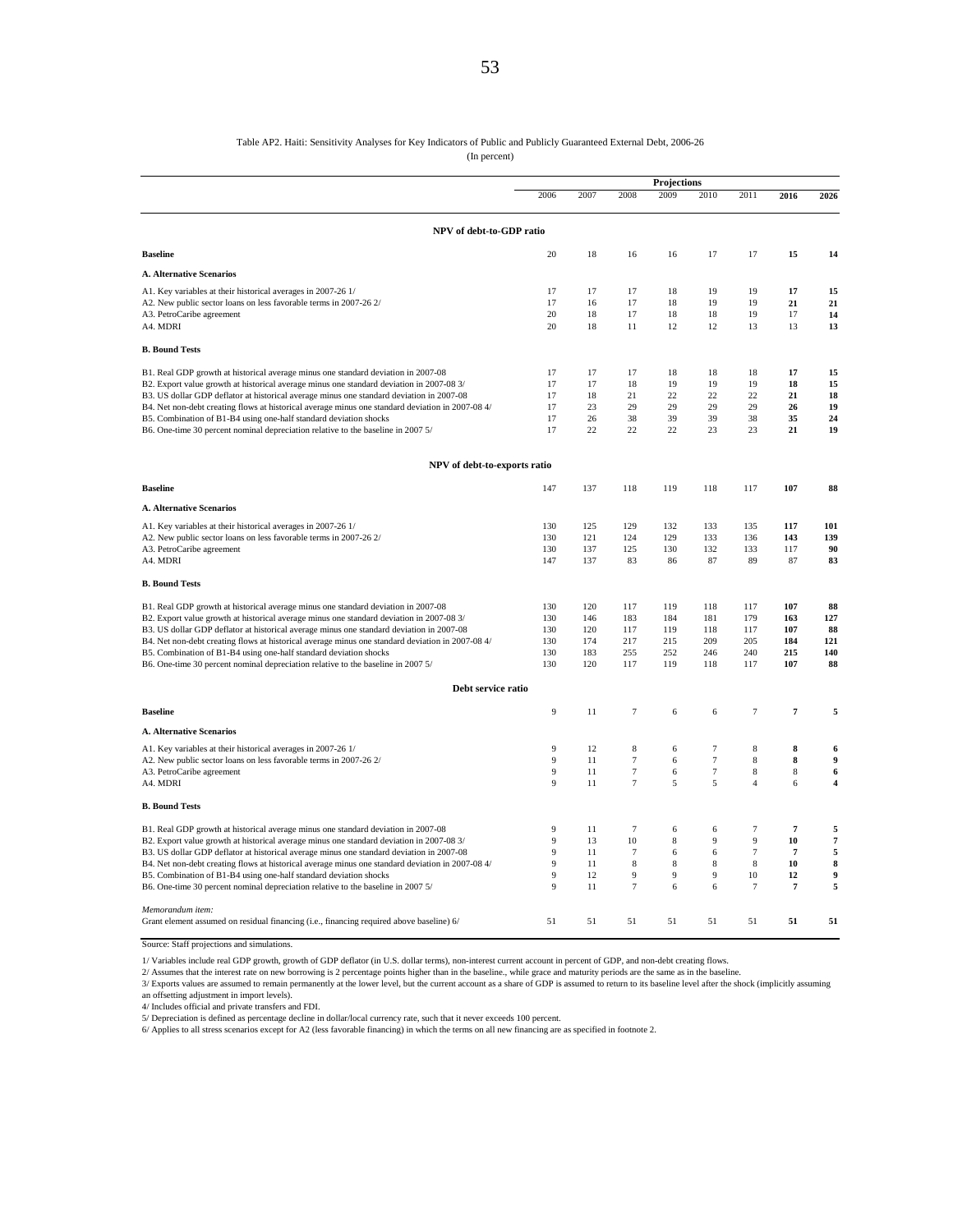#### Table AP2. Haiti: Sensitivity Analyses for Key Indicators of Public and Publicly Guaranteed External Debt, 2006-26

(In percent)

|                                                                                                                                                                       |          |          |                  | Projections |        |                |                |                            |
|-----------------------------------------------------------------------------------------------------------------------------------------------------------------------|----------|----------|------------------|-------------|--------|----------------|----------------|----------------------------|
|                                                                                                                                                                       | 2006     | 2007     | 2008             | 2009        | 2010   | 2011           | 2016           | 2026                       |
| NPV of debt-to-GDP ratio                                                                                                                                              |          |          |                  |             |        |                |                |                            |
| <b>Baseline</b>                                                                                                                                                       | 20       | 18       | 16               | 16          | 17     | 17             | 15             | 14                         |
| <b>A. Alternative Scenarios</b>                                                                                                                                       |          |          |                  |             |        |                |                |                            |
| A1. Key variables at their historical averages in 2007-26 1/                                                                                                          | 17       | 17       | 17               | 18          | 19     | 19             | 17             | 15                         |
| A2. New public sector loans on less favorable terms in 2007-26 2/                                                                                                     | 17       | 16       | 17               | 18          | 19     | 19             | 21             | 21                         |
| A3. PetroCaribe agreement                                                                                                                                             | 20       | 18       | 17               | 18          | 18     | 19             | 17             | 14                         |
| A4. MDRI                                                                                                                                                              | 20       | 18       | 11               | 12          | 12     | 13             | 13             | 13                         |
| <b>B. Bound Tests</b>                                                                                                                                                 |          |          |                  |             |        |                |                |                            |
| B1. Real GDP growth at historical average minus one standard deviation in 2007-08                                                                                     | 17       | 17       | 17               | 18          | 18     | 18             | 17             | 15                         |
| B2. Export value growth at historical average minus one standard deviation in 2007-08 3/                                                                              | 17       | 17       | 18               | 19          | 19     | 19             | 18             | 15                         |
| B3. US dollar GDP deflator at historical average minus one standard deviation in 2007-08                                                                              | 17       | 18       | 21               | 22          | 22     | 22             | 21             | 18                         |
| B4. Net non-debt creating flows at historical average minus one standard deviation in 2007-08 4/                                                                      | 17       | 23       | 29               | 29          | 29     | 29             | 26             | 19                         |
| B5. Combination of B1-B4 using one-half standard deviation shocks                                                                                                     | 17<br>17 | 26<br>22 | 38<br>22         | 39<br>22    | 39     | 38             | 35<br>21       | 24<br>19                   |
| B6. One-time 30 percent nominal depreciation relative to the baseline in 2007 5/                                                                                      |          |          |                  |             | 23     | 23             |                |                            |
| NPV of debt-to-exports ratio                                                                                                                                          |          |          |                  |             |        |                |                |                            |
| <b>Baseline</b>                                                                                                                                                       | 147      | 137      | 118              | 119         | 118    | 117            | 107            | 88                         |
| <b>A. Alternative Scenarios</b>                                                                                                                                       |          |          |                  |             |        |                |                |                            |
| A1. Key variables at their historical averages in 2007-26 1/                                                                                                          | 130      | 125      | 129              | 132         | 133    | 135            | 117            | 101                        |
| A2. New public sector loans on less favorable terms in 2007-26 2/                                                                                                     | 130      | 121      | 124              | 129         | 133    | 136            | 143            | 139                        |
| A3. PetroCaribe agreement                                                                                                                                             | 130      | 137      | 125              | 130         | 132    | 133            | 117            | 90                         |
| A4. MDRI                                                                                                                                                              | 147      | 137      | 83               | 86          | 87     | 89             | 87             | 83                         |
| <b>B. Bound Tests</b>                                                                                                                                                 |          |          |                  |             |        |                |                |                            |
| B1. Real GDP growth at historical average minus one standard deviation in 2007-08                                                                                     | 130      | 120      | 117              | 119         | 118    | 117            | 107            | 88                         |
| B2. Export value growth at historical average minus one standard deviation in 2007-08 3/                                                                              | 130      | 146      | 183              | 184         | 181    | 179            | 163            | 127                        |
| B3. US dollar GDP deflator at historical average minus one standard deviation in 2007-08                                                                              | 130      | 120      | 117              | 119         | 118    | 117            | 107            | 88                         |
| B4. Net non-debt creating flows at historical average minus one standard deviation in 2007-08 4/                                                                      | 130      | 174      | 217              | 215         | 209    | 205            | 184            | 121                        |
| B5. Combination of B1-B4 using one-half standard deviation shocks                                                                                                     | 130      | 183      | 255              | 252         | 246    | 240            | 215            | 140                        |
| B6. One-time 30 percent nominal depreciation relative to the baseline in 2007 5/                                                                                      | 130      | 120      | 117              | 119         | 118    | 117            | 107            | 88                         |
| Debt service ratio                                                                                                                                                    |          |          |                  |             |        |                |                |                            |
| <b>Baseline</b>                                                                                                                                                       | 9        | 11       | $\overline{7}$   | 6           | 6      | $\overline{7}$ | $\overline{7}$ | 5                          |
| <b>A. Alternative Scenarios</b>                                                                                                                                       |          |          |                  |             |        |                |                |                            |
| A1. Key variables at their historical averages in 2007-26 1/                                                                                                          | 9        | 12       | 8                | 6           | 7      | 8              | 8              | 6                          |
| A2. New public sector loans on less favorable terms in 2007-26 2/                                                                                                     | 9        | 11       | $\tau$           | 6           | $\tau$ | 8              | 8              | $\boldsymbol{9}$           |
| A3. PetroCaribe agreement                                                                                                                                             | 9        | 11       | $\boldsymbol{7}$ | 6           | $\tau$ | 8              | 8              | $\boldsymbol{6}$           |
| A4. MDRI                                                                                                                                                              | 9        | 11       | $\overline{7}$   | 5           | 5      | $\overline{4}$ | 6              | $\overline{\mathbf{4}}$    |
| <b>B. Bound Tests</b>                                                                                                                                                 |          |          |                  |             |        |                |                |                            |
| B1. Real GDP growth at historical average minus one standard deviation in 2007-08                                                                                     | 9        | 11       | $7\phantom{.0}$  | 6           | 6      | $\overline{7}$ | $\overline{7}$ | 5                          |
| B2. Export value growth at historical average minus one standard deviation in 2007-08 3/                                                                              | 9        | 13       | 10               | 8           | 9      | 9              | 10             | $\pmb{\tau}$               |
| B3. US dollar GDP deflator at historical average minus one standard deviation in 2007-08                                                                              | 9        | 11       | $\overline{7}$   | 6           | 6      | $\overline{7}$ | $\overline{7}$ | 5                          |
| B4. Net non-debt creating flows at historical average minus one standard deviation in 2007-08 4/<br>B5. Combination of B1-B4 using one-half standard deviation shocks | 9<br>9   | 11<br>12 | 8<br>9           | 8<br>9      | 8<br>9 | 8<br>10        | 10<br>12       | $\bf8$<br>$\boldsymbol{9}$ |
| B6. One-time 30 percent nominal depreciation relative to the baseline in 2007 5/                                                                                      | 9        | 11       | $\boldsymbol{7}$ | 6           | 6      | $\overline{7}$ | $\overline{7}$ | 5                          |
|                                                                                                                                                                       |          |          |                  |             |        |                |                |                            |
| Memorandum item:                                                                                                                                                      |          |          |                  |             |        |                |                |                            |
| Grant element assumed on residual financing (i.e., financing required above baseline) 6/                                                                              | 51       | 51       | 51               | 51          | 51     | 51             | 51             | 51                         |

Source: Staff projections and simulations.

1/ Variables include real GDP growth, growth of GDP deflator (in U.S. dollar terms), non-interest current account in percent of GDP, and non-debt creating flows.

2/ Assumes that the interest rate on new borrowing is 2 percentage points higher than in the baseline., while grace and maturity periods are the same as in the baseline.<br>3/ Exports values are assumed to remain permanently

an offsetting adjustment in import levels). 4/ Includes official and private transfers and FDI.

5/ Depreciation is defined as percentage decline in dollar/local currency rate, such that it never exceeds 100 percent.<br>6/ Applies to all stress scenarios except for A2 (less favorable financing) in which the terms on all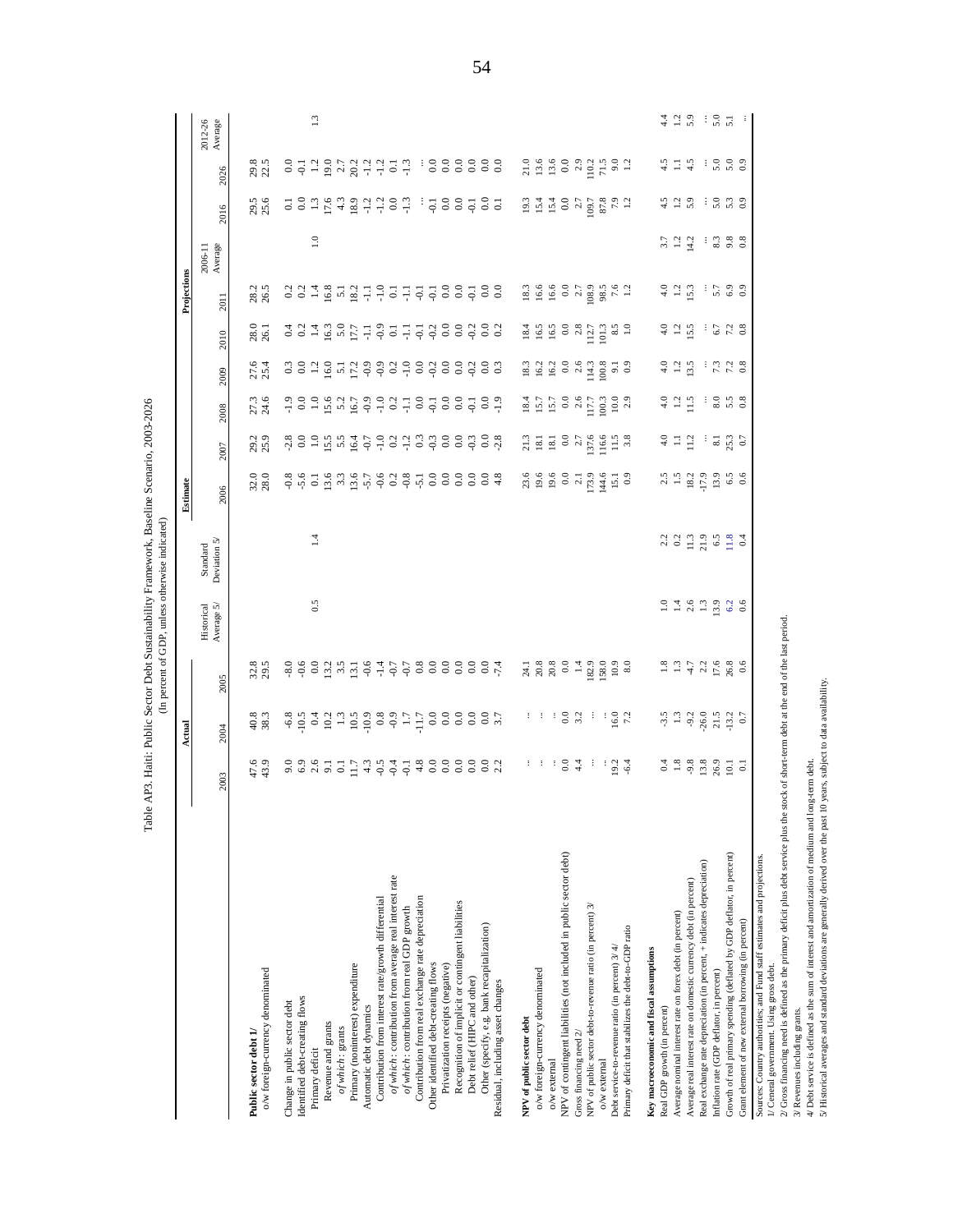| $\mathrel{\mathop:}^{\mathrel{\mathop:}}$<br>$4.4$<br>$1.2$<br>5.9<br>$\frac{1}{5}$ . 5.1<br>2012-26<br>Average<br>29.8<br>22.5<br>$\begin{array}{l} 21.6 \\ 13.6 \\ 13.6 \\ 0.0 \\ 0.0 \\ 10.2 \\ 71.5 \\ 81.1 \\ 9.0 \\ 1.2 \\ 1.3 \\ 1.4 \\ 1.5 \\ 1.6 \\ 1.5 \\ 1.6 \\ 1.7 \\ 1.8 \\ 1.2 \\ 1.3 \\ 1.4 \\ 1.5 \\ 1.6 \\ 1.7 \\ 1.8 \\ 1.9 \\ 1.1 \\ 1.9 \\ 1.1 \\ 1.9 \\ 1.1 \\ 1.9 \\ 1.1 \\ 1.9 \\ 1.1 \\ 1.9 \\ 1.1 \\ 1.9 \\ 1.1 \\ 1.9 \\ 1.1 \\ 1$<br>$4.5$ $4.5$<br>30000<br>$3713673177777838888888$<br>2026<br>$29.5$<br>$25.6$<br>$7.9$<br>1.2<br>$4.5$<br>1.2 $3$<br>$\frac{1}{5}$ $\frac{5}{5}$ $\frac{3}{5}$ $\frac{3}{5}$ $\frac{9}{5}$<br>5899999999999585<br>2016<br>$\mathrel{\mathop:}=$<br>$3.7$<br>$1.2$<br>$1.2$<br>$\frac{3}{8}$ $\frac{3}{8}$ $\frac{8}{8}$ $\frac{8}{8}$<br>Average<br>2006-11<br>$\begin{array}{c} 18.3 \\ 19.6 \\ 19.6 \\ 10.8 \\ 10.8 \\ 11.0 \\ 12.0 \\ 13.0 \\ 14.0 \\ 15.0 \\ 16.0 \\ 17.0 \\ 18.0 \\ 19.0 \\ 19.0 \\ 19.0 \\ 10.0 \\ 13.0 \\ 14.0 \\ 15.0 \\ 16.0 \\ 19.0 \\ 19.0 \\ 19.0 \\ 19.0 \\ 19.0 \\ 19.0 \\ 19.0 \\ 19.0 \\ 19.0 \\ 19.0 \\ 19.0 \\ 19.0 \\ 19.0 \\ 19.0 \\ 19$<br>$4.0$<br>$1.2$<br>$1.3$<br>$5.7$ 6.9<br>28.2<br>26.5<br>$331787877777777887888$<br>2011<br>$4.0$<br>$1.2$<br>$5.5$<br>$\frac{1}{6}$ 7 2 8<br>28.0<br>26.1<br>$_{0.0}^{0.0}$<br>$-0.2$<br>$rac{0.0}{0.2}$<br>$\begin{array}{r} 16.5 \\ 0.0 \\ 2.8 \\ 11.1 \\ 101.3 \\ 8.5 \\ 1.0 \\ \end{array}$<br>$-0.2$<br>$18.4$<br>16.5<br>2010<br>$27.6$<br>$25.4$<br>$3 3 1 2 5 7 1 2 5 3 2 5 3 6 6$<br>$\begin{array}{c} 0.0 \\ 0.0 \end{array}$<br>$4.25$<br>$1.35$<br>$\frac{1}{7}$ $\frac{7}{1}$ $\frac{3}{8}$<br>$-0.2$<br>$rac{0.0}{0.3}$<br>$\begin{array}{c} 18.3 \\ 16.2 \\ 16.3 \\ 0.0 \\ 2.6 \\ 114.3 \\ 100.8 \\ \hline \end{array}$<br>$\begin{array}{c} 9.1 \\ 0.9 \end{array}$<br>2009<br>$-1.5$<br>$-1.5$<br>3.58<br>27.3<br>24.6<br>$\begin{array}{c}\n 18.4 \\  15.7 \\  15.7 \\  0.0 \\  0.0 \\  11.7 \\  10.03 \\  10.03 \\  2.9\n \end{array}$<br>2008<br>29.2<br>25.9<br>$25.3$<br>0.7<br>3008<br>313.3<br>2007<br>$32.0$<br>$28.0$<br>$18.2$<br>$17.9$<br>$13.9$<br>$6.5$<br>0.6<br>$_{0.0}$<br>$rac{6}{4}$<br>$23.6$<br>19.6<br>$0.739$<br>$0.739$<br>$0.739$<br>$0.739$<br>$0.739$<br>$2.5$<br>1.5<br>2006<br>$\overline{1}$<br>33333323<br>$\begin{array}{c} \textbf{Standard} \\ \textbf{Deviation} \ 5^\prime \end{array}$<br>0.5<br>$\begin{array}{cccccccccc} \multicolumn{4}{c}{} & \multicolumn{4}{c}{} & \multicolumn{4}{c}{} & \multicolumn{4}{c}{} & \multicolumn{4}{c}{} & \multicolumn{4}{c}{} & \multicolumn{4}{c}{} & \multicolumn{4}{c}{} & \multicolumn{4}{c}{} & \multicolumn{4}{c}{} & \multicolumn{4}{c}{} & \multicolumn{4}{c}{} & \multicolumn{4}{c}{} & \multicolumn{4}{c}{} & \multicolumn{4}{c}{} & \multicolumn{4}{c}{} & \multicolumn{4}{c}{} & \multicolumn{4}{c}{} & \multicolumn{4}{c}{} & \mult$<br>Historical<br>Average $5\prime$<br>2/ Gross financing need is defined as the primary deficit plus debt service plus the stock of short-term debt at the end of the last period.<br>$26.8$<br>0.6<br>32.8<br>$_{0.0}^{0.0}$<br>$_{0.0}$<br>0.0<br>$-8.0$<br>$_{0.0}$<br>2005<br>40.8<br>38.3<br>$\begin{array}{cccccccccc} \mathcal{S} & \mathcal{S} & \mathcal{S} & \mathcal{S} & \mathcal{S} & \mathcal{S} & \mathcal{S} & \mathcal{S} & \mathcal{S} & \mathcal{S} & \mathcal{S} & \mathcal{S} & \mathcal{S} & \mathcal{S} & \mathcal{S} & \mathcal{S} & \mathcal{S} & \mathcal{S} & \mathcal{S} & \mathcal{S} & \mathcal{S} & \mathcal{S} & \mathcal{S} & \mathcal{S} & \mathcal{S} & \mathcal{S} & \mathcal{S} & \mathcal{S} & \mathcal{S} & \mathcal{S} & \$<br>$\frac{1}{2}$ $\frac{1}{2}$ $\frac{1}{2}$ $\frac{1}{2}$ $\frac{1}{2}$ $\frac{1}{2}$ $\frac{1}{2}$ $\frac{1}{2}$ $\frac{1}{2}$ $\frac{1}{2}$ $\frac{1}{2}$ $\frac{1}{2}$ $\frac{1}{2}$ $\frac{1}{2}$ $\frac{1}{2}$ $\frac{1}{2}$ $\frac{1}{2}$ $\frac{1}{2}$ $\frac{1}{2}$ $\frac{1}{2}$ $\frac{1}{2}$ $\frac{1}{2}$<br>2004<br>$0.4$<br>$-3.8$<br>$-3.8$<br>$-3.6$<br>26.9<br>$1 + 34 + 34$<br>47.6<br>43.9<br>4/ Debt service is defined as the sum of interest and amortization of medium and long-term debt<br>10.1<br>2003<br>NPV of contingent liabilities (not included in public sector debt)<br>Growth of real primary spending (deflated by GDP deflator, in percent)<br>Sources: Country authorities; and Fund staff estimates and projections.<br>Real exchange rate depreciation (in percent, + indicates depreciation)<br>of which: contribution from average real interest rate<br>Average real interest rate on domestic currency debt (in percent)<br>Contribution from interest rate/growth differential<br>Contribution from real exchange rate depreciation<br>Recognition of implicit or contingent liabilities<br>NPV of public sector debt-to-revenue ratio (in percent) 3/<br>of which: contribution from real GDP growth<br>Average nominal interest rate on forex debt (in percent)<br>Grant element of new external borrowing (in percent)<br>Other (specify, e.g. bank recapitalization)<br>Primary deficit that stabilizes the debt-to-GDP ratio<br>Debt service-to-revenue ratio (in percent) 3/4/<br>Key macroeconomic and fiscal assumptions<br>Other identified debt-creating flows<br>1/ Ceneral government. Using gross debt.<br>Primary (noninterest) expenditure<br>Privatization receipts (negative)<br>o/w foreign-currency denominated<br>o/w foreign-currency denominated<br>Inflation rate (GDP deflator, in percent)<br>Debt relief (HIPC and other)<br>Residual, including asset changes<br>Identified debt-creating flows<br>Change in public sector debt<br>Automatic debt dynamics<br>Real GDP growth (in percent)<br>3/ Revenues including grants.<br>NPV of public sector debt<br>Revenue and grants<br>of which: grants<br>Public sector debt 1/<br>Gross financing need 2/<br>Primary deficit<br>$o/w$ external<br>$o/w$ external |  | Actual |  | Estimate |  |  | Projections |  |  |
|---------------------------------------------------------------------------------------------------------------------------------------------------------------------------------------------------------------------------------------------------------------------------------------------------------------------------------------------------------------------------------------------------------------------------------------------------------------------------------------------------------------------------------------------------------------------------------------------------------------------------------------------------------------------------------------------------------------------------------------------------------------------------------------------------------------------------------------------------------------------------------------------------------------------------------------------------------------------------------------------------------------------------------------------------------------------------------------------------------------------------------------------------------------------------------------------------------------------------------------------------------------------------------------------------------------------------------------------------------------------------------------------------------------------------------------------------------------------------------------------------------------------------------------------------------------------------------------------------------------------------------------------------------------------------------------------------------------------------------------------------------------------------------------------------------------------------------------------------------------------------------------------------------------------------------------------------------------------------------------------------------------------------------------------------------------------------------------------------------------------------------------------------------------------------------------------------------------------------------------------------------------------------------------------------------------------------------------------------------------------------------------------------------------------------------------------------------------------------------------------------------------------------------------------------------------------------------------------------------------------------------------------------------------------------------------------------------------------------------------------------------------------------------------------------------------------------------------------------------------------------------------------------------------------------------------------------------------------------------------------------------------------------------------------------------------------------------------------------------------------------------------------------------------------------------------------------------------------------------------------------------------------------------------------------------------------------------------------------------------------------------------------------------------------------------------------------------------------------------------------------------------------------------------------------------------------------------------------------------------------------------------------------------------------------------------------------------------------------------------------------------------------------------------------------------------------------------------------------------------------------------------------------------------------------------------------------------------------------------------------------------------------------------------------------------------------------------------------------------------------------------------------------------------------------------------------------------------------------------------------------------------------------------------------------------------------------------------------------------------------------------------------------------------------------------------------------------------------------------------------------------------------------------------------------------------------------------------------------------------------------------------------------------------------------------------------------------------------------------------------------------------------------------------------------------------------------------------------------------------------------------------------------------------------------------------------------------------------------------------------------------------------------------------------------------------------------------------------------------------------------------------------------------------------------------------------------------------------------------------------------------------------------------------------------------------------------------------------------------------------------------------------------------------------------------------------------------------------------------------------------------------------------------------------------------------------------------------------------------------------------------------------------------------------------------------------------------------------------------------------------------------------------------------------------------------------------------------------------------------------------------------------------------------------------------------------------------|--|--------|--|----------|--|--|-------------|--|--|
|                                                                                                                                                                                                                                                                                                                                                                                                                                                                                                                                                                                                                                                                                                                                                                                                                                                                                                                                                                                                                                                                                                                                                                                                                                                                                                                                                                                                                                                                                                                                                                                                                                                                                                                                                                                                                                                                                                                                                                                                                                                                                                                                                                                                                                                                                                                                                                                                                                                                                                                                                                                                                                                                                                                                                                                                                                                                                                                                                                                                                                                                                                                                                                                                                                                                                                                                                                                                                                                                                                                                                                                                                                                                                                                                                                                                                                                                                                                                                                                                                                                                                                                                                                                                                                                                                                                                                                                                                                                                                                                                                                                                                                                                                                                                                                                                                                                                                                                                                                                                                                                                                                                                                                                                                                                                                                                                                                                                                                                                                                                                                                                                                                                                                                                                                                                                                                                                                                                                                         |  |        |  |          |  |  |             |  |  |
|                                                                                                                                                                                                                                                                                                                                                                                                                                                                                                                                                                                                                                                                                                                                                                                                                                                                                                                                                                                                                                                                                                                                                                                                                                                                                                                                                                                                                                                                                                                                                                                                                                                                                                                                                                                                                                                                                                                                                                                                                                                                                                                                                                                                                                                                                                                                                                                                                                                                                                                                                                                                                                                                                                                                                                                                                                                                                                                                                                                                                                                                                                                                                                                                                                                                                                                                                                                                                                                                                                                                                                                                                                                                                                                                                                                                                                                                                                                                                                                                                                                                                                                                                                                                                                                                                                                                                                                                                                                                                                                                                                                                                                                                                                                                                                                                                                                                                                                                                                                                                                                                                                                                                                                                                                                                                                                                                                                                                                                                                                                                                                                                                                                                                                                                                                                                                                                                                                                                                         |  |        |  |          |  |  |             |  |  |
|                                                                                                                                                                                                                                                                                                                                                                                                                                                                                                                                                                                                                                                                                                                                                                                                                                                                                                                                                                                                                                                                                                                                                                                                                                                                                                                                                                                                                                                                                                                                                                                                                                                                                                                                                                                                                                                                                                                                                                                                                                                                                                                                                                                                                                                                                                                                                                                                                                                                                                                                                                                                                                                                                                                                                                                                                                                                                                                                                                                                                                                                                                                                                                                                                                                                                                                                                                                                                                                                                                                                                                                                                                                                                                                                                                                                                                                                                                                                                                                                                                                                                                                                                                                                                                                                                                                                                                                                                                                                                                                                                                                                                                                                                                                                                                                                                                                                                                                                                                                                                                                                                                                                                                                                                                                                                                                                                                                                                                                                                                                                                                                                                                                                                                                                                                                                                                                                                                                                                         |  |        |  |          |  |  |             |  |  |
|                                                                                                                                                                                                                                                                                                                                                                                                                                                                                                                                                                                                                                                                                                                                                                                                                                                                                                                                                                                                                                                                                                                                                                                                                                                                                                                                                                                                                                                                                                                                                                                                                                                                                                                                                                                                                                                                                                                                                                                                                                                                                                                                                                                                                                                                                                                                                                                                                                                                                                                                                                                                                                                                                                                                                                                                                                                                                                                                                                                                                                                                                                                                                                                                                                                                                                                                                                                                                                                                                                                                                                                                                                                                                                                                                                                                                                                                                                                                                                                                                                                                                                                                                                                                                                                                                                                                                                                                                                                                                                                                                                                                                                                                                                                                                                                                                                                                                                                                                                                                                                                                                                                                                                                                                                                                                                                                                                                                                                                                                                                                                                                                                                                                                                                                                                                                                                                                                                                                                         |  |        |  |          |  |  |             |  |  |
|                                                                                                                                                                                                                                                                                                                                                                                                                                                                                                                                                                                                                                                                                                                                                                                                                                                                                                                                                                                                                                                                                                                                                                                                                                                                                                                                                                                                                                                                                                                                                                                                                                                                                                                                                                                                                                                                                                                                                                                                                                                                                                                                                                                                                                                                                                                                                                                                                                                                                                                                                                                                                                                                                                                                                                                                                                                                                                                                                                                                                                                                                                                                                                                                                                                                                                                                                                                                                                                                                                                                                                                                                                                                                                                                                                                                                                                                                                                                                                                                                                                                                                                                                                                                                                                                                                                                                                                                                                                                                                                                                                                                                                                                                                                                                                                                                                                                                                                                                                                                                                                                                                                                                                                                                                                                                                                                                                                                                                                                                                                                                                                                                                                                                                                                                                                                                                                                                                                                                         |  |        |  |          |  |  |             |  |  |
|                                                                                                                                                                                                                                                                                                                                                                                                                                                                                                                                                                                                                                                                                                                                                                                                                                                                                                                                                                                                                                                                                                                                                                                                                                                                                                                                                                                                                                                                                                                                                                                                                                                                                                                                                                                                                                                                                                                                                                                                                                                                                                                                                                                                                                                                                                                                                                                                                                                                                                                                                                                                                                                                                                                                                                                                                                                                                                                                                                                                                                                                                                                                                                                                                                                                                                                                                                                                                                                                                                                                                                                                                                                                                                                                                                                                                                                                                                                                                                                                                                                                                                                                                                                                                                                                                                                                                                                                                                                                                                                                                                                                                                                                                                                                                                                                                                                                                                                                                                                                                                                                                                                                                                                                                                                                                                                                                                                                                                                                                                                                                                                                                                                                                                                                                                                                                                                                                                                                                         |  |        |  |          |  |  |             |  |  |
|                                                                                                                                                                                                                                                                                                                                                                                                                                                                                                                                                                                                                                                                                                                                                                                                                                                                                                                                                                                                                                                                                                                                                                                                                                                                                                                                                                                                                                                                                                                                                                                                                                                                                                                                                                                                                                                                                                                                                                                                                                                                                                                                                                                                                                                                                                                                                                                                                                                                                                                                                                                                                                                                                                                                                                                                                                                                                                                                                                                                                                                                                                                                                                                                                                                                                                                                                                                                                                                                                                                                                                                                                                                                                                                                                                                                                                                                                                                                                                                                                                                                                                                                                                                                                                                                                                                                                                                                                                                                                                                                                                                                                                                                                                                                                                                                                                                                                                                                                                                                                                                                                                                                                                                                                                                                                                                                                                                                                                                                                                                                                                                                                                                                                                                                                                                                                                                                                                                                                         |  |        |  |          |  |  |             |  |  |
|                                                                                                                                                                                                                                                                                                                                                                                                                                                                                                                                                                                                                                                                                                                                                                                                                                                                                                                                                                                                                                                                                                                                                                                                                                                                                                                                                                                                                                                                                                                                                                                                                                                                                                                                                                                                                                                                                                                                                                                                                                                                                                                                                                                                                                                                                                                                                                                                                                                                                                                                                                                                                                                                                                                                                                                                                                                                                                                                                                                                                                                                                                                                                                                                                                                                                                                                                                                                                                                                                                                                                                                                                                                                                                                                                                                                                                                                                                                                                                                                                                                                                                                                                                                                                                                                                                                                                                                                                                                                                                                                                                                                                                                                                                                                                                                                                                                                                                                                                                                                                                                                                                                                                                                                                                                                                                                                                                                                                                                                                                                                                                                                                                                                                                                                                                                                                                                                                                                                                         |  |        |  |          |  |  |             |  |  |
|                                                                                                                                                                                                                                                                                                                                                                                                                                                                                                                                                                                                                                                                                                                                                                                                                                                                                                                                                                                                                                                                                                                                                                                                                                                                                                                                                                                                                                                                                                                                                                                                                                                                                                                                                                                                                                                                                                                                                                                                                                                                                                                                                                                                                                                                                                                                                                                                                                                                                                                                                                                                                                                                                                                                                                                                                                                                                                                                                                                                                                                                                                                                                                                                                                                                                                                                                                                                                                                                                                                                                                                                                                                                                                                                                                                                                                                                                                                                                                                                                                                                                                                                                                                                                                                                                                                                                                                                                                                                                                                                                                                                                                                                                                                                                                                                                                                                                                                                                                                                                                                                                                                                                                                                                                                                                                                                                                                                                                                                                                                                                                                                                                                                                                                                                                                                                                                                                                                                                         |  |        |  |          |  |  |             |  |  |
|                                                                                                                                                                                                                                                                                                                                                                                                                                                                                                                                                                                                                                                                                                                                                                                                                                                                                                                                                                                                                                                                                                                                                                                                                                                                                                                                                                                                                                                                                                                                                                                                                                                                                                                                                                                                                                                                                                                                                                                                                                                                                                                                                                                                                                                                                                                                                                                                                                                                                                                                                                                                                                                                                                                                                                                                                                                                                                                                                                                                                                                                                                                                                                                                                                                                                                                                                                                                                                                                                                                                                                                                                                                                                                                                                                                                                                                                                                                                                                                                                                                                                                                                                                                                                                                                                                                                                                                                                                                                                                                                                                                                                                                                                                                                                                                                                                                                                                                                                                                                                                                                                                                                                                                                                                                                                                                                                                                                                                                                                                                                                                                                                                                                                                                                                                                                                                                                                                                                                         |  |        |  |          |  |  |             |  |  |
|                                                                                                                                                                                                                                                                                                                                                                                                                                                                                                                                                                                                                                                                                                                                                                                                                                                                                                                                                                                                                                                                                                                                                                                                                                                                                                                                                                                                                                                                                                                                                                                                                                                                                                                                                                                                                                                                                                                                                                                                                                                                                                                                                                                                                                                                                                                                                                                                                                                                                                                                                                                                                                                                                                                                                                                                                                                                                                                                                                                                                                                                                                                                                                                                                                                                                                                                                                                                                                                                                                                                                                                                                                                                                                                                                                                                                                                                                                                                                                                                                                                                                                                                                                                                                                                                                                                                                                                                                                                                                                                                                                                                                                                                                                                                                                                                                                                                                                                                                                                                                                                                                                                                                                                                                                                                                                                                                                                                                                                                                                                                                                                                                                                                                                                                                                                                                                                                                                                                                         |  |        |  |          |  |  |             |  |  |
|                                                                                                                                                                                                                                                                                                                                                                                                                                                                                                                                                                                                                                                                                                                                                                                                                                                                                                                                                                                                                                                                                                                                                                                                                                                                                                                                                                                                                                                                                                                                                                                                                                                                                                                                                                                                                                                                                                                                                                                                                                                                                                                                                                                                                                                                                                                                                                                                                                                                                                                                                                                                                                                                                                                                                                                                                                                                                                                                                                                                                                                                                                                                                                                                                                                                                                                                                                                                                                                                                                                                                                                                                                                                                                                                                                                                                                                                                                                                                                                                                                                                                                                                                                                                                                                                                                                                                                                                                                                                                                                                                                                                                                                                                                                                                                                                                                                                                                                                                                                                                                                                                                                                                                                                                                                                                                                                                                                                                                                                                                                                                                                                                                                                                                                                                                                                                                                                                                                                                         |  |        |  |          |  |  |             |  |  |
|                                                                                                                                                                                                                                                                                                                                                                                                                                                                                                                                                                                                                                                                                                                                                                                                                                                                                                                                                                                                                                                                                                                                                                                                                                                                                                                                                                                                                                                                                                                                                                                                                                                                                                                                                                                                                                                                                                                                                                                                                                                                                                                                                                                                                                                                                                                                                                                                                                                                                                                                                                                                                                                                                                                                                                                                                                                                                                                                                                                                                                                                                                                                                                                                                                                                                                                                                                                                                                                                                                                                                                                                                                                                                                                                                                                                                                                                                                                                                                                                                                                                                                                                                                                                                                                                                                                                                                                                                                                                                                                                                                                                                                                                                                                                                                                                                                                                                                                                                                                                                                                                                                                                                                                                                                                                                                                                                                                                                                                                                                                                                                                                                                                                                                                                                                                                                                                                                                                                                         |  |        |  |          |  |  |             |  |  |
|                                                                                                                                                                                                                                                                                                                                                                                                                                                                                                                                                                                                                                                                                                                                                                                                                                                                                                                                                                                                                                                                                                                                                                                                                                                                                                                                                                                                                                                                                                                                                                                                                                                                                                                                                                                                                                                                                                                                                                                                                                                                                                                                                                                                                                                                                                                                                                                                                                                                                                                                                                                                                                                                                                                                                                                                                                                                                                                                                                                                                                                                                                                                                                                                                                                                                                                                                                                                                                                                                                                                                                                                                                                                                                                                                                                                                                                                                                                                                                                                                                                                                                                                                                                                                                                                                                                                                                                                                                                                                                                                                                                                                                                                                                                                                                                                                                                                                                                                                                                                                                                                                                                                                                                                                                                                                                                                                                                                                                                                                                                                                                                                                                                                                                                                                                                                                                                                                                                                                         |  |        |  |          |  |  |             |  |  |
|                                                                                                                                                                                                                                                                                                                                                                                                                                                                                                                                                                                                                                                                                                                                                                                                                                                                                                                                                                                                                                                                                                                                                                                                                                                                                                                                                                                                                                                                                                                                                                                                                                                                                                                                                                                                                                                                                                                                                                                                                                                                                                                                                                                                                                                                                                                                                                                                                                                                                                                                                                                                                                                                                                                                                                                                                                                                                                                                                                                                                                                                                                                                                                                                                                                                                                                                                                                                                                                                                                                                                                                                                                                                                                                                                                                                                                                                                                                                                                                                                                                                                                                                                                                                                                                                                                                                                                                                                                                                                                                                                                                                                                                                                                                                                                                                                                                                                                                                                                                                                                                                                                                                                                                                                                                                                                                                                                                                                                                                                                                                                                                                                                                                                                                                                                                                                                                                                                                                                         |  |        |  |          |  |  |             |  |  |
|                                                                                                                                                                                                                                                                                                                                                                                                                                                                                                                                                                                                                                                                                                                                                                                                                                                                                                                                                                                                                                                                                                                                                                                                                                                                                                                                                                                                                                                                                                                                                                                                                                                                                                                                                                                                                                                                                                                                                                                                                                                                                                                                                                                                                                                                                                                                                                                                                                                                                                                                                                                                                                                                                                                                                                                                                                                                                                                                                                                                                                                                                                                                                                                                                                                                                                                                                                                                                                                                                                                                                                                                                                                                                                                                                                                                                                                                                                                                                                                                                                                                                                                                                                                                                                                                                                                                                                                                                                                                                                                                                                                                                                                                                                                                                                                                                                                                                                                                                                                                                                                                                                                                                                                                                                                                                                                                                                                                                                                                                                                                                                                                                                                                                                                                                                                                                                                                                                                                                         |  |        |  |          |  |  |             |  |  |
|                                                                                                                                                                                                                                                                                                                                                                                                                                                                                                                                                                                                                                                                                                                                                                                                                                                                                                                                                                                                                                                                                                                                                                                                                                                                                                                                                                                                                                                                                                                                                                                                                                                                                                                                                                                                                                                                                                                                                                                                                                                                                                                                                                                                                                                                                                                                                                                                                                                                                                                                                                                                                                                                                                                                                                                                                                                                                                                                                                                                                                                                                                                                                                                                                                                                                                                                                                                                                                                                                                                                                                                                                                                                                                                                                                                                                                                                                                                                                                                                                                                                                                                                                                                                                                                                                                                                                                                                                                                                                                                                                                                                                                                                                                                                                                                                                                                                                                                                                                                                                                                                                                                                                                                                                                                                                                                                                                                                                                                                                                                                                                                                                                                                                                                                                                                                                                                                                                                                                         |  |        |  |          |  |  |             |  |  |
|                                                                                                                                                                                                                                                                                                                                                                                                                                                                                                                                                                                                                                                                                                                                                                                                                                                                                                                                                                                                                                                                                                                                                                                                                                                                                                                                                                                                                                                                                                                                                                                                                                                                                                                                                                                                                                                                                                                                                                                                                                                                                                                                                                                                                                                                                                                                                                                                                                                                                                                                                                                                                                                                                                                                                                                                                                                                                                                                                                                                                                                                                                                                                                                                                                                                                                                                                                                                                                                                                                                                                                                                                                                                                                                                                                                                                                                                                                                                                                                                                                                                                                                                                                                                                                                                                                                                                                                                                                                                                                                                                                                                                                                                                                                                                                                                                                                                                                                                                                                                                                                                                                                                                                                                                                                                                                                                                                                                                                                                                                                                                                                                                                                                                                                                                                                                                                                                                                                                                         |  |        |  |          |  |  |             |  |  |
|                                                                                                                                                                                                                                                                                                                                                                                                                                                                                                                                                                                                                                                                                                                                                                                                                                                                                                                                                                                                                                                                                                                                                                                                                                                                                                                                                                                                                                                                                                                                                                                                                                                                                                                                                                                                                                                                                                                                                                                                                                                                                                                                                                                                                                                                                                                                                                                                                                                                                                                                                                                                                                                                                                                                                                                                                                                                                                                                                                                                                                                                                                                                                                                                                                                                                                                                                                                                                                                                                                                                                                                                                                                                                                                                                                                                                                                                                                                                                                                                                                                                                                                                                                                                                                                                                                                                                                                                                                                                                                                                                                                                                                                                                                                                                                                                                                                                                                                                                                                                                                                                                                                                                                                                                                                                                                                                                                                                                                                                                                                                                                                                                                                                                                                                                                                                                                                                                                                                                         |  |        |  |          |  |  |             |  |  |
|                                                                                                                                                                                                                                                                                                                                                                                                                                                                                                                                                                                                                                                                                                                                                                                                                                                                                                                                                                                                                                                                                                                                                                                                                                                                                                                                                                                                                                                                                                                                                                                                                                                                                                                                                                                                                                                                                                                                                                                                                                                                                                                                                                                                                                                                                                                                                                                                                                                                                                                                                                                                                                                                                                                                                                                                                                                                                                                                                                                                                                                                                                                                                                                                                                                                                                                                                                                                                                                                                                                                                                                                                                                                                                                                                                                                                                                                                                                                                                                                                                                                                                                                                                                                                                                                                                                                                                                                                                                                                                                                                                                                                                                                                                                                                                                                                                                                                                                                                                                                                                                                                                                                                                                                                                                                                                                                                                                                                                                                                                                                                                                                                                                                                                                                                                                                                                                                                                                                                         |  |        |  |          |  |  |             |  |  |
|                                                                                                                                                                                                                                                                                                                                                                                                                                                                                                                                                                                                                                                                                                                                                                                                                                                                                                                                                                                                                                                                                                                                                                                                                                                                                                                                                                                                                                                                                                                                                                                                                                                                                                                                                                                                                                                                                                                                                                                                                                                                                                                                                                                                                                                                                                                                                                                                                                                                                                                                                                                                                                                                                                                                                                                                                                                                                                                                                                                                                                                                                                                                                                                                                                                                                                                                                                                                                                                                                                                                                                                                                                                                                                                                                                                                                                                                                                                                                                                                                                                                                                                                                                                                                                                                                                                                                                                                                                                                                                                                                                                                                                                                                                                                                                                                                                                                                                                                                                                                                                                                                                                                                                                                                                                                                                                                                                                                                                                                                                                                                                                                                                                                                                                                                                                                                                                                                                                                                         |  |        |  |          |  |  |             |  |  |
|                                                                                                                                                                                                                                                                                                                                                                                                                                                                                                                                                                                                                                                                                                                                                                                                                                                                                                                                                                                                                                                                                                                                                                                                                                                                                                                                                                                                                                                                                                                                                                                                                                                                                                                                                                                                                                                                                                                                                                                                                                                                                                                                                                                                                                                                                                                                                                                                                                                                                                                                                                                                                                                                                                                                                                                                                                                                                                                                                                                                                                                                                                                                                                                                                                                                                                                                                                                                                                                                                                                                                                                                                                                                                                                                                                                                                                                                                                                                                                                                                                                                                                                                                                                                                                                                                                                                                                                                                                                                                                                                                                                                                                                                                                                                                                                                                                                                                                                                                                                                                                                                                                                                                                                                                                                                                                                                                                                                                                                                                                                                                                                                                                                                                                                                                                                                                                                                                                                                                         |  |        |  |          |  |  |             |  |  |
|                                                                                                                                                                                                                                                                                                                                                                                                                                                                                                                                                                                                                                                                                                                                                                                                                                                                                                                                                                                                                                                                                                                                                                                                                                                                                                                                                                                                                                                                                                                                                                                                                                                                                                                                                                                                                                                                                                                                                                                                                                                                                                                                                                                                                                                                                                                                                                                                                                                                                                                                                                                                                                                                                                                                                                                                                                                                                                                                                                                                                                                                                                                                                                                                                                                                                                                                                                                                                                                                                                                                                                                                                                                                                                                                                                                                                                                                                                                                                                                                                                                                                                                                                                                                                                                                                                                                                                                                                                                                                                                                                                                                                                                                                                                                                                                                                                                                                                                                                                                                                                                                                                                                                                                                                                                                                                                                                                                                                                                                                                                                                                                                                                                                                                                                                                                                                                                                                                                                                         |  |        |  |          |  |  |             |  |  |
|                                                                                                                                                                                                                                                                                                                                                                                                                                                                                                                                                                                                                                                                                                                                                                                                                                                                                                                                                                                                                                                                                                                                                                                                                                                                                                                                                                                                                                                                                                                                                                                                                                                                                                                                                                                                                                                                                                                                                                                                                                                                                                                                                                                                                                                                                                                                                                                                                                                                                                                                                                                                                                                                                                                                                                                                                                                                                                                                                                                                                                                                                                                                                                                                                                                                                                                                                                                                                                                                                                                                                                                                                                                                                                                                                                                                                                                                                                                                                                                                                                                                                                                                                                                                                                                                                                                                                                                                                                                                                                                                                                                                                                                                                                                                                                                                                                                                                                                                                                                                                                                                                                                                                                                                                                                                                                                                                                                                                                                                                                                                                                                                                                                                                                                                                                                                                                                                                                                                                         |  |        |  |          |  |  |             |  |  |
|                                                                                                                                                                                                                                                                                                                                                                                                                                                                                                                                                                                                                                                                                                                                                                                                                                                                                                                                                                                                                                                                                                                                                                                                                                                                                                                                                                                                                                                                                                                                                                                                                                                                                                                                                                                                                                                                                                                                                                                                                                                                                                                                                                                                                                                                                                                                                                                                                                                                                                                                                                                                                                                                                                                                                                                                                                                                                                                                                                                                                                                                                                                                                                                                                                                                                                                                                                                                                                                                                                                                                                                                                                                                                                                                                                                                                                                                                                                                                                                                                                                                                                                                                                                                                                                                                                                                                                                                                                                                                                                                                                                                                                                                                                                                                                                                                                                                                                                                                                                                                                                                                                                                                                                                                                                                                                                                                                                                                                                                                                                                                                                                                                                                                                                                                                                                                                                                                                                                                         |  |        |  |          |  |  |             |  |  |
|                                                                                                                                                                                                                                                                                                                                                                                                                                                                                                                                                                                                                                                                                                                                                                                                                                                                                                                                                                                                                                                                                                                                                                                                                                                                                                                                                                                                                                                                                                                                                                                                                                                                                                                                                                                                                                                                                                                                                                                                                                                                                                                                                                                                                                                                                                                                                                                                                                                                                                                                                                                                                                                                                                                                                                                                                                                                                                                                                                                                                                                                                                                                                                                                                                                                                                                                                                                                                                                                                                                                                                                                                                                                                                                                                                                                                                                                                                                                                                                                                                                                                                                                                                                                                                                                                                                                                                                                                                                                                                                                                                                                                                                                                                                                                                                                                                                                                                                                                                                                                                                                                                                                                                                                                                                                                                                                                                                                                                                                                                                                                                                                                                                                                                                                                                                                                                                                                                                                                         |  |        |  |          |  |  |             |  |  |
|                                                                                                                                                                                                                                                                                                                                                                                                                                                                                                                                                                                                                                                                                                                                                                                                                                                                                                                                                                                                                                                                                                                                                                                                                                                                                                                                                                                                                                                                                                                                                                                                                                                                                                                                                                                                                                                                                                                                                                                                                                                                                                                                                                                                                                                                                                                                                                                                                                                                                                                                                                                                                                                                                                                                                                                                                                                                                                                                                                                                                                                                                                                                                                                                                                                                                                                                                                                                                                                                                                                                                                                                                                                                                                                                                                                                                                                                                                                                                                                                                                                                                                                                                                                                                                                                                                                                                                                                                                                                                                                                                                                                                                                                                                                                                                                                                                                                                                                                                                                                                                                                                                                                                                                                                                                                                                                                                                                                                                                                                                                                                                                                                                                                                                                                                                                                                                                                                                                                                         |  |        |  |          |  |  |             |  |  |
|                                                                                                                                                                                                                                                                                                                                                                                                                                                                                                                                                                                                                                                                                                                                                                                                                                                                                                                                                                                                                                                                                                                                                                                                                                                                                                                                                                                                                                                                                                                                                                                                                                                                                                                                                                                                                                                                                                                                                                                                                                                                                                                                                                                                                                                                                                                                                                                                                                                                                                                                                                                                                                                                                                                                                                                                                                                                                                                                                                                                                                                                                                                                                                                                                                                                                                                                                                                                                                                                                                                                                                                                                                                                                                                                                                                                                                                                                                                                                                                                                                                                                                                                                                                                                                                                                                                                                                                                                                                                                                                                                                                                                                                                                                                                                                                                                                                                                                                                                                                                                                                                                                                                                                                                                                                                                                                                                                                                                                                                                                                                                                                                                                                                                                                                                                                                                                                                                                                                                         |  |        |  |          |  |  |             |  |  |
|                                                                                                                                                                                                                                                                                                                                                                                                                                                                                                                                                                                                                                                                                                                                                                                                                                                                                                                                                                                                                                                                                                                                                                                                                                                                                                                                                                                                                                                                                                                                                                                                                                                                                                                                                                                                                                                                                                                                                                                                                                                                                                                                                                                                                                                                                                                                                                                                                                                                                                                                                                                                                                                                                                                                                                                                                                                                                                                                                                                                                                                                                                                                                                                                                                                                                                                                                                                                                                                                                                                                                                                                                                                                                                                                                                                                                                                                                                                                                                                                                                                                                                                                                                                                                                                                                                                                                                                                                                                                                                                                                                                                                                                                                                                                                                                                                                                                                                                                                                                                                                                                                                                                                                                                                                                                                                                                                                                                                                                                                                                                                                                                                                                                                                                                                                                                                                                                                                                                                         |  |        |  |          |  |  |             |  |  |
|                                                                                                                                                                                                                                                                                                                                                                                                                                                                                                                                                                                                                                                                                                                                                                                                                                                                                                                                                                                                                                                                                                                                                                                                                                                                                                                                                                                                                                                                                                                                                                                                                                                                                                                                                                                                                                                                                                                                                                                                                                                                                                                                                                                                                                                                                                                                                                                                                                                                                                                                                                                                                                                                                                                                                                                                                                                                                                                                                                                                                                                                                                                                                                                                                                                                                                                                                                                                                                                                                                                                                                                                                                                                                                                                                                                                                                                                                                                                                                                                                                                                                                                                                                                                                                                                                                                                                                                                                                                                                                                                                                                                                                                                                                                                                                                                                                                                                                                                                                                                                                                                                                                                                                                                                                                                                                                                                                                                                                                                                                                                                                                                                                                                                                                                                                                                                                                                                                                                                         |  |        |  |          |  |  |             |  |  |
|                                                                                                                                                                                                                                                                                                                                                                                                                                                                                                                                                                                                                                                                                                                                                                                                                                                                                                                                                                                                                                                                                                                                                                                                                                                                                                                                                                                                                                                                                                                                                                                                                                                                                                                                                                                                                                                                                                                                                                                                                                                                                                                                                                                                                                                                                                                                                                                                                                                                                                                                                                                                                                                                                                                                                                                                                                                                                                                                                                                                                                                                                                                                                                                                                                                                                                                                                                                                                                                                                                                                                                                                                                                                                                                                                                                                                                                                                                                                                                                                                                                                                                                                                                                                                                                                                                                                                                                                                                                                                                                                                                                                                                                                                                                                                                                                                                                                                                                                                                                                                                                                                                                                                                                                                                                                                                                                                                                                                                                                                                                                                                                                                                                                                                                                                                                                                                                                                                                                                         |  |        |  |          |  |  |             |  |  |
|                                                                                                                                                                                                                                                                                                                                                                                                                                                                                                                                                                                                                                                                                                                                                                                                                                                                                                                                                                                                                                                                                                                                                                                                                                                                                                                                                                                                                                                                                                                                                                                                                                                                                                                                                                                                                                                                                                                                                                                                                                                                                                                                                                                                                                                                                                                                                                                                                                                                                                                                                                                                                                                                                                                                                                                                                                                                                                                                                                                                                                                                                                                                                                                                                                                                                                                                                                                                                                                                                                                                                                                                                                                                                                                                                                                                                                                                                                                                                                                                                                                                                                                                                                                                                                                                                                                                                                                                                                                                                                                                                                                                                                                                                                                                                                                                                                                                                                                                                                                                                                                                                                                                                                                                                                                                                                                                                                                                                                                                                                                                                                                                                                                                                                                                                                                                                                                                                                                                                         |  |        |  |          |  |  |             |  |  |
|                                                                                                                                                                                                                                                                                                                                                                                                                                                                                                                                                                                                                                                                                                                                                                                                                                                                                                                                                                                                                                                                                                                                                                                                                                                                                                                                                                                                                                                                                                                                                                                                                                                                                                                                                                                                                                                                                                                                                                                                                                                                                                                                                                                                                                                                                                                                                                                                                                                                                                                                                                                                                                                                                                                                                                                                                                                                                                                                                                                                                                                                                                                                                                                                                                                                                                                                                                                                                                                                                                                                                                                                                                                                                                                                                                                                                                                                                                                                                                                                                                                                                                                                                                                                                                                                                                                                                                                                                                                                                                                                                                                                                                                                                                                                                                                                                                                                                                                                                                                                                                                                                                                                                                                                                                                                                                                                                                                                                                                                                                                                                                                                                                                                                                                                                                                                                                                                                                                                                         |  |        |  |          |  |  |             |  |  |
|                                                                                                                                                                                                                                                                                                                                                                                                                                                                                                                                                                                                                                                                                                                                                                                                                                                                                                                                                                                                                                                                                                                                                                                                                                                                                                                                                                                                                                                                                                                                                                                                                                                                                                                                                                                                                                                                                                                                                                                                                                                                                                                                                                                                                                                                                                                                                                                                                                                                                                                                                                                                                                                                                                                                                                                                                                                                                                                                                                                                                                                                                                                                                                                                                                                                                                                                                                                                                                                                                                                                                                                                                                                                                                                                                                                                                                                                                                                                                                                                                                                                                                                                                                                                                                                                                                                                                                                                                                                                                                                                                                                                                                                                                                                                                                                                                                                                                                                                                                                                                                                                                                                                                                                                                                                                                                                                                                                                                                                                                                                                                                                                                                                                                                                                                                                                                                                                                                                                                         |  |        |  |          |  |  |             |  |  |
|                                                                                                                                                                                                                                                                                                                                                                                                                                                                                                                                                                                                                                                                                                                                                                                                                                                                                                                                                                                                                                                                                                                                                                                                                                                                                                                                                                                                                                                                                                                                                                                                                                                                                                                                                                                                                                                                                                                                                                                                                                                                                                                                                                                                                                                                                                                                                                                                                                                                                                                                                                                                                                                                                                                                                                                                                                                                                                                                                                                                                                                                                                                                                                                                                                                                                                                                                                                                                                                                                                                                                                                                                                                                                                                                                                                                                                                                                                                                                                                                                                                                                                                                                                                                                                                                                                                                                                                                                                                                                                                                                                                                                                                                                                                                                                                                                                                                                                                                                                                                                                                                                                                                                                                                                                                                                                                                                                                                                                                                                                                                                                                                                                                                                                                                                                                                                                                                                                                                                         |  |        |  |          |  |  |             |  |  |
|                                                                                                                                                                                                                                                                                                                                                                                                                                                                                                                                                                                                                                                                                                                                                                                                                                                                                                                                                                                                                                                                                                                                                                                                                                                                                                                                                                                                                                                                                                                                                                                                                                                                                                                                                                                                                                                                                                                                                                                                                                                                                                                                                                                                                                                                                                                                                                                                                                                                                                                                                                                                                                                                                                                                                                                                                                                                                                                                                                                                                                                                                                                                                                                                                                                                                                                                                                                                                                                                                                                                                                                                                                                                                                                                                                                                                                                                                                                                                                                                                                                                                                                                                                                                                                                                                                                                                                                                                                                                                                                                                                                                                                                                                                                                                                                                                                                                                                                                                                                                                                                                                                                                                                                                                                                                                                                                                                                                                                                                                                                                                                                                                                                                                                                                                                                                                                                                                                                                                         |  |        |  |          |  |  |             |  |  |
|                                                                                                                                                                                                                                                                                                                                                                                                                                                                                                                                                                                                                                                                                                                                                                                                                                                                                                                                                                                                                                                                                                                                                                                                                                                                                                                                                                                                                                                                                                                                                                                                                                                                                                                                                                                                                                                                                                                                                                                                                                                                                                                                                                                                                                                                                                                                                                                                                                                                                                                                                                                                                                                                                                                                                                                                                                                                                                                                                                                                                                                                                                                                                                                                                                                                                                                                                                                                                                                                                                                                                                                                                                                                                                                                                                                                                                                                                                                                                                                                                                                                                                                                                                                                                                                                                                                                                                                                                                                                                                                                                                                                                                                                                                                                                                                                                                                                                                                                                                                                                                                                                                                                                                                                                                                                                                                                                                                                                                                                                                                                                                                                                                                                                                                                                                                                                                                                                                                                                         |  |        |  |          |  |  |             |  |  |
|                                                                                                                                                                                                                                                                                                                                                                                                                                                                                                                                                                                                                                                                                                                                                                                                                                                                                                                                                                                                                                                                                                                                                                                                                                                                                                                                                                                                                                                                                                                                                                                                                                                                                                                                                                                                                                                                                                                                                                                                                                                                                                                                                                                                                                                                                                                                                                                                                                                                                                                                                                                                                                                                                                                                                                                                                                                                                                                                                                                                                                                                                                                                                                                                                                                                                                                                                                                                                                                                                                                                                                                                                                                                                                                                                                                                                                                                                                                                                                                                                                                                                                                                                                                                                                                                                                                                                                                                                                                                                                                                                                                                                                                                                                                                                                                                                                                                                                                                                                                                                                                                                                                                                                                                                                                                                                                                                                                                                                                                                                                                                                                                                                                                                                                                                                                                                                                                                                                                                         |  |        |  |          |  |  |             |  |  |
|                                                                                                                                                                                                                                                                                                                                                                                                                                                                                                                                                                                                                                                                                                                                                                                                                                                                                                                                                                                                                                                                                                                                                                                                                                                                                                                                                                                                                                                                                                                                                                                                                                                                                                                                                                                                                                                                                                                                                                                                                                                                                                                                                                                                                                                                                                                                                                                                                                                                                                                                                                                                                                                                                                                                                                                                                                                                                                                                                                                                                                                                                                                                                                                                                                                                                                                                                                                                                                                                                                                                                                                                                                                                                                                                                                                                                                                                                                                                                                                                                                                                                                                                                                                                                                                                                                                                                                                                                                                                                                                                                                                                                                                                                                                                                                                                                                                                                                                                                                                                                                                                                                                                                                                                                                                                                                                                                                                                                                                                                                                                                                                                                                                                                                                                                                                                                                                                                                                                                         |  |        |  |          |  |  |             |  |  |
|                                                                                                                                                                                                                                                                                                                                                                                                                                                                                                                                                                                                                                                                                                                                                                                                                                                                                                                                                                                                                                                                                                                                                                                                                                                                                                                                                                                                                                                                                                                                                                                                                                                                                                                                                                                                                                                                                                                                                                                                                                                                                                                                                                                                                                                                                                                                                                                                                                                                                                                                                                                                                                                                                                                                                                                                                                                                                                                                                                                                                                                                                                                                                                                                                                                                                                                                                                                                                                                                                                                                                                                                                                                                                                                                                                                                                                                                                                                                                                                                                                                                                                                                                                                                                                                                                                                                                                                                                                                                                                                                                                                                                                                                                                                                                                                                                                                                                                                                                                                                                                                                                                                                                                                                                                                                                                                                                                                                                                                                                                                                                                                                                                                                                                                                                                                                                                                                                                                                                         |  |        |  |          |  |  |             |  |  |
| 5/ Historical averages and standard deviations are generally derived over the past 10 years, subject to data availability.                                                                                                                                                                                                                                                                                                                                                                                                                                                                                                                                                                                                                                                                                                                                                                                                                                                                                                                                                                                                                                                                                                                                                                                                                                                                                                                                                                                                                                                                                                                                                                                                                                                                                                                                                                                                                                                                                                                                                                                                                                                                                                                                                                                                                                                                                                                                                                                                                                                                                                                                                                                                                                                                                                                                                                                                                                                                                                                                                                                                                                                                                                                                                                                                                                                                                                                                                                                                                                                                                                                                                                                                                                                                                                                                                                                                                                                                                                                                                                                                                                                                                                                                                                                                                                                                                                                                                                                                                                                                                                                                                                                                                                                                                                                                                                                                                                                                                                                                                                                                                                                                                                                                                                                                                                                                                                                                                                                                                                                                                                                                                                                                                                                                                                                                                                                                                              |  |        |  |          |  |  |             |  |  |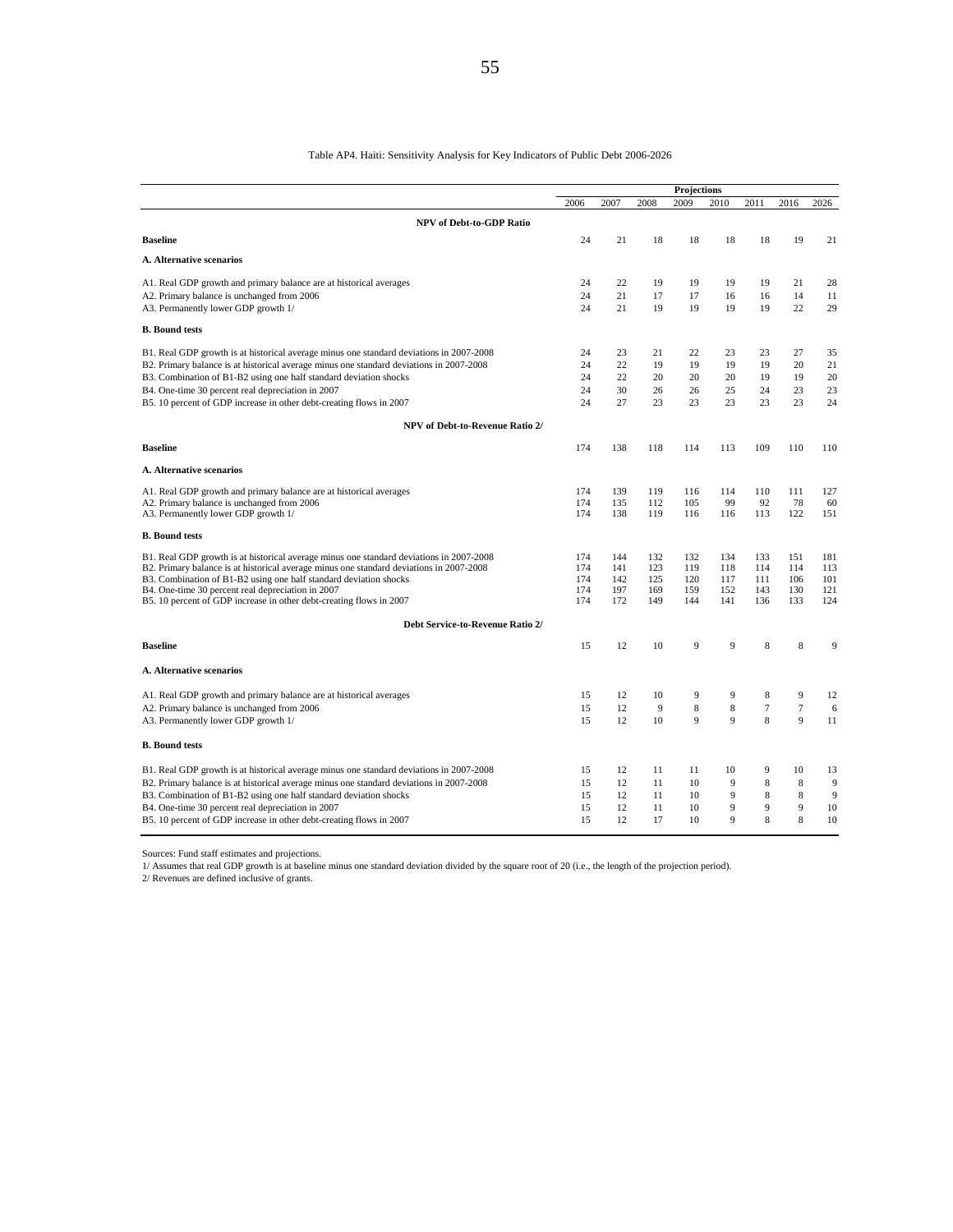#### Table AP4. Haiti: Sensitivity Analysis for Key Indicators of Public Debt 2006-2026

|                                                                                         | Projections |          |          |          |          |          |          |          |  |
|-----------------------------------------------------------------------------------------|-------------|----------|----------|----------|----------|----------|----------|----------|--|
|                                                                                         | 2006        | 2007     | 2008     | 2009     | 2010     | 2011     | 2016     | 2026     |  |
| <b>NPV</b> of Debt-to-GDP Ratio                                                         |             |          |          |          |          |          |          |          |  |
| <b>Baseline</b>                                                                         | 24          | 21       | 18       | 18       | 18       | 18       | 19       | 21       |  |
| <b>A. Alternative scenarios</b>                                                         |             |          |          |          |          |          |          |          |  |
| A1. Real GDP growth and primary balance are at historical averages                      | 24          | 22       | 19       | 19       | 19       | 19       | 21       | 28       |  |
| A2. Primary balance is unchanged from 2006<br>A3. Permanently lower GDP growth 1/       | 24<br>24    | 21<br>21 | 17<br>19 | 17<br>19 | 16<br>19 | 16<br>19 | 14<br>22 | 11<br>29 |  |
| <b>B.</b> Bound tests                                                                   |             |          |          |          |          |          |          |          |  |
| B1. Real GDP growth is at historical average minus one standard deviations in 2007-2008 | 24          | 23       | 21       | 22       | 23       | 23       | 27       | 35       |  |
| B2. Primary balance is at historical average minus one standard deviations in 2007-2008 | 24          | 22       | 19       | 19       | 19       | 19       | 20       | 21       |  |
| B3. Combination of B1-B2 using one half standard deviation shocks                       | 24          | 22       | 20       | 20       | 20       | 19       | 19       | 20       |  |
| B4. One-time 30 percent real depreciation in 2007                                       | 24          | 30       | 26       | 26       | 25       | 24       | 23       | 23       |  |
| B5. 10 percent of GDP increase in other debt-creating flows in 2007                     | 24          | 27       | 23       | 23       | 23       | 23       | 23       | 24       |  |
| <b>NPV of Debt-to-Revenue Ratio 2/</b>                                                  |             |          |          |          |          |          |          |          |  |
| <b>Baseline</b>                                                                         | 174         | 138      | 118      | 114      | 113      | 109      | 110      | 110      |  |
| <b>A. Alternative scenarios</b>                                                         |             |          |          |          |          |          |          |          |  |
| A1. Real GDP growth and primary balance are at historical averages                      | 174         | 139      | 119      | 116      | 114      | 110      | 111      | 127      |  |
| A2. Primary balance is unchanged from 2006                                              | 174         | 135      | 112      | 105      | 99       | 92       | 78       | 60       |  |
| A3. Permanently lower GDP growth 1/                                                     | 174         | 138      | 119      | 116      | 116      | 113      | 122      | 151      |  |
| <b>B. Bound tests</b>                                                                   |             |          |          |          |          |          |          |          |  |
| B1. Real GDP growth is at historical average minus one standard deviations in 2007-2008 | 174         | 144      | 132      | 132      | 134      | 133      | 151      | 181      |  |
| B2. Primary balance is at historical average minus one standard deviations in 2007-2008 | 174         | 141      | 123      | 119      | 118      | 114      | 114      | 113      |  |
| B3. Combination of B1-B2 using one half standard deviation shocks                       | 174         | 142      | 125      | 120      | 117      | 111      | 106      | 101      |  |
| B4. One-time 30 percent real depreciation in 2007                                       | 174         | 197      | 169      | 159      | 152      | 143      | 130      | 121      |  |
| B5. 10 percent of GDP increase in other debt-creating flows in 2007                     | 174         | 172      | 149      | 144      | 141      | 136      | 133      | 124      |  |
| Debt Service-to-Revenue Ratio 2/                                                        |             |          |          |          |          |          |          |          |  |
| <b>Baseline</b>                                                                         | 15          | 12       | 10       | 9        | 9        | 8        | 8        | 9        |  |
| <b>A. Alternative scenarios</b>                                                         |             |          |          |          |          |          |          |          |  |
| A1. Real GDP growth and primary balance are at historical averages                      | 15          | 12       | 10       | 9        | 9        | 8        | 9        | 12       |  |
| A2. Primary balance is unchanged from 2006                                              | 15          | 12       | 9        | 8        | 8        | $\tau$   | $\tau$   | 6        |  |
| A3. Permanently lower GDP growth 1/                                                     | 15          | 12       | 10       | 9        | 9        | 8        | 9        | 11       |  |
| <b>B. Bound tests</b>                                                                   |             |          |          |          |          |          |          |          |  |
| B1. Real GDP growth is at historical average minus one standard deviations in 2007-2008 | 15          | 12       | 11       | 11       | 10       | 9        | 10       | 13       |  |
| B2. Primary balance is at historical average minus one standard deviations in 2007-2008 | 15          | 12       | 11       | 10       | 9        | 8        | 8        | 9        |  |
| B3. Combination of B1-B2 using one half standard deviation shocks                       | 15          | 12       | 11       | 10       | 9        | 8        | 8        | 9        |  |
| B4. One-time 30 percent real depreciation in 2007                                       | 15          | 12       | 11       | 10       | 9        | 9        | 9        | 10       |  |
| B5. 10 percent of GDP increase in other debt-creating flows in 2007                     | 15          | 12       | 17       | 10       | 9        | 8        | 8        | 10       |  |

Sources: Fund staff estimates and projections.

1/ Assumes that real GDP growth is at baseline minus one standard deviation divided by the square root of 20 (i.e., the length of the projection period). 2/ Revenues are defined inclusive of grants.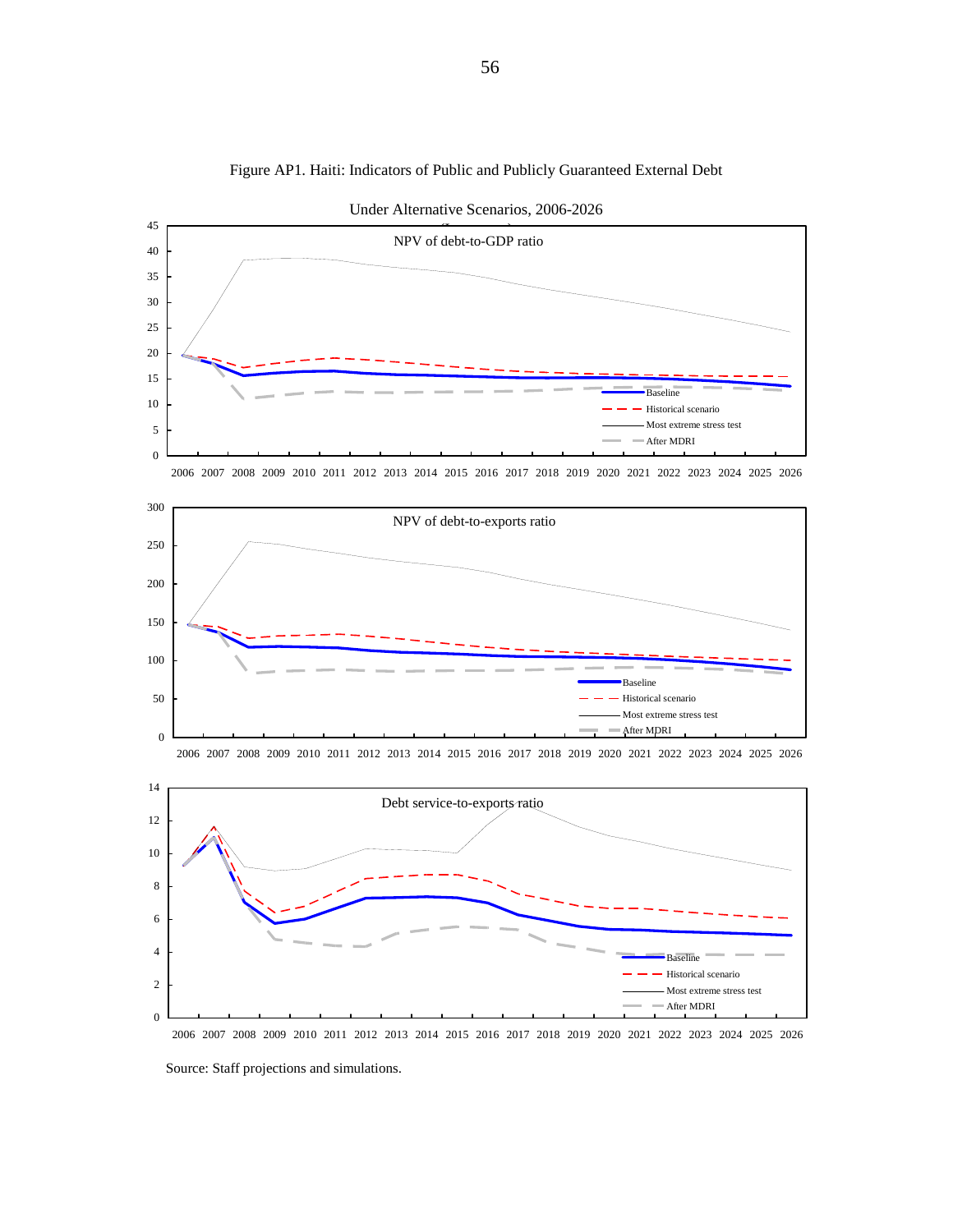

2006 2007 2008 2009 2010 2011 2012 2013 2014 2015 2016 2017 2018 2019 2020 2021 2022 2023 2024 2025 2026

After MDRI

Figure AP1. Haiti: Indicators of Public and Publicly Guaranteed External Debt

Under Alternative Scenarios, 2006-2026



Source: Staff projections and simulations.

 $\boldsymbol{0}$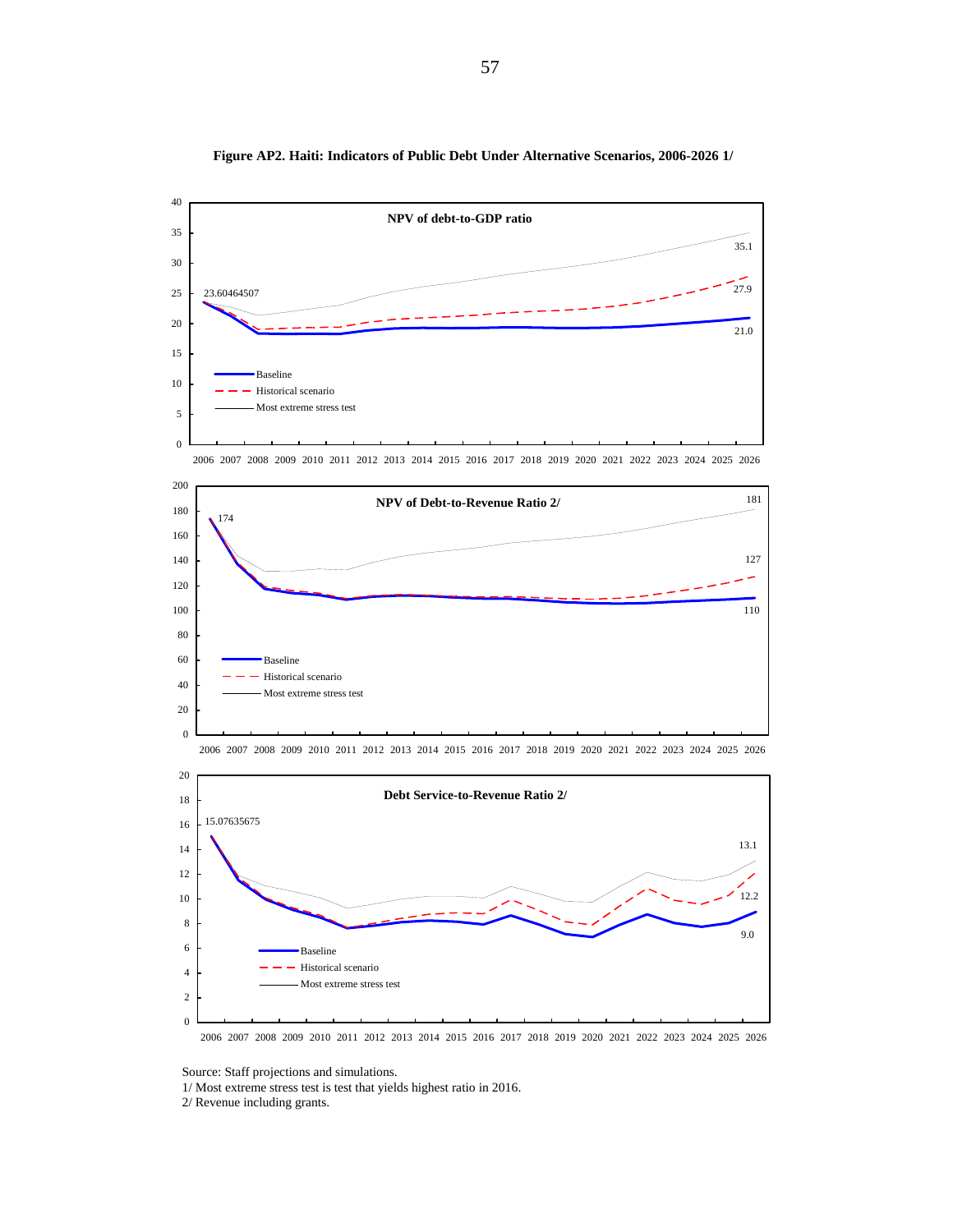

**Figure AP2. Haiti: Indicators of Public Debt Under Alternative Scenarios, 2006-2026 1/**

2006 2007 2008 2009 2010 2011 2012 2013 2014 2015 2016 2017 2018 2019 2020 2021 2022 2023 2024 2025 2026



2006 2007 2008 2009 2010 2011 2012 2013 2014 2015 2016 2017 2018 2019 2020 2021 2022 2023 2024 2025 2026





Source: Staff projections and simulations.

1/ Most extreme stress test is test that yields highest ratio in 2016.

2/ Revenue including grants.